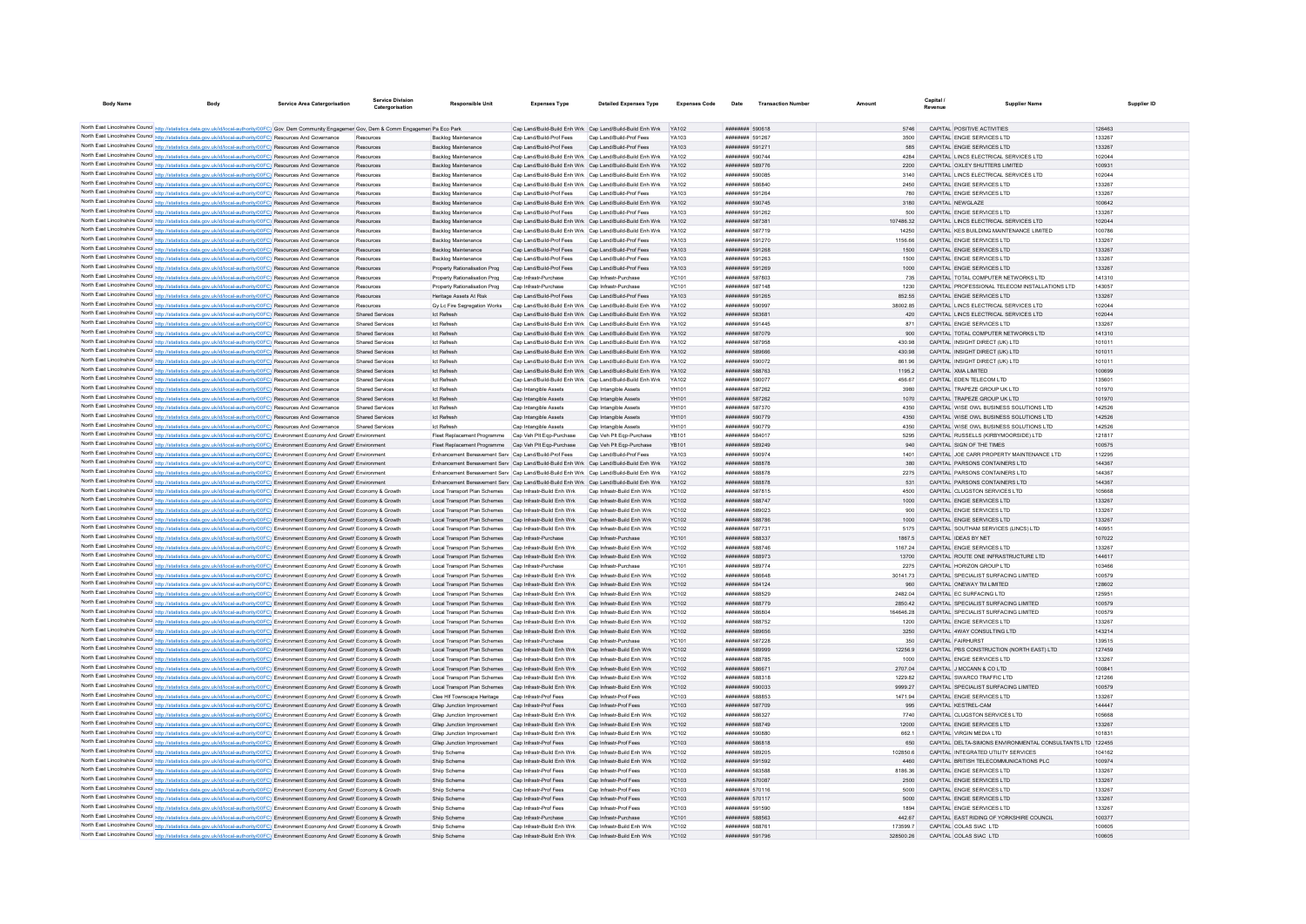| <b>Body Name</b><br>Body                                                                                                                                                                                                                                               | <b>Service Area Catergorisation</b> | Service Divisio<br>Catergorisation | Responsible Unit                                                                       | <b>Expenses Type</b>                                      | <b>Detailed Expenses Type</b>                                                                | <b>Expenses Code</b>  | Date                               | <b>Transaction Number</b> |              | Capital.<br>Revenue | <b>Supplier Name</b>                                                            | Supplier ID      |
|------------------------------------------------------------------------------------------------------------------------------------------------------------------------------------------------------------------------------------------------------------------------|-------------------------------------|------------------------------------|----------------------------------------------------------------------------------------|-----------------------------------------------------------|----------------------------------------------------------------------------------------------|-----------------------|------------------------------------|---------------------------|--------------|---------------------|---------------------------------------------------------------------------------|------------------|
|                                                                                                                                                                                                                                                                        |                                     |                                    |                                                                                        |                                                           |                                                                                              |                       |                                    |                           |              |                     |                                                                                 |                  |
| North East Lincolnshire Council http://statistics.data.gov.uk/id/local-authority/00FC) Gov Dem Community Engagemer Gov, Dem & Comm Engagemer Pa Eco Park                                                                                                               |                                     |                                    |                                                                                        |                                                           | Cap Land/Build-Build Enh Wrk Cap Land/Build-Build Enh Wrk YA102                              |                       | ######## 590618                    |                           | 5746         |                     | CAPITAL POSITIVE ACTIVITIES                                                     | 126463           |
| North East Lincolnshire Council http://statistics.data.gov.uk/id/local-authority/00FC) Resources And Governance                                                                                                                                                        |                                     |                                    | Backlog Maintenance                                                                    | Cap Land/Build-Prof Fees                                  | Cap Land/Build-Prof Fees                                                                     | YA103                 | ######## 591267                    |                           | 3500         |                     | CAPITAL ENGIE SERVICES LTD                                                      | 133267           |
| North East Lincolnshire Council http://statistics.data.gov.uk/id/local-authority/00FC) Resources And Governance                                                                                                                                                        |                                     | Resources                          | <b>Backlog Maintenance</b>                                                             | Can Land/Build-Prof Fees                                  | Can Land/Build-Prof Fees                                                                     | YA103                 | ######## 591271                    |                           | 585          |                     | CAPITAL ENGIF SERVICES ITD                                                      | 133267           |
| North East Lincolnshire Council http://statistics.data.gov.uk/id/local-authority/00FC) Resources And Governance                                                                                                                                                        |                                     | Resources                          | Backlog Maintenance                                                                    |                                                           | Cap Land/Build-Build Enh Wrk Cap Land/Build-Build Enh Wrk                                    | YA102                 | ######## 590744                    |                           | 4284         |                     | CAPITAL LINCS ELECTRICAL SERVICES LTD                                           | 102044           |
| North East Lincolnshire Council http://statistics.data.gov.uk/id/local-authority/00FC) Resources And Governance                                                                                                                                                        |                                     | Resources                          | Backlog Maintenance                                                                    |                                                           | Cap Land/Build-Build Enh Wrk Cap Land/Build-Build Enh Wrk YA102                              |                       | ######## 589776                    |                           | 2200         |                     | CAPITAL OXLEY SHUTTERS LIMITED                                                  | 100931           |
| North East Lincolnshire Council http://statistics.data.gov.uk/id/local-authority/00FC) Resources And Governance                                                                                                                                                        |                                     | Resources                          | <b>Backlog Maintenance</b>                                                             | Cap Land/Build-Build Enh Wrk Cap Land/Build-Build Enh Wrk |                                                                                              | <b>YA102</b>          | ######## 590085                    |                           | 3140         |                     | CAPITAL LINCS ELECTRICAL SERVICES LTD                                           | 102044           |
| North East Lincolnshire Council http://statistics.data.gov.uk/id/local-authority/00FC) Resources And Governance                                                                                                                                                        |                                     | Resources                          | <b>Backlog Maintenance</b>                                                             |                                                           | Cap Land/Build-Build Enh Wrk Cap Land/Build-Build Enh Wrk YA102                              |                       | <b><i>BREERER SSSS40</i></b>       |                           | 2450         |                     | CAPITAL ENGIE SERVICES LTD                                                      | 133267           |
| North East Lincolnshire Council http://statistics.data.gov.uk/id/local-authority/00FC) Resources And Governance                                                                                                                                                        |                                     | Resources                          | Backlog Maintenance                                                                    | Cap Land/Build-Prof Fees                                  | Cap Land/Build-Prof Fees                                                                     | YA103                 | ######## 591264                    |                           | 780          |                     | CAPITAL ENGIE SERVICES LTD                                                      | 133267           |
| North East Lincolnshire Council http://statistics.data.gov.uk/id/local-authority/00FC) Resources And Governance                                                                                                                                                        |                                     | Resources                          | <b>Backlog Maintenance</b>                                                             |                                                           | Cap Land/Build-Build Enh Wrk Cap Land/Build-Build Enh Wrk                                    | YA102                 | ######## 590745                    |                           | 3180         |                     | CAPITAL NEWGLAZE                                                                | 100642           |
| North East Lincolnshire Council http://statistics.data.gov.uk/id/local-authority/00FC) Resources And Governance                                                                                                                                                        |                                     | Resources                          | Backlog Maintenanc                                                                     | Cap Land/Build-Prof Fees                                  | Cap Land/Build-Prof Fee                                                                      | YA103                 | ######## 591262                    |                           | 500          |                     | CAPITAL ENGIE SERVICES LTD                                                      | 133267           |
| North East Lincolnshire Council http://statistics.data.gov.uk/id/local-authority/00FC) Resources And Governance                                                                                                                                                        |                                     | Resources                          | <b>Backlog Maintenance</b>                                                             | Cap Land/Build-Build Enh Wrk Cap Land/Build-Build Enh Wrk |                                                                                              | YA102                 | ######## 587381                    |                           | 107486.32    |                     | CAPITAL LINCS ELECTRICAL SERVICES LTD                                           | 102044           |
| North East Lincolnshire Council http://statistics.data.gov.uk/id/local-authority/00FC) Resources And Governance                                                                                                                                                        |                                     | Resources                          | Backlog Maintenance                                                                    |                                                           | Cap Land/Build-Build Enh Wrk Cap Land/Build-Build Enh Wrk                                    | YA102                 | ######## 587719                    |                           | 14250        |                     | CAPITAL KES BUILDING MAINTENANCE LIMITED                                        | 100786           |
| North East Lincolnshire Council http://statistics.data.gov.uk/id/local-authority/00FC) Resources And Governance                                                                                                                                                        |                                     | Resources                          | <b>Backlog Maintenance</b>                                                             | Cap Land/Build-Prof Fees                                  | Cap Land/Build-Prof Fees                                                                     | YA103                 | ######## 591270                    |                           | 1156.66      |                     | CAPITAL ENGIE SERVICES LTD                                                      | 133267           |
| North East Lincolnshire Council http://statistics.data.gov.uk/id/local-authority/00FC) Resources And Governance                                                                                                                                                        |                                     | Resources                          | Backlog Maintenance                                                                    | Cap Land/Build-Prof Fees                                  | Cap Land/Build-Prof Fees                                                                     | YA103                 | ######## 591268                    |                           | 1500         |                     | CAPITAL ENGIE SERVICES LTD                                                      | 133267           |
| North East Lincolnshire Council http://statistics.data.gov.uk/id/local-authority/00FC) Resources And Governance                                                                                                                                                        |                                     | Resources                          | <b>Backlog Maintenance</b>                                                             | Cap Land/Build-Prof Fees                                  | Cap Land/Build-Prof Fees                                                                     | YA103                 | ######## 591263                    |                           | 1500         |                     | CAPITAL ENGIE SERVICES LTD                                                      | 133267           |
| North East Lincolnshire Council http://statistics.data.gov.uk/id/local-authority/00FC) Resources And Governance                                                                                                                                                        |                                     | Resources                          | Property Rationalisation Prog                                                          | Cap Land/Build-Prof Fees                                  | Cap Land/Build-Prof Fees                                                                     | YA103                 | ######## 591269                    |                           | 1000         |                     | CAPITAL ENGIE SERVICES LTD                                                      | 133267           |
| North East Lincolnshire Council http://statistics.data.gov.uk/id/local-authority/00FC) Resources And Governance                                                                                                                                                        |                                     | Resources                          | Property Rationalisation Prog                                                          | Can Infrastr-Purchase                                     | Can Infrastr-Purchase                                                                        | YC101                 | ######## 587803                    |                           | 735          |                     | CAPITAL TOTAL COMPUTER NETWORKS LTD                                             | 141310           |
| North East Lincolnshire Council http://statistics.data.gov.uk/id/local-authority/00FC) Resources And Governance                                                                                                                                                        |                                     | Resources                          | Property Rationalisation Prog                                                          | Cap Infrastr-Purchase                                     | Cap Infrastr-Purchase                                                                        | YC101                 | ######## 587148                    |                           | 1230         |                     | CAPITAL PROFESSIONAL TELECOM INSTALLATIONS LTD                                  | 143057           |
| North East Lincolnshire Council http://statistics.data.gov.uk/id/local-authority/00FC) Resources And Governance                                                                                                                                                        |                                     | Resources                          | Heritage Assets At Risk                                                                | Cap Land/Build-Prof Fees                                  | Cap Land/Build-Prof Fees                                                                     | V4103                 | ######## 591265                    |                           | 852.55       |                     | CAPITAL ENGIE SERVICES LTD                                                      | 133267           |
| North East Lincolnshire Council http://statistics.data.gov.uk/id/local-authority/00FC) Resources And Governance                                                                                                                                                        |                                     | Resources                          | Gy Lc Fire Segregation Works                                                           | Can Land/Build-Build Enh Wrk Can Land/Build-Build Enh Wrk |                                                                                              | YA102                 | ######## 590997                    |                           | 3800285      |                     | CAPITAL LINCS ELECTRICAL SERVICES LTD.                                          | 102044           |
| North East Lincolnshire Council http://statistics.data.gov.uk/id/local-authority/00FC) Resources And Governance                                                                                                                                                        |                                     | Shared Services                    | Ict Refresh                                                                            |                                                           | Cap Land/Build-Build Enh Wrk Cap Land/Build-Build Enh Wrk YA102                              |                       | ######## 583681                    |                           | 420          |                     | CAPITAL LINCS ELECTRICAL SERVICES LTD                                           | 102044           |
| North East Lincolnshire Council http://statistics.data.gov.uk/id/local-authority/00FC) Resources And Governance                                                                                                                                                        |                                     | <b>Shared Services</b>             | <b>Ict Refresh</b>                                                                     |                                                           | Cap Land/Build-Build Enh Wrk Cap Land/Build-Build Enh Wrk                                    | <b>YA102</b>          | ######## 591445                    |                           | 871          |                     | CAPITAL ENGIE SERVICES LTD                                                      | 133267           |
| North East Lincolnshire Council http://statistics.data.gov.uk/id/local-authority/00FC) Resources And Governance                                                                                                                                                        |                                     | <b>Shared Services</b>             | <b>Ict Refresh</b>                                                                     |                                                           | Cap Land/Build-Build Enh Wrk Cap Land/Build-Build Enh Wrk YA102                              |                       | ######## 587079                    |                           | 900          |                     | CAPITAL TOTAL COMPUTER NETWORKS LTD                                             | 141310           |
| North East Lincolnshire Council http://statistics.data.gov.uk/id/local-authority/00FC) Resources And Governance                                                                                                                                                        |                                     | Shared Services                    | Ict Refresh                                                                            |                                                           | Can Land/Build-Build Enh Wrk Can Land/Build-Build Enh Wrk YA102                              |                       | ######## 587958                    |                           | 430.98       |                     | CAPITAL INSIGHT DIRECT (UK) LTD                                                 | 101011           |
| North East Lincolnshire Council http://statistics.data.gov.uk/id/local-authority/00FC) Resources And Governance                                                                                                                                                        |                                     | <b>Shared Services</b>             | Ict Refresh                                                                            |                                                           | Cap Land/Build-Build Enh Wrk Cap Land/Build-Build Enh Wrk YA102                              |                       | ######## 589666                    |                           | 430.98       |                     | CAPITAL INSIGHT DIRECT (UK) LTD                                                 | 101011           |
| North East Lincolnshire Council http://statistics.data.gov.uk/id/local-authority/00FC) Resources And Governance                                                                                                                                                        |                                     | <b>Shared Services</b>             | <b>Ict Refresh</b>                                                                     |                                                           | Cap Land/Build-Build Enh Wrk Cap Land/Build-Build Enh Wrk                                    | YA102                 | ######## 590072                    |                           | 861.96       |                     | CAPITAL INSIGHT DIRECT (UK) LTD                                                 | 101011           |
| North East Lincolnshire Council http://statistics.data.gov.uk/id/local-authority/00FC) Resources And Governance                                                                                                                                                        |                                     | <b>Shared Services</b>             | Ict Refresh                                                                            |                                                           | Cap Land/Build-Build Enh Wrk Cap Land/Build-Build Enh Wrk YA102                              |                       | ######## 588763                    |                           | 1195.2       |                     | CAPITAL XMA LIMITED                                                             | 100699           |
| North East Lincolnshire Council http://statistics.data.gov.uk/id/local-authority/00FC) Resources And Governance                                                                                                                                                        |                                     | Shared Services                    | Ict Refresh                                                                            |                                                           | Can Land/Build-Build Enh Wrk Can Land/Build-Build Enh Wrk YA102                              |                       | ######## 590077                    |                           | 456.67       |                     | CAPITAL FDEN TELECOM LTD                                                        | 135601           |
| North East Lincolnshire Council http://statistics.data.gov.uk/id/local-authority/00FC) Resources And Governance                                                                                                                                                        |                                     | Shared Services                    | Ict Refresh                                                                            | Cap Intangible Assets                                     | Cap Intangible Assets                                                                        | YH101                 | ######## 587262                    |                           | 3980         |                     | CAPITAL TRAPEZE GROUP UK LTD                                                    | 101970           |
| North East Lincolnshire Council http://statistics.data.gov.uk/id/local-authority/00FC) Resources And Governance                                                                                                                                                        |                                     | <b>Shared Services</b>             | Ict Refresh                                                                            | Cap Intangible Assets                                     | Cap Intangible Assets                                                                        | YH101                 | ######## 587262                    |                           | 1070         |                     | CAPITAL TRAPEZE GROUP UK LTD                                                    | 101970           |
| North East Lincolnshire Council http://statistics.data.gov.uk/id/local-authority/00FC) Resources And Governance                                                                                                                                                        |                                     | <b>Shared Services</b>             | <b>Ict Refresh</b>                                                                     | Cap Intangible Assets                                     | Cap Intangible Assets                                                                        | YH101                 | ######## 587370                    |                           | 4350         |                     | CAPITAL WISE OWL BUSINESS SOLUTIONS LTD                                         | 142526           |
| North East Lincolnshire Council http://statistics.data.gov.uk/id/local-authority/00FC) Resources And Governance                                                                                                                                                        |                                     | Shared Services                    | Ict Refresh                                                                            | Cap Intangible Assets                                     | Cap Intangible Assets                                                                        | YH101                 | ######## 590779                    |                           | 4350         |                     | CAPITAL WISE OWL BUSINESS SOLUTIONS LTD.                                        | 142526           |
| North East Lincolnshire Council http://statistics.data.gov.uk/id/local-authority/00FC) Resources And Governance                                                                                                                                                        |                                     | Shared Services                    | Ict Refresh<br>Fleet Replacement Programme                                             | Cap Intangible Assets<br>Cap Veh Plt Ego-Purchase         | Cap Intangible Assets<br>Cap Veh Plt Ego-Purchase                                            | YH101<br><b>YB101</b> | ######## 590779<br>######## 584017 |                           | 4350<br>5295 |                     | CAPITAL WISE OWL BUSINESS SOLUTIONS LTD<br>CAPITAL RUSSELLS (KIRBYMOORSIDE) LTD | 142526<br>121817 |
| North East Lincolnshire Council http://statistics.data.gov.uk/id/local-authority/00FC) Environment Economy And Growth Environment                                                                                                                                      |                                     |                                    |                                                                                        |                                                           |                                                                                              |                       | ######## 589249                    |                           |              |                     | CAPITAL SIGN OF THE TIMES                                                       |                  |
| North East Lincolnshire Council http://statistics.data.gov.uk/id/local-authority/00FC) Environment Economy And Growth Environment<br>North East Lincolnshire Council http://statistics.data.gov.uk/id/local-authority/00FC) Environment Economy And Growth Environment |                                     |                                    | Fleet Replacement Programme<br>Enhancement Bereavement Serv Can Land/Build-Prof Fees   | Cap Veh Plt Eqp-Purchase                                  | Cap Veh Plt Egp-Purchase<br>Can Land/Build-Prof Fees                                         | <b>YB101</b><br>YA103 | ######## 590974                    |                           | 940<br>1401  |                     | CAPITAL JOE CARR PROPERTY MAINTENANCE LTD                                       | 100575<br>112295 |
| North East Lincolnshire Council http://statistics.data.gov.uk/id/local-authority/00FC) Environment Economy And Growth Environment                                                                                                                                      |                                     |                                    |                                                                                        |                                                           | Enhancement Bereavement Serv Cap Land/Build-Build Enh Wrk Cap Land/Build-Build Enh Wrk YA102 |                       | ######## 588878                    |                           | 380          |                     | CAPITAL PARSONS CONTAINERS LTD                                                  | 144367           |
|                                                                                                                                                                                                                                                                        |                                     |                                    | Enhancement Bereavement Serv Cap Land/Build-Build Enh Wrk Cap Land/Build-Build Enh Wrk |                                                           |                                                                                              | YA102                 | ######## 588878                    |                           | 2275         |                     | CAPITAL PARSONS CONTAINERS LTD                                                  | 144367           |
| North East Lincolnshire Council http://statistics.data.gov.uk/id/local-authority/00FC) Environment Economy And Growth Environment<br>North East Lincolnshire Council http://statistics.data.gov.uk/id/local-authority/00FC) Environment Economy And Growth Environment |                                     |                                    | Enhancement Bereavement Serv Cap Land/Build-Build Enh Wrk Cap Land/Build-Build Enh Wrk |                                                           |                                                                                              | <b>YA102</b>          | ######## 588878                    |                           | 531          |                     | CAPITAL PARSONS CONTAINERS LTD                                                  | 144367           |
| North East Lincolnshire Council http://statistics.data.gov.uk/id/local-authority/00FC) Environment Economy And Growth Economy & Growth                                                                                                                                 |                                     |                                    | Local Transport Plan Schemes Cap Infrastr-Build Enh Wrk                                |                                                           | Can Infrastr-Build Enh Wrk                                                                   | YC102                 | ######## 587815                    |                           | 4500         |                     | CAPITAL CLUGSTON SERVICES LTD                                                   | 105668           |
| North East Lincolnshire Council http://statistics.data.gov.uk/id/local-authority/00FC) Environment Economy And Growth Economy & Growth                                                                                                                                 |                                     |                                    | Local Transport Plan Schemes                                                           | Cap Infrastr-Build Enh Wrk                                | Cap Infrastr-Build Enh Wrk                                                                   | <b>YC102</b>          | ######## 588747                    |                           | 1000         |                     | CAPITAL ENGIE SERVICES LTD                                                      | 133267           |
| North East Lincolnshire Council http://statistics.data.gov.uk/id/local-authority/00FC) Environment Economy And Growth Economy & Growth                                                                                                                                 |                                     |                                    | Local Transport Plan Schemes                                                           | Cap Infrastr-Build Enh Wrk                                | Cap Infrastr-Build Enh Wri                                                                   | <b>YC102</b>          | ######## 589023                    |                           | 900          |                     | CAPITAL ENGIE SERVICES LTD                                                      | 133267           |
| North East Lincolnshire Council http://statistics.data.gov.uk/id/local-authority/00FC) Environment Economy And Growth Economy & Growth                                                                                                                                 |                                     |                                    | Local Transport Plan Schemes                                                           | Cap Infrastr-Build Enh Wrk                                | Cap Infrastr-Build Enh Wrk                                                                   | <b>YC102</b>          | ######## 588786                    |                           | 1000         |                     | CAPITAL ENGIE SERVICES LTD                                                      | 133267           |
| North East Lincolnshire Council http://statistics.data.gov.uk/id/local-authority/00FC) Environment Economy And Growth Economy & Growth                                                                                                                                 |                                     |                                    | Local Transport Plan Schemes                                                           | Can Infrastr-Build Enh Wrk                                | Can Infrastr-Build Enh Wrk                                                                   | YC102                 | ######## 587731                    |                           | 5175         |                     | CAPITAL SOUTHAM SERVICES (LINCS) LTD.                                           | 140951           |
| North East Lincolnshire Council http://statistics.data.gov.uk/id/local-authority/00FC) Environment Economy And Growth Economy & Growth                                                                                                                                 |                                     |                                    | Local Transport Plan Schemes Cap Infrastr-Purchase                                     |                                                           | Cap Infrastr-Purchase                                                                        | <b>YC101</b>          | ######## 588337                    |                           | 1867.5       |                     | CAPITAL IDEAS BY NET                                                            | 107022           |
| North East Lincolnshire Council http://statistics.data.gov.uk/id/local-authority/00FC) Environment Economy And Growth Economy & Growth                                                                                                                                 |                                     |                                    | Local Transport Plan Schemes                                                           | Cap Infrastr-Build Enh Wrk                                | Cap Infrastr-Build Enh Wrk                                                                   | YC102                 | ####### 588746                     |                           | 1167.24      |                     | CAPITAL ENGIE SERVICES LTD                                                      | 133267           |
| North East Lincolnshire Council http://statistics.data.gov.uk/id/local-authority/00FC) Environment Economy And Growth Economy & Growth                                                                                                                                 |                                     |                                    | Local Transport Plan Schemes Cap Infrastr-Build Enh Wrk                                |                                                           | Cap Infrastr-Build Enh Wrk                                                                   | <b>YC102</b>          | ######## 588973                    |                           | 13700        |                     | CAPITAL ROUTE ONE INFRASTRUCTURE LTD                                            | 144617           |
| North East Lincolnshire Council http://statistics.data.gov.uk/id/local-authority/00FC) Environment Economy And Growth Economy & Growth                                                                                                                                 |                                     |                                    | Local Transport Plan Schemes                                                           | Cap Infrastr-Purchase                                     | Can Infrastr-Purchase                                                                        | YC101                 | <b><i>BREEZER 589774</i></b>       |                           | 2275         |                     | CAPITAL HORIZON GROUP LTD                                                       | 103466           |
| North East Lincolnshire Council http://statistics.data.gov.uk/id/local-authority/00FC) Environment Economy And Growth Economy & Growth                                                                                                                                 |                                     |                                    | Local Transport Plan Schemes                                                           | Cap Infrastr-Build Enh Wrk                                | Cap Infrastr-Build Enh Wrk                                                                   | YC102                 | ######## 586648                    |                           | 30141.73     |                     | CAPITAL SPECIALIST SURFACING LIMITED                                            | 100579           |
| North East Lincolnshire Council http://statistics.data.gov.uk/id/local-authority/00FC) Environment Economy And Growth Economy & Growth                                                                                                                                 |                                     |                                    | Local Transport Plan Schemes                                                           | Cap Infrastr-Build Enh Wrk                                | Cap Infrastr-Build Enh Wrk                                                                   | <b>YC102</b>          | ######## 584124                    |                           | 960          |                     | CAPITAL ONEWAY TM LIMITED                                                       | 128602           |
| North East Lincolnshire Council http://statistics.data.gov.uk/id/local-authority/00FC) Environment Economy And Growth Economy & Growth                                                                                                                                 |                                     |                                    | Local Transport Plan Schemes                                                           | Cap Infrastr-Build Enh Wrk                                | Cap Infrastr-Build Enh Wrk                                                                   | YC102                 | ######## 588529                    |                           | 2482.04      |                     | CAPITAL EC SURFACING LTD                                                        | 125951           |
| North East Lincolnshire Council http://statistics.data.gov.uk/id/local-authority/00FC) Environment Economy And Growth Economy & Growth                                                                                                                                 |                                     |                                    | Local Transport Plan Schemes                                                           | Cap Infrastr-Build Enh Wrk                                | Cap Infrastr-Build Enh Wrk                                                                   | <b>YC102</b>          | <b>######## 588779</b>             |                           | 2850.42      |                     | CAPITAL SPECIALIST SURFACING LIMITED                                            | 100579           |
| North East Lincolnshire Council http://statistics.data.gov.uk/id/local-authority/00FC) Environment Economy And Growth Economy & Growth                                                                                                                                 |                                     |                                    | Local Transport Plan Schemes                                                           | Cap Infrastr-Build Enh Wrk                                | Cap Infrastr-Build Enh Wrk                                                                   | <b>YC102</b>          | ######## 586804                    |                           | 164646.28    |                     | CAPITAL SPECIALIST SURFACING LIMITED                                            | 100579           |
| North East Lincolnshire Council http://statistics.data.gov.uk/id/local-authority/00FC) Environment Economy And Growth Economy & Growth                                                                                                                                 |                                     |                                    | Local Transport Plan Schemes                                                           | Cap Infrastr-Build Enh Wrk                                | Cap Infrastr-Build Enh Wrk                                                                   | YC102                 | ######## 588752                    |                           | 1200         |                     | CAPITAL ENGIE SERVICES LTD                                                      | 133267           |
| North East Lincolnshire Council http://statistics.data.gov.uk/id/local-authority/00FC) Environment Economy And Growth Economy & Growth                                                                                                                                 |                                     |                                    | Local Transport Plan Schemes                                                           | Cap Infrastr-Build Enh Wrk                                | Cap Infrastr-Build Enh Wrk                                                                   | YC102                 | ######## 589656                    |                           | 3250         |                     | CAPITAL 4WAY CONSULTING LTD                                                     | 143214           |
| North East Lincolnshire Council http://statistics.data.gov.uk/id/local-authority/00FC) Environment Economy And Growth Economy & Growth                                                                                                                                 |                                     |                                    | Local Transport Plan Schemes                                                           | Cap Infrastr-Purchase                                     | Can Infrastr-Purchase                                                                        | YC101                 | ######## 587228                    |                           | 350          |                     | CAPITAL FAIRHURST                                                               | 139515           |
| North East Lincolnshire Council http://statistics.data.gov.uk/id/local-authority/00FC) Environment Economy And Growth Economy & Growth                                                                                                                                 |                                     |                                    | Local Transport Plan Schemes                                                           | Cap Infrastr-Build Enh Wrk                                | Cap Infrastr-Build Enh Wrk                                                                   | <b>YC102</b>          | ######## 589999                    |                           | 12256.9      |                     | CAPITAL PBS CONSTRUCTION (NORTH EAST) LTD                                       | 127459           |
| North East Lincolnshire Council http://statistics.data.gov.uk/id/local-authority/00FC) Environment Economy And Growth Economy & Growth                                                                                                                                 |                                     |                                    | Local Transport Plan Schemes                                                           | Cap Infrastr-Build Enh Wrk                                | Cap Infrastr-Build Enh Wri                                                                   | <b>YC102</b>          | ######## 588785                    |                           | 1000         |                     | CAPITAL ENGIE SERVICES LTD                                                      | 133267           |
| North East Lincolnshire Council http://statistics.data.gov.uk/id/local-authority/00FC) Environment Economy And Growth Economy & Growth                                                                                                                                 |                                     |                                    | Local Transport Plan Schemes                                                           | Cap Infrastr-Build Enh Wrk                                | Cap Infrastr-Build Enh Wri                                                                   | <b>YC102</b>          | ######## 58667                     |                           | 2707.04      |                     | CAPITAL J MCCANN & CO LTD                                                       | 100841           |
| North East Lincolnshire Council http://statistics.data.gov.uk/id/local-authority/00FC) Environment Economy And Growth Economy & Growth                                                                                                                                 |                                     |                                    | Local Transport Plan Schemes                                                           | Can Infrastr-Build Enh Wrk                                | Can Infrastr-Build Enh Wrk                                                                   | YC102                 | <b><i>HHHHHHH 588315</i></b>       |                           | 1229.82      |                     | CAPITAL SWARCO TRAFFIC LTD                                                      | 121266           |
| North East Lincolnshire Council http://statistics.data.gov.uk/id/local-authority/00FC) Environment Economy And Growth Economy & Growth                                                                                                                                 |                                     |                                    | Local Transport Plan Schemes                                                           | Can Infrastr-Build Enh Wrk                                | Can Infrastr-Build Fnh Wrk                                                                   | YC102                 | ######## 590033                    |                           | 9999.27      |                     | CAPITAL SPECIALIST SURFACING LIMITED                                            | 100579           |
| North East Lincolnshire Council http://statistics.data.gov.uk/id/local-authority/00FC) Environment Economy And Growth Economy & Growth                                                                                                                                 |                                     |                                    | Clee Hif Townscape Heritage                                                            | Can Infrastr-Prof Fees                                    | Can Infrastr-Prof Fees                                                                       | <b>YC103</b>          | ######## 588853                    |                           | 1471.94      |                     | CAPITAL ENGIF SERVICES LTD.                                                     | 133267           |
| North East Lincolnshire Council http://statistics.data.gov.uk/id/local-authority/00FC) Environment Economy And Growth Economy & Growth                                                                                                                                 |                                     |                                    | Gliep Junction Improvement                                                             | Cap Infrastr-Prof Fees                                    | Cap Infrastr-Prof Fees                                                                       | <b>YC103</b>          | ######## 587709                    |                           | 995          |                     | CAPITAL KESTREL-CAM                                                             | 144447           |
| North East Lincolnshire Council http://statistics.data.gov.uk/id/local-authority/00FC) Environment Economy And Growth Economy & Growth                                                                                                                                 |                                     |                                    | Gliep Junction Improvement                                                             | Cap Infrastr-Build Enh Wrk                                | Can Infrastr-Build Enh Wrk                                                                   | <b>YC102</b>          | ######## 586327                    |                           | 7740         |                     | CAPITAL CLUGSTON SERVICES LTD                                                   | 105668           |
| North East Lincolnshire Council http://statistics.data.gov.uk/id/local-authority/00FC) Environment Economy And Growth Economy & Growth                                                                                                                                 |                                     |                                    | Glien Junction Improvement                                                             | Can Infrastr-Build Fnh Wrk                                | Can Infrastr-Build Enh Wrk                                                                   | YC102                 | ######## 588749                    |                           | 12000        |                     | CAPITAL ENGIE SERVICES LTD                                                      | 133267           |
| North East Lincolnshire Council http://statistics.data.gov.uk/id/local-authority/00FC) Environment Economy And Growth Economy & Growth                                                                                                                                 |                                     |                                    | Gliep Junction Improvement                                                             | Cap Infrastr-Build Enh Wrk                                | Cap Infrastr-Build Enh Wrk                                                                   | <b>YC102</b>          | <b><i>BREEZER SADARD</i></b>       |                           | 6621         |                     | CAPITAL VIRGIN MEDIA LTD                                                        | 101831           |
| North East Lincolnshire Council http://statistics.data.gov.uk/id/local-authority/00FC) Environment Economy And Growth Economy & Growth                                                                                                                                 |                                     |                                    | Gliep Junction Improvement                                                             | Cap Infrastr-Prof Fees                                    | Cap Infrastr-Prof Fees                                                                       | <b>YC103</b>          | ######## 586818                    |                           | 650          |                     | CAPITAL DELTA-SIMONS ENVIRONMENTAL CONSULTANTS LTD 122455                       |                  |
| North East Lincolnshire Council http://statistics.data.gov.uk/id/local-authority/00FC) Environment Economy And Growth Economy & Growth                                                                                                                                 |                                     |                                    | Shiip Scheme                                                                           | Cap Infrastr-Build Enh Wrk                                | Can Infrastr-Build Enh Wrk                                                                   | YC102                 | <b><i>BRESHBAR 589205</i></b>      |                           | 102850.6     |                     | CAPITAL INTEGRATED UTILITY SERVICES                                             | 104162           |
| North East Lincolnshire Council http://statistics.data.gov.uk/id/local-authority/00FC) Environment Economy And Growth Economy & Growth                                                                                                                                 |                                     |                                    | Shiip Scheme                                                                           | Can Infrastr-Build Enh Wrk                                | Can Infrastr-Build Enh Wrk                                                                   | YC102                 | ######## 591592                    |                           | 4460         |                     | CAPITAL BRITISH TELECOMMUNICATIONS PLC.                                         | 100974           |
| North East Lincolnshire Council http://statistics.data.gov.uk/id/local-authority/00FC) Environment Economy And Growth Economy & Growth                                                                                                                                 |                                     |                                    | Shiip Scheme                                                                           | Can Infrastr-Prof Fees                                    | Can Infrastr-Prof Fees                                                                       | <b>YC103</b>          | ######## 583588                    |                           | 8186.36      |                     | CAPITAL ENGIE SERVICES LTD                                                      | 133267           |
| North East Lincolnshire Council http://statistics.data.gov.uk/id/local-authority/00FC) Environment Economy And Growth Economy & Growth                                                                                                                                 |                                     |                                    | Shiip Scheme                                                                           | Cap Infrastr-Prof Fees                                    | Cap Infrastr-Prof Fees                                                                       | <b>YC103</b>          | ######## 570087                    |                           | 2500         |                     | CAPITAL ENGIE SERVICES LTD                                                      | 133267           |
| North East Lincolnshire Council http://statistics.data.gov.uk/id/local-authority/00FC) Environment Economy And Growth Economy & Growth                                                                                                                                 |                                     |                                    | Shiip Scheme                                                                           | Cap Infrastr-Prof Fees                                    | Cap Infrastr-Prof Fees                                                                       | <b>YC103</b>          | <b>####### 570116</b>              |                           | 5000         |                     | CAPITAL ENGIE SERVICES LTD                                                      | 133267           |
| North East Lincolnshire Council http://statistics.data.gov.uk/id/local-authority/00FC) Environment Economy And Growth Economy & Growth                                                                                                                                 |                                     |                                    | Shiip Scheme                                                                           | Can Infrastr-Prof Fees                                    | Can Infrastr-Prof Fees                                                                       | <b>YC103</b>          | ######## 570117                    |                           | 5000         |                     | CAPITAL ENGIF SERVICES LTD.                                                     | 133267           |
| North East Lincolnshire Council http://statistics.data.gov.uk/id/local-authority/00FC) Environment Economy And Growth Economy & Growth                                                                                                                                 |                                     |                                    | Shiip Scheme                                                                           | Cap Infrastr-Prof Fees                                    | Cap Infrastr-Prof Fees                                                                       | <b>YC103</b>          | ######## 591590                    |                           | 1894         |                     | CAPITAL ENGIE SERVICES LTD                                                      | 133267           |
| North East Lincolnshire Council http://statistics.data.gov.uk/id/local-authority/00FC) Environment Economy And Growth Economy & Growth                                                                                                                                 |                                     |                                    | Shiip Scheme                                                                           | Cap Infrastr-Purchase                                     | Cap Infrastr-Purchase                                                                        | <b>YC101</b>          | ######## 588563                    |                           | 442.67       |                     | CAPITAL EAST RIDING OF YORKSHIRE COUNCIL                                        | 100377           |
| North East Lincolnshire Council http://statistics.data.gov.uk/id/local-authority/00FC) Environment Economy And Growth Economy & Growth                                                                                                                                 |                                     |                                    | Shiip Scheme                                                                           | Cap Infrastr-Build Enh Wrk                                | Cap Infrastr-Build Enh Wrk                                                                   | <b>YC102</b>          | $HHHHHHHH$ 58876                   |                           | 173599.7     |                     | CAPITAL COLAS SIAC LTD                                                          | 100605           |
| North East Lincolnshire Council http://statistics.data.gov.uk/id/local-authority/00FC) Environment Economy And Growth Economy & Growth                                                                                                                                 |                                     |                                    | Shiin Scheme                                                                           | Can Infrastr-Build Enh Wrk                                | Can Infrastr-Build Enh Wrk                                                                   | YC102                 | ######## 591796                    |                           | 328500.26    |                     | CAPITAL COLAS SIAC LTD                                                          | 100605           |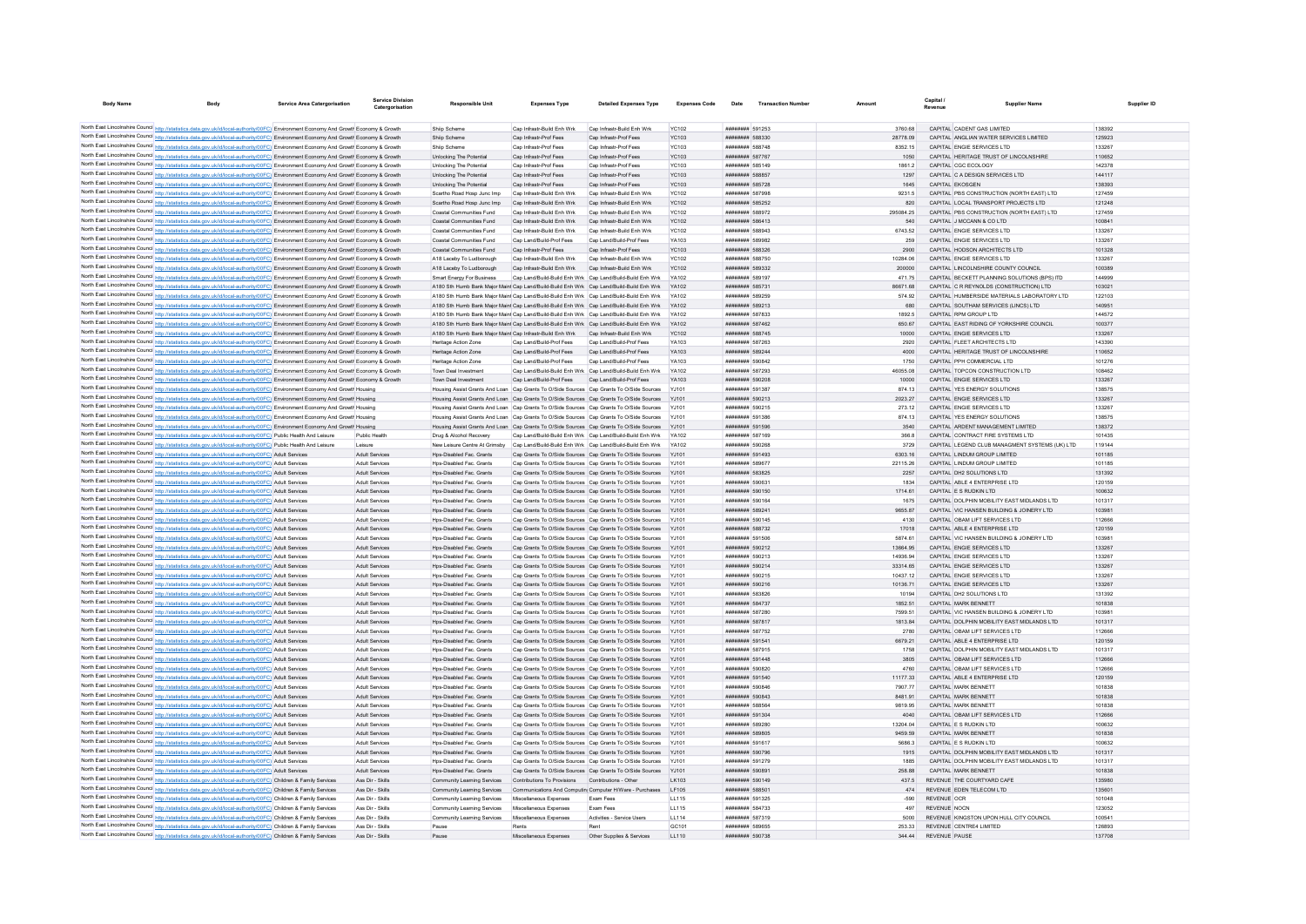| <b>Body Name</b> |                                                                                                                                         | <b>Service Area Catergorisation</b> | Service Divisio<br>Catergorisation | <b>Responsible Unit</b>                                                                        | <b>Expenses Type</b>                                  | <b>Detailed Expenses Type</b>                                                                  | <b>Expenses Code</b> | Date                          | <b>Transaction Number</b> | Amount    | Capital<br>Revenue                    | <b>Supplier Name</b>                           | Supplier ID |
|------------------|-----------------------------------------------------------------------------------------------------------------------------------------|-------------------------------------|------------------------------------|------------------------------------------------------------------------------------------------|-------------------------------------------------------|------------------------------------------------------------------------------------------------|----------------------|-------------------------------|---------------------------|-----------|---------------------------------------|------------------------------------------------|-------------|
|                  |                                                                                                                                         |                                     |                                    |                                                                                                |                                                       |                                                                                                |                      |                               |                           |           |                                       |                                                |             |
|                  | North East Lincolnshire Council http://statistics.data.gov.uk/id/local-authority/00FC) Environment Economy And Growt Economy & Growth   |                                     |                                    | Shiip Scheme                                                                                   | Cap Infrastr-Build Enh Wrk                            | Cap Infrastr-Build Enh Wrk                                                                     | YC102                | ######## 591253               |                           | 3760.68   | CAPITAL CADENT GAS LIMITED            |                                                | 138392      |
|                  | North East Lincolnshire Council http://statistics.data.gov.uk/id/local-authority/00FC). Environment Economy And Growth Economy & Growth |                                     |                                    | Shiip Scheme                                                                                   | Cap Infrastr-Prof Fees                                | Cap Infrastr-Prof Fees                                                                         | <b>YC103</b>         | ######## 588330               |                           | 28778.09  |                                       | CAPITAL ANGLIAN WATER SERVICES LIMITED         | 125923      |
|                  | North East Lincolnshire Council http://statistics.data.gov.uk/id/local-authority/00FC) Environment Economy And Growth Economy & Growth  |                                     |                                    | Shiin Scheme                                                                                   | Can Infrastr-Prof Fees                                | Cap Infrastr-Prof Fees                                                                         | <b>YC103</b>         | <b><i>BRESHHAM SBB748</i></b> |                           | 8352 15   | CAPITAL ENGIF SERVICES LTD.           |                                                | 133267      |
|                  | North East Lincolnshire Council http://statistics.data.gov.uk/id/local-authority/00FC) Environment Economy And Growth Economy & Growth  |                                     |                                    | Unlocking The Potential                                                                        | Cap Infrastr-Prof Fees                                | Cap Infrastr-Prof Fees                                                                         | <b>YC103</b>         | ######## 587767               |                           | 1050      |                                       | CAPITAL HERITAGE TRUST OF LINCOLNSHIRE         | 110652      |
|                  | North East Lincolnshire Council http://statistics.data.gov.uk/id/local-authority/00FC) Environment Economy And Growth Economy & Growth  |                                     |                                    | Unlocking The Potential                                                                        | Cap Infrastr-Prof Fees                                | Cap Infrastr-Prof Fees                                                                         | <b>YC103</b>         | ######## 585149               |                           | 1861.2    | CAPITAL CGC ECOLOGY                   |                                                | 142378      |
|                  | North East Lincolnshire Council http://statistics.data.gov.uk/id/local-authority/00FC) Environment Economy And Growth Economy & Growth  |                                     |                                    | Unlocking The Potential                                                                        | Cap Infrastr-Prof Fees                                | Cap Infrastr-Prof Fees                                                                         | YC103                | ######## 588857               |                           | 1297      | CAPITAL C A DESIGN SERVICES LTD       |                                                | 144117      |
|                  | North East Lincolnshire Council http://statistics.data.gov.uk/id/local-authority/00FC) Environment Economy And Growth Economy & Growth  |                                     |                                    | Unlocking The Potential                                                                        | Cap Infrastr-Prof Fees                                | Cap Infrastr-Prof Fees                                                                         | <b>YC103</b>         | ######## 585728               |                           | 1645      | CAPITAL EKOSGEN                       |                                                | 138393      |
|                  | North East Lincolnshire Council http://statistics.data.gov.uk/id/local-authority/00FC) Environment Economy And Growth Economy & Growth  |                                     |                                    | Scartho Road Hosp Junc Imp                                                                     | Cap Infrastr-Build Enh Wrk                            | Cap Infrastr-Build Enh Wrk                                                                     | <b>YC102</b>         | ######## 587998               |                           | 9231.5    |                                       | CAPITAL PBS CONSTRUCTION (NORTH EAST) LTD      | 127459      |
|                  | North East Lincolnshire Council http://statistics.data.gov.uk/id/local-authority/00FC) Environment Economy And Growth Economy & Growth  |                                     |                                    | Scartho Road Hosp Junc Imp                                                                     | Cap Infrastr-Build Enh Wrk                            | Cap Infrastr-Build Enh Wrk                                                                     | <b>YC102</b>         | ######## 585252               |                           | 820       |                                       | CAPITAL LOCAL TRANSPORT PROJECTS LTD           | 121248      |
|                  | North East Lincolnshire Council http://statistics.data.gov.uk/id/local-authority/00FC) Environment Economy And Growth Economy & Growt   |                                     |                                    | Coastal Communities Fund                                                                       | Cap Infrastr-Build Enh Wrk                            | Cap Infrastr-Build Enh Wrk                                                                     | <b>YC102</b>         | ######## 588972               |                           | 295084.25 |                                       | CAPITAL PBS CONSTRUCTION (NORTH EAST) LTD      | 127459      |
|                  | North East Lincolnshire Council http://statistics.data.gov.uk/id/local-authority/00FC) Environment Economy And Growth Economy & Growth  |                                     |                                    | Coastal Communities Fund                                                                       | Cap Infrastr-Build Enh Wrk                            | Cap Infrastr-Build Enh Wrk                                                                     | YC102                | ######## 586413               |                           | 540       | CAPITAL J MCCANN & CO LTD             |                                                | 100841      |
|                  | North East Lincolnshire Council http://statistics.data.gov.uk/id/local-authority/00FC) Environment Economy And Growth Economy & Growth  |                                     |                                    | Coastal Communities Fund                                                                       | Cap Infrastr-Build Enh Wrk                            | Cap Infrastr-Build Enh Wrk                                                                     | <b>YC102</b>         | ######## 588943               |                           | 6743.52   | CAPITAL ENGIE SERVICES LTD            |                                                | 133267      |
|                  | North East Lincolnshire Council http://statistics.data.gov.uk/id/local-authority/00FC) Environment Economy And Growth Economy & Growth  |                                     |                                    | Coastal Communities Fund                                                                       | Cap Land/Build-Prof Fees                              | Cap Land/Build-Prof Fees                                                                       | YA103                | ######## 589982               |                           | 259       | CAPITAL ENGIE SERVICES LTD            |                                                | 133267      |
|                  | North East Lincolnshire Council http://statistics.data.gov.uk/id/local-authority/00FC) Environment Economy And Growth Economy & Growth  |                                     |                                    | Coastal Communities Fund                                                                       | Cap Infrastr-Prof Fees                                | Cap Infrastr-Prof Fees                                                                         | <b>YC103</b>         | ######## 588326               |                           | 2900      | CAPITAL HODSON ARCHITECTS LTD         |                                                | 101328      |
|                  | North East Lincolnshire Council http://statistics.data.gov.uk/id/local-authority/00FC) Environment Economy And Growth Economy & Growth  |                                     |                                    | A18 Laceby To Ludborough                                                                       | Cap Infrastr-Build Enh Wrk                            | Cap Infrastr-Build Enh Wrk                                                                     | YC102                | ######## 588750               |                           | 10284.06  | CAPITAL ENGIE SERVICES LTD            |                                                | 133267      |
|                  | North East Lincolnshire Council http://statistics.data.gov.uk/id/local-authority/00FC) Environment Economy And Growth Economy & Growth  |                                     |                                    | A18 Laceby To Ludborough                                                                       | Cap Infrastr-Build Enh Wrk Cap Infrastr-Build Enh Wrk |                                                                                                | <b>YC102</b>         | ######## 589332               |                           | 200000    | CAPITAL LINCOLNSHIRE COUNTY COUNCIL   |                                                | 100389      |
|                  | North East Lincolnshire Council http://statistics.data.gov.uk/id/local-authority/00FC) Environment Economy And Growth Economy & Growth  |                                     |                                    | <b>Smart Energy For Business</b>                                                               |                                                       | Cap Land/Build-Build Enh Wrk Cap Land/Build-Build Enh Wrk                                      | YA102                | ######## 589197               |                           | 471.75    |                                       | CAPITAL BECKETT PLANNING SOLUTIONS (BPS) ITD   | 144999      |
|                  | North East Lincolnshire Council http://statistics.data.gov.uk/id/local-authority/00FC) Environment Economy And Growth Economy & Growth  |                                     |                                    | A180 Sth Humb Bank Major Maint Cap Land/Build-Build Enh Wrk Cap Land/Build-Build Enh Wrk       |                                                       |                                                                                                |                      | ######## 58573                |                           | 86671.68  |                                       | CAPITAL C R REYNOLDS (CONSTRUCTION) LTD        | 103021      |
|                  | North East Lincolnshire Council http://statistics.data.gov.uk/id/local-authority/00FC) Environment Economy And Growth Economy & Growth  |                                     |                                    | A180 Sth Humb Bank Maior Maint Can Land/Build-Build Enh Wrk Can Land/Build-Build Enh Wrk       |                                                       |                                                                                                | V4102                | <b><i>HHHHHHH 580250</i></b>  |                           | 574.92    |                                       | CAPITAL HUMBERSIDE MATERIALS LABORATORY LTD    | 122103      |
|                  | North East Lincolnshire Council http://statistics.data.gov.uk/id/local-authority/00FC) Environment Economy And Growth Economy & Growth  |                                     |                                    | A180 Sth Humb Bank Maior Maint Can Land/Build-Build Enh Wrk Can Land/Build-Build Enh Wrk YA102 |                                                       |                                                                                                |                      | <b><i>BREEZER 589213</i></b>  |                           | 680       | CAPITAL SOUTHAM SERVICES (LINCS) LTD. |                                                | 140951      |
|                  | North East Lincolnshire Council http://statistics.data.gov.uk/id/local-authority/00FC) Environment Economy And Growth Economy & Growth  |                                     |                                    |                                                                                                |                                                       | A180 Sth Humb Bank Maior Maint Cap Land/Build-Build Enh Wrk Cap Land/Build-Build Enh Wrk YA102 |                      | ######## 587833               |                           | 18925     | CAPITAL RPM GROUP LTD                 |                                                | 144572      |
|                  | North East Lincolnshire Council http://statistics.data.gov.uk/id/local-authority/00FC) Environment Economy And Growth Economy & Growth  |                                     |                                    |                                                                                                |                                                       | A180 Sth Humb Bank Maior Maint Cap Land/Build-Build Enh Wrk Cap Land/Build-Build Enh Wrk YA102 |                      | ######## 587462               |                           | 650.67    |                                       | CAPITAL EAST RIDING OF YORKSHIRE COUNCIL       | 100377      |
|                  | North East Lincolnshire Council http://statistics.data.gov.uk/id/local-authority/00FC) Environment Economy And Growth Economy & Growth  |                                     |                                    | A180 Sth Humb Bank Maior Maint Cap Infrastr-Build Enh Wrk Cap Infrastr-Build Enh Wrk           |                                                       |                                                                                                | <b>YC102</b>         | ######## 588745               |                           | 10000     | CAPITAL ENGIE SERVICES LTD            |                                                | 133267      |
|                  | North East Lincolnshire Council http://statistics.data.gov.uk/id/local-authority/00FC) Environment Economy And Growth Economy & Growth  |                                     |                                    | Heritage Action Zone                                                                           | Can Land/Build-Prof Fees                              | Can Land/Build-Prof Fees                                                                       | <b>YA103</b>         | <b><i>BBBBBBBB</i></b> 587263 |                           | 2920      | CAPITAL FLEET ARCHITECTS LTD.         |                                                | 143390      |
|                  | North East Lincolnshire Council http://statistics.data.gov.uk/id/local-authority/00FC) Environment Economy And Growth Economy & Growth  |                                     |                                    | Heritage Action Zone                                                                           | Cap Land/Build-Prof Fees                              | Cap Land/Build-Prof Fees                                                                       | YA103                | <b><i>BREBBBBB</i></b> 589244 |                           | 4000      |                                       | CAPITAL HERITAGE TRUST OF LINCOLNSHIRE         | 110652      |
|                  | North East Lincolnshire Council http://statistics.data.gov.uk/id/local-authority/00FC) Environment Economy And Growth Economy & Growth  |                                     |                                    | Heritage Action Zone                                                                           | Cap Land/Build-Prof Fees                              | Cap Land/Build-Prof Fees                                                                       | YA103                | ######## 590842               |                           | 1750      | CAPITAL PPH COMMERCIAL LTD            |                                                | 101276      |
|                  | North East Lincolnshire Council http://statistics.data.gov.uk/id/local-authority/00FC) Environment Economy And Growth Economy & Growth  |                                     |                                    | Town Deal Investment                                                                           |                                                       | Cap Land/Build-Build Enh Wrk Cap Land/Build-Build Enh Wrk                                      | YA102                | ######## 587293               |                           | 46055.08  | CAPITAL TOPCON CONSTRUCTION LTD       |                                                | 108462      |
|                  | North East Lincolnshire Council http://statistics.data.gov.uk/id/local-authority/00FC) Environment Economy And Growth Economy & Growth  |                                     |                                    | Town Deal Investment                                                                           | Can Land/Build-Prof Fees Can Land/Build-Prof Fees     |                                                                                                | YA103                | ######## 590208               |                           | 10000     | CAPITAL ENGIF SERVICES LTD            |                                                | 133267      |
|                  | North East Lincolnshire Council http://statistics.data.gov.uk/id/local-authority/00FC) Environment Economy And Growth Housing           |                                     |                                    |                                                                                                |                                                       | Housing Assist Grants And Loan Cap Grants To O/Side Sources Cap Grants To O/Side Sources YJ101 |                      | ######## 591387               |                           | 874.13    | CAPITAL YES ENERGY SOLUTIONS          |                                                | 138575      |
|                  | North East Lincolnshire Council http://statistics.data.gov.uk/id/local-authority/00FC) Environment Economy And Growth Housing           |                                     |                                    |                                                                                                |                                                       | Housing Assist Grants And Loan Cap Grants To O/Side Sources Cap Grants To O/Side Sources YJ101 |                      | ######## 590213               |                           | 2023.27   | CAPITAL ENGIE SERVICES LTD            |                                                | 133267      |
|                  | North East Lincolnshire Council http://statistics.data.gov.uk/id/local-authority/00FC) Environment Economy And Growth Housing           |                                     |                                    |                                                                                                |                                                       | Housing Assist Grants And Loan Cap Grants To O/Side Sources Cap Grants To O/Side Sources YJ101 |                      | ######## 590215               |                           | 273.12    | CAPITAL ENGIE SERVICES LTD            |                                                | 133267      |
|                  | North East Lincolnshire Council http://statistics.data.gov.uk/id/local-authority/00FC) Environment Economy And Growth Housing           |                                     |                                    |                                                                                                |                                                       | Housing Assist Grants And Loan Cap Grants To O/Side Sources Cap Grants To O/Side Sources YJ101 |                      | ######## 591386               |                           | 874.13    | CAPITAL YES ENERGY SOLUTIONS          |                                                | 138575      |
|                  | North East Lincolnshire Council http://statistics.data.gov.uk/id/local-authority/00FC) Environment Economy And Growth Housing           |                                     |                                    |                                                                                                |                                                       | Housing Assist Grants And Loan Cap Grants To O/Side Sources Cap Grants To O/Side Sources       | Y.1101               | ######## 591596               |                           | 3540      | CAPITAL ARDENT MANAGEMENT LIMITED     |                                                | 138372      |
|                  | North East Lincolnshire Council http://statistics.data.gov.uk/id/local-authority/00FC) Public Health And Leisure                        |                                     | Public Health                      | Drug & Alcohol Recovery                                                                        |                                                       | Cap Land/Build-Build Enh Wrk Cap Land/Build-Build Enh Wrk                                      |                      | ######## 587169               |                           | 366.8     | CAPITAL CONTRACT FIRE SYSTEMS LTD     |                                                | 101435      |
|                  | North East Lincolnshire Council http://statistics.data.gov.uk/id/local-authority/00FC) Public Health And Leisure                        |                                     |                                    |                                                                                                |                                                       | New Leisure Centre At Grimsby Cap Land/Build-Build Enh Wrk Cap Land/Build-Build Enh Wrk YA102  |                      | ####### 590268                |                           | 3729      |                                       | CAPITAL LEGEND CLUB MANAGMENT SYSTEMS (UK) LTD | 119144      |
|                  | North East Lincolnshire Council http://statistics.data.gov.uk/id/local-authority/00FC) Adult Services                                   |                                     | Adult Services                     | Hos-Disabled Fac Grants                                                                        |                                                       | Cap Grants To O/Side Sources Cap Grants To O/Side Sources YJ101                                |                      | ######## 591493               |                           | 6303.16   | CAPITAL LINDUM GROUP LIMITED          |                                                | 101185      |
|                  | North East Lincolnshire Council http://statistics.data.gov.uk/id/local-authority/00FC) Adult Services                                   |                                     | <b>Adult Services</b>              | Hos-Disabled Fac. Grants                                                                       |                                                       | Cap Grants To O/Side Sources Cap Grants To O/Side Sources YJ101                                |                      | ######## 589677               |                           | 22115.26  | CAPITAL LINDUM GROUP LIMITED          |                                                | 101185      |
|                  | North East Lincolnshire Council http://statistics.data.gov.uk/id/local-authority/00FC) Adult Services                                   |                                     | Adult Services                     | Hos-Disabled Fac. Grants                                                                       |                                                       | Cap Grants To O/Side Sources Cap Grants To O/Side Sources YJ101                                |                      | ######## 583825               |                           | 2257      | CAPITAL DH2 SOLUTIONS LTD             |                                                | 131392      |
|                  | North East Lincolnshire Council http://statistics.data.gov.uk/id/local-authority/00FC) Adult Services                                   |                                     | Adult Services                     | Hps-Disabled Fac. Grants                                                                       |                                                       | Cap Grants To O/Side Sources Cap Grants To O/Side Sources YJ101                                |                      | ######## 590631               |                           | 1834      | CAPITAL ABLE 4 ENTERPRISE LTD         |                                                | 120159      |
|                  | North East Lincolnshire Council http://statistics.data.gov.uk/id/local-authority/00FC) Adult Services                                   |                                     | Adult Services                     | Hos-Disabled Fac. Grants                                                                       |                                                       | Cap Grants To O/Side Sources Cap Grants To O/Side Sources YJ101                                |                      | ######## 590150               |                           | 1714.61   | CAPITAL ES RUDKIN LTD                 |                                                | 100632      |
|                  | North East Lincolnshire Council http://statistics.data.gov.uk/id/local-authority/00FC) Adult Services                                   |                                     | Adult Services                     | Hos-Disabled Fac. Grants                                                                       |                                                       | Cap Grants To O/Side Sources Cap Grants To O/Side Sources YJ101                                |                      | ######## 590164               |                           | 1675      |                                       | CAPITAL DOLPHIN MOBILITY EAST MIDLANDS LTD     | 101317      |
|                  | North East Lincolnshire Council http://statistics.data.gov.uk/id/local-authority/00FC) Adult Services                                   |                                     | Adult Services                     | Hps-Disabled Fac. Grants                                                                       |                                                       | Cap Grants To O/Side Sources Cap Grants To O/Side Sources                                      | YJ101                | ######## 589241               |                           | 9655.87   |                                       | CAPITAL VIC HANSEN BUILDING & JOINERY LTD      | 103981      |
|                  | North East Lincolnshire Council http://statistics.data.gov.uk/id/local-authority/00FC) Adult Services                                   |                                     | Adult Service                      | Hps-Disabled Fac. Grants                                                                       |                                                       | Cap Grants To O/Side Sources Cap Grants To O/Side Sources YJ101                                |                      | ######## 590145               |                           | 4130      | CAPITAL OBAM LIFT SERVICES LTD        |                                                | 112666      |
|                  | North East Lincolnshire Council http://statistics.data.gov.uk/id/local-authority/00FC) Adult Services                                   |                                     | Adult Services                     | Hos-Disabled Fac. Grants                                                                       |                                                       | Cap Grants To O/Side Sources Cap Grants To O/Side Sources YJ101                                |                      | <b><i>BREEBHAH</i></b> 588732 |                           | 17018     | CAPITAL ABLE 4 ENTERPRISE LTD         |                                                | 120159      |
|                  | North East Lincolnshire Council http://statistics.data.gov.uk/id/local-authority/00FC) Adult Services                                   |                                     | Adult Services                     | Hos-Disabled Fac. Grants                                                                       |                                                       | Cap Grants To O/Side Sources Cap Grants To O/Side Sources YJ101                                |                      | ######## 591506               |                           | 5874.61   |                                       | CAPITAL VIC HANSEN BUILDING & JOINERY LTD      | 103981      |
|                  | North East Lincolnshire Council http://statistics.data.gov.uk/id/local-authority/00FC) Adult Services                                   |                                     | Adult Services                     | Hps-Disabled Fac. Grants                                                                       |                                                       | Cap Grants To O/Side Sources Cap Grants To O/Side Sources YJ101                                |                      | ######## 590212               |                           | 13664.95  | CAPITAL ENGIE SERVICES LTD            |                                                | 133267      |
|                  | North East Lincolnshire Council http://statistics.data.gov.uk/id/local-authority/00FC) Adult Services                                   |                                     | <b>Adult Services</b>              | Hps-Disabled Fac. Grants                                                                       |                                                       | Cap Grants To O/Side Sources Cap Grants To O/Side Sources YJ101                                |                      | ######## 590213               |                           | 14936.94  | CAPITAL ENGIE SERVICES LTD            |                                                | 133267      |
|                  | North East Lincolnshire Council http://statistics.data.gov.uk/id/local-authority/00FC) Adult Services                                   |                                     | Adult Services                     | Hps-Disabled Fac. Grants                                                                       |                                                       | Cap Grants To O/Side Sources Cap Grants To O/Side Sources YJ101                                |                      | ######## 590214               |                           | 33314.65  | CAPITAL ENGIE SERVICES LTD            |                                                | 133267      |
|                  | North East Lincolnshire Council http://statistics.data.gov.uk/id/local-authority/00FC) Adult Services                                   |                                     | <b>Adult Services</b>              | Hos-Disabled Fac. Grants                                                                       |                                                       | Cap Grants To O/Side Sources Cap Grants To O/Side Sources YJ101                                |                      | ######## 590215               |                           | 10437.12  | CAPITAL ENGIE SERVICES LTD            |                                                | 133267      |
|                  | North East Lincolnshire Council http://statistics.data.gov.uk/id/local-authority/00FC) Adult Services                                   |                                     | Adult Services                     | Hps-Disabled Fac. Grants                                                                       |                                                       | Cap Grants To O/Side Sources Cap Grants To O/Side Sources                                      | YJ101                | ######## 590216               |                           | 10136.71  | CAPITAL ENGIE SERVICES LTD            |                                                | 133267      |
|                  | North East Lincolnshire Council http://statistics.data.gov.uk/id/local-authority/00FC) Adult Services                                   |                                     | <b>Adult Services</b>              | Hps-Disabled Fac. Grants                                                                       |                                                       | Cap Grants To O/Side Sources Cap Grants To O/Side Sources                                      |                      | ######## 583826               |                           | 10194     | CAPITAL DH2 SOLUTIONS LTD             |                                                | 131392      |
|                  | North East Lincolnshire Council http://statistics.data.gov.uk/id/local-authority/00FC) Adult Services                                   |                                     | Adult Services                     | Hps-Disabled Fac. Grants                                                                       |                                                       | Cap Grants To O/Side Sources Cap Grants To O/Side Sources YJ101                                |                      | ######## 584737               |                           | 1852.51   | CAPITAL MARK BENNETT                  |                                                | 101838      |
|                  | North East Lincolnshire Council http://statistics.data.gov.uk/id/local-authority/00FC) Adult Services                                   |                                     | <b>Adult Services</b>              | Hos-Disabled Fac. Grants                                                                       |                                                       | Cap Grants To O/Side Sources Cap Grants To O/Side Sources YJ101                                |                      | ######## 587280               |                           | 7599.51   |                                       | CAPITAL VIC HANSEN BUILDING & JOINERY LTD      | 103981      |
|                  | North East Lincolnshire Council http://statistics.data.gov.uk/id/local-authority/00FC) Adult Services                                   |                                     | Adult Services                     | Hps-Disabled Fac. Grants                                                                       |                                                       | Cap Grants To O/Side Sources Cap Grants To O/Side Sources YJ101                                |                      | ######## 587817               |                           | 1813.84   |                                       | CAPITAL DOLPHIN MOBILITY EAST MIDLANDS LTD     | 101317      |
|                  | North East Lincolnshire Council http://statistics.data.gov.uk/id/local-authority/00FC) Adult Services                                   |                                     | Adult Services                     | Hps-Disabled Fac. Grants                                                                       |                                                       | Cap Grants To O/Side Sources Cap Grants To O/Side Sources YJ101                                |                      | ######## 587752               |                           | 2780      | CAPITAL OBAM LIFT SERVICES LTD        |                                                | 112666      |
|                  | North East Lincolnshire Council http://statistics.data.gov.uk/id/local-authority/00FC) Adult Services                                   |                                     | Adult Services                     | Hps-Disabled Fac. Grants                                                                       |                                                       | Cap Grants To O/Side Sources Cap Grants To O/Side Sources YJ101                                |                      | ######## 591541               |                           | 6679.21   | CAPITAL ABLE 4 ENTERPRISE LTD         |                                                | 120159      |
|                  | North East Lincolnshire Council http://statistics.data.gov.uk/id/local-authority/00FC) Adult Services                                   |                                     | <b>Adult Services</b>              | Hos-Disabled Fac. Grants                                                                       |                                                       | Cap Grants To O/Side Sources Cap Grants To O/Side Sources YJ101                                |                      | ######## 587915               |                           | 1758      |                                       | CAPITAL DOLPHIN MOBILITY EAST MIDLANDS LTD     | 101317      |
|                  | North East Lincolnshire Council http://statistics.data.gov.uk/id/local-authority/00FC) Adult Services                                   |                                     | Adult Services                     | Hps-Disabled Fac. Grants                                                                       |                                                       | Cap Grants To O/Side Sources Cap Grants To O/Side Sources                                      | YJ101                | ######## 591448               |                           | 3805      | CAPITAL OBAM LIFT SERVICES LTD        |                                                | 112666      |
|                  | North East Lincolnshire Council http://statistics.data.gov.uk/id/local-authority/00FC) Adult Services                                   |                                     | Adult Service                      | Hps-Disabled Fac. Grants                                                                       |                                                       | Cap Grants To O/Side Sources Cap Grants To O/Side Sources                                      |                      | ######## 590820               |                           | 4760      | CAPITAL OBAM LIFT SERVICES LTD        |                                                | 112666      |
|                  | North East Lincolnshire Council http://statistics.data.gov.uk/id/local-authority/00FC) Adult Services                                   |                                     | Adult Services                     | Hps-Disabled Fac. Grants                                                                       |                                                       | Cap Grants To O/Side Sources Cap Grants To O/Side Sources YJ101                                |                      | ######## 591540               |                           | 11177.33  | CAPITAL ABLE 4 ENTERPRISE LTD         |                                                | 120159      |
|                  | North East Lincolnshire Council http://statistics.data.gov.uk/id/local-authority/00FC) Adult Services                                   |                                     | Adult Services                     | Hos-Disabled Fac Grants                                                                        |                                                       | Can Grants To O/Side Sources Can Grants To O/Side Sources Y.1101                               |                      | ######## 590846               |                           | 7907 77   | CAPITAL MARK BENNETT                  |                                                | 101838      |
|                  | North East Lincolnshire Council http://statistics.data.gov.uk/id/local-authority/00FC) Adult Services                                   |                                     | Adult Services                     | Hos-Disabled Fac. Grants                                                                       |                                                       | Cap Grants To O/Side Sources Cap Grants To O/Side Sources YJ101                                |                      | ######## 590843               |                           | 8481.91   | CAPITAL MARK BENNETT                  |                                                | 101838      |
|                  | North East Lincolnshire Council http://statistics.data.gov.uk/id/local-authority/00FC) Adult Services                                   |                                     | <b>Adult Services</b>              | Hos-Disabled Fac. Grants                                                                       |                                                       | Cap Grants To O/Side Sources Cap Grants To O/Side Sources YJ101                                |                      | ######## 588564               |                           | 9819.95   | CAPITAL MARK BENNETT                  |                                                | 101838      |
|                  | North East Lincolnshire Council http://statistics.data.gov.uk/id/local-authority/00FC) Adult Services                                   |                                     | <b>Adult Services</b>              | Hps-Disabled Fac. Grants                                                                       |                                                       | Cap Grants To O/Side Sources Cap Grants To O/Side Sources YJ101                                |                      | ######## 591304               |                           | 4040      | CAPITAL OBAM LIFT SERVICES LTD        |                                                | 112666      |
|                  | North East Lincolnshire Council http://statistics.data.gov.uk/id/local-authority/00FC) Adult Services                                   |                                     | Adult Services                     | Hos-Disabled Fac Grants                                                                        |                                                       | Can Grants To O/Side Sources Can Grants To O/Side Sources X-H01                                |                      | ######## 589280               |                           | 13204.04  | CAPITAL F S RUDKIN LTD                |                                                | 100632      |
|                  | North East Lincolnshire Council http://statistics.data.gov.uk/id/local-authority/00FC) Adult Services                                   |                                     | Adult Services                     | Hos-Disabled Fac. Grants                                                                       |                                                       | Cap Grants To O/Side Sources Cap Grants To O/Side Sources                                      | Y.1101               | ######## 589805               |                           | 9459.59   | CAPITAL MARK BENNETT                  |                                                | 101838      |
|                  | North East Lincolnshire Council http://statistics.data.gov.uk/id/local-authority/00FC) Adult Services                                   |                                     | Adult Services                     | Hos-Disabled Fac. Grants                                                                       |                                                       | Cap Grants To O/Side Sources Cap Grants To O/Side Sources                                      |                      | ######## 591617               |                           | 5686.3    | CAPITAL ES RUDKIN LTD                 |                                                | 100632      |
|                  | North East Lincolnshire Council http://statistics.data.gov.uk/id/local-authority/00FC) Adult Services                                   |                                     | <b>Adult Services</b>              | Hps-Disabled Fac. Grants                                                                       |                                                       | Cap Grants To O/Side Sources Cap Grants To O/Side Sources                                      | YJ101                | ######## 590796               |                           | 1915      |                                       | CAPITAL DOLPHIN MOBILITY EAST MIDLANDS LTD     | 101317      |
|                  | North East Lincolnshire Council http://statistics.data.gov.uk/id/local-authority/00FC) Adult Services                                   |                                     | Adult Services                     | Hos-Disabled Fac Grants                                                                        |                                                       | Can Grants To O/Side Sources Can Grants To O/Side Sources X-H01                                |                      | <b><i>BBBBBBBB</i></b> 591279 |                           | 1885      |                                       | CAPITAL DOLPHIN MOBILITY FAST MIDLANDS LTD     | 101317      |
|                  | North East Lincolnshire Council http://statistics.data.gov.uk/id/local-authority/00FC) Adult Services                                   |                                     | Adult Services                     | Hos-Disabled Fac. Grants                                                                       |                                                       | Cap Grants To O/Side Sources Cap Grants To O/Side Sources YJ101                                |                      | ######## 590891               |                           | 258.88    | CAPITAL MARK RENNETT                  |                                                | 101838      |
|                  | North East Lincolnshire Council http://statistics.data.gov.uk/id/local-authority/00FC) Children & Family Services                       |                                     | Ass Dir - Skills                   | Community Learning Services                                                                    | Contributions To Provisions Contributions - Other     |                                                                                                | LK103                | ######## 590149               |                           | 437.5     | REVENUE THE COURTYARD CAFE            |                                                | 135980      |
|                  | North East Lincolnshire Council http://statistics.data.gov.uk/id/local-authority/00FC) Children & Family Services                       |                                     | Ass Dir - Skills                   | Community Learning Services                                                                    |                                                       | Communications And Computin Computer H/Ware - Purchases                                        | LF105                | ######## 588501               |                           | 474       | REVENUE EDEN TELECOM LTD              |                                                | 135601      |
|                  | North East Lincolnshire Council http://statistics.data.gov.uk/id/local-authority/00FC) Children & Family Services                       |                                     | Ass Dir - Skills                   | Community Learning Services                                                                    | Miscellaneous Expenses                                | <b>Fxam Fees</b>                                                                               | 111115               | ######## 591325               |                           | $-590$    | REVENUE OCR                           |                                                | 101048      |
|                  | North East Lincolnshire Council http://statistics.data.gov.uk/id/local-authority/00FC) Children & Family Services                       |                                     | Ass Dir - Skills                   | Community Learning Services                                                                    | Miscellaneous Expenses                                | Exam Fees                                                                                      | LL115                | ######## 584733               |                           | 497       | REVENUE NOCN                          |                                                | 123052      |
|                  | North East Lincolnshire Council http://statistics.data.gov.uk/id/local-authority/00FC) Children & Family Services                       |                                     | Ass Dir - Skills                   | Community Learning Services                                                                    | Miscellaneous Expenses                                | Activities - Service Users                                                                     | LL114                | ######## 587319               |                           | 5000      |                                       | REVENUE KINGSTON UPON HULL CITY COUNCI         | 10054       |
|                  | North East Lincolnshire Council http://statistics.data.gov.uk/id/local-authority/00FC) Children & Family Services                       |                                     | Ass Dir - Skills                   | Pause                                                                                          | Rents                                                 |                                                                                                | GC101                | ######## 589655               |                           | 253.33    | REVENUE CENTRE4 LIMITED               |                                                | 126893      |
|                  | North East Lincolnshire Council http://statistics.data.gov.uk/id/local-authority/00FC) Children & Family Services                       |                                     | Ass Dir - Skills                   | Pause                                                                                          | Miscellaneous Expenses                                | Other Supplies & Services                                                                      | LL110                | ######## 590738               |                           | 344 44    | <b>REVENUE PAUSE</b>                  |                                                | 137708      |
|                  |                                                                                                                                         |                                     |                                    |                                                                                                |                                                       |                                                                                                |                      |                               |                           |           |                                       |                                                |             |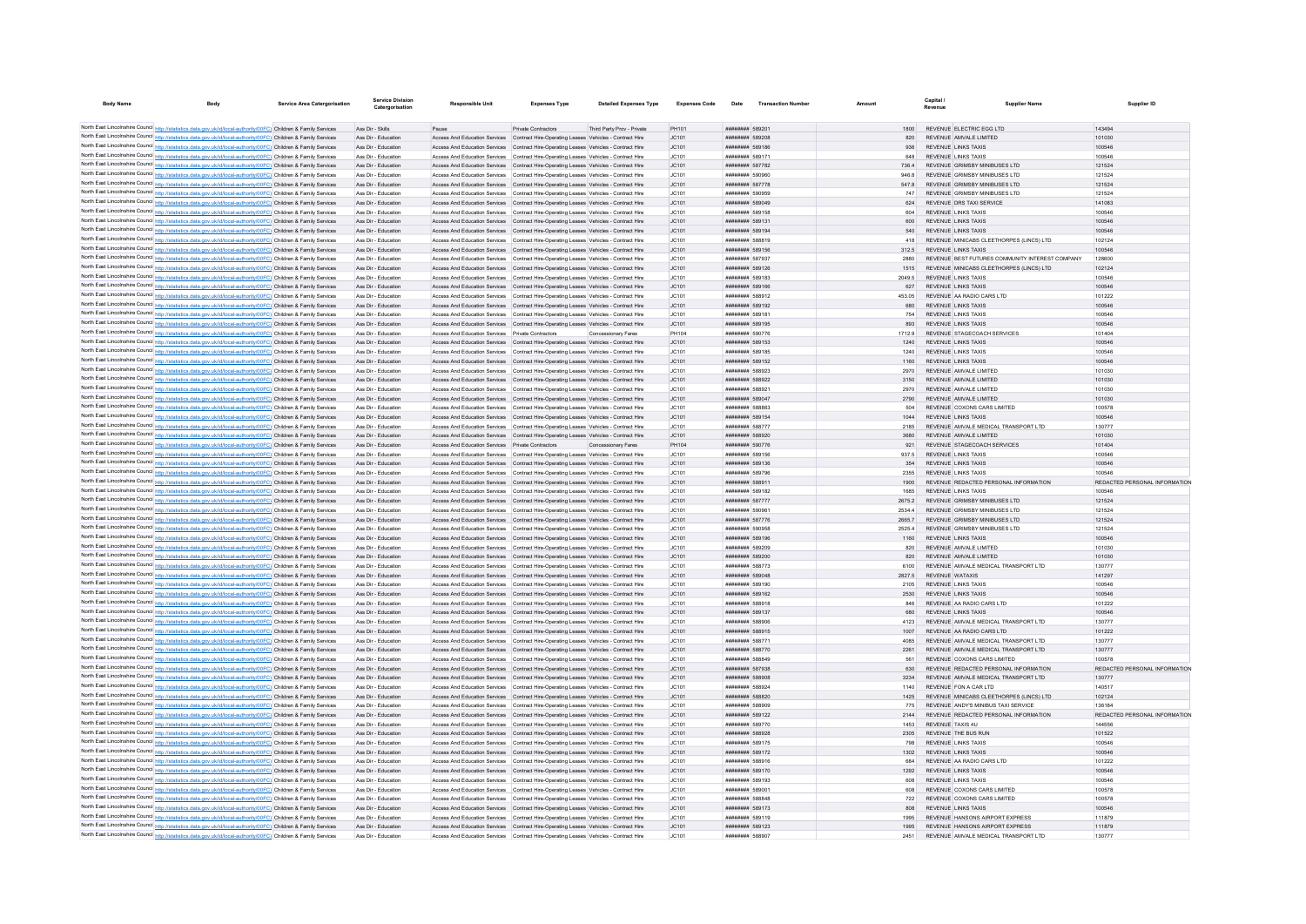| <b>Body Name</b>                                                                                                                                                                                                                       | <b>Service Area Catergorisation</b> | Service Division<br>Catergorisation        | <b>Responsible Unit</b>                                                                                                                                                        | <b>Expenses Type</b>                                    | <b>Detailed Expenses Type</b> | <b>Expenses Code</b> | Date                                    | <b>Transaction Number</b> | Amount                | Capital.<br>Revenue | <b>Supplier Name</b>                                                      | Supplier ID                   |
|----------------------------------------------------------------------------------------------------------------------------------------------------------------------------------------------------------------------------------------|-------------------------------------|--------------------------------------------|--------------------------------------------------------------------------------------------------------------------------------------------------------------------------------|---------------------------------------------------------|-------------------------------|----------------------|-----------------------------------------|---------------------------|-----------------------|---------------------|---------------------------------------------------------------------------|-------------------------------|
|                                                                                                                                                                                                                                        |                                     |                                            |                                                                                                                                                                                |                                                         |                               |                      |                                         |                           |                       |                     |                                                                           |                               |
| North East Lincolnshire Council http://statistics.data.gov.uk/id/local-authority/00FC) Children & Family Services                                                                                                                      |                                     | Ass Dir - Skills                           | Pause                                                                                                                                                                          | Private Contractors                                     | Third Party Prov - Private    | PH101                | ######## 589201                         |                           |                       |                     | REVENUE ELECTRIC EGG LTD                                                  | 143494                        |
| North East Lincolnshire Council http://statistics.data.gov.uk/id/local-authority/00FC) Children & Family Services                                                                                                                      |                                     | Ass Dir - Education                        | Access And Education Services Contract Hire-Operating Leases Vehicles - Contract Hire                                                                                          |                                                         |                               | JC101                | ######## 589208                         |                           | 820                   |                     | REVENUE AMVALE LIMITED                                                    | 101030                        |
| North East Lincolnshire Council http://statistics.data.gov.uk/id/local-authority/00FC) Children & Family Services                                                                                                                      |                                     | Ass Dir - Education                        | Access And Education Services Contract Hire-Operating Leases Vehicles - Contract Hire                                                                                          |                                                         |                               | JC101                | ######## 589186                         |                           | 936                   |                     | <b>REVENUE LINKS TAXIS</b>                                                | 100546                        |
| North East Lincolnshire Council http://statistics.data.gov.uk/id/local-authority/00FC) Children & Family Services                                                                                                                      |                                     | Ass Dir - Education                        | Access And Education Services Contract Hire-Operating Leases Vehicles - Contract Hire                                                                                          |                                                         |                               | JC101                | ######## 589171                         |                           | 648                   |                     | REVENUE LINKS TAXIS                                                       | 100546                        |
| North East Lincolnshire Council http://statistics.data.gov.uk/id/local-authority/00FC) Children & Family Services                                                                                                                      |                                     | Ass Dir - Education                        | Access And Education Services Contract Hire-Operating Leases Vehicles - Contract Hire                                                                                          |                                                         |                               | JC101                | ######## 587782                         |                           | 736.4                 |                     | REVENUE GRIMSBY MINIBUSES LTD                                             | 121524                        |
| North East Lincolnshire Council http://statistics.data.gov.uk/id/local-authority/00FC) Children & Family Services                                                                                                                      |                                     | Ass Dir - Education                        | Access And Education Services Contract Hire-Operating Leases Vehicles - Contract Hire                                                                                          |                                                         |                               | JC101                | ######## 590960                         |                           | 946.8                 |                     | REVENUE GRIMSBY MINIBUSES LTD                                             | 121524                        |
| North East Lincolnshire Council http://statistics.data.gov.uk/id/local-authority/00FC) Children & Family Services                                                                                                                      |                                     | Ass Dir - Education                        | Access And Education Services Contract Hire-Operating Leases Vehicles - Contract Hire                                                                                          |                                                         |                               | JC101                | ######## 587778                         |                           | 547.8                 |                     | REVENUE GRIMSBY MINIBUSES LTD                                             | 121524                        |
| North East Lincolnshire Council http://statistics.data.gov.uk/id/local-authority/00FC) Children & Family Services                                                                                                                      |                                     | Ass Dir - Education                        | Access And Education Services Contract Hire-Operating Leases Vehicles - Contract Hire                                                                                          |                                                         |                               | JC101                | ######## 590959                         |                           | 747                   |                     | REVENUE GRIMSBY MINIBUSES LTD                                             | 121524                        |
| North East Lincolnshire Council http://statistics.data.gov.uk/id/local-authority/00FC) Children & Family Services                                                                                                                      |                                     | Ass Dir - Education                        | Access And Education Services Contract Hire-Operating Leases Vehicles - Contract Hire                                                                                          |                                                         |                               | JC101                | ######## 589049                         |                           | 624                   |                     | REVENUE DRS TAXI SERVICE                                                  | 141083                        |
| North East Lincolnshire Council http://statistics.data.gov.uk/id/local-authority/00FC) Children & Family Services                                                                                                                      |                                     | Ass Dir - Education                        | Access And Education Services Contract Hire-Operating Leases Vehicles - Contract Hire                                                                                          |                                                         |                               | JC101                | ######## 589158                         |                           | 604                   |                     | REVENUE LINKS TAXIS                                                       | 100546                        |
| North East Lincolnshire Council http://statistics.data.gov.uk/id/local-authority/00FC) Children & Family Services                                                                                                                      |                                     | Ass Dir - Education                        | Access And Education Services Contract Hire-Operating Leases Vehicles - Contract Hire                                                                                          |                                                         |                               | JC101                | ######## 589131                         |                           | 600                   |                     | REVENUE LINKS TAXIS                                                       | 100546                        |
| North East Lincolnshire Council http://statistics.data.gov.uk/id/local-authority/00FC) Children & Family Services                                                                                                                      |                                     | Ass Dir - Education<br>Ass Dir - Education | Access And Education Services Contract Hire-Oneration Leases Vehicles - Contract Hire                                                                                          |                                                         |                               | IC101                | ######## 589194<br>######## 588819      |                           | 540                   |                     | REVENUE LINKS TAXIS                                                       | 100546                        |
| North East Lincolnshire Council http://statistics.data.gov.uk/id/local-authority/00FC) Children & Family Services<br>North East Lincolnshire Council http://statistics.data.gov.uk/id/local-authority/00FC) Children & Family Services |                                     | Ass Dir - Education                        | Access And Education Services Contract Hire-Operating Leases Vehicles - Contract Hire<br>Access And Education Services Contract Hire-Operating Leases Vehicles - Contract Hire |                                                         |                               | JC101<br>JC101       | ######## 589156                         |                           |                       |                     | 418 REVENUE MINICABS CLEETHORPES (LINCS) LTD<br>312.5 REVENUE LINKS TAXIS | 102124<br>100546              |
| North East Lincolnshire Council http://statistics.data.gov.uk/id/local-authority/00FC) Children & Family Services                                                                                                                      |                                     | Ass Dir - Education                        | Access And Education Services  Contract Hire-Operating Leases Vehicles - Contract Hire                                                                                         |                                                         |                               | JC101                | ######## 587937                         |                           | 2880                  |                     | REVENUE BEST FUTURES COMMUNITY INTEREST COMPANY                           | 128600                        |
| North East Lincolnshire Council http://statistics.data.gov.uk/id/local-authority/00FC) Children & Family Services                                                                                                                      |                                     | Ass Dir - Education                        | Access And Education Services Contract Hire-Oneration Leases Vehicles - Contract Hire                                                                                          |                                                         |                               | IC101                | ######## 589126                         |                           | 1515                  |                     | REVENUE MINICARS CLEETHORPES (LINCS) LTD.                                 | 102124                        |
| North East Lincolnshire Council http://statistics.data.gov.uk/id/local-authority/00FC) Children & Family Services                                                                                                                      |                                     | Ass Dir - Education                        | Access And Education Services Contract Hire-Operating Leases Vehicles - Contract Hire                                                                                          |                                                         |                               | JC101                | ######## 589183                         |                           | 2049.5                |                     | REVENUE LINKS TAXIS                                                       | 100546                        |
| North East Lincolnshire Council http://statistics.data.gov.uk/id/local-authority/00FC) Children & Family Services                                                                                                                      |                                     | Ass Dir - Education                        | Access And Education Services Contract Hire-Operating Leases Vehicles - Contract Hire                                                                                          |                                                         |                               | JC101                | ######## 589166                         |                           | 627                   |                     | <b>REVENUE LINKS TAXIS</b>                                                | 100546                        |
| North East Lincolnshire Council http://statistics.data.gov.uk/id/local-authority/00FC) Children & Family Services                                                                                                                      |                                     | Ass Dir - Education                        | Access And Education Services Contract Hire-Operating Leases Vehicles - Contract Hire                                                                                          |                                                         |                               | JC101                | ######## 588912                         |                           | 453.05                |                     | REVENUE AA RADIO CARS LTD                                                 | 101222                        |
| North East Lincolnshire Council http://statistics.data.gov.uk/id/local-authority/00FC) Children & Family Services                                                                                                                      |                                     | Ass Dir - Education                        | Access And Education Services Contract Hire-Oneration Leases Vehicles - Contract Hire                                                                                          |                                                         |                               | JC101                | ######## 589192                         |                           | 680                   |                     | REVENUE LINKS TAXIS                                                       | 100546                        |
| North East Lincolnshire Council http://statistics.data.gov.uk/id/local-authority/00FC) Children & Family Services                                                                                                                      |                                     | Ass Dir - Education                        | Access And Education Services Contract Hire-Operating Leases Vehicles - Contract Hire                                                                                          |                                                         |                               | JC101                | ######## 589181                         |                           | 754                   |                     | REVENUE LINKS TAXIS                                                       | 100546                        |
| North East Lincolnshire Council http://statistics.data.gov.uk/id/local-authority/00FC) Children & Family Services                                                                                                                      |                                     | Ass Dir - Education                        | Access And Education Services Contract Hire-Operating Leases Vehicles - Contract Hire                                                                                          |                                                         |                               | JC101                | ######## 589195                         |                           | 893                   |                     | REVENUE LINKS TAXIS                                                       | 100546                        |
| North East Lincolnshire Council http://statistics.data.gov.uk/id/local-authority/00FC) Children & Family Services                                                                                                                      |                                     | Ass Dir - Education                        | Access And Education Services Private Contractors                                                                                                                              |                                                         | Concessionary Fares           | PH104                | ######## 590776                         |                           | 1712.9                |                     | REVENUE STAGECOACH SERVICES                                               | 101404                        |
| North East Lincolnshire Council http://statistics.data.gov.uk/id/local-authority/00FC) Children & Family Services                                                                                                                      |                                     | Ass Dir - Education                        | Access And Education Services Contract Hire-Operating Leases Vehicles - Contract Hire                                                                                          |                                                         |                               | JC101                | ######## 589153                         |                           | 1240                  |                     | REVENUE LINKS TAXIS                                                       | 100546                        |
| North East Lincolnshire Council http://statistics.data.gov.uk/id/local-authority/00FC) Children & Family Services                                                                                                                      |                                     | Ass Dir - Education                        | Access And Education Services Contract Hire-Operating Leases Vehicles - Contract Hire                                                                                          |                                                         |                               | JC101                | ######## 589185                         |                           | 1240                  |                     | <b>REVENUE LINKS TAXIS</b>                                                | 100546                        |
| North East Lincolnshire Council http://statistics.data.gov.uk/id/local-authority/00FC) Children & Family Services                                                                                                                      |                                     | Ass Dir - Education                        | Access And Education Services Contract Hire-Operating Leases Vehicles - Contract Hire                                                                                          |                                                         |                               | JC101                | ######## 589152                         |                           | 1160                  |                     | <b>REVENUE LINKS TAXIS</b>                                                | 100546                        |
| North East Lincolnshire Council http://statistics.data.gov.uk/id/local-authority/00FC) Children & Family Services                                                                                                                      |                                     | Ass Dir - Education                        | Access And Education Services                                                                                                                                                  | Contract Hire-Operating Leases Vehicles - Contract Hire |                               | JC101                | ######## 588923                         |                           | 2970                  |                     | REVENUE AMVALE LIMITED                                                    | 101030                        |
| North East Lincolnshire Council http://statistics.data.gov.uk/id/local-authority/00FC) Children & Family Services                                                                                                                      |                                     | Ass Dir - Education                        | Access And Education Services Contract Hire-Operating Leases Vehicles - Contract Hire                                                                                          |                                                         |                               | JC101                | ######## 588922                         |                           | 3150                  |                     | REVENUE AMVALE LIMITED                                                    | 101030                        |
| North East Lincolnshire Council http://statistics.data.gov.uk/id/local-authority/00FC) Children & Family Services                                                                                                                      |                                     | Ass Dir - Education                        | Access And Education Services Contract Hire-Operating Leases Vehicles - Contract Hire                                                                                          |                                                         |                               | JC101                | ######## 588921                         |                           | 2970                  |                     | REVENUE AMVALE LIMITED                                                    | 101030                        |
| North East Lincolnshire Council http://statistics.data.gov.uk/id/local-authority/00FC) Children & Family Services                                                                                                                      |                                     | Ass Dir - Education                        | Access And Education Services Contract Hire-Operating Leases Vehicles - Contract Hire                                                                                          |                                                         |                               | JC101                | ######## 589047                         |                           | 2790                  |                     | REVENUE AMVALE LIMITED                                                    | 101030                        |
| North East Lincolnshire Council http://statistics.data.gov.uk/id/local-authority/00FC) Children & Family Services                                                                                                                      |                                     | Ass Dir - Education                        | Access And Education Services Contract Hire-Operating Leases Vehicles - Contract Hire                                                                                          |                                                         |                               | JC101                | ######## 588863                         |                           | 504                   |                     | REVENUE COXONS CARS LIMITED                                               | 100578                        |
| North East Lincolnshire Council http://statistics.data.gov.uk/id/local-authority/00FC) Children & Family Services                                                                                                                      |                                     | Ass Dir - Education                        | Access And Education Services Contract Hire-Operating Leases Vehicles - Contract Hire                                                                                          |                                                         |                               | JC101                | ######## 589154                         |                           | 1044                  |                     | REVENUE LINKS TAXIS                                                       | 100546                        |
| North East Lincolnshire Council http://statistics.data.gov.uk/id/local-authority/00FC) Children & Family Services                                                                                                                      |                                     | Ass Dir - Education                        | Access And Education Services Contract Hire-Operating Leases Vehicles - Contract Hire                                                                                          |                                                         |                               | JC101                | ######## 588777                         |                           | 2185                  |                     | REVENUE AMVALE MEDICAL TRANSPORT LTD                                      | 130777                        |
| North East Lincolnshire Council http://statistics.data.gov.uk/id/local-authority/00FC) Children & Family Services                                                                                                                      |                                     | Ass Dir - Education                        | Access And Education Services Contract Hire-Operating Leases Vehicles - Contract Hire                                                                                          |                                                         |                               | JC101                | ######## 588920                         |                           | 3680                  |                     | REVENUE AMVALE LIMITED                                                    | 101030                        |
| North East Lincolnshire Council http://statistics.data.gov.uk/id/local-authority/00FC) Children & Family Services<br>North East Lincolnshire Council http://statistics.data.gov.uk/id/local-authority/00FC) Children & Family Services |                                     | Ass Dir - Education<br>Ass Dir - Education | Access And Education Services Private Contractors                                                                                                                              |                                                         | Concessionary Fares           | PH104                | ######## 590776<br>######## 589156      |                           | $92^{\circ}$<br>937.5 |                     | REVENUE STAGECOACH SERVICES<br><b>REVENUE LINKS TAXIS</b>                 | 101404<br>100546              |
| North East Lincolnshire Council http://statistics.data.gov.uk/id/local-authority/00FC) Children & Family Services                                                                                                                      |                                     | Ass Dir - Education                        | Access And Education Services Contract Hire-Operating Leases Vehicles - Contract Hire<br>Access And Education Services Contract Hire-Operating Leases Vehicles - Contract Hire |                                                         |                               | JC101<br>JC101       | ######## 589136                         |                           | 354                   |                     | REVENUE LINKS TAXIS                                                       | 100546                        |
| North East Lincolnshire Council http://statistics.data.gov.uk/id/local-authority/00FC) Children & Family Services                                                                                                                      |                                     | Ass Dir - Education                        | Access And Education Services Contract Hire-Operating Leases Vehicles - Contract Hire                                                                                          |                                                         |                               | JC101                | ######## 589796                         |                           | 2355                  |                     | REVENUE LINKS TAXIS                                                       | 100546                        |
| North East Lincolnshire Council http://statistics.data.gov.uk/id/local-authority/00FC) Children & Family Services                                                                                                                      |                                     | Ass Dir - Education                        | Access And Education Services Contract Hire-Operating Leases Vehicles - Contract Hire                                                                                          |                                                         |                               | JC101                | ######## 588911                         |                           | 1900                  |                     | REVENUE REDACTED PERSONAL INFORMATION                                     | REDACTED PERSONAL INFORMATION |
| North East Lincolnshire Council http://statistics.data.gov.uk/id/local-authority/00FC) Children & Family Services                                                                                                                      |                                     | Ass Dir - Education                        | Access And Education Services Contract Hire-Operating Leases Vehicles - Contract Hire                                                                                          |                                                         |                               | JC101                | ######## 589182                         |                           | 1685                  |                     | REVENUE LINKS TAXIS                                                       | 100546                        |
| North East Lincolnshire Council http://statistics.data.gov.uk/id/local-authority/00FC) Children & Family Services                                                                                                                      |                                     | Ass Dir - Education                        | Access And Education Services Contract Hire-Oneration Leases Vehicles - Contract Hire                                                                                          |                                                         |                               | IC101                | <b><i>BREERER 587777</i></b>            |                           | 26752                 |                     | REVENUE GRIMSBY MINIBUSES LTD                                             | 121524                        |
| North East Lincolnshire Council http://statistics.data.gov.uk/id/local-authority/00FC) Children & Family Services                                                                                                                      |                                     | Ass Dir - Education                        | Access And Education Services Contract Hire-Operating Leases Vehicles - Contract Hire                                                                                          |                                                         |                               | JC101                | ######## 59096                          |                           | 25344                 |                     | REVENUE GRIMSBY MINIBUSES LTD                                             | 121524                        |
| North East Lincolnshire Council http://statistics.data.gov.uk/id/local-authority/00FC) Children & Family Services                                                                                                                      |                                     | Ass Dir - Education                        | Access And Education Services Contract Hire-Operating Leases Vehicles - Contract Hire                                                                                          |                                                         |                               | JC101                | ######## 587776                         |                           |                       |                     | REVENUE GRIMSBY MINIBUSES LTD                                             | 121524                        |
| North East Lincolnshire Council http://statistics.data.gov.uk/id/local-authority/00FC) Children & Family Services                                                                                                                      |                                     | Ass Dir - Education                        | Access And Education Services Contract Hire-Operating Leases Vehicles - Contract Hire                                                                                          |                                                         |                               | JC101                | ######## 590958                         |                           | 25254                 |                     | REVENUE GRIMSBY MINIBUSES LTD                                             | 121524                        |
| North East Lincolnshire Council http://statistics.data.gov.uk/id/local-authority/00FC) Children & Family Services                                                                                                                      |                                     | Ass Dir - Education                        | Access And Education Services Contract Hire-Oneration Leases Vehicles - Contract Hire                                                                                          |                                                         |                               | IC101                | ######## 589196                         |                           | 1160                  |                     | REVENUE LINKS TAXIS                                                       | 100546                        |
| North East Lincolnshire Council http://statistics.data.gov.uk/id/local-authority/00FC) Children & Family Services                                                                                                                      |                                     | Ass Dir - Education                        | Access And Education Services Contract Hire-Operating Leases Vehicles - Contract Hire                                                                                          |                                                         |                               | JC101                | ######## 589209                         |                           | 820                   |                     | REVENUE AMVALE LIMITED                                                    | 101030                        |
| North East Lincolnshire Council http://statistics.data.gov.uk/id/local-authority/00FC) Children & Family Services                                                                                                                      |                                     | Ass Dir - Education                        | Access And Education Services Contract Hire-Operating Leases Vehicles - Contract Hire                                                                                          |                                                         |                               | JC101                | ######## 589200                         |                           | 820                   |                     | REVENUE AMVALE LIMITED                                                    | 101030                        |
| North East Lincolnshire Council http://statistics.data.gov.uk/id/local-authority/00FC) Children & Family Services                                                                                                                      |                                     | Ass Dir - Education                        | Access And Education Services Contract Hire-Operating Leases Vehicles - Contract Hire                                                                                          |                                                         |                               | JC101                | ######## 588773                         |                           | 6100                  |                     | REVENUE AMVALE MEDICAL TRANSPORT LTD                                      | 130777                        |
| North East Lincolnshire Council http://statistics.data.gov.uk/id/local-authority/00FC) Children & Family Services                                                                                                                      |                                     | Ass Dir - Education                        | Access And Education Services Contract Hire-Operating Leases Vehicles - Contract Hire                                                                                          |                                                         |                               | IC101                | <b><i>BROSH SRADAR</i></b>              |                           | 2827.5                |                     | REVENUE WATAXIS                                                           | 141297                        |
| North East Lincolnshire Council http://statistics.data.gov.uk/id/local-authority/00FC) Children & Family Services                                                                                                                      |                                     | Ass Dir - Education                        | Access And Education Services Contract Hire-Operating Leases Vehicles - Contract Hire                                                                                          |                                                         |                               | JC101                | ####### 589190                          |                           | 2105                  |                     | <b>REVENUE LINKS TAXIS</b>                                                | 100546                        |
| North East Lincolnshire Council http://statistics.data.gov.uk/id/local-authority/00FC) Children & Family Services                                                                                                                      |                                     | Ass Dir - Education                        | Access And Education Services Contract Hire-Operating Leases Vehicles - Contract Hire                                                                                          |                                                         |                               | JC101                | ######## 589162                         |                           | 2530                  |                     | <b>REVENUE LINKS TAXIS</b>                                                | 100546                        |
| North East Lincolnshire Council http://statistics.data.gov.uk/id/local-authority/00FC) Children & Family Services                                                                                                                      |                                     | Ass Dir - Education                        | Access And Education Services Contract Hire-Operating Leases Vehicles - Contract Hire                                                                                          |                                                         |                               | JC101                | ######## 588918                         |                           | 846                   |                     | REVENUE AA RADIO CARS LTD                                                 | 101222                        |
| North East Lincolnshire Council http://statistics.data.gov.uk/id/local-authority/00FC) Children & Family Services                                                                                                                      |                                     | Ass Dir - Education<br>Ass Dir - Education | Access And Education Services Contract Hire-Operating Leases Vehicles - Contract Hire<br>Access And Education Services Contract Hire-Operating Leases Vehicles - Contract Hire |                                                         |                               | JC101<br>JC101       | ######## 589137<br>######## 588906      |                           | 680<br>4123           |                     | REVENUE LINKS TAXIS<br>REVENUE AMVALE MEDICAL TRANSPORT LTD               | 100546<br>130777              |
| North East Lincolnshire Council http://statistics.data.gov.uk/id/local-authority/00FC) Children & Family Services<br>North East Lincolnshire Council http://statistics.data.gov.uk/id/local-authority/00FC) Children & Family Services |                                     | Ass Dir - Education                        | Access And Education Services Contract Hire-Operating Leases Vehicles - Contract Hire                                                                                          |                                                         |                               | JC101                | ######## 588915                         |                           | 1007                  |                     | REVENUE AA RADIO CARS LTD                                                 | 101222                        |
| North East Lincolnshire Council http://statistics.data.gov.uk/id/local-authority/00FC) Children & Family Services                                                                                                                      |                                     | Ass Dir - Education                        | Access And Education Services Contract Hire-Operating Leases Vehicles - Contract Hire                                                                                          |                                                         |                               | JC101                | ######## 588771                         |                           | 4085                  |                     | REVENUE AMVALE MEDICAL TRANSPORT LTD                                      | 130777                        |
| North East Lincolnshire Council http://statistics.data.gov.uk/id/local-authority/00FC) Children & Family Services                                                                                                                      |                                     | Ass Dir - Education                        | Access And Education Services Contract Hire-Operating Leases Vehicles - Contract Hire                                                                                          |                                                         |                               | JC101                | ######## 588770                         |                           | 2261                  |                     | REVENUE AMVALE MEDICAL TRANSPORT LTD                                      | 130777                        |
| North East Lincolnshire Council http://statistics.data.gov.uk/id/local-authority/00FC) Children & Family Services                                                                                                                      |                                     | Ass Dir - Education                        | Access And Education Services Contract Hire-Operating Leases Vehicles - Contract Hire                                                                                          |                                                         |                               | JC101                | ######## 588849                         |                           | 561                   |                     | REVENUE COXONS CARS LIMITED                                               | 100578                        |
| North East Lincolnshire Council http://statistics.data.gov.uk/id/local-authority/00FC) Children & Family Services                                                                                                                      |                                     | Ass Dir - Education                        | Access And Education Services Contract Hire-Operating Leases Vehicles - Contract Hire                                                                                          |                                                         |                               | JC101                | ######## 587938                         |                           | 630                   |                     | REVENUE REDACTED PERSONAL INFORMATION                                     | REDACTED PERSONAL INFORMATION |
| North East Lincolnshire Council http://statistics.data.gov.uk/id/local-authority/00FC) Children & Family Services                                                                                                                      |                                     | Ass Dir - Education                        | Access And Education Services Contract Hire-Operating Leases Vehicles - Contract Hire                                                                                          |                                                         |                               | JC101                | ######## 588908                         |                           | 3234                  |                     | REVENUE AMVALE MEDICAL TRANSPORT LTD                                      | 130777                        |
| North East Lincolnshire Council http://statistics.data.gov.uk/id/local-authority/00FC) Children & Family Services                                                                                                                      |                                     | Ass Dir - Education                        | Access And Education Services  Contract Hire-Operating Leases  Vehicles - Contract Hire                                                                                        |                                                         |                               | JC101                | ######## 588924                         |                           | 1140                  |                     | REVENUE FON A CAR LTD                                                     | 140517                        |
| North East Lincolnshire Council http://statistics.data.gov.uk/id/local-authority/00FC) Children & Family Services                                                                                                                      |                                     | Ass Dir - Education                        | Access And Education Services Contract Hire-Operating Leases Vehicles - Contract Hire                                                                                          |                                                         |                               | JC101                | ######## 588820                         |                           | 1425                  |                     | REVENUE MINICABS CLEETHORPES (LINCS) LTD                                  | 102124                        |
| North East Lincolnshire Council http://statistics.data.gov.uk/id/local-authority/00FC) Children & Family Services                                                                                                                      |                                     | Ass Dir - Education                        | Access And Education Services Contract Hire-Operating Leases Vehicles - Contract Hire                                                                                          |                                                         |                               | JC101                | ######## 588909                         |                           | 775                   |                     | REVENUE ANDY'S MINIBUS TAXI SERVICE                                       | 136184                        |
| North East Lincolnshire Council http://statistics.data.gov.uk/id/local-authority/00FC) Children & Family Services                                                                                                                      |                                     | Ass Dir - Education                        | Access And Education Services Contract Hire-Operating Leases Vehicles - Contract Hire                                                                                          |                                                         |                               | JC101                | ######## 589122                         |                           | 2144                  |                     | REVENUE REDACTED PERSONAL INFORMATION                                     | REDACTED PERSONAL INFORMATION |
| North East Lincolnshire Council http://statistics.data.gov.uk/id/local-authority/00FC) Children & Family Services                                                                                                                      |                                     | Ass Dir - Education                        | Access And Education Services Contract Hire-Operating Leases Vehicles - Contract Hire                                                                                          |                                                         |                               | JC101                | ######## 589770                         |                           | 1453                  |                     | REVENUE TAXIS 4U                                                          | 144556                        |
| North East Lincolnshire Council http://statistics.data.gov.uk/id/local-authority/00FC) Children & Family Services                                                                                                                      |                                     | Ass Dir - Education                        | Access And Education Services Contract Hire-Operating Leases Vehicles - Contract Hire                                                                                          |                                                         |                               | JC101                | ######## 588928                         |                           | 2305                  |                     | REVENUE THE BUS RUN                                                       | 101522                        |
| North East Lincolnshire Council http://statistics.data.gov.uk/id/local-authority/00FC) Children & Family Services                                                                                                                      |                                     | Ass Dir - Education                        | Access And Education Services Contract Hire-Operating Leases Vehicles - Contract Hire                                                                                          |                                                         |                               | IC101                | ######## 589175                         |                           | 798                   |                     | <b>REVENUE LINKS TAXIS</b>                                                | 100546                        |
| North East Lincolnshire Council http://statistics.data.gov.uk/id/local-authority/00FC) Children & Family Services                                                                                                                      |                                     | Ass Dir - Education                        | Access And Education Services Contract Hire-Operating Leases Vehicles - Contract Hire                                                                                          |                                                         |                               | JC101                | ######## 589172                         |                           | 1302                  |                     | REVENUE LINKS TAXIS                                                       | 100546                        |
| North East Lincolnshire Council http://statistics.data.gov.uk/id/local-authority/00FC) Children & Family Services                                                                                                                      |                                     | Ass Dir - Education                        | Access And Education Services  Contract Hire-Operating Leases Vehicles - Contract Hire                                                                                         |                                                         |                               | JC101                | $HHHHHHHH$ 588916                       |                           | 684                   |                     | REVENUE AA RADIO CARS LTD                                                 | 101222                        |
| North East Lincolnshire Council http://statistics.data.gov.uk/id/local-authority/00FC) Children & Family Services                                                                                                                      |                                     | Ass Dir - Education                        | Access And Education Services Contract Hire-Oneration Leases Vehicles - Contract Hire                                                                                          |                                                         |                               | IC101                | ######## 589170                         |                           | 1292                  |                     | REVENUE LINKS TAXIS                                                       | 100546                        |
| North East Lincolnshire Council http://statistics.data.gov.uk/id/local-authority/00FC) Children & Family Services                                                                                                                      |                                     | Ass Dir - Education                        | Access And Education Services Contract Hire-Operating Leases Vehicles - Contract Hire                                                                                          |                                                         |                               | JC101                | ######## 589193                         |                           | 608                   |                     | REVENUE LINKS TAXIS                                                       | 100546                        |
| North East Lincolnshire Council http://statistics.data.gov.uk/id/local-authority/00FC) Children & Family Services                                                                                                                      |                                     | Ass Dir - Education                        | Access And Education Services Contract Hire-Operating Leases Vehicles - Contract Hire                                                                                          |                                                         |                               | JC101                | ######## 589001                         |                           |                       |                     | REVENUE COXONS CARS LIMITED                                               | 100578                        |
| North East Lincolnshire Council http://statistics.data.gov.uk/id/local-authority/00FC) Children & Family Services<br>North East Lincolnshire Council http://statistics.data.gov.uk/id/local-authority/00FC) Children & Family Services |                                     | Ass Dir - Education<br>Ass Dir - Education | Access And Education Services Contract Hire-Operating Leases Vehicles - Contract Hire                                                                                          |                                                         |                               | JC101                | <b>HUHHHHH SRRAF</b><br>######## 589173 |                           | 722<br>808            |                     | REVENUE COXONS CARS LIMITED<br>REVENUE LINKS TAXIS                        | 100578<br>100546              |
| North East Lincolnshire Council http://statistics.data.gov.uk/id/local-authority/00FC) Children & Family Services                                                                                                                      |                                     | Ass Dir - Education                        | Access And Education Services Contract Hire-Operating Leases Vehicles - Contract Hire<br>Access And Education Services Contract Hire-Operating Leases Vehicles - Contract Hire |                                                         |                               | JC101<br>JC101       | ######## 589119                         |                           | 1995                  |                     | REVENUE HANSONS AIRPORT EXPRESS                                           | 111879                        |
| North East Lincolnshire Council http://statistics.data.gov.uk/id/local-authority/00FC) Children & Family Services                                                                                                                      |                                     | Ass Dir - Education                        | Access And Education Services Contract Hire-Operating Leases Vehicles - Contract Hire                                                                                          |                                                         |                               | JC101                | ######## 589123                         |                           | 1995                  |                     | REVENUE HANSONS AIRPORT EXPRESS                                           | 111879                        |
| North East Lincolnshire Council http://statistics.data.gov.uk/id/local-authority/00FC) Children & Family Services                                                                                                                      |                                     | Ass Dir - Education                        | Access And Education Services Contract Hire-Operating Leases Vehicles - Contract Hire                                                                                          |                                                         |                               | JC101                | <b>HUNNHHHH</b> 588907                  |                           | 2451                  |                     | REVENUE AMVALE MEDICAL TRANSPORT LTD                                      | 130777                        |
|                                                                                                                                                                                                                                        |                                     |                                            |                                                                                                                                                                                |                                                         |                               |                      |                                         |                           |                       |                     |                                                                           |                               |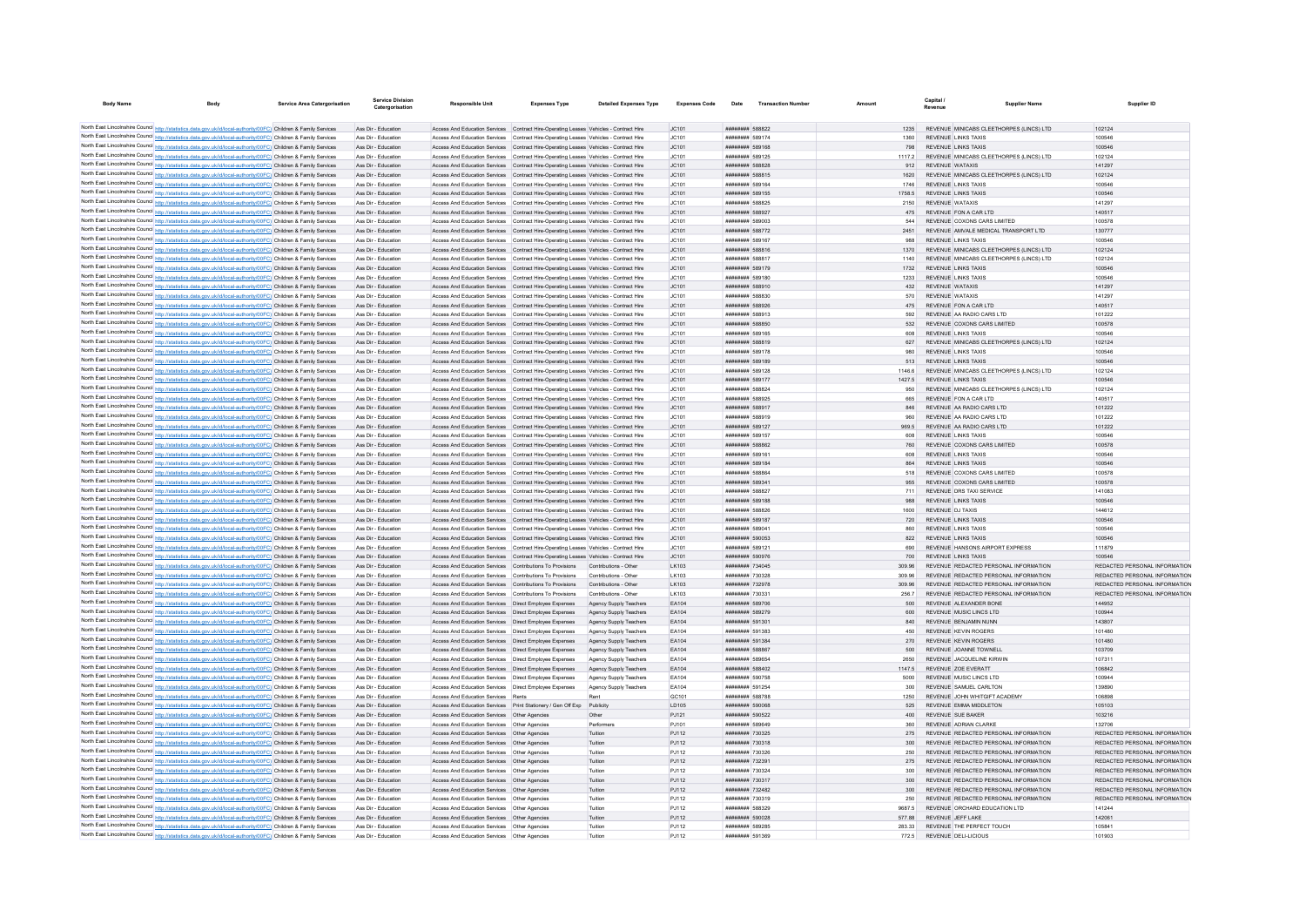| <b>Body Name</b><br>Body                                                                                                                                                                                                               | <b>Service Area Catergorisation</b> | Service Divisio<br>Catergorisation         | <b>Responsible Unit</b>                                                                                                                                                        | <b>Expenses Type</b>                                    | <b>Detailed Expenses Type</b>                  | <b>Expenses Code</b> | Date                                     | <b>Transaction Number</b> |                  | Capital<br><b>Supplier Name</b><br>Revenue                                     | Supplier ID                                                    |
|----------------------------------------------------------------------------------------------------------------------------------------------------------------------------------------------------------------------------------------|-------------------------------------|--------------------------------------------|--------------------------------------------------------------------------------------------------------------------------------------------------------------------------------|---------------------------------------------------------|------------------------------------------------|----------------------|------------------------------------------|---------------------------|------------------|--------------------------------------------------------------------------------|----------------------------------------------------------------|
|                                                                                                                                                                                                                                        |                                     |                                            |                                                                                                                                                                                |                                                         |                                                |                      |                                          |                           |                  |                                                                                |                                                                |
| North East Lincolnshire Council http://statistics.data.gov.uk/id/local-authority/00FC) Children & Family Services                                                                                                                      |                                     | Ass Dir - Education                        | Access And Education Services Contract Hire-Operating Leases Vehicles - Contract Hire                                                                                          |                                                         |                                                | JC101                | ######## 588822                          |                           |                  | REVENUE MINICABS CLEETHORPES (LINCS) LTD                                       | 102124                                                         |
| North East Lincolnshire Council http://statistics.data.gov.uk/id/local-authority/00FC) Children & Family Services                                                                                                                      |                                     | Ass Dir - Education                        | Access And Education Services Contract Hire-Operating Leases Vehicles - Contract Hire                                                                                          |                                                         |                                                | JC101                | ######## 589174                          |                           | 1360             | <b>REVENUE LINKS TAXIS</b>                                                     | 100546                                                         |
| North East Lincolnshire Council http://statistics.data.gov.uk/id/local-authority/00FC) Children & Family Services                                                                                                                      |                                     | Ass Dir - Education                        | Access And Education Services Contract Hire-Operating Leases Vehicles - Contract Hire                                                                                          |                                                         |                                                | JC101                | ######## 589168                          |                           | 798              | REVENUE LINKS TAXIS                                                            | 100546                                                         |
| North East Lincolnshire Council http://statistics.data.gov.uk/id/local-authority/00FC) Children & Family Services                                                                                                                      |                                     | Ass Dir - Education                        | Access And Education Services Contract Hire-Operating Leases Vehicles - Contract Hire                                                                                          |                                                         |                                                | JC101                | ######## 589125                          |                           | 1117.2           | REVENUE MINICABS CLEETHORPES (LINCS) LTD                                       | 102124                                                         |
| North East Lincolnshire Council http://statistics.data.gov.uk/id/local-authority/00FC) Children & Family Services                                                                                                                      |                                     | Ass Dir - Education                        | Access And Education Services Contract Hire-Operating Leases Vehicles - Contract Hire                                                                                          |                                                         |                                                | JC101                | ######## 588828                          |                           | 912              | REVENUE WATAXIS                                                                | 141297                                                         |
| North East Lincolnshire Council http://statistics.data.gov.uk/id/local-authority/00FC) Children & Family Services                                                                                                                      |                                     | Ass Dir - Education                        | Access And Education Services Contract Hire-Operating Leases Vehicles - Contract Hire                                                                                          |                                                         |                                                | JC101                | ######## 588815                          |                           | 1620             | REVENUE MINICABS CLEETHORPES (LINCS) LTD                                       | 102124                                                         |
| North East Lincolnshire Council http://statistics.data.gov.uk/id/local-authority/00FC) Children & Family Services                                                                                                                      |                                     | Ass Dir - Education                        | Access And Education Services Contract Hire-Operating Leases Vehicles - Contract Hire                                                                                          |                                                         |                                                | JC101                | ######## 589164                          |                           | 1746             | REVENUE LINKS TAXIS                                                            | 100546                                                         |
| North East Lincolnshire Council http://statistics.data.gov.uk/id/local-authority/00FC) Children & Family Services                                                                                                                      |                                     | Ass Dir - Education                        | Access And Education Services  Contract Hire-Operating Leases Vehicles - Contract Hire                                                                                         |                                                         |                                                | JC101                | ######## 589155                          |                           | 1758.5           | <b>REVENUE LINKS TAXIS</b>                                                     | 100546                                                         |
| North East Lincolnshire Council http://statistics.data.gov.uk/id/local-authority/00FC) Children & Family Services                                                                                                                      |                                     | Ass Dir - Education                        | Access And Education Services Contract Hire-Operating Leases Vehicles - Contract Hire                                                                                          |                                                         |                                                | JC101                | ######## 588825                          |                           | 2150             | REVENUE WATAXIS                                                                | 141297                                                         |
| North East Lincolnshire Council http://statistics.data.gov.uk/id/local-authority/00FC) Children & Family Services<br>North East Lincolnshire Council http://statistics.data.gov.uk/id/local-authority/00FC) Children & Family Services |                                     | Ass Dir - Education<br>Ass Dir - Education | Access And Education Services                                                                                                                                                  | Contract Hire-Operating Leases Vehicles - Contract Hire |                                                | JC101                | ######## 588927<br>######## 589003       |                           | 475<br>544       | REVENUE FON A CAR LTD<br>REVENUE COXONS CARS LIMITED                           | 140517<br>100578                                               |
| North East Lincolnshire Council http://statistics.data.gov.uk/id/local-authority/00FC) Children & Family Services                                                                                                                      |                                     | Ass Dir - Education                        | Access And Education Services Contract Hire-Operating Leases Vehicles - Contract Hire<br>Access And Education Services Contract Hire-Operation Leases Vehicles - Contract Hire |                                                         |                                                | JC101<br>IC101       | <b><i>BREEZER 588772</i></b>             |                           | 2451             | REVENUE AMVALE MEDICAL TRANSPORT LTD                                           | 130777                                                         |
| North East Lincolnshire Council http://statistics.data.gov.uk/id/local-authority/00FC) Children & Family Services                                                                                                                      |                                     | Ass Dir - Education                        | Access And Education Services Contract Hire-Operating Leases Vehicles - Contract Hire                                                                                          |                                                         |                                                | JC101                | ######## 589167                          |                           | 988              | <b>REVENUE LINKS TAXIS</b>                                                     | 100546                                                         |
| North East Lincolnshire Council http://statistics.data.gov.uk/id/local-authority/00FC) Children & Family Services                                                                                                                      |                                     | Ass Dir - Education                        | Access And Education Services Contract Hire-Operating Leases Vehicles - Contract Hire                                                                                          |                                                         |                                                | JC101                | ######## 588816                          |                           | 1370             | REVENUE MINICABS CLEETHORPES (LINCS) LTD                                       | 102124                                                         |
| North East Lincolnshire Council http://statistics.data.gov.uk/id/local-authority/00FC) Children & Family Services                                                                                                                      |                                     | Ass Dir - Education                        | Access And Education Services Contract Hire-Operating Leases Vehicles - Contract Hire                                                                                          |                                                         |                                                | JC101                | ######## 588817                          |                           | 1140             | REVENUE MINICABS CLEETHORPES (LINCS) LTD                                       | 102124                                                         |
| North East Lincolnshire Council http://statistics.data.gov.uk/id/local-authority/00FC) Children & Family Services                                                                                                                      |                                     | Ass Dir - Education                        | Access And Education Services  Contract Hire-Operating Leases Vehicles - Contract Hire                                                                                         |                                                         |                                                | JC101                | <b><i>BREEZER 589179</i></b>             |                           | 1732             | REVENUE LINKS TAXIS                                                            | 100546                                                         |
| North East Lincolnshire Council http://statistics.data.gov.uk/id/local-authority/00FC) Children & Family Services                                                                                                                      |                                     | Ass Dir - Education                        | Access And Education Services Contract Hire-Operating Leases Vehicles - Contract Hire                                                                                          |                                                         |                                                | JC101                | ######## 589180                          |                           | 1233             | <b>REVENUE LINKS TAXIS</b>                                                     | 100546                                                         |
| North East Lincolnshire Council http://statistics.data.gov.uk/id/local-authority/00FC) Children & Family Services                                                                                                                      |                                     | Ass Dir - Education                        | Access And Education Services Contract Hire-Operating Leases Vehicles - Contract Hire                                                                                          |                                                         |                                                | JC101                | ######## 588910                          |                           | 432              | <b>REVENUE WATAXIS</b>                                                         | 141297                                                         |
| North East Lincolnshire Council http://statistics.data.gov.uk/id/local-authority/00FC) Children & Family Services                                                                                                                      |                                     | Ass Dir - Education                        | Access And Education Services Contract Hire-Operating Leases Vehicles - Contract Hire                                                                                          |                                                         |                                                | JC101                | <b><i>BREEZER SRRB3C</i></b>             |                           | 570              | REVENUE WATAXIS                                                                | 141297                                                         |
| North East Lincolnshire Council http://statistics.data.gov.uk/id/local-authority/00FC) Children & Family Services                                                                                                                      |                                     | Ass Dir - Education                        | Access And Education Services Contract Hire-Operation Leases Vehicles - Contract Hire                                                                                          |                                                         |                                                | JC101                | <b><i>BREEZER 588926</i></b>             |                           | 475              | REVENUE FON A CAR LTD                                                          | 140517                                                         |
| North East Lincolnshire Council http://statistics.data.gov.uk/id/local-authority/00FC) Children & Family Services                                                                                                                      |                                     | Ass Dir - Education                        | Access And Education Services Contract Hire-Operating Leases Vehicles - Contract Hire                                                                                          |                                                         |                                                | JC101                | ######## 588913                          |                           | 592              | REVENUE AA RADIO CARS LTD                                                      | 101222                                                         |
| North East Lincolnshire Council http://statistics.data.gov.uk/id/local-authority/00FC) Children & Family Services                                                                                                                      |                                     | Ass Dir - Education                        | Access And Education Services Contract Hire-Operating Leases Vehicles - Contract Hire                                                                                          |                                                         |                                                | JC101                | ######## 588850                          |                           | 532              | REVENUE COXONS CARS LIMITED                                                    | 100578                                                         |
| North East Lincolnshire Council http://statistics.data.gov.uk/id/local-authority/00FC) Children & Family Services                                                                                                                      |                                     | Ass Dir - Education                        | Access And Education Services Contract Hire-Operating Leases Vehicles - Contract Hire                                                                                          |                                                         |                                                | JC101                | ######## 589165                          |                           | 608              | <b>REVENUE LINKS TAXIS</b>                                                     | 100546                                                         |
| North East Lincolnshire Council http://statistics.data.gov.uk/id/local-authority/00FC) Children & Family Services                                                                                                                      |                                     | Ass Dir - Education                        | Access And Education Services  Contract Hire-Operating Leases Vehicles - Contract Hire                                                                                         |                                                         |                                                | JC101                | <b><i>BREEZER 588819</i></b>             |                           | 627              | REVENUE MINICARS CLEETHORPES (LINCS) LTD.                                      | 102124                                                         |
| North East Lincolnshire Council http://statistics.data.gov.uk/id/local-authority/00FC) Children & Family Services                                                                                                                      |                                     | Ass Dir - Education                        | Access And Education Services Contract Hire-Operating Leases Vehicles - Contract Hire                                                                                          |                                                         |                                                | JC101                | ######## 589178                          |                           | 980              | <b>REVENUE LINKS TAXIS</b>                                                     | 100546                                                         |
| North East Lincolnshire Council http://statistics.data.gov.uk/id/local-authority/00FC) Children & Family Services                                                                                                                      |                                     | Ass Dir - Education                        | Access And Education Services Contract Hire-Operating Leases Vehicles - Contract Hire                                                                                          |                                                         |                                                | JC101                | ######## 589189                          |                           | 513              | <b>REVENUE LINKS TAXIS</b>                                                     | 100546                                                         |
| North East Lincolnshire Council http://statistics.data.gov.uk/id/local-authority/00FC) Children & Family Services                                                                                                                      |                                     | Ass Dir - Education                        | Access And Education Services                                                                                                                                                  | Contract Hire-Operating Leases Vehicles - Contract Hire |                                                | JC101                | ######## 589128                          |                           | 1146.6           | REVENUE MINICABS CLEETHORPES (LINCS) LTD                                       | 102124                                                         |
| North East Lincolnshire Council http://statistics.data.gov.uk/id/local-authority/00FC) Children & Family Services                                                                                                                      |                                     | Ass Dir - Education                        | Access And Education Services Contract Hire-Operating Leases Vehicles - Contract Hire                                                                                          |                                                         |                                                | JC101                | ######## 589177                          |                           | 1427.5           | REVENUE LINKS TAXIS                                                            | 100546                                                         |
| North East Lincolnshire Council http://statistics.data.gov.uk/id/local-authority/00FC) Children & Family Services                                                                                                                      |                                     | Ass Dir - Education                        | Access And Education Services Contract Hire-Operating Leases Vehicles - Contract Hire                                                                                          |                                                         |                                                | JC101                | ######## 588824                          |                           | 950              | REVENUE MINICABS CLEETHORPES (LINCS) LTD                                       | 102124                                                         |
| North East Lincolnshire Council http://statistics.data.gov.uk/id/local-authority/00FC) Children & Family Services                                                                                                                      |                                     | Ass Dir - Education<br>Ass Dir - Education | Access And Education Services Contract Hire-Operating Leases Vehicles - Contract Hire                                                                                          |                                                         |                                                | JC101                | ######## 588925                          |                           | 665<br>846       | REVENUE FON A CAR LTD                                                          | 140517                                                         |
| North East Lincolnshire Council http://statistics.data.gov.uk/id/local-authority/00FC) Children & Family Services<br>North East Lincolnshire Council http://statistics.data.gov.uk/id/local-authority/00FC) Children & Family Services |                                     | Ass Dir - Education                        | Access And Education Services Contract Hire-Operating Leases Vehicles - Contract Hire<br>Access And Education Services Contract Hire-Operating Leases Vehicles - Contract Hire |                                                         |                                                | JC101<br>JC101       | ######## 588917<br>######## 588919       |                           | 960              | REVENUE AA RADIO CARS LTD<br>REVENUE AA RADIO CARS LTD                         | 101222<br>101222                                               |
| North East Lincolnshire Council http://statistics.data.gov.uk/id/local-authority/00FC) Children & Family Services                                                                                                                      |                                     | Ass Dir - Education                        | Access And Education Services Contract Hire-Operating Leases Vehicles - Contract Hire                                                                                          |                                                         |                                                | JC101                | ######## 589127                          |                           | 969.5            | REVENUE AA RADIO CARS LTD                                                      | 101222                                                         |
| North East Lincolnshire Council http://statistics.data.gov.uk/id/local-authority/00FC) Children & Family Services                                                                                                                      |                                     | Ass Dir - Education                        | Access And Education Services Contract Hire-Operating Leases Vehicles - Contract Hire                                                                                          |                                                         |                                                | JC101                | ####### 589157                           |                           | 608              | <b>REVENUE LINKS TAXIS</b>                                                     | 100546                                                         |
| North East Lincolnshire Council http://statistics.data.gov.uk/id/local-authority/00FC) Children & Family Services                                                                                                                      |                                     | Ass Dir - Education                        | Access And Education Services Contract Hire-Operating Leases Vehicles - Contract Hire                                                                                          |                                                         |                                                | JC101                | ######## 588862                          |                           | 760              | REVENUE COXONS CARS LIMITED                                                    | 100578                                                         |
| North East Lincolnshire Council http://statistics.data.gov.uk/id/local-authority/00FC) Children & Family Services                                                                                                                      |                                     | Ass Dir - Education                        | Access And Education Services Contract Hire-Operating Leases Vehicles - Contract Hire                                                                                          |                                                         |                                                | JC101                | ######## 589161                          |                           | 608              | <b>REVENUE LINKS TAXIS</b>                                                     | 100546                                                         |
| North East Lincolnshire Council http://statistics.data.gov.uk/id/local-authority/00FC) Children & Family Services                                                                                                                      |                                     | Ass Dir - Education                        | Access And Education Services Contract Hire-Operating Leases Vehicles - Contract Hire                                                                                          |                                                         |                                                | JC101                | ######## 589184                          |                           | 864              | REVENUE LINKS TAXIS                                                            | 100546                                                         |
| North East Lincolnshire Council http://statistics.data.gov.uk/id/local-authority/00FC) Children & Family Services                                                                                                                      |                                     | Ass Dir - Education                        | Access And Education Services Contract Hire-Operating Leases Vehicles - Contract Hire                                                                                          |                                                         |                                                | JC101                | ######## 588864                          |                           | 518              | REVENUE COXONS CARS LIMITED                                                    | 100578                                                         |
| North East Lincolnshire Council http://statistics.data.gov.uk/id/local-authority/00FC) Children & Family Services                                                                                                                      |                                     | Ass Dir - Education                        | Access And Education Services Contract Hire-Operating Leases Vehicles - Contract Hire                                                                                          |                                                         |                                                | JC101                | ######## 58934                           |                           | 955              | REVENUE COXONS CARS LIMITED                                                    | 100578                                                         |
| North East Lincolnshire Council http://statistics.data.gov.uk/id/local-authority/00FC) Children & Family Services                                                                                                                      |                                     | Ass Dir - Education                        | Access And Education Services Contract Hire-Operating Leases Vehicles - Contract Hire                                                                                          |                                                         |                                                | JC101                | ######## 588827                          |                           | 711              | REVENUE DRS TAXLSERVICE                                                        | 141083                                                         |
| North East Lincolnshire Council http://statistics.data.gov.uk/id/local-authority/00FC) Children & Family Services                                                                                                                      |                                     | Ass Dir - Education                        | Access And Education Services Contract Hire-Operation Leases Vehicles - Contract Hire                                                                                          |                                                         |                                                | IC101                | ######## 589188                          |                           | 988              | <b>REVENUE LINKS TAXIS</b>                                                     | 100546                                                         |
| North East Lincolnshire Council http://statistics.data.gov.uk/id/local-authority/00FC) Children & Family Services                                                                                                                      |                                     | Ass Dir - Education                        | Access And Education Services Contract Hire-Operating Leases Vehicles - Contract Hire                                                                                          |                                                         |                                                | JC101                | <b>HHHHHHH SRRR26</b>                    |                           | 1600             | <b>REVENUE DJ TAXIS</b>                                                        | 144612                                                         |
| North East Lincolnshire Council http://statistics.data.gov.uk/id/local-authority/00FC) Children & Family Services                                                                                                                      |                                     | Ass Dir - Education                        | Access And Education Services Contract Hire-Operating Leases Vehicles - Contract Hire                                                                                          |                                                         |                                                | JC101                | ######## 589187                          |                           | 720              | <b>REVENUE LINKS TAXIS</b>                                                     | 100546                                                         |
| North East Lincolnshire Council http://statistics.data.gov.uk/id/local-authority/00FC) Children & Family Services                                                                                                                      |                                     | Ass Dir - Education                        | Access And Education Services  Contract Hire-Operating Leases Vehicles - Contract Hire                                                                                         |                                                         |                                                | JC101                | $HHHHHHHH$ 58904-                        |                           | 860              | REVENUE LINKS TAXIS                                                            | 100546                                                         |
| North East Lincolnshire Council http://statistics.data.gov.uk/id/local-authority/00FC) Children & Family Services                                                                                                                      |                                     | Ass Dir - Education                        | Access And Education Services Contract Hire-Operating Leases Vehicles - Contract Hire                                                                                          |                                                         |                                                | IC101                | ######## 590053                          |                           | 822              | REVENUE LINKS TAXIS                                                            | 100546                                                         |
| North East Lincolnshire Council http://statistics.data.gov.uk/id/local-authority/00FC) Children & Family Services                                                                                                                      |                                     | Ass Dir - Education                        | Access And Education Services Contract Hire-Operating Leases Vehicles - Contract Hire                                                                                          |                                                         |                                                | JC101                | ######## 589121                          |                           | 690              | REVENUE HANSONS AIRPORT EXPRESS                                                | 111879                                                         |
| North East Lincolnshire Council http://statistics.data.gov.uk/id/local-authority/00FC) Children & Family Services                                                                                                                      |                                     | Ass Dir - Education                        | Access And Education Services Contract Hire-Operating Leases Vehicles - Contract Hire                                                                                          |                                                         |                                                | JC101                | ######## 590976                          |                           | 700              | <b>REVENUE LINKS TAXIS</b>                                                     | 100546                                                         |
| North East Lincolnshire Council http://statistics.data.gov.uk/id/local-authority/00FC) Children & Family Services                                                                                                                      |                                     | Ass Dir - Education                        | Access And Education Services Contributions To Provisions Contributions - Other                                                                                                |                                                         |                                                | LK103                | ######## 734045                          |                           | 309.96           | REVENUE REDACTED PERSONAL INFORMATION                                          | REDACTED PERSONAL INFORMATION                                  |
| North East Lincolnshire Council http://statistics.data.gov.uk/id/local-authority/00FC) Children & Family Services<br>North East Lincolnshire Council http://statistics.data.gov.uk/id/local-authority/00FC) Children & Family Services |                                     | Ass Dir - Education<br>Ass Dir - Education | Access And Education Services Contributions To Provisions<br>Access And Education Services Contributions To Provisions                                                         |                                                         | Contributions - Other<br>Contributions - Other | LK103<br>LK103       | <b>ининини 730328</b><br>######## 732978 |                           | 309.96<br>309.96 | REVENUE REDACTED PERSONAL INFORMATION<br>REVENUE REDACTED PERSONAL INFORMATION | REDACTED PERSONAL INFORMATION<br>REDACTED PERSONAL INFORMATION |
| North East Lincolnshire Council http://statistics.data.gov.uk/id/local-authority/00FC) Children & Family Services                                                                                                                      |                                     | Ass Dir - Education                        | Access And Education Services Contributions To Provisions                                                                                                                      |                                                         | Contributions - Other                          | LK103                | ######## 730331                          |                           | 256.7            | REVENUE REDACTED PERSONAL INFORMATION                                          | REDACTED PERSONAL INFORMATION                                  |
| North East Lincolnshire Council http://statistics.data.gov.uk/id/local-authority/00FC) Children & Family Services                                                                                                                      |                                     | Ass Dir - Education                        | Access And Education Services  Direct Employee Expenses                                                                                                                        |                                                         | Agency Supply Teachers                         | EA104                | ######## 589706                          |                           | 500              | REVENUE ALEXANDER BONE                                                         | 144952                                                         |
| North East Lincolnshire Council http://statistics.data.gov.uk/id/local-authority/00FC) Children & Family Services                                                                                                                      |                                     | Ass Dir - Education                        | Access And Education Services  Direct Employee Expenses                                                                                                                        |                                                         | Agency Supply Teachers                         | FA104                | <b><i>BREEZER 589279</i></b>             |                           | 600              | REVENUE MUSIC LINCS LTD                                                        | 100944                                                         |
| North East Lincolnshire Council http://statistics.data.gov.uk/id/local-authority/00FC) Children & Family Services                                                                                                                      |                                     | Ass Dir - Education                        | Access And Education Services  Direct Employee Expenses                                                                                                                        |                                                         | Agency Supply Teachers                         | EA104                | ######## 591301                          |                           | 840              | REVENUE BENJAMIN NUNN                                                          | 143807                                                         |
| North East Lincolnshire Council http://statistics.data.gov.uk/id/local-authority/00FC) Children & Family Services                                                                                                                      |                                     | Ass Dir - Education                        | Access And Education Services   Direct Employee Expenses                                                                                                                       |                                                         | Agency Supply Teachers                         | EA104                | ######## 591383                          |                           | 450              | REVENUE KEVIN ROGERS                                                           | 101480                                                         |
| North East Lincolnshire Council http://statistics.data.gov.uk/id/local-authority/00FC) Children & Family Services                                                                                                                      |                                     | Ass Dir - Education                        | Access And Education Services   Direct Employee Expenses                                                                                                                       |                                                         | Agency Supply Teachers                         | EA104                | ######## 591384                          |                           | 270              | REVENUE KEVIN ROGERS                                                           | 101480                                                         |
| North East Lincolnshire Council http://statistics.data.gov.uk/id/local-authority/00FC) Children & Family Services                                                                                                                      |                                     | Ass Dir - Education                        | Access And Education Services   Direct Employee Expenses                                                                                                                       |                                                         | Agency Supply Teachers                         | EA104                | ######## 588867                          |                           | 500              | REVENUE JOANNE TOWNELL                                                         | 103709                                                         |
| North East Lincolnshire Council http://statistics.data.gov.uk/id/local-authority/00FC) Children & Family Services                                                                                                                      |                                     | Ass Dir - Education                        | Access And Education Services  Direct Employee Expenses                                                                                                                        |                                                         | Agency Supply Teachers                         | EA104                | ######## 589654                          |                           | 2650             | REVENUE JACQUELINE KIRWIN                                                      | 107311                                                         |
| North East Lincolnshire Council http://statistics.data.gov.uk/id/local-authority/00FC) Children & Family Services                                                                                                                      |                                     | Ass Dir - Education                        | Access And Education Services   Direct Employee Expenses                                                                                                                       |                                                         | Agency Supply Teachers                         | EA104                | ######## 588402                          |                           | 1147.5           | REVENUE ZOE EVERATT                                                            | 106842                                                         |
| North East Lincolnshire Council http://statistics.data.gov.uk/id/local-authority/00FC) Children & Family Services                                                                                                                      |                                     | Ass Dir - Education                        | Access And Education Services   Direct Employee Expenses                                                                                                                       |                                                         | Agency Supply Teachers                         | EA104                | ######## 590758                          |                           | 5000             | <b>REVENUE MUSIC LINCS LTD</b>                                                 | 100944                                                         |
| North East Lincolnshire Council http://statistics.data.gov.uk/id/local-authority/00FC) Children & Family Services                                                                                                                      |                                     | Ass Dir - Education                        | Access And Education Services   Direct Employee Expenses                                                                                                                       |                                                         | Agency Supply Teachers                         | EA104                | ######## 591254                          |                           | 300              | REVENUE SAMUEL CARLTON                                                         | 139890                                                         |
| North East Lincolnshire Council http://statistics.data.gov.uk/id/local-authority/00FC) Children & Family Services                                                                                                                      |                                     | Ass Dir - Education                        | Access And Education Services Rents                                                                                                                                            |                                                         | Rent                                           | GC101                | ######## 588788                          |                           | 1250             | REVENUE JOHN WHITGIFT ACADEMY                                                  | 106898                                                         |
| North East Lincolnshire Council http://statistics.data.gov.uk/id/local-authority/00FC) Children & Family Services                                                                                                                      |                                     | Ass Dir - Education                        | Access And Education Services Print Stationery / Gen Off Exp Publicity                                                                                                         |                                                         |                                                | LD105                | ######## 590068                          |                           | 525              | REVENUE EMMA MIDDLETON                                                         | 105103                                                         |
| North East Lincolnshire Council http://statistics.data.gov.uk/id/local-authority/00FC) Children & Family Services                                                                                                                      |                                     | Ass Dir - Education                        | Access And Education Services   Other Agencies                                                                                                                                 |                                                         | Other                                          | PJ121                | ######## 590522                          |                           | 400              | REVENUE SUE BAKER                                                              | 103216                                                         |
| North East Lincolnshire Council http://statistics.data.gov.uk/id/local-authority/00FC) Children & Family Services                                                                                                                      |                                     | Ass Dir - Education                        | Access And Education Services   Other Agencies                                                                                                                                 |                                                         | Performers                                     | PJ101                | <b>HUHHHHHH 589649</b>                   |                           | 360              | REVENUE ADRIAN CLARKE                                                          | 132706                                                         |
| North East Lincolnshire Council http://statistics.data.gov.uk/id/local-authority/00FC) Children & Family Services                                                                                                                      |                                     | Ass Dir - Education<br>Ass Dir - Education | Access And Education Services  Other Agencies                                                                                                                                  |                                                         | Tuition<br>Tuition                             | PJ112                | ######## 730325<br>######## 730318       |                           | 275<br>$300 -$   | REVENUE REDACTED PERSONAL INFORMATION<br>REVENUE REDACTED PERSONAL INFORMATION | REDACTED PERSONAL INFORMATION<br>REDACTED PERSONAL INFORMATION |
| North East Lincolnshire Council http://statistics.data.gov.uk/id/local-authority/00FC) Children & Family Services                                                                                                                      |                                     |                                            | Access And Education Services   Other Agencies                                                                                                                                 |                                                         |                                                | PJ112                |                                          |                           |                  |                                                                                |                                                                |
| North East Lincolnshire Council http://statistics.data.gov.uk/id/local-authority/00FC) Children & Family Services                                                                                                                      |                                     | Ass Dir - Education<br>Ass Dir - Education | Access And Education Services   Other Agencies<br>Access And Education Services  Other Agencies                                                                                |                                                         | Tuition<br>Tuition                             | PJ112<br>PJ112       | ######## 730326<br>######## 732391       |                           | 250<br>275       | REVENUE REDACTED PERSONAL INFORMATION<br>REVENUE REDACTED PERSONAL INFORMATION | REDACTED PERSONAL INFORMATION<br>REDACTED PERSONAL INFORMATION |
| North East Lincolnshire Council http://statistics.data.gov.uk/id/local-authority/00FC) Children & Family Services<br>North East Lincolnshire Council http://statistics.data.gov.uk/id/local-authority/00FC) Children & Family Services |                                     | Ass Dir - Education                        | Access And Education Services Other Agencies                                                                                                                                   |                                                         | Tuition                                        | P.I112               | ######## 730324                          |                           | 300              | REVENUE REDACTED PERSONAL INFORMATION                                          | REDACTED PERSONAL INFORMATION                                  |
| North East Lincolnshire Council http://statistics.data.gov.uk/id/local-authority/00FC) Children & Family Services                                                                                                                      |                                     | Ass Dir - Education                        | Access And Education Services  Other Agencies                                                                                                                                  |                                                         | Tuition                                        | PJ112                | ######## 730317                          |                           | 300 <sub>1</sub> | REVENUE REDACTED PERSONAL INFORMATION                                          | REDACTED PERSONAL INFORMATION                                  |
| North East Lincolnshire Council http://statistics.data.gov.uk/id/local-authority/00FC) Children & Family Services                                                                                                                      |                                     | Ass Dir - Education                        | Access And Education Services  Other Agencies                                                                                                                                  |                                                         | Tuition                                        | PJ112                | ######## 732482                          |                           | 300              | REVENUE REDACTED PERSONAL INFORMATION                                          | REDACTED PERSONAL INFORMATION                                  |
| North East Lincolnshire Council http://statistics.data.gov.uk/id/local-authority/00FC) Children & Family Services                                                                                                                      |                                     | Ass Dir - Education                        |                                                                                                                                                                                |                                                         | Tuition                                        | PJ112                | ######## 730319                          |                           | 250              | REVENUE REDACTED PERSONAL INFORMATION                                          | REDACTED PERSONAL INFORMATION                                  |
| North East Lincolnshire Council http://statistics.data.gov.uk/id/local-authority/00FC) Children & Family Services                                                                                                                      |                                     | Ass Dir - Education                        | Access And Education Services Other Agencies                                                                                                                                   |                                                         | Tuition                                        | P.I112               | <b><i>BREEZER 588329</i></b>             |                           | 9687.5           | REVENUE ORCHARD EDUCATION LTD                                                  | 141244                                                         |
| North East Lincolnshire Council http://statistics.data.gov.uk/id/local-authority/00FC) Children & Family Services                                                                                                                      |                                     | Ass Dir - Education                        | Access And Education Services   Other Agencies                                                                                                                                 |                                                         | Tuition                                        | PJ112                | ######## 590028                          |                           | 57788            | REVENUE JEFF LAKE                                                              | 14206                                                          |
| North East Lincolnshire Council http://statistics.data.gov.uk/id/local-authority/00FC) Children & Family Services                                                                                                                      |                                     | Ass Dir - Education                        | Access And Education Services   Other Agencies                                                                                                                                 |                                                         | Tuition                                        | PJ112                | ######## 589285                          |                           | 283.33           | REVENUE THE PERFECT TOUCH                                                      | 10584                                                          |
| North East Lincolnshire Council http://statistics.data.gov.uk/id/local-authority/00FC) Children & Family Services                                                                                                                      |                                     | Ass Dir - Education                        | Access And Education Services Other Agencie                                                                                                                                    |                                                         | Tuition                                        | PJ112                | ######## 591369                          |                           | 772.5            | REVENUE DELI-LICIOUS                                                           | 101903                                                         |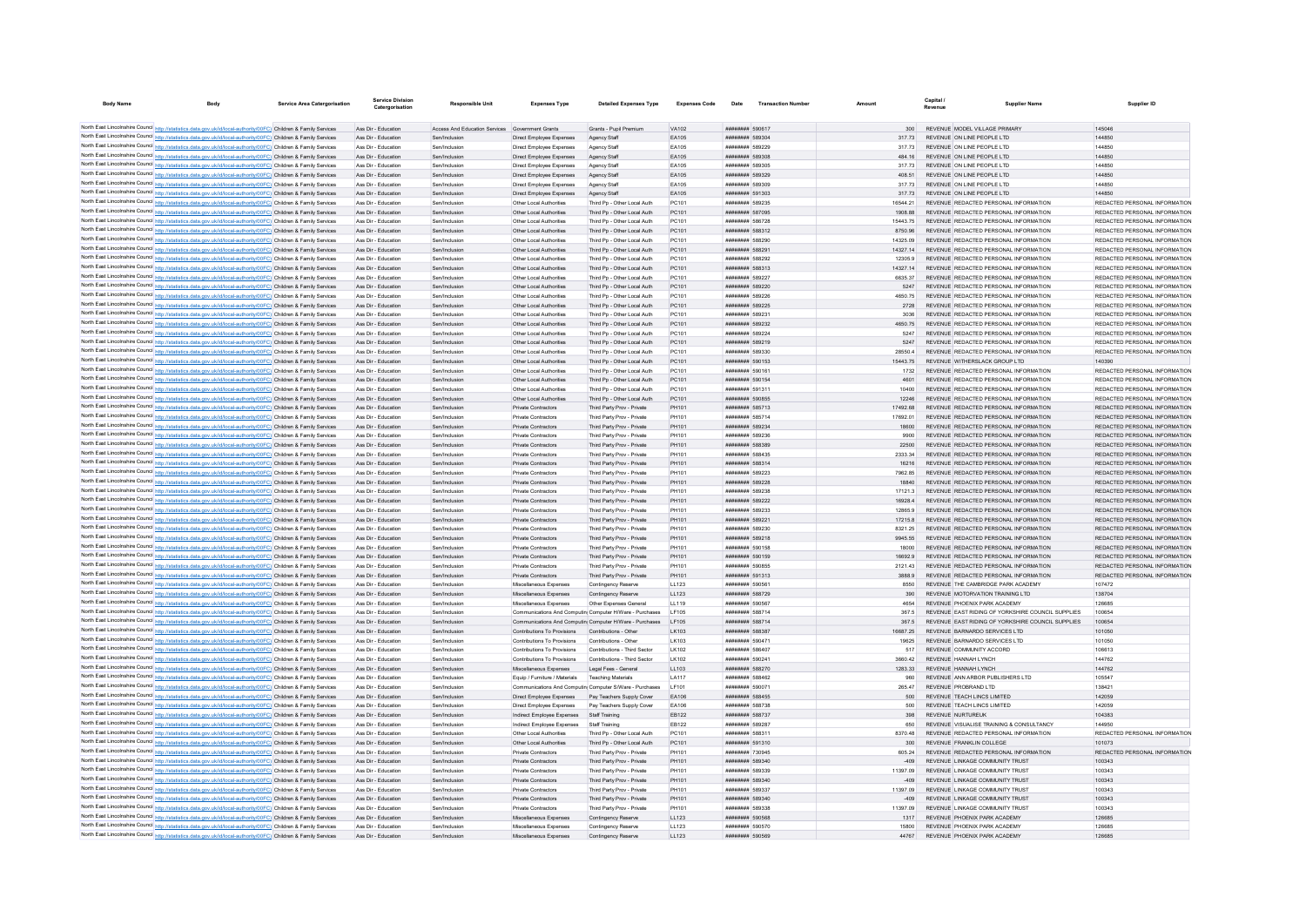| <b>Body Name</b><br>Body                                                                                                                                                                                                               | <b>Service Area Catergorisation</b> | <b>Service Division</b><br>Catergorisation | <b>Responsible Unit</b>                         | <b>Expenses Type</b>                                 | <b>Detailed Expenses Type</b>                              | <b>Expenses Code</b> | Date                               | <b>Transaction Number</b> | Amount           | Canital<br>Revenue | <b>Supplier Name</b>                                                           | Supplier ID                             |
|----------------------------------------------------------------------------------------------------------------------------------------------------------------------------------------------------------------------------------------|-------------------------------------|--------------------------------------------|-------------------------------------------------|------------------------------------------------------|------------------------------------------------------------|----------------------|------------------------------------|---------------------------|------------------|--------------------|--------------------------------------------------------------------------------|-----------------------------------------|
|                                                                                                                                                                                                                                        |                                     |                                            |                                                 |                                                      |                                                            |                      |                                    |                           |                  |                    |                                                                                |                                         |
| North East Lincolnshire Council http://statisti<br>cs.data.gov.uk/id/local-authority/00FC) Children & Family Services                                                                                                                  |                                     | Ass Dir - Education                        | Access And Education Services Government Grants |                                                      | Grants - Pupil Premium                                     | <b>VA102</b>         | ######## 590617                    |                           | 300              |                    | REVENUE MODEL VILLAGE PRIMARY                                                  | 145046                                  |
| North East Lincolnshire Council http://statistics.data.gov.uk/id/local-authority/00FC) Children & Family Services                                                                                                                      |                                     | Ass Dir - Education                        | Sen/Inclusion                                   | Direct Employee Expenses                             | Agency Staff                                               | EA105                | ######## 589304                    |                           | 317.73           |                    | REVENUE ON LINE PEOPLE LTD                                                     | 144850                                  |
| North East Lincolnshire Council http://statistics.data.gov.uk/id/local-authority/00FC) Children & Family Services                                                                                                                      |                                     | Ass Dir - Education                        | Sen/Inclusion                                   | Direct Employee Expenses                             | Agency Staff                                               | EA105                | ######## 589229                    |                           | 31773            |                    | REVENUE ON LINE PEOPLE LTD                                                     | 144850                                  |
| North East Lincolnshire Council http://statistics.data.gov.uk/id/local-authority/00FC) Children & Family Services                                                                                                                      |                                     | Ass Dir - Education                        | Sen/Inclusion                                   | Direct Employee Expenses                             | Agency Staff                                               | EA105                | ######## 589308<br>######## 589305 |                           | 484.16           |                    | REVENUE ON LINE PEOPLE LTD<br>REVENUE ON LINE PEOPLE LTD                       | 144850<br>144850                        |
| North East Lincolnshire Council http://statistics.data.gov.uk/id/local-authority/00FC) Children & Family Services<br>North East Lincolnshire Council http://statistics.data.gov.uk/id/local-authority/00FC) Children & Family Services |                                     | Ass Dir - Education<br>Ass Dir - Education | Sen/Inclusion<br>Sen/Inclusion                  | Direct Employee Expenses<br>Direct Employee Expenses | Agency Staff<br>Agency Staff                               | EA105<br>EA105       | ######## 589329                    |                           | 317.73<br>408.51 |                    | REVENUE ON LINE PEOPLE LTD                                                     | 144850                                  |
| North East Lincolnshire Council http://statistics.data.gov.uk/id/local-authority/00FC) Children & Family Services                                                                                                                      |                                     | Ass Dir - Education                        | Sen/Inclusion                                   | Direct Employee Expenses                             | Agency Staff                                               | EA105                | ######## 589309                    |                           | 317.73           |                    | REVENUE ON LINE PEOPLE LTD                                                     | 144850                                  |
| North East Lincolnshire Council http://statistics.data.gov.uk/id/local-authority/00FC) Children & Family Services                                                                                                                      |                                     | Ass Dir - Education                        | Sen/Inclusion                                   | Direct Employee Expenses                             | Agency Staff                                               | EA105                | ######## 591303                    |                           | 317.73           |                    | REVENUE ON LINE PEOPLE LTD                                                     | 144850                                  |
| North East Lincolnshire Council http://statistics.data.gov.uk/id/local-authority/00FC) Children & Family Services                                                                                                                      |                                     | Ass Dir - Education                        | Sen/Inclusion                                   | Other Local Authorities                              | Third Pp - Other Local Auth                                | PC101                | ######## 589235                    |                           | 16544.21         |                    | REVENUE REDACTED PERSONAL INFORMATION                                          | REDACTED PERSONAL INFORMATION           |
| North East Lincolnshire Council http://statistics.data.gov.uk/id/local-authority/00FC) Children & Family Services                                                                                                                      |                                     | Ass Dir - Education                        | Sen/Inclusion                                   | Other Local Authorities                              | Third Pp - Other Local Auth                                | PC101                | ######## 587095                    |                           | 1908.88          |                    | REVENUE REDACTED PERSONAL INFORMATION                                          | REDACTED PERSONAL INFORMATION           |
| North East Lincolnshire Council http://statistics.data.gov.uk/id/local-authority/00FC) Children & Family Services                                                                                                                      |                                     | Ass Dir - Education                        | Sen/Inclusion                                   | Other Local Authorities                              | Third Pp - Other Local Auth                                | PC101                | ######## 586728                    |                           | 15443.75         |                    | REVENUE REDACTED PERSONAL INFORMATION                                          | REDACTED PERSONAL INFORMATION           |
| North East Lincolnshire Council http://statistics.data.gov.uk/id/local-authority/00FC) Children & Family Services                                                                                                                      |                                     | Ass Dir - Education                        | Sen/Inclusion                                   | Other Local Authorities                              | Third Pp - Other Local Auth                                | PC101                | ######## 588312                    |                           | 8750.96          |                    | REVENUE REDACTED PERSONAL INFORMATION                                          | REDACTED PERSONAL INFORMATION           |
| North East Lincolnshire Council http://statistics.data.gov.uk/id/local-authority/00FC) Children & Family Services                                                                                                                      |                                     | Ass Dir - Education                        | Sen/Inclusion                                   | Other Local Authorities                              | Third Po - Other Local Auth                                | PC101                | ####### 588290                     |                           | 14325.09         |                    | REVENUE REDACTED PERSONAL INFORMATION                                          | REDACTED PERSONAL INFORMATION           |
| North East Lincolnshire Council http://statistics.data.gov.uk/id/local-authority/00FC) Children & Family Services                                                                                                                      |                                     | Ass Dir - Education                        | Sen/Inclusion                                   | Other Local Authorities                              | Third Pp - Other Local Auth                                | PC101                | ######## 588291                    |                           | 14327.14         |                    | REVENUE REDACTED PERSONAL INFORMATION                                          | REDACTED PERSONAL INFORMATION           |
| North East Lincolnshire Council http://statistics.data.gov.uk/id/local-authority/00FC) Children & Family Services                                                                                                                      |                                     | Ass Dir - Education                        | Sen/Inclusion                                   | Other Local Authorities                              | Third Pp - Other Local Auth                                | PC101                | ######## 588292                    |                           | 12305.9          |                    | REVENUE REDACTED PERSONAL INFORMATION                                          | REDACTED PERSONAL INFORMATION           |
| North East Lincolnshire Council http://statistics.data.gov.uk/id/local-authority/00FC) Children & Family Services                                                                                                                      |                                     | Ass Dir - Education                        | Sen/Inclusion                                   | Other Local Authorities                              | Third Pp - Other Local Auth                                | PC101                | ######## 588313                    |                           | 14327 14         |                    | REVENUE REDACTED PERSONAL INFORMATION                                          | REDACTED PERSONAL INFORMATION           |
| North East Lincolnshire Council http://statistics.data.gov.uk/id/local-authority/00FC) Children & Family Services                                                                                                                      |                                     | Ass Dir - Education                        | Sen/Inclusion                                   | Other Local Authorities                              | Third Pp - Other Local Auth                                | PC101                | ######## 589227                    |                           | 663537           |                    | REVENUE REDACTED PERSONAL INFORMATION                                          | REDACTED PERSONAL INFORMATION           |
| North East Lincolnshire Council http://statistics.data.gov.uk/id/local-authority/00FC) Children & Family Services                                                                                                                      |                                     | Ass Dir - Education                        | Sen/Inclusion                                   | Other Local Authorities                              | Third Pp - Other Local Auth                                | PC101                | ######## 589220                    |                           | 5247             |                    | REVENUE REDACTED PERSONAL INFORMATION                                          | REDACTED PERSONAL INFORMATION           |
| North East Lincolnshire Council http://statistics.data.gov.uk/id/local-authority/00FC) Children & Family Services                                                                                                                      |                                     | Ass Dir - Education                        | Sen/Inclusion                                   | Other Local Authorities                              | Third Pp - Other Local Auth                                | PC101                | ######## 589226                    |                           | 4650.75          |                    | REVENUE REDACTED PERSONAL INFORMATION                                          | REDACTED PERSONAL INFORMATION           |
| North East Lincolnshire Council http://statistics.data.gov.uk/id/local-authority/00FC) Children & Family Services                                                                                                                      |                                     | Ass Dir - Education                        | Sen/Inclusion                                   | Other Local Authorities                              | Third Pp - Other Local Auth                                | PC101                | ######## 589225                    |                           | 2728             |                    | REVENUE REDACTED PERSONAL INFORMATION                                          | REDACTED PERSONAL INFORMATION           |
| North East Lincolnshire Council http://statistics.data.gov.uk/id/local-authority/00FC) Children & Family Services                                                                                                                      |                                     | Ass Dir - Education                        | Sen/Inclusion                                   | Other Local Authorities                              | Third Pp - Other Local Auth                                | PC101                | ######## 589231                    |                           | 3036             |                    | REVENUE REDACTED PERSONAL INFORMATION                                          | REDACTED PERSONAL INFORMATION           |
| North East Lincolnshire Council http://statistics.data.gov.uk/id/local-authority/00FC) Children & Family Services                                                                                                                      |                                     | Ass Dir - Education                        | Sen/Inclusion                                   | Other Local Authorities                              | Third Pp - Other Local Auth                                | PC101                | ######## 589232                    |                           | 4650.75          |                    | REVENUE REDACTED PERSONAL INFORMATION                                          | REDACTED PERSONAL INFORMATION           |
| North East Lincolnshire Council http://statistics.data.gov.uk/id/local-authority/00FC) Children & Family Services                                                                                                                      |                                     | Ass Dir - Education                        | Sen/Inclusion                                   | Other Local Authorities                              | Third Pp - Other Local Auth                                | PC101                | ######## 589224                    |                           | 5247             |                    | REVENUE REDACTED PERSONAL INFORMATION                                          | REDACTED PERSONAL INFORMATION           |
| North East Lincolnshire Council http://statistics.data.gov.uk/id/local-authority/00FC) Children & Family Services                                                                                                                      |                                     | Ass Dir - Education                        | Sen/Inclusion                                   | Other Local Authorities                              | Third Pp - Other Local Auth                                | PC101                | ######## 589219                    |                           | 5247             |                    | REVENUE REDACTED PERSONAL INFORMATION                                          | REDACTED PERSONAL INFORMATION           |
| North East Lincolnshire Council http://statistics.data.gov.uk/id/local-authority/00FC) Children & Family Services                                                                                                                      |                                     | Ass Dir - Education                        | Sen/Inclusion                                   | Other Local Authorities                              | Third Po - Other Local Auth                                | PC101                | ######## 589330                    |                           | 28550.4          |                    | REVENUE REDACTED PERSONAL INFORMATION                                          | REDACTED PERSONAL INFORMATION           |
| North East Lincolnshire Council http://statistics.data.gov.uk/id/local-authority/00FC) Children & Family Services                                                                                                                      |                                     | Ass Dir - Education                        | Sen/Inclusion                                   | Other Local Authorities                              | Third Pp - Other Local Auth                                | PC101                | ######## 590153                    |                           | 15443.75         |                    | REVENUE WITHERSLACK GROUP LTD                                                  | 140390<br>REDACTED PERSONAL INFORMATION |
| North East Lincolnshire Council http://statistics.data.gov.uk/id/local-authority/00FC) Children & Family Services<br>North East Lincolnshire Council http://statistics.data.gov.uk/id/local-authority/00FC) Children & Family Services |                                     | Ass Dir - Education<br>Ass Dir - Education | Sen/Inclusion<br>Sen/Inclusion                  | Other Local Authorities<br>Other Local Authorities   | Third Pp - Other Local Auth<br>Third Pp - Other Local Auth | PC101<br>PC101       | ######## 590161<br>######## 590154 |                           | 1732<br>4601     |                    | REVENUE REDACTED PERSONAL INFORMATION<br>REVENUE REDACTED PERSONAL INFORMATION | REDACTED PERSONAL INFORMATION           |
| North East Lincolnshire Council http://statistics.data.gov.uk/id/local-authority/00FC) Children & Family Services                                                                                                                      |                                     | Ass Dir - Education                        | Sen/Inclusion                                   | Other Local Authorities                              | Third Po - Other Local Auth                                | PC101                | ######## 591311                    |                           | 10400            |                    | REVENUE REDACTED PERSONAL INFORMATION                                          | REDACTED PERSONAL INFORMATION           |
| North East Lincolnshire Council http://statistics.data.gov.uk/id/local-authority/00FC) Children & Family Services                                                                                                                      |                                     | Ass Dir - Education                        | Sen/Inclusion                                   | Other Local Authorities                              | Third Pp - Other Local Auth                                | PC101                | ######## 590855                    |                           | 12246            |                    | REVENUE REDACTED PERSONAL INFORMATION                                          | REDACTED PERSONAL INFORMATION           |
| North East Lincolnshire Council http://statistics.data.gov.uk/id/local-authority/00FC) Children & Family Services                                                                                                                      |                                     | Ass Dir - Education                        | Sen/Inclusion                                   | Private Contractors                                  | Third Party Prov - Private                                 | PH101                | ######## 585713                    |                           | 17492.68         |                    | REVENUE REDACTED PERSONAL INFORMATION                                          | REDACTED PERSONAL INFORMATION           |
| North East Lincolnshire Council http://statistics.data.gov.uk/id/local-authority/00FC) Children & Family Services                                                                                                                      |                                     | Ass Dir - Education                        | Sen/Inclusion                                   | Private Contractors                                  | Third Party Prov - Private                                 | PH101                | ######## 585714                    |                           | 17692.01         |                    | REVENUE REDACTED PERSONAL INFORMATION                                          | REDACTED PERSONAL INFORMATION           |
| North East Lincolnshire Council http://statistics.data.gov.uk/id/local-authority/00FC) Children & Family Services                                                                                                                      |                                     | Ass Dir - Education                        | Sen/Inclusion                                   | Private Contractors                                  | Third Party Prov - Private                                 | PH101                | ######## 589234                    |                           | 18600            |                    | REVENUE REDACTED PERSONAL INFORMATION                                          | REDACTED PERSONAL INFORMATION           |
| North East Lincolnshire Council http://statistics.data.gov.uk/id/local-authority/00FC) Children & Family Services                                                                                                                      |                                     | Ass Dir - Education                        | Sen/Inclusion                                   | Private Contractors                                  | Third Party Prov - Private                                 | PH101                | ######## 589236                    |                           | 9900             |                    | REVENUE REDACTED PERSONAL INFORMATION                                          | REDACTED PERSONAL INFORMATION           |
| North East Lincolnshire Council http://statistics.data.gov.uk/id/local-authority/00FC) Children & Family Services                                                                                                                      |                                     | Ass Dir - Education                        | Sen/Inclusion                                   | Private Contractors                                  | Third Party Prov - Private                                 | PH101                | ######## 588389                    |                           | 22500            |                    | REVENUE REDACTED PERSONAL INFORMATION                                          | REDACTED PERSONAL INFORMATION           |
| North East Lincolnshire Council http://statistics.data.gov.uk/id/local-authority/00FC) Children & Family Services                                                                                                                      |                                     | Ass Dir - Education                        | Sen/Inclusion                                   | Private Contractors                                  | Third Party Prov - Private                                 | PH101                | ######## 588435                    |                           | 2333.34          |                    | REVENUE REDACTED PERSONAL INFORMATION                                          | REDACTED PERSONAL INFORMATION           |
| North East Lincolnshire Council http://statistics.data.gov.uk/id/local-authority/00FC) Children & Family Services                                                                                                                      |                                     | Ass Dir - Education                        | Sen/Inclusion                                   | Private Contractors                                  | Third Party Prov - Private                                 | PH101                | ######## 588314                    |                           | 16216            |                    | REVENUE REDACTED PERSONAL INFORMATION                                          | REDACTED PERSONAL INFORMATION           |
| North East Lincolnshire Council http://statistics.data.gov.uk/id/local-authority/00FC) Children & Family Services                                                                                                                      |                                     | Ass Dir - Education                        | Sen/Inclusion                                   | Private Contractors                                  | Third Party Prov - Private                                 | PH101                | ######## 589223                    |                           | 7962.85          |                    | REVENUE REDACTED PERSONAL INFORMATION                                          | REDACTED PERSONAL INFORMATION           |
| North East Lincolnshire Council http://statistics.data.gov.uk/id/local-authority/00FC) Children & Family Services                                                                                                                      |                                     | Ass Dir - Education                        | Sen/Inclusion                                   | Private Contractors                                  | Third Party Prov - Private                                 | PH101                | ######## 589228                    |                           | 18840            |                    | REVENUE REDACTED PERSONAL INFORMATION                                          | REDACTED PERSONAL INFORMATION           |
| North East Lincolnshire Council http://statistics.data.gov.uk/id/local-authority/00FC) Children & Family Services                                                                                                                      |                                     | Ass Dir - Education                        | Sen/Inclusion                                   | Private Contractors                                  | Third Party Prov - Private                                 | PH101                | ######## 589238                    |                           | 17121.3          |                    | REVENUE REDACTED PERSONAL INFORMATION                                          | REDACTED PERSONAL INFORMATION           |
| North East Lincolnshire Council http://statistics.data.gov.uk/id/local-authority/00FC) Children & Family Services                                                                                                                      |                                     | Ass Dir - Education                        | Sen/Inclusion                                   | Private Contractors                                  | Third Party Prov - Private                                 | PH101                | ######## 589222                    |                           | 16928.4          |                    | REVENUE REDACTED PERSONAL INFORMATION                                          | REDACTED PERSONAL INFORMATION           |
| North East Lincolnshire Council http://statistics.data.gov.uk/id/local-authority/00FC) Children & Family Services                                                                                                                      |                                     | Ass Dir - Education                        | Sen/Inclusion                                   | Private Contractors                                  | Third Party Prov - Private                                 | PH101                | ######## 589233                    |                           | 12865.9          |                    | REVENUE REDACTED PERSONAL INFORMATION                                          | REDACTED PERSONAL INFORMATION           |
| North East Lincolnshire Council http://statistics.data.gov.uk/id/local-authority/00FC) Children & Family Services                                                                                                                      |                                     | Ass Dir - Education                        | Sen/Inclusion                                   | Private Contractors                                  | Third Party Prov - Private                                 | PH101                | ######## 589221                    |                           | 17215.8          |                    | REVENUE REDACTED PERSONAL INFORMATION                                          | REDACTED PERSONAL INFORMATION           |
| North East Lincolnshire Council http://statistics.data.gov.uk/id/local-authority/00FC) Children & Family Services                                                                                                                      |                                     | Ass Dir - Education                        | Sen/Inclusion                                   | Private Contractors                                  | Third Party Prov - Private                                 | PH101                | ######## 589230                    |                           | 8321.25          |                    | REVENUE REDACTED PERSONAL INFORMATION                                          | REDACTED PERSONAL INFORMATION           |
| North East Lincolnshire Council http://statistics.data.gov.uk/id/local-authority/00FC) Children & Family Services                                                                                                                      |                                     | Ass Dir - Education                        | Sen/Inclusion                                   | Private Contractors                                  | Third Party Prov - Private                                 | PH101                | ######## 589218                    |                           | 9945 55          |                    | REVENUE REDACTED PERSONAL INFORMATION                                          | REDACTED PERSONAL INFORMATION           |
| North East Lincolnshire Council http://statistics.data.gov.uk/id/local-authority/00FC) Children & Family Services                                                                                                                      |                                     | Ass Dir - Education                        | Sen/Inclusion                                   | Private Contractors                                  | Third Party Prov - Private                                 | PH101                | ######## 590158                    |                           | 18000            |                    | REVENUE REDACTED PERSONAL INFORMATION                                          | REDACTED PERSONAL INFORMATION           |
| North East Lincolnshire Council http://statistics.data.gov.uk/id/local-authority/00FC) Children & Family Services                                                                                                                      |                                     | Ass Dir - Education                        | Sen/Inclusion                                   | Private Contractors                                  | Third Party Prov - Private                                 | PH101                | ######## 590159                    |                           | 16692.9          |                    | REVENUE REDACTED PERSONAL INFORMATION                                          | REDACTED PERSONAL INFORMATION           |
| North East Lincolnshire Council http://statistics.data.gov.uk/id/local-authority/00FC) Children & Family Services                                                                                                                      |                                     | Ass Dir - Education                        | Sen/Inclusion                                   | Private Contractors                                  | Third Party Prov - Private                                 | PH101                | ######## 590855                    |                           | 2121.43          |                    | REVENUE REDACTED PERSONAL INFORMATION                                          | REDACTED PERSONAL INFORMATION           |
| North East Lincolnshire Council http://statistics.data.gov.uk/id/local-authority/00FC) Children & Family Services                                                                                                                      |                                     | Ass Dir - Education                        | Sen/Inclusion                                   | Private Contractors                                  | Third Party Prov - Private                                 | PH101                | ######## 591313                    |                           | 3888.9           |                    | REVENUE REDACTED PERSONAL INFORMATION                                          | REDACTED PERSONAL INFORMATION           |
| North East Lincolnshire Council http://statistics.data.gov.uk/id/local-authority/00FC) Children & Family Services                                                                                                                      |                                     | Ass Dir - Education<br>Ass Dir - Education | Sen/Inclusion<br>Sen/Inclusion                  | Miscellaneous Expenses<br>Miscellaneous Expenses     | Contingency Reserve<br>Contingency Reserve                 | LL123<br>LL123       | ######## 59056*<br>######## 588729 |                           | 8550<br>390      |                    | REVENUE THE CAMBRIDGE PARK ACADEMY<br>REVENUE MOTORVATION TRAINING LTD         | 107472<br>138704                        |
| North East Lincolnshire Council http://statistics.data.gov.uk/id/local-authority/00FC) Children & Family Services<br>North East Lincolnshire Council http://statistics.data.gov.uk/id/local-authority/00FC) Children & Family Services |                                     | Ass Dir - Education                        | Sen/Inclusion                                   | Miscellaneous Expenses                               | Other Expenses General                                     | LL119                | ####### 590567                     |                           | 4654             |                    | REVENUE PHOENIX PARK ACADEMY                                                   | 126685                                  |
| North East Lincolnshire Council http://statistics.data.gov.uk/id/local-authority/00FC) Children & Family Services                                                                                                                      |                                     | Ass Dir - Education                        | Sen/Inclusion                                   |                                                      | Communications And Computin Computer H/Ware - Purchases    | <b>IF105</b>         | <b><i>BREEZER 588714</i></b>       |                           | 367.5            |                    | REVENUE FAST RIDING OF YORKSHIRE COUNCIL SUPPLIES                              | 100654                                  |
| North East Lincolnshire Council http://statistics.data.gov.uk/id/local-authority/00FC) Children & Family Services                                                                                                                      |                                     | Ass Dir - Education                        | Sen/Inclusion                                   |                                                      | Communications And Computin Computer H/Ware - Purchases    | LF105                | ######## 588714                    |                           | 367.5            |                    | REVENUE EAST RIDING OF YORKSHIRE COUNCIL SUPPLIES                              | 100654                                  |
| North East Lincolnshire Council http://statistics.data.gov.uk/id/local-authority/00FC) Children & Family Services                                                                                                                      |                                     | Ass Dir - Education                        | Sen/Inclusion                                   | Contributions To Provisions                          | Contributions - Other                                      | LK103                | ######## 588387                    |                           | 16687.25         |                    | REVENUE BARNARDO SERVICES LTD                                                  | 101050                                  |
| North East Lincolnshire Council http://statistics.data.gov.uk/id/local-authority/00FC) Children & Family Services                                                                                                                      |                                     | Ass Dir - Education                        | Sen/Inclusion                                   | Contributions To Provisions                          | Contributions - Other                                      | LK103                | ######## 590471                    |                           | 19625            |                    | REVENUE BARNARDO SERVICES LTD                                                  | 101050                                  |
| North East Lincolnshire Council http://statistics.data.gov.uk/id/local-authority/00FC) Children & Family Services                                                                                                                      |                                     | Ass Dir - Education                        | Sen/Inclusion                                   | Contributions To Provisions                          | Contributions - Third Sector                               | LK102                | ######## 586407                    |                           | 517              |                    | REVENUE COMMUNITY ACCORD                                                       | 106613                                  |
| North East Lincolnshire Council http://statistics.data.gov.uk/id/local-authority/00FC) Children & Family Services                                                                                                                      |                                     | Ass Dir - Education                        | Sen/Inclusion                                   | Contributions To Provisions                          | Contributions - Third Sector                               | LK102                | ######## 590241                    |                           | 3660.42          |                    | REVENUE HANNAH LYNCH                                                           | 144762                                  |
| North East Lincolnshire Council http://statistics.data.gov.uk/id/local-authority/00FC) Children & Family Services                                                                                                                      |                                     | Ass Dir - Education                        | Sen/Inclusion                                   | Miscellaneous Expenses                               | Legal Fees - General                                       | LL103                | ######## 588270                    |                           | 1283.33          |                    | REVENUE HANNAH LYNCH                                                           | 144762                                  |
| North East Lincolnshire Council http://statistics.data.gov.uk/id/local-authority/00FC) Children & Family Services                                                                                                                      |                                     | Ass Dir - Education                        | Sen/Inclusion                                   | Equip / Furniture / Materials                        | <b>Teaching Materials</b>                                  | LA117                | ######## 588462                    |                           | 960              |                    | REVENUE ANN ARBOR PUBLISHERS LTD                                               | 105547                                  |
| North East Lincolnshire Council http://statistics.data.gov.uk/id/local-authority/00FC) Children & Family Services                                                                                                                      |                                     | Ass Dir - Education                        | Sen/Inclusion                                   |                                                      | Communications And Computin Computer S/Ware - Purchases    | LF101                | ######## 590071                    |                           | 265.47           |                    | REVENUE PROBRAND LTD                                                           | 138421                                  |
| North East Lincolnshire Council http://statistics.data.gov.uk/id/local-authority/00FC) Children & Family Services                                                                                                                      |                                     | Ass Dir - Education                        | Sen/Inclusion                                   | Direct Employee Expenses Pay Teachers Supply Cover   |                                                            | EA106                | ######## 588455                    |                           | 500              |                    | REVENUE TEACH LINCS LIMITED                                                    | 142059                                  |
| North East Lincolnshire Council http://statistics.data.gov.uk/id/local-authority/00FC) Children & Family Services                                                                                                                      |                                     | Ass Dir - Education                        | Sen/Inclusion                                   | Direct Employee Expenses                             | Pay Teachers Supply Cover                                  | EA106                | ######## 588738                    |                           | 500              |                    | REVENUE TEACH LINCS LIMITED                                                    | 142059                                  |
| North East Lincolnshire Council http://statistics.data.gov.uk/id/local-authority/00FC) Children & Family Services                                                                                                                      |                                     | Ass Dir - Education                        | Sen/Inclusion                                   | Indirect Employee Expenses                           | Staff Training                                             | EB122                | ######## 588737                    |                           | 398              |                    | REVENUE NURTUREUK                                                              | 104383                                  |
| North East Lincolnshire Council http://statistics.data.gov.uk/id/local-authority/00FC) Children & Family Services                                                                                                                      |                                     | Ass Dir - Education                        | Sen/Inclusion                                   | Indirect Employee Expenses                           | Staff Training                                             | EB122                | ######## 589287                    |                           | 650              |                    | REVENUE VISUALISE TRAINING & CONSULTANCY                                       | 144950                                  |
| North East Lincolnshire Council http://statistics.data.gov.uk/id/local-authority/00FC) Children & Family Services                                                                                                                      |                                     | Ass Dir - Education                        | Sen/Inclusion                                   | Other Local Authorities                              | Third Pp - Other Local Auth                                | PC101                | ######## 588311                    |                           | 8370.48          |                    | REVENUE REDACTED PERSONAL INFORMATION                                          | REDACTED PERSONAL INFORMATION           |
| North East Lincolnshire Council http://statistics.data.gov.uk/id/local-authority/00FC) Children & Family Services                                                                                                                      |                                     | Ass Dir - Education                        | Sen/Inclusion                                   | Other Local Authorities                              | Third Pp - Other Local Auth                                | PC101                | ######## 591310                    |                           | 300              |                    | REVENUE FRANKLIN COLLEGE                                                       | 101073                                  |
| North East Lincolnshire Council http://statistics.data.gov.uk/id/local-authority/00FC) Children & Family Services                                                                                                                      |                                     | Ass Dir - Education                        | Sen/Inclusion                                   | Private Contractors                                  | Third Party Prov - Private                                 | PH101                | ######## 730945                    |                           | 605.24           |                    | REVENUE REDACTED PERSONAL INFORMATION                                          | REDACTED PERSONAL INFORMATION           |
| North East Lincolnshire Council http://statistics.data.gov.uk/id/local-authority/00FC) Children & Family Services                                                                                                                      |                                     | Ass Dir - Education                        | Sen/Inclusion                                   | Private Contractors                                  | Third Party Prov - Private                                 | PH101                | ######## 589340                    |                           | $-409$           |                    | REVENUE I INKAGE COMMUNITY TRUST                                               | 100343                                  |
| North East Lincolnshire Council http://statistics.data.gov.uk/id/local-authority/00FC) Children & Family Services                                                                                                                      |                                     | Ass Dir - Education                        | Sen/Inclusion                                   | Private Contractors                                  | Third Party Prov - Private                                 | PH101                | ######## 589339                    |                           | 11397.09         |                    | REVENUE LINKAGE COMMUNITY TRUST                                                | 100343                                  |
| North East Lincolnshire Council http://statistics.data.gov.uk/id/local-authority/00FC) Children & Family Services                                                                                                                      |                                     | Ass Dir - Education                        | Sen/Inclusion                                   | Private Contractors                                  | Third Party Prov - Private                                 | PH101                | ####### 589340                     |                           | $-409$           |                    | REVENUE LINKAGE COMMUNITY TRUST                                                | 100343                                  |
| North East Lincolnshire Council http://statistics.data.gov.uk/id/local-authority/00FC) Children & Family Services                                                                                                                      |                                     | Ass Dir - Education                        | Sen/Inclusion                                   | Private Contractors                                  | Third Party Prov - Private                                 | PH101                | ######## 589337                    |                           | 11397.09         |                    | REVENUE LINKAGE COMMUNITY TRUST                                                | 100343                                  |
| North East Lincolnshire Council http://statistics.data.gov.uk/id/local-authority/00FC) Children & Family Services                                                                                                                      |                                     | Ass Dir - Education                        | Sen/Inclusion                                   | Private Contractors                                  | Third Party Prov - Private                                 | PH101                | ######## 589340                    |                           | $-409$           |                    | REVENUE LINKAGE COMMUNITY TRUST                                                | 100343                                  |
| North East Lincolnshire Council http://statistics.data.gov.uk/id/local-authority/00FC) Children & Family Services<br>North East Lincolnshire Council http://statistics.data.gov.uk/id/local-authority/00FC) Children & Family Services |                                     | Ass Dir - Education<br>Ass Dir - Education | Sen/Inclusion<br>Sen/Inclusion                  | Private Contractors                                  | Third Party Prov - Private                                 | PH101<br>LL123       | ######## 589338<br>######## 590568 |                           | 11397.09<br>1317 |                    | REVENUE LINKAGE COMMUNITY TRUST<br>REVENUE PHOENIX PARK ACADEMY                | 100343<br>126685                        |
| North East Lincolnshire Council http://statistics.data.gov.uk/id/local-authority/00FC) Children & Family Services                                                                                                                      |                                     | Ass Dir - Education                        | Sen/Inclusion                                   | Miscellaneous Expenses<br>Miscellaneous Expenses     | Contingency Reserve<br>Contingency Reserve                 | LL123                | ######## 59057                     |                           | 15800            |                    | REVENUE PHOENIX PARK ACADEMY                                                   | 126685                                  |
| North East Lincolnshire Council http://statistics.data.gov.uk/id/local-authority/00FC) Children & Family Services                                                                                                                      |                                     | Ass Dir - Education                        | Sen/Inclusion                                   | Miscellaneous Expenses                               | Contingency Reserv                                         | LL123                | ######## 590569                    |                           | 44767            |                    | REVENUE PHOENIX PARK ACADEMY                                                   | 126685                                  |
|                                                                                                                                                                                                                                        |                                     |                                            |                                                 |                                                      |                                                            |                      |                                    |                           |                  |                    |                                                                                |                                         |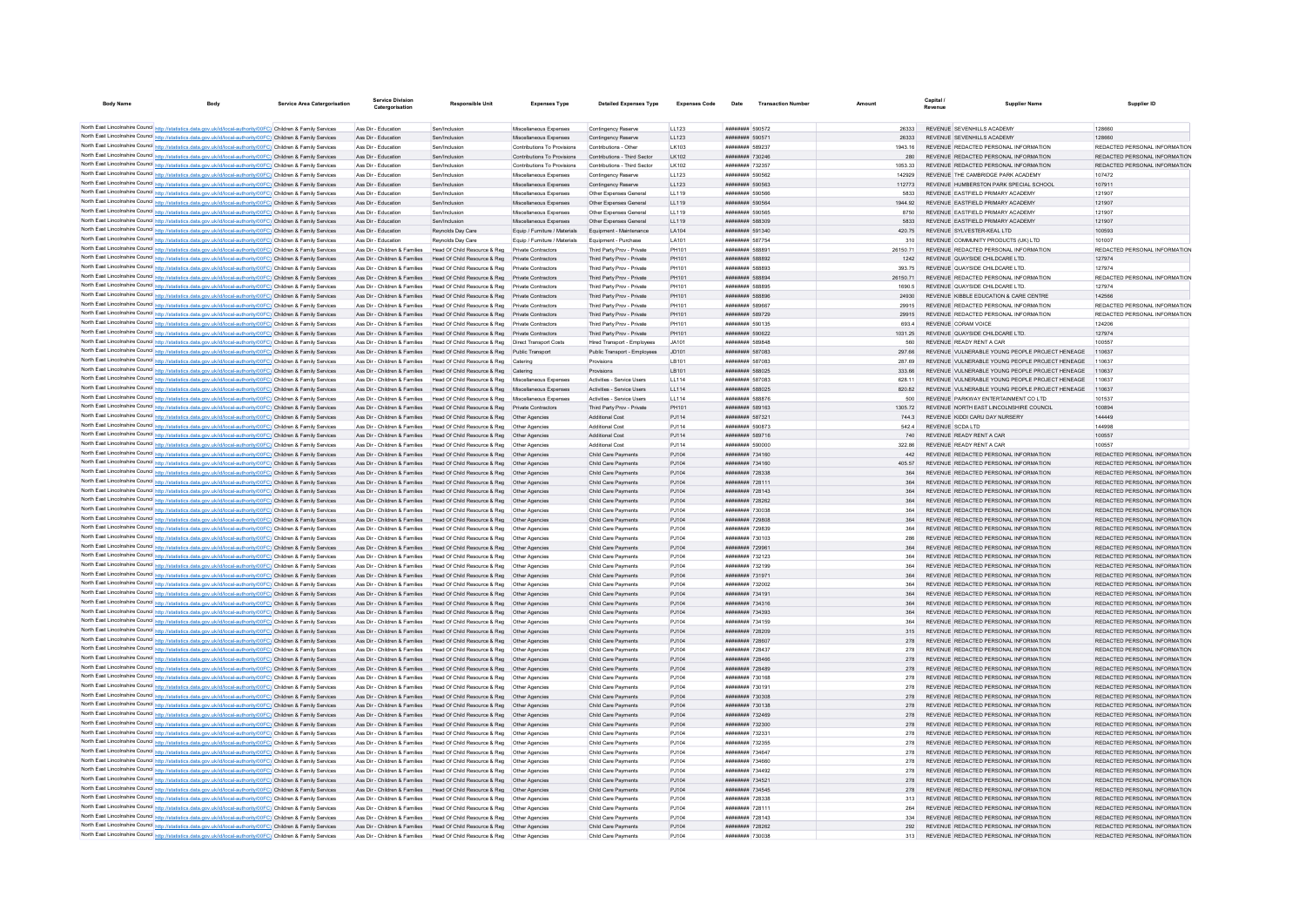| <b>Body Name</b> |                                                                                                                                                                                                                                        | <b>Service Area Catergorisation</b> | Service Division<br>Catergorisation | <b>Responsible Unit</b>                                                                                                  | <b>Expenses Type</b>                       | <b>Detailed Expenses Type</b>                             | <b>Expenses Code</b> | Date                               | <b>Transaction Number</b> | Amount         | Revenue | <b>Supplier Name</b>                                                            | Supplier ID                             |
|------------------|----------------------------------------------------------------------------------------------------------------------------------------------------------------------------------------------------------------------------------------|-------------------------------------|-------------------------------------|--------------------------------------------------------------------------------------------------------------------------|--------------------------------------------|-----------------------------------------------------------|----------------------|------------------------------------|---------------------------|----------------|---------|---------------------------------------------------------------------------------|-----------------------------------------|
|                  |                                                                                                                                                                                                                                        |                                     |                                     |                                                                                                                          |                                            |                                                           |                      |                                    |                           |                |         |                                                                                 |                                         |
|                  | North East Lincolnshire Council http://statistics.data.gov.uk/id/local-authority/00FC) Children & Family Services                                                                                                                      |                                     | Ass Dir - Education                 | Sen/Inclusion                                                                                                            | Miscellaneous Expenses                     | Contingency Reserve                                       | LL123                | ######## 590572                    |                           | 26333          |         | REVENUE SEVENHILLS ACADEMY                                                      | 128660                                  |
|                  | North East Lincolnshire Council http://statistics.data.gov.uk/id/local-authority/00FC) Children & Family Services                                                                                                                      |                                     | Ass Dir - Education                 | Sen/Inclusion                                                                                                            | Miscellaneous Expenses                     | Contingency Reserve                                       | LL123                | ######## 590571                    |                           | 26333          |         | REVENUE SEVENHILLS ACADEMY                                                      | 128660                                  |
|                  | North East Lincolnshire Council http://statistics.data.gov.uk/id/local-authority/00FC) Children & Family Services                                                                                                                      |                                     | Ass Dir - Education                 | Sen/Inclusion                                                                                                            | Contributions To Provisions                | Contributions - Other                                     | LK103                | ######## 589237                    |                           | 1943 16        |         | REVENUE REDACTED PERSONAL INFORMATION                                           | REDACTED PERSONAL INFORMATION           |
|                  | North East Lincolnshire Council http://statistics.data.gov.uk/id/local-authority/00FC) Children & Family Services                                                                                                                      |                                     | Ass Dir - Education                 | Sen/Inclusion                                                                                                            | Contributions To Provisions                | Contributions - Third Sector                              | LK102                | ######## 730246                    |                           | 280            |         | REVENUE REDACTED PERSONAL INFORMATION                                           | REDACTED PERSONAL INFORMATION           |
|                  | North East Lincolnshire Council http://statistics.data.gov.uk/id/local-authority/00FC) Children & Family Services                                                                                                                      |                                     | Ass Dir - Education                 | Sen/Inclusion                                                                                                            | Contributions To Provisions                | Contributions - Third Sector                              | LK102                | ######## 732357                    |                           | 1053.33        |         | REVENUE REDACTED PERSONAL INFORMATION                                           | REDACTED PERSONAL INFORMATION           |
|                  | North East Lincolnshire Council http://statistics.data.gov.uk/id/local-authority/00FC) Children & Family Services                                                                                                                      |                                     | Ass Dir - Education                 | Sen/Inclusion                                                                                                            | Miscellaneous Expenses                     | Contingency Reserve                                       | LL123                | ######## 590562                    |                           | 142929         |         | REVENUE THE CAMBRIDGE PARK ACADEMY                                              | 107472                                  |
|                  | North East Lincolnshire Council http://statistics.data.gov.uk/id/local-authority/00FC) Children & Family Services                                                                                                                      |                                     | Ass Dir - Education                 | Sen/Inclusion                                                                                                            | Miscellaneous Expenses                     | Contingency Reserve                                       | LL123                | ######## 590563                    |                           | 112773         |         | REVENUE HUMBERSTON PARK SPECIAL SCHOOL                                          | 107911                                  |
|                  | North East Lincolnshire Council http://statistics.data.gov.uk/id/local-authority/00FC) Children & Family Services                                                                                                                      |                                     | Ass Dir - Education                 | Sen/Inclusion                                                                                                            | Miscellaneous Expenses                     | Other Expenses General                                    | LL119                | ######## 590566                    |                           | 5833           |         | REVENUE EASTFIELD PRIMARY ACADEMY                                               | 121907                                  |
|                  | North East Lincolnshire Council http://statistics.data.gov.uk/id/local-authority/00FC) Children & Family Services                                                                                                                      |                                     | Ass Dir - Education                 | Sen/Inclusion                                                                                                            | Miscellaneous Expenses                     | Other Expenses General                                    | LL119                | ######## 590564                    |                           | 1944.92        |         | REVENUE EASTFIELD PRIMARY ACADEMY                                               | 121907                                  |
|                  | North East Lincolnshire Council http://statistics.data.gov.uk/id/local-authority/00FC) Children & Family Services                                                                                                                      |                                     | Ass Dir - Education                 | Sen/Inclusion                                                                                                            | Miscellaneous Expenses                     | Other Expenses General                                    | LL119                | ######## 59056                     |                           | 8750           |         | REVENUE EASTFIELD PRIMARY ACADEMY                                               | 121907                                  |
|                  | North East Lincolnshire Council http://statistics.data.gov.uk/id/local-authority/00FC) Children & Family Services                                                                                                                      |                                     | Ass Dir - Education                 | Sen/Inclusion                                                                                                            | Miscellaneous Expenses                     | Other Expenses General                                    | LL119                | ######## 588309                    |                           | 5833           |         | REVENUE FASTEIELD PRIMARY ACADEMY                                               | 121907                                  |
|                  | North East Lincolnshire Council http://statistics.data.gov.uk/id/local-authority/00FC) Children & Family Services                                                                                                                      |                                     | Ass Dir - Education                 | Reynolds Day Care                                                                                                        | Fouin / Furniture / Materials              | Foujoment - Maintenance                                   | <b>LA104</b>         | ######## 591340                    |                           | 420.75         |         | REVENUE SYLVESTER-KEALLTD                                                       | 100593                                  |
|                  | North East Lincolnshire Council http://statistics.data.gov.uk/id/local-authority/00FC) Children & Family Services                                                                                                                      |                                     | Ass Dir - Education                 | Reynolds Day Care                                                                                                        | Equip / Furniture / Materials              | Equipment - Purchase                                      | LA101                | ######## 587754                    |                           | 310            |         | REVENUE COMMUNITY PRODUCTS (UK) LTD.                                            | 101007                                  |
|                  | North East Lincolnshire Council http://statistics.data.gov.uk/id/local-authority/00FC) Children & Family Services                                                                                                                      |                                     |                                     | Ass Dir - Children & Families Head Of Child Resource & Reg Private Contractors                                           |                                            | Third Party Prov - Private                                | PH101                | ######## 588891                    |                           | 26150.71       |         | REVENUE REDACTED PERSONAL INFORMATION                                           | REDACTED PERSONAL INFORMATION           |
|                  | North East Lincolnshire Council http://statistics.data.gov.uk/id/local-authority/00FC) Children & Family Services                                                                                                                      |                                     |                                     | Ass Dir - Children & Families Head Of Child Resource & Reg Private Contractors                                           |                                            | Third Party Prov - Private                                | PH101                | ######## 588892                    |                           | 1242           |         | REVENUE QUAYSIDE CHILDCARE LTD.                                                 | 127974                                  |
|                  | North East Lincolnshire Council http://statistics.data.gov.uk/id/local-authority/00FC) Children & Family Services                                                                                                                      |                                     |                                     | Ass Dir - Children & Families Head Of Child Resource & Reg Private Contractors                                           |                                            | Third Party Prov - Private                                | PH101                | ######## 588893                    |                           | 393 75         |         | REVENUE QUAYSIDE CHILDCARE LTD                                                  | 127974                                  |
|                  | North East Lincolnshire Council http://statistics.data.gov.uk/id/local-authority/00FC) Children & Family Services                                                                                                                      |                                     |                                     | Ass Dir - Children & Families Head Of Child Resource & Reg Private Contractors                                           |                                            | Third Party Prov - Private                                | PH101                | ######## 588894                    |                           | 26150.71       |         | REVENUE REDACTED PERSONAL INFORMATION                                           | REDACTED PERSONAL INFORMATION           |
|                  | North East Lincolnshire Council http://statistics.data.gov.uk/id/local-authority/00FC) Children & Family Services                                                                                                                      |                                     | Ass Dir - Children & Families       | Head Of Child Resource & Reg                                                                                             | Private Contractors                        | Third Party Prov - Private                                | PH101                | ######## 588895<br>######## 588896 |                           |                |         | REVENUE QUAYSIDE CHILDCARE LTD.                                                 | 127974                                  |
|                  | North East Lincolnshire Council http://statistics.data.gov.uk/id/local-authority/00FC) Children & Family Services<br>North East Lincolnshire Council http://statistics.data.gov.uk/id/local-authority/00FC) Children & Family Services |                                     |                                     | Ass Dir - Children & Families Head Of Child Resource & Reg<br>Ass Dir - Children & Families Head Of Child Resource & Reg | Private Contractors<br>Private Contractors | Third Party Prov - Private<br>Third Party Prov - Private  | PH101<br>PH101       | ######## 589667                    |                           | 24930<br>29915 |         | REVENUE KIBBLE EDUCATION & CARE CENTRE<br>REVENUE REDACTED PERSONAL INFORMATION | 142566<br>REDACTED PERSONAL INFORMATION |
|                  |                                                                                                                                                                                                                                        |                                     |                                     | Ass Dir - Children & Families Head Of Child Resource & Reg Private Contractors                                           |                                            |                                                           | PH101                | ######## 589729                    |                           | 29915          |         | REVENUE REDACTED PERSONAL INFORMATION                                           | REDACTED PERSONAL INFORMATION           |
|                  | North East Lincolnshire Council http://statistics.data.gov.uk/id/local-authority/00FC) Children & Family Services<br>North East Lincolnshire Council http://statistics.data.gov.uk/id/local-authority/00FC) Children & Family Services |                                     |                                     | Ass Dir - Children & Families Head Of Child Resource & Reg Private Contractors                                           |                                            | Third Party Prov - Private<br>Third Party Prov - Private  | PH101                | ######## 590135                    |                           |                |         | REVENUE CORAM VOICE                                                             | 124206                                  |
|                  | North East Lincolnshire Council http://statistics.data.gov.uk/id/local-authority/00FC) Children & Family Services                                                                                                                      |                                     |                                     | Ass Dir - Children & Families Head Of Child Resource & Reg                                                               | Private Contractors                        |                                                           | PH101                | ######## 590622                    |                           | 1031.25        |         | REVENUE QUAYSIDE CHILDCARE LTD.                                                 | 127974                                  |
|                  | North East Lincolnshire Council http://statistics.data.gov.uk/id/local-authority/00FC) Children & Family Services                                                                                                                      |                                     |                                     | Ass Dir - Children & Families Head Of Child Resource & Reg Direct Transport Costs                                        |                                            | Third Party Prov - Private<br>Hired Transport - Employees | JA101                | <b><i>BREEZERE SRARAS</i></b>      |                           | 560            |         | REVENUE READY RENT A CAR                                                        | 100557                                  |
|                  | North East Lincolnshire Council http://statistics.data.gov.uk/id/local-authority/00FC) Children & Family Services                                                                                                                      |                                     |                                     | Ass Dir - Children & Families Head Of Child Resource & Reg Public Transport                                              |                                            | Public Transport - Employees                              | JD101                | ######## 587083                    |                           | 297.66         |         | REVENUE VULNERABLE YOUNG PEOPLE PROJECT HENEAGE                                 | 110637                                  |
|                  | North East Lincolnshire Council http://statistics.data.gov.uk/id/local-authority/00FC) Children & Family Services                                                                                                                      |                                     | Ass Dir - Children & Families       | Head Of Child Resource & Reg                                                                                             | Caterino                                   | Provisions                                                | LB101                | ######## 587083                    |                           | 287.69         |         | REVENUE VULNERABLE YOUNG PEOPLE PROJECT HENEAGE                                 | 110637                                  |
|                  | North East Lincolnshire Council http://statistics.data.gov.uk/id/local-authority/00FC) Children & Family Services                                                                                                                      |                                     |                                     | Ass Dir - Children & Families Head Of Child Resource & Reg Catering                                                      |                                            |                                                           | LB101                | ######## 588025                    |                           |                |         | REVENUE VULNERABLE YOUNG PEOPLE PROJECT HENEAGE                                 | 110637                                  |
|                  | North East Lincolnshire Council http://statistics.data.gov.uk/id/local-authority/00FC) Children & Family Services                                                                                                                      |                                     |                                     | Ass Dir - Children & Families Head Of Child Resource & Reg Miscellaneous Expenses                                        |                                            | Activities - Service Users                                | LL114                | ######## 587083                    |                           | 628 11         |         | REVENUE VULNERABLE YOUNG PEOPLE PROJECT HENEAGE                                 | 110637                                  |
|                  | North East Lincolnshire Council http://statistics.data.gov.uk/id/local-authority/00FC) Children & Family Services                                                                                                                      |                                     |                                     | Ass Dir - Children & Families Head Of Child Resource & Reg Miscellaneous Expenses                                        |                                            | Activities - Service Users                                | LL114                | ######## 588025                    |                           | 820.82         |         | REVENUE VULNERABLE YOUNG PEOPLE PROJECT HENEAGE 110637                          |                                         |
|                  | North East Lincolnshire Council http://statistics.data.gov.uk/id/local-authority/00FC) Children & Family Services                                                                                                                      |                                     |                                     | Ass Dir - Children & Families Head Of Child Resource & Reg Miscellaneous Expenses                                        |                                            | Activities - Service Users                                | LL114                | ######## 588876                    |                           | 500            |         | REVENUE PARKWAY ENTERTAINMENT CO LTD                                            | 101537                                  |
|                  | North East Lincolnshire Council http://statistics.data.gov.uk/id/local-authority/00FC) Children & Family Services                                                                                                                      |                                     |                                     | Ass Dir - Children & Families Head Of Child Resource & Reg Private Contractors                                           |                                            | Third Party Prov - Private                                | PH101                | ######## 589163                    |                           | 1305.72        |         | REVENUE NORTH EAST LINCOLNSHIRE COUNCIL                                         | 100894                                  |
|                  | North East Lincolnshire Council http://statistics.data.gov.uk/id/local-authority/00FC) Children & Family Services                                                                                                                      |                                     |                                     | Ass Dir - Children & Families Head Of Child Resource & Reg Other Agencies                                                |                                            | Additional Cost                                           | PJ114                | ######## 587321                    |                           | 7443           |         | REVENUE KIDDI CARU DAY NURSERY                                                  | 144449                                  |
|                  | North East Lincolnshire Council http://statistics.data.gov.uk/id/local-authority/00FC) Children & Family Services                                                                                                                      |                                     |                                     | Ass Dir - Children & Families Head Of Child Resource & Reg Other Agencies                                                |                                            | <b>Additional Cost</b>                                    | PJ114                | ######## 590873                    |                           | 542.4          |         | REVENUE SCDA LTD                                                                | 144998                                  |
|                  | North East Lincolnshire Council http://statistics.data.gov.uk/id/local-authority/00FC) Children & Family Services                                                                                                                      |                                     |                                     | Ass Dir - Children & Families Head Of Child Resource & Reg Other Agencies                                                |                                            | Additional Cost                                           | PJ114                | ######## 589716                    |                           | 740            |         | REVENUE READY RENT A CAR                                                        | 100557                                  |
|                  | North East Lincolnshire Council http://statistics.data.gov.uk/id/local-authority/00FC) Children & Family Services                                                                                                                      |                                     | Ass Dir - Children & Families       | Head Of Child Resource & Reg                                                                                             |                                            | <b>Additional Cost</b>                                    | PJ114                | ######## 590000                    |                           | 322.86         |         | REVENUE READY RENT A CAR                                                        | 100557                                  |
|                  | North East Lincolnshire Council http://statistics.data.gov.uk/id/local-authority/00FC) Children & Family Services                                                                                                                      |                                     |                                     | Ass Dir - Children & Families Head Of Child Resource & Reg Other Agencies                                                |                                            | Child Care Payments                                       | PJ104                | ######## 734160                    |                           | 442            |         | REVENUE REDACTED PERSONAL INFORMATION                                           | REDACTED PERSONAL INFORMATION           |
|                  | North East Lincolnshire Council http://statistics.data.gov.uk/id/local-authority/00FC) Children & Family Services                                                                                                                      |                                     |                                     | Ass Dir - Children & Families Head Of Child Resource & Reg Other Agencies                                                |                                            | Child Care Payments                                       | PJ104                | ######## 734160                    |                           | 405.57         |         | REVENUE REDACTED PERSONAL INFORMATION                                           | REDACTED PERSONAL INFORMATION           |
|                  | North East Lincolnshire Council http://statistics.data.gov.uk/id/local-authority/00FC) Children & Family Services                                                                                                                      |                                     |                                     | Ass Dir - Children & Families Head Of Child Resource & Reg Other Agencies                                                |                                            | Child Care Payments                                       | PJ104                | ######## 728338                    |                           | 364            |         | REVENUE REDACTED PERSONAL INFORMATION                                           | REDACTED PERSONAL INFORMATION           |
|                  | North East Lincolnshire Council http://statistics.data.gov.uk/id/local-authority/00FC) Children & Family Services                                                                                                                      |                                     |                                     | Ass Dir - Children & Families Head Of Child Resource & Reg Other Agencies                                                |                                            | Child Care Payments                                       | PJ104                | ######## 728111                    |                           | 364            |         | REVENUE REDACTED PERSONAL INFORMATION                                           | REDACTED PERSONAL INFORMATION           |
|                  | North East Lincolnshire Council http://statistics.data.gov.uk/id/local-authority/00FC) Children & Family Services                                                                                                                      |                                     |                                     | Ass Dir - Children & Families Head Of Child Resource & Reg Other Agencies                                                |                                            | Child Care Payments                                       | PJ104                | ######## 728143                    |                           | 364            |         | REVENUE REDACTED PERSONAL INFORMATION                                           | REDACTED PERSONAL INFORMATION           |
|                  | North East Lincolnshire Council http://statistics.data.gov.uk/id/local-authority/00FC) Children & Family Services                                                                                                                      |                                     |                                     | Ass Dir - Children & Families Head Of Child Resource & Reg. Other Agencies                                               |                                            | Child Care Payments                                       | P.1104               | <b>ИНИНИНИ 728262</b>              |                           | 364            |         | REVENUE REDACTED PERSONAL INFORMATION                                           | REDACTED PERSONAL INFORMATION           |
|                  | North East Lincolnshire Council http://statistics.data.gov.uk/id/local-authority/00FC) Children & Family Services                                                                                                                      |                                     |                                     | Ass Dir - Children & Families Head Of Child Resource & Reg Other Agencies                                                |                                            | Child Care Payments                                       | PJ104                | ######## 730038                    |                           |                |         | REVENUE REDACTED PERSONAL INFORMATION                                           | REDACTED PERSONAL INFORMATION           |
|                  | North East Lincolnshire Council http://statistics.data.gov.uk/id/local-authority/00FC) Children & Family Services                                                                                                                      |                                     | Ass Dir - Children & Families       | Head Of Child Resource & Reg  Other Agencies                                                                             |                                            | Child Care Payments                                       | PJ104                | ######## 729808                    |                           | 364            |         | REVENUE REDACTED PERSONAL INFORMATION                                           | REDACTED PERSONAL INFORMATION           |
|                  | North East Lincolnshire Council http://statistics.data.gov.uk/id/local-authority/00FC) Children & Family Services                                                                                                                      |                                     |                                     | Ass Dir - Children & Families Head Of Child Resource & Reg Other Agencies                                                |                                            | Child Care Payments                                       | PJ104                | ######## 729839                    |                           | 364            |         | REVENUE REDACTED PERSONAL INFORMATION                                           | REDACTED PERSONAL INFORMATION           |
|                  | North East Lincolnshire Council http://statistics.data.gov.uk/id/local-authority/00FC) Children & Family Services                                                                                                                      |                                     |                                     | Ass Dir - Children & Families Head Of Child Resource & Reg. Other Agencies                                               |                                            | Child Care Payments                                       | P.1104               | ######## 730103                    |                           | 286            |         | REVENUE REDACTED PERSONAL INFORMATION                                           | REDACTED PERSONAL INFORMATION           |
|                  | North East Lincolnshire Council http://statistics.data.gov.uk/id/local-authority/00FC) Children & Family Services                                                                                                                      |                                     |                                     | Ass Dir - Children & Families Head Of Child Resource & Reg Other Agencies                                                |                                            | Child Care Payments                                       | PJ104                | ######## 729961                    |                           | 364            |         | REVENUE REDACTED PERSONAL INFORMATION                                           | REDACTED PERSONAL INFORMATION           |
|                  | North East Lincolnshire Council http://statistics.data.gov.uk/id/local-authority/00FC) Children & Family Services                                                                                                                      |                                     |                                     | Ass Dir - Children & Families Head Of Child Resource & Reg Other Agencies                                                |                                            | Child Care Payments                                       | PJ104                | ######## 732123                    |                           |                |         | REVENUE REDACTED PERSONAL INFORMATION                                           | REDACTED PERSONAL INFORMATION           |
|                  | North East Lincolnshire Council http://statistics.data.gov.uk/id/local-authority/00FC) Children & Family Services                                                                                                                      |                                     |                                     | Ass Dir - Children & Families Head Of Child Resource & Reg   Other Agencies                                              |                                            | Child Care Payments                                       | PJ104                | ######## 732199                    |                           | 364            |         | REVENUE REDACTED PERSONAL INFORMATION                                           | REDACTED PERSONAL INFORMATION           |
|                  | North East Lincolnshire Council http://statistics.data.gov.uk/id/local-authority/00FC) Children & Family Services                                                                                                                      |                                     |                                     | Ass Dir - Children & Families Head Of Child Resource & Reg Other Agencies                                                |                                            | Child Care Payments                                       | PJ104                | ######## 731971                    |                           | 364            |         | REVENUE REDACTED PERSONAL INFORMATION                                           | REDACTED PERSONAL INFORMATION           |
|                  | North East Lincolnshire Council http://statistics.data.gov.uk/id/local-authority/00FC) Children & Family Services                                                                                                                      |                                     |                                     | Ass Dir - Children & Families Head Of Child Resource & Reg Other Agencies                                                |                                            | Child Care Payments                                       | PJ104                | ######## 732002                    |                           |                |         | REVENUE REDACTED PERSONAL INFORMATION                                           | REDACTED PERSONAL INFORMATION           |
|                  | North East Lincolnshire Council http://statistics.data.gov.uk/id/local-authority/00FC) Children & Family Services                                                                                                                      |                                     |                                     | Ass Dir - Children & Families Head Of Child Resource & Reg                                                               | Other Agencies                             | Child Care Payments                                       | PJ104                | ######## 734191                    |                           |                |         | REVENUE REDACTED PERSONAL INFORMATION                                           | REDACTED PERSONAL INFORMATION           |
|                  | North East Lincolnshire Council http://statistics.data.gov.uk/id/local-authority/00FC) Children & Family Services                                                                                                                      |                                     |                                     | Ass Dir - Children & Families Head Of Child Resource & Reg Other Agencies                                                |                                            | Child Care Payments                                       | PJ104                | ######## 734316                    |                           | 364            |         | REVENUE REDACTED PERSONAL INFORMATION                                           | REDACTED PERSONAL INFORMATION           |
|                  | North East Lincolnshire Council http://statistics.data.gov.uk/id/local-authority/00FC) Children & Family Services                                                                                                                      |                                     |                                     | Ass Dir - Children & Families Head Of Child Resource & Reg. Other Agencies                                               |                                            | Child Care Payments                                       | PJ104                | ######## 734393                    |                           | 364            |         | REVENUE REDACTED PERSONAL INFORMATION                                           | REDACTED PERSONAL INFORMATION           |
|                  | North East Lincolnshire Council http://statistics.data.gov.uk/id/local-authority/00FC) Children & Family Services                                                                                                                      |                                     |                                     | Ass Dir - Children & Families Head Of Child Resource & Reg Other Agencies                                                |                                            | Child Care Payments                                       | PJ104                | ######## 734159                    |                           | 364            |         | REVENUE REDACTED PERSONAL INFORMATION                                           | REDACTED PERSONAL INFORMATION           |
|                  | North East Lincolnshire Council http://statistics.data.gov.uk/id/local-authority/00FC) Children & Family Services                                                                                                                      |                                     |                                     | Ass Dir - Children & Families Head Of Child Resource & Reg Other Agencies                                                |                                            | Child Care Payments                                       | PJ104                | ######## 728209                    |                           |                |         | REVENUE REDACTED PERSONAL INFORMATION                                           | REDACTED PERSONAL INFORMATION           |
|                  | North East Lincolnshire Council http://statistics.data.gov.uk/id/local-authority/00FC) Children & Family Services                                                                                                                      |                                     |                                     | Ass Dir - Children & Families Head Of Child Resource & Reg Other Agencies                                                |                                            | Child Care Payments                                       | PJ104                | ######## 728607                    |                           | 278            |         | REVENUE REDACTED PERSONAL INFORMATION                                           | REDACTED PERSONAL INFORMATION           |
|                  | North East Lincolnshire Council http://statistics.data.gov.uk/id/local-authority/00FC) Children & Family Services                                                                                                                      |                                     |                                     | Ass Dir - Children & Families Head Of Child Resource & Reg Other Agencies                                                |                                            | Child Care Payments                                       | P.1104               | ######## 728437                    |                           | 278            |         | REVENUE REDACTED PERSONAL INFORMATION                                           | REDACTED PERSONAL INFORMATION           |
|                  | North East Lincolnshire Council http://statistics.data.gov.uk/id/local-authority/00FC) Children & Family Services                                                                                                                      |                                     |                                     | Ass Dir - Children & Families Head Of Child Resource & Reg Other Agencies                                                |                                            | Child Care Payments                                       | PJ104                | ######## 728466                    |                           | 278            |         | REVENUE REDACTED PERSONAL INFORMATION                                           | REDACTED PERSONAL INFORMATION           |
|                  | North East Lincolnshire Council http://statistics.data.gov.uk/id/local-authority/00FC) Children & Family Services                                                                                                                      |                                     |                                     | Ass Dir - Children & Families Head Of Child Resource & Reg Other Agencies                                                |                                            | Child Care Payments                                       | PJ104                | ######## 728489                    |                           |                |         | REVENUE REDACTED PERSONAL INFORMATION                                           | REDACTED PERSONAL INFORMATION           |
|                  | North East Lincolnshire Council http://statistics.data.gov.uk/id/local-authority/00FC) Children & Family Services                                                                                                                      |                                     |                                     | Ass Dir - Children & Families Head Of Child Resource & Reg Other Agencies                                                |                                            | Child Care Payments                                       | PJ104                | ######## 730168                    |                           |                |         | REVENUE REDACTED PERSONAL INFORMATION                                           | REDACTED PERSONAL INFORMATION           |
|                  | North East Lincolnshire Council http://statistics.data.gov.uk/id/local-authority/00FC) Children & Family Services                                                                                                                      |                                     |                                     | Ass Dir - Children & Families Head Of Child Resource & Reg Other Agencies                                                |                                            | Child Care Payments                                       | PJ104                | ######## 730191                    |                           | 278            |         | REVENUE REDACTED PERSONAL INFORMATION                                           | REDACTED PERSONAL INFORMATION           |
|                  | North East Lincolnshire Council http://statistics.data.gov.uk/id/local-authority/00FC) Children & Family Services                                                                                                                      |                                     |                                     | Ass Dir - Children & Families Head Of Child Resource & Reg Other Agencies                                                |                                            | Child Care Payments                                       | PJ104                | ######## 730308                    |                           | 278            |         | REVENUE REDACTED PERSONAL INFORMATION                                           | REDACTED PERSONAL INFORMATION           |
|                  | North East Lincolnshire Council http://statistics.data.gov.uk/id/local-authority/00FC) Children & Family Services                                                                                                                      |                                     |                                     | Ass Dir - Children & Families Head Of Child Resource & Reg Other Agencies                                                |                                            | Child Care Payments                                       | PJ104                | ######## 730138                    |                           | 278            |         | REVENUE REDACTED PERSONAL INFORMATION                                           | REDACTED PERSONAL INFORMATION           |
|                  | North East Lincolnshire Council http://statistics.data.gov.uk/id/local-authority/00FC) Children & Family Services                                                                                                                      |                                     |                                     | Ass Dir - Children & Families Head Of Child Resource & Reg Other Agencies                                                |                                            | Child Care Payments                                       | PJ104                | ######## 732469                    |                           | 278            |         | REVENUE REDACTED PERSONAL INFORMATION                                           | REDACTED PERSONAL INFORMATION           |
|                  | North East Lincolnshire Council http://statistics.data.gov.uk/id/local-authority/00FC) Children & Family Services                                                                                                                      |                                     |                                     | Ass Dir - Children & Families Head Of Child Resource & Reg Other Agencies                                                |                                            | Child Care Payments                                       | PJ104                | ######## 732300                    |                           | 278            |         | REVENUE REDACTED PERSONAL INFORMATION                                           | REDACTED PERSONAL INFORMATION           |
|                  | North East Lincolnshire Council http://statistics.data.gov.uk/id/local-authority/00FC) Children & Family Services                                                                                                                      |                                     |                                     | Ass Dir - Children & Families Head Of Child Resource & Reg Other Agencies                                                |                                            | Child Care Payments                                       | PJ104                | ######## 732331                    |                           | 278            |         | REVENUE REDACTED PERSONAL INFORMATION                                           | REDACTED PERSONAL INFORMATION           |
|                  | North East Lincolnshire Council http://statistics.data.gov.uk/id/local-authority/00FC) Children & Family Services                                                                                                                      |                                     |                                     | Ass Dir - Children & Families Head Of Child Resource & Reg   Other Agencies                                              |                                            | Child Care Payments                                       | PJ104                | ######## 732355                    |                           | 278            |         | REVENUE REDACTED PERSONAL INFORMATION                                           | REDACTED PERSONAL INFORMATION           |
|                  | North East Lincolnshire Council http://statistics.data.gov.uk/id/local-authority/00FC) Children & Family Services                                                                                                                      |                                     | Ass Dir - Children & Families       | Head Of Child Resource & Reg                                                                                             | Other Agencies                             | Child Care Payments                                       | PJ104                | ######## 734647                    |                           |                |         | REVENUE REDACTED PERSONAL INFORMATION                                           | REDACTED PERSONAL INFORMATION           |
|                  | North East Lincolnshire Council http://statistics.data.gov.uk/id/local-authority/00FC) Children & Family Services                                                                                                                      |                                     |                                     | Ass Dir - Children & Families Head Of Child Resource & Reg Other Agencies                                                |                                            | Child Care Payments                                       | PJ104                | <b><i>BREEZER 334660</i></b>       |                           | 278            |         | REVENUE REDACTED PERSONAL INFORMATION                                           | REDACTED PERSONAL INFORMATION           |
|                  | North East Lincolnshire Council http://statistics.data.gov.uk/id/local-authority/00FC) Children & Family Services                                                                                                                      |                                     |                                     | Ass Dir - Children & Families Head Of Child Resource & Reg. Other Agencies                                               |                                            | Child Care Payments                                       | P.1104               | ######## 734492                    |                           | 278            |         | REVENUE REDACTED PERSONAL INFORMATION                                           | REDACTED PERSONAL INFORMATION           |
|                  | North East Lincolnshire Council http://statistics.data.gov.uk/id/local-authority/00FC) Children & Family Services                                                                                                                      |                                     |                                     | Ass Dir - Children & Families Head Of Child Resource & Reg Other Agencies                                                |                                            | Child Care Payments                                       | PJ104                | ######## 734521                    |                           | 278            |         | REVENUE REDACTED PERSONAL INFORMATION                                           | REDACTED PERSONAL INFORMATION           |
|                  | North East Lincolnshire Council http://statistics.data.gov.uk/id/local-authority/00FC) Children & Family Services                                                                                                                      |                                     |                                     | Ass Dir - Children & Families Head Of Child Resource & Reg Other Agencies                                                |                                            | Child Care Payments                                       | PJ104                | ######## 734545                    |                           |                |         | REVENUE REDACTED PERSONAL INFORMATION                                           | REDACTED PERSONAL INFORMATION           |
|                  | North East Lincolnshire Council http://statistics.data.gov.uk/id/local-authority/00FC) Children & Family Services                                                                                                                      |                                     |                                     | Ass Dir - Children & Families Head Of Child Resource & Reg Other Agencies                                                |                                            | Child Care Payments                                       | PJ104                | ######## 728338                    |                           | 313            |         | REVENUE REDACTED PERSONAL INFORMATION                                           | REDACTED PERSONAL INFORMATION           |
|                  | North East Lincolnshire Council http://statistics.data.gov.uk/id/local-authority/00FC) Children & Family Services                                                                                                                      |                                     |                                     | Ass Dir - Children & Families Head Of Child Resource & Reg Other Agencies                                                |                                            | Child Care Payments                                       | P.1104               | ######## 728111                    |                           | 264            |         | REVENUE REDACTED PERSONAL INFORMATION                                           | REDACTED PERSONAL INFORMATION           |
|                  | North East Lincolnshire Council http://statistics.data.gov.uk/id/local-authority/00FC) Children & Family Services                                                                                                                      |                                     |                                     | Ass Dir - Children & Families Head Of Child Resource & Reg   Other Agencies                                              |                                            | Child Care Payments                                       | PJ104                | ######## 728143                    |                           | 334            |         | REVENUE REDACTED PERSONAL INFORMATION                                           | REDACTED PERSONAL INFORMATION           |
|                  | North East Lincolnshire Council http://statistics.data.gov.uk/id/local-authority/00FC) Children & Family Services                                                                                                                      |                                     |                                     | Ass Dir - Children & Families Head Of Child Resource & Reg Other Agencies                                                |                                            | Child Care Payments                                       | PJ104                | ######## 728262                    |                           | 292            |         | REVENUE REDACTED PERSONAL INFORMATION                                           | REDACTED PERSONAL INFORMATION           |
|                  | North East Lincolnshire Council http://statistics.data.gov.uk/id/local-authority/00FC) Children & Family Services                                                                                                                      |                                     |                                     | Ass Dir - Children & Families Head Of Child Resource & Reg Other Agencie                                                 |                                            | Child Care Payments                                       | PJ104                | ######## 730038                    |                           | 313            |         | REVENUE REDACTED PERSONAL INFORMATION                                           | REDACTED PERSONAL INFORMATION           |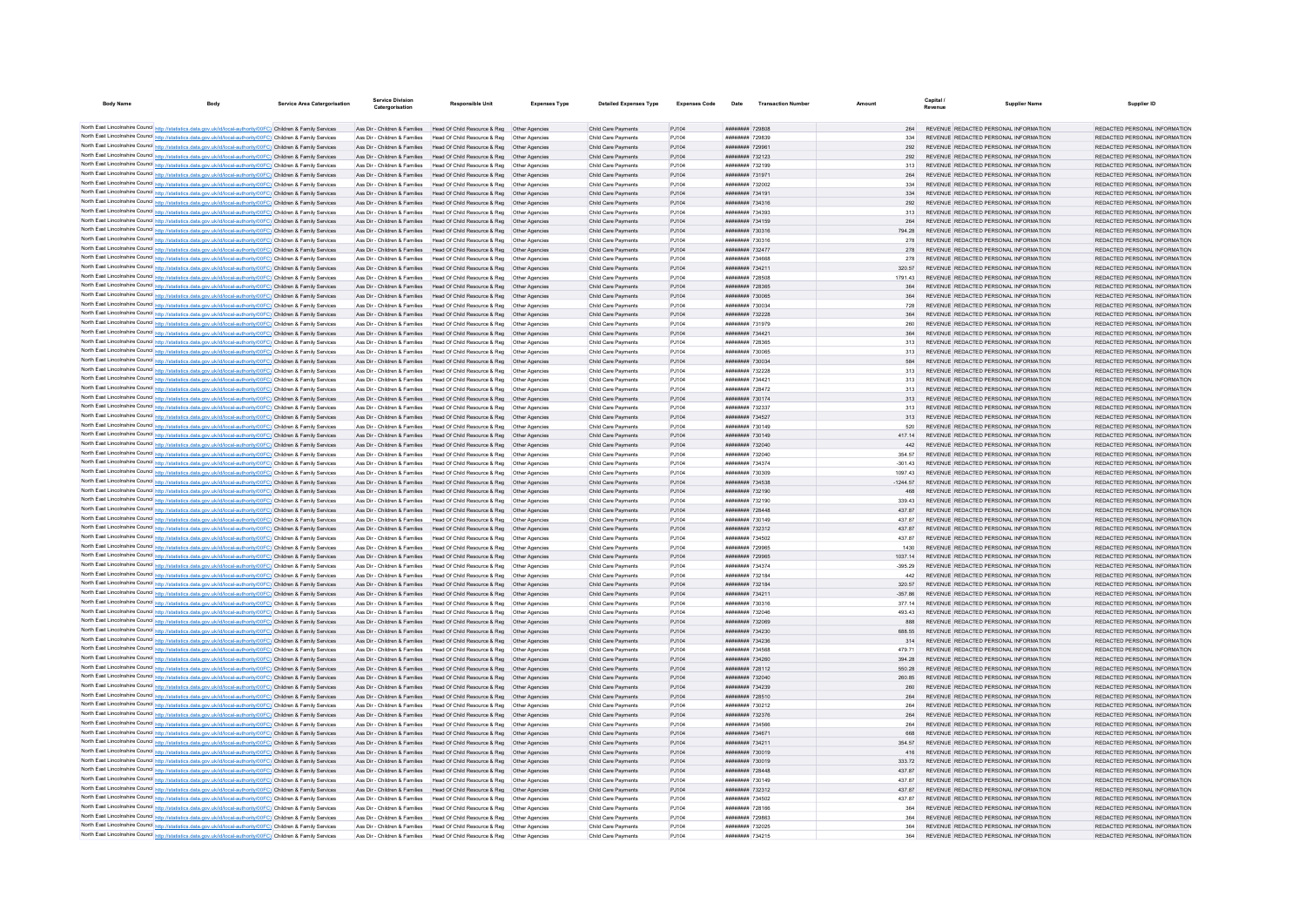| <b>Body Name</b>                                                                                                                                                                                                                       | <b>Service Area Catergorisation</b> | <b>Service Division</b><br>Catergorisation | <b>Responsible Unit</b>                                                                                                                                 | <b>Expenses Type</b> | <b>Detailed Expenses Type</b>              | <b>Expenses Code</b> | Date                                             | <b>Transaction Number</b> | Amount            | Revenue | <b>Supplier Name</b>                                                           | Supplier ID                                                    |
|----------------------------------------------------------------------------------------------------------------------------------------------------------------------------------------------------------------------------------------|-------------------------------------|--------------------------------------------|---------------------------------------------------------------------------------------------------------------------------------------------------------|----------------------|--------------------------------------------|----------------------|--------------------------------------------------|---------------------------|-------------------|---------|--------------------------------------------------------------------------------|----------------------------------------------------------------|
|                                                                                                                                                                                                                                        |                                     |                                            |                                                                                                                                                         |                      |                                            |                      |                                                  |                           |                   |         |                                                                                |                                                                |
| North East Lincolnshire Council http://statistics.data.gov.uk/id/local-authority/00FC) Children & Family Services                                                                                                                      |                                     |                                            | Ass Dir - Children & Families Head Of Child Resource & Reg Other Agencies                                                                               |                      | Child Care Payments                        | PJ104                | ######## 729808                                  |                           |                   |         | REVENUE REDACTED PERSONAL INFORMATION                                          | REDACTED PERSONAL INFORMATION                                  |
| North East Lincolnshire Council http://statistics.data.gov.uk/id/local-authority/00FC) Children & Family Services                                                                                                                      |                                     |                                            | Ass Dir - Children & Families Head Of Child Resource & Reg Other Agencies                                                                               |                      | Child Care Payments                        | PJ104                | ######## 729839                                  |                           |                   |         | REVENUE REDACTED PERSONAL INFORMATION                                          | REDACTED PERSONAL INFORMATION                                  |
| North East Lincolnshire Council http://statistics.data.gov.uk/id/local-authority/00FC) Children & Family Services                                                                                                                      |                                     |                                            | Ass Dir - Children & Families Head Of Child Resource & Reg Other Agencies                                                                               |                      | Child Care Payments                        | PJ104                | ######## 729961                                  |                           | 292               |         | REVENUE REDACTED PERSONAL INFORMATION                                          | REDACTED PERSONAL INFORMATION                                  |
| North East Lincolnshire Council http://statistics.data.gov.uk/id/local-authority/00FC) Children & Family Services                                                                                                                      |                                     |                                            | Ass Dir - Children & Families Head Of Child Resource & Reg Other Agencies                                                                               |                      | Child Care Payments                        | PJ104                | ######## 732123                                  |                           | 292               |         | REVENUE REDACTED PERSONAL INFORMATION                                          | REDACTED PERSONAL INFORMATION                                  |
| North East Lincolnshire Council http://statistics.data.gov.uk/id/local-authority/00FC) Children & Family Services                                                                                                                      |                                     |                                            | Ass Dir - Children & Families Head Of Child Resource & Reg Other Agencies                                                                               |                      | Child Care Payments                        | PJ104                | ######## 732199                                  |                           | 313               |         | REVENUE REDACTED PERSONAL INFORMATION                                          | REDACTED PERSONAL INFORMATION                                  |
| North East Lincolnshire Council http://statistics.data.gov.uk/id/local-authority/00FC) Children & Family Services                                                                                                                      |                                     |                                            | Ass Dir - Children & Families Head Of Child Resource & Reg Other Agencies                                                                               |                      | Child Care Payments                        | PJ104                | ######## 731971                                  |                           | 264               |         | REVENUE REDACTED PERSONAL INFORMATION                                          | REDACTED PERSONAL INFORMATION                                  |
| North East Lincolnshire Council http://statistics.data.gov.uk/id/local-authority/00FC) Children & Family Services                                                                                                                      |                                     |                                            | Ass Dir - Children & Families Head Of Child Resource & Reg Other Agencies                                                                               |                      | Child Care Payments                        | PJ104                | ######## 732002                                  |                           | 334               |         | REVENUE REDACTED PERSONAL INFORMATION                                          | REDACTED PERSONAL INFORMATION                                  |
| North East Lincolnshire Council http://statistics.data.gov.uk/id/local-authority/00FC) Children & Family Services                                                                                                                      |                                     |                                            | Ass Dir - Children & Families Head Of Child Resource & Reg Other Agencies                                                                               |                      | Child Care Payments                        | PJ104                | ######## 734191                                  |                           | 334               |         | REVENUE REDACTED PERSONAL INFORMATION                                          | REDACTED PERSONAL INFORMATION                                  |
| North East Lincolnshire Council http://statistics.data.gov.uk/id/local-authority/00FC) Children & Family Services                                                                                                                      |                                     |                                            | Ass Dir - Children & Families Head Of Child Resource & Reg Other Agencies                                                                               |                      | Child Care Payments                        | PJ104                | ######## 734316                                  |                           | 292               |         | REVENUE REDACTED PERSONAL INFORMATION                                          | REDACTED PERSONAL INFORMATION                                  |
| North East Lincolnshire Council http://statistics.data.gov.uk/id/local-authority/00FC) Children & Family Services                                                                                                                      |                                     | Ass Dir - Children & Families              | Head Of Child Resource & Reg   Other Agencie                                                                                                            |                      | Child Care Payments                        | PJ104                | ######## 734393                                  |                           |                   |         | REVENUE REDACTED PERSONAL INFORMATION                                          | REDACTED PERSONAL INFORMATION                                  |
| North East Lincolnshire Council http://statistics.data.gov.uk/id/local-authority/00FC) Children & Family Services                                                                                                                      |                                     |                                            | Ass Dir - Children & Families Head Of Child Resource & Reg Other Agencies                                                                               |                      | Child Care Payments                        | PJ104                | ######## 734159                                  |                           | 264               |         | REVENUE REDACTED PERSONAL INFORMATION                                          | REDACTED PERSONAL INFORMATION                                  |
| North East Lincolnshire Council http://statistics.data.gov.uk/id/local-authority/00FC) Children & Family Services                                                                                                                      |                                     |                                            | Ass Dir - Children & Families Head Of Child Resource & Reg. Other Agencies                                                                              |                      | Child Care Payments                        | PJ104                | ######## 730316                                  |                           | 794 28            |         | REVENUE REDACTED PERSONAL INFORMATION                                          | REDACTED PERSONAL INFORMATION                                  |
| North East Lincolnshire Council http://statistics.data.gov.uk/id/local-authority/00FC) Children & Family Services                                                                                                                      |                                     |                                            | Ass Dir - Children & Families Head Of Child Resource & Reg Other Agencies                                                                               |                      | Child Care Payments                        | PJ104                | ######## 730316                                  |                           | 278               |         | REVENUE REDACTED PERSONAL INFORMATION                                          | REDACTED PERSONAL INFORMATION                                  |
| North East Lincolnshire Council http://statistics.data.gov.uk/id/local-authority/00FC) Children & Family Services                                                                                                                      |                                     |                                            | Ass Dir - Children & Families Head Of Child Resource & Reg Other Agencies                                                                               |                      | Child Care Payments                        | PJ104                | ######## 732477                                  |                           |                   |         | REVENUE REDACTED PERSONAL INFORMATION                                          | REDACTED PERSONAL INFORMATION                                  |
| North East Lincolnshire Council http://statistics.data.gov.uk/id/local-authority/00FC) Children & Family Services                                                                                                                      |                                     |                                            | Ass Dir - Children & Families Head Of Child Resource & Reg Other Agencies                                                                               |                      | Child Care Payments                        | PJ104                | ######## 734668                                  |                           | 278               |         | REVENUE REDACTED PERSONAL INFORMATION                                          | REDACTED PERSONAL INFORMATION                                  |
| North East Lincolnshire Council http://statistics.data.gov.uk/id/local-authority/00FC) Children & Family Services<br>North East Lincolnshire Council http://statistics.data.gov.uk/id/local-authority/00FC) Children & Family Services |                                     |                                            | Ass Dir - Children & Families Head Of Child Resource & Reg. Other Agencies<br>Ass Dir - Children & Families Head Of Child Resource & Reg Other Agencies |                      | Child Care Payments<br>Child Care Payments | PJ104<br>PJ104       | <b>ИНИИИНИИ</b> 734211<br>######## 728508        |                           | 320.57<br>1791 43 |         | REVENUE REDACTED PERSONAL INFORMATION<br>REVENUE REDACTED PERSONAL INFORMATION | REDACTED PERSONAL INFORMATION<br>REDACTED PERSONAL INFORMATION |
| North East Lincolnshire Council http://statistics.data.gov.uk/id/local-authority/00FC) Children & Family Services                                                                                                                      |                                     |                                            | Ass Dir - Children & Families Head Of Child Resource & Reg Other Agencies                                                                               |                      | Child Care Payments                        | PJ104                | ######## 728365                                  |                           |                   |         | REVENUE REDACTED PERSONAL INFORMATION                                          | REDACTED PERSONAL INFORMATION                                  |
| North East Lincolnshire Council http://statistics.data.gov.uk/id/local-authority/00FC) Children & Family Services                                                                                                                      |                                     |                                            | Ass Dir - Children & Families Head Of Child Resource & Reg Other Agencies                                                                               |                      | Child Care Payments                        | PJ104                | ######## 730065                                  |                           | 364               |         | REVENUE REDACTED PERSONAL INFORMATION                                          | REDACTED PERSONAL INFORMATION                                  |
| North East Lincolnshire Council http://statistics.data.gov.uk/id/local-authority/00FC) Children & Family Services                                                                                                                      |                                     |                                            | Ass Dir - Children & Families Head Of Child Resource & Reg. Other Agencies                                                                              |                      | Child Care Payments                        | PJ104                | ######## 730034                                  |                           | 728               |         | REVENUE REDACTED PERSONAL INFORMATION                                          | REDACTED PERSONAL INFORMATION                                  |
| North East Lincolnshire Council http://statistics.data.gov.uk/id/local-authority/00FC) Children & Family Services                                                                                                                      |                                     |                                            | Ass Dir - Children & Families Head Of Child Resource & Reg Other Agencies                                                                               |                      | Child Care Payments                        | PJ104                | ######## 732228                                  |                           | 364               |         | REVENUE REDACTED PERSONAL INFORMATION                                          | REDACTED PERSONAL INFORMATION                                  |
| North East Lincolnshire Council http://statistics.data.gov.uk/id/local-authority/00FC) Children & Family Services                                                                                                                      |                                     |                                            | Ass Dir - Children & Families Head Of Child Resource & Reg Other Agencies                                                                               |                      | Child Care Payments                        | PJ104                | ######## 731979                                  |                           |                   |         | REVENUE REDACTED PERSONAL INFORMATION                                          | REDACTED PERSONAL INFORMATION                                  |
| North East Lincolnshire Council http://statistics.data.gov.uk/id/local-authority/00FC) Children & Family Services                                                                                                                      |                                     |                                            | Ass Dir - Children & Families Head Of Child Resource & Reg Other Agencies                                                                               |                      | Child Care Payments                        | PJ104                | ####### 734421                                   |                           | 364               |         | REVENUE REDACTED PERSONAL INFORMATION                                          | REDACTED PERSONAL INFORMATION                                  |
| North East Lincolnshire Council http://statistics.data.gov.uk/id/local-authority/00FC) Children & Family Services                                                                                                                      |                                     |                                            | Ass Dir - Children & Families Head Of Child Resource & Reg Other Agencies                                                                               |                      | Child Care Payments                        | PJ104                | ######## 728365                                  |                           | 313               |         | REVENUE REDACTED PERSONAL INFORMATION                                          | REDACTED PERSONAL INFORMATION                                  |
| North East Lincolnshire Council http://statistics.data.gov.uk/id/local-authority/00FC) Children & Family Services                                                                                                                      |                                     |                                            | Ass Dir - Children & Families Head Of Child Resource & Reg Other Agencies                                                                               |                      | Child Care Payments                        | PJ104                | ######## 730065                                  |                           | 313               |         | REVENUE REDACTED PERSONAL INFORMATION                                          | REDACTED PERSONAL INFORMATION                                  |
| North East Lincolnshire Council http://statistics.data.gov.uk/id/local-authority/00FC) Children & Family Services                                                                                                                      |                                     |                                            | Ass Dir - Children & Families Head Of Child Resource & Reg Other Agencies                                                                               |                      | Child Care Payments                        | PJ104                | ######## 730034                                  |                           |                   |         | REVENUE REDACTED PERSONAL INFORMATION                                          | REDACTED PERSONAL INFORMATION                                  |
| North East Lincolnshire Council http://statistics.data.gov.uk/id/local-authority/00FC) Children & Family Services                                                                                                                      |                                     |                                            | Ass Dir - Children & Families Head Of Child Resource & Reg Other Agencies                                                                               |                      | Child Care Payments                        | PJ104                | ######## 732228                                  |                           | 313               |         | REVENUE REDACTED PERSONAL INFORMATION                                          | REDACTED PERSONAL INFORMATION                                  |
| North East Lincolnshire Council http://statistics.data.gov.uk/id/local-authority/00FC) Children & Family Services                                                                                                                      |                                     |                                            | Ass Dir - Children & Families   Head Of Child Resource & Reg   Other Agencies                                                                           |                      | Child Care Payments                        | PJ104                | ######## 734421                                  |                           | 313               |         | REVENUE REDACTED PERSONAL INFORMATION                                          | REDACTED PERSONAL INFORMATION                                  |
| North East Lincolnshire Council http://statistics.data.gov.uk/id/local-authority/00FC) Children & Family Services                                                                                                                      |                                     |                                            | Ass Dir - Children & Families Head Of Child Resource & Reg Other Agencies                                                                               |                      | Child Care Payments                        | PJ104                | ######## 728472                                  |                           | 313               |         | REVENUE REDACTED PERSONAL INFORMATION                                          | REDACTED PERSONAL INFORMATION                                  |
| North East Lincolnshire Council http://statistics.data.gov.uk/id/local-authority/00FC) Children & Family Services                                                                                                                      |                                     |                                            | Ass Dir - Children & Families Head Of Child Resource & Reg Other Agencies                                                                               |                      | Child Care Payments                        | PJ104                | ######## 730174                                  |                           | 313               |         | REVENUE REDACTED PERSONAL INFORMATION                                          | REDACTED PERSONAL INFORMATION                                  |
| North East Lincolnshire Council http://statistics.data.gov.uk/id/local-authority/00FC) Children & Family Services                                                                                                                      |                                     |                                            | Ass Dir - Children & Families Head Of Child Resource & Reg Other Agencies                                                                               |                      | Child Care Payments                        | PJ104                | ######## 732337                                  |                           |                   |         | REVENUE REDACTED PERSONAL INFORMATION                                          | REDACTED PERSONAL INFORMATION                                  |
| North East Lincolnshire Council http://statistics.data.gov.uk/id/local-authority/00FC) Children & Family Services                                                                                                                      |                                     |                                            | Ass Dir - Children & Families Head Of Child Resource & Reg Other Agencies                                                                               |                      | Child Care Payments                        | PJ104                | ######## 734527                                  |                           | 313               |         | REVENUE REDACTED PERSONAL INFORMATION                                          | REDACTED PERSONAL INFORMATION                                  |
| North East Lincolnshire Council http://statistics.data.gov.uk/id/local-authority/00FC) Children & Family Services                                                                                                                      |                                     |                                            | Ass Dir - Children & Families Head Of Child Resource & Reg Other Agencies                                                                               |                      | Child Care Payments                        | PJ104                | ######## 730149                                  |                           | 520               |         | REVENUE REDACTED PERSONAL INFORMATION                                          | REDACTED PERSONAL INFORMATION                                  |
| North East Lincolnshire Council http://statistics.data.gov.uk/id/local-authority/00FC) Children & Family Services                                                                                                                      |                                     |                                            | Ass Dir - Children & Families Head Of Child Resource & Reg Other Agencies                                                                               |                      | Child Care Payments                        | PJ104                | ######## 730149                                  |                           | 417.14            |         | REVENUE REDACTED PERSONAL INFORMATION                                          | REDACTED PERSONAL INFORMATION                                  |
| North East Lincolnshire Council http://statistics.data.gov.uk/id/local-authority/00FC) Children & Family Services                                                                                                                      |                                     |                                            | Ass Dir - Children & Families Head Of Child Resource & Reg Other Agencies                                                                               |                      | Child Care Payments                        | PJ104                | ######## 732040                                  |                           |                   |         | REVENUE REDACTED PERSONAL INFORMATION                                          | REDACTED PERSONAL INFORMATION                                  |
| North East Lincolnshire Council http://statistics.data.gov.uk/id/local-authority/00FC) Children & Family Services                                                                                                                      |                                     |                                            | Ass Dir - Children & Families Head Of Child Resource & Reg Other Agencies                                                                               |                      | Child Care Payments                        | PJ104                | ######## 732040                                  |                           | 354.57            |         | REVENUE REDACTED PERSONAL INFORMATION                                          | REDACTED PERSONAL INFORMATION                                  |
| North East Lincolnshire Council http://statistics.data.gov.uk/id/local-authority/00FC) Children & Family Services                                                                                                                      |                                     |                                            | Ass Dir - Children & Families Head Of Child Resource & Reg Other Agencies                                                                               |                      | Child Care Payments                        | PJ104                | ######## 734374                                  |                           | $-301.43$         |         | REVENUE REDACTED PERSONAL INFORMATION                                          | REDACTED PERSONAL INFORMATION                                  |
| North East Lincolnshire Council http://statistics.data.gov.uk/id/local-authority/00FC) Children & Family Services                                                                                                                      |                                     |                                            | Ass Dir - Children & Families Head Of Child Resource & Reg Other Agencies                                                                               |                      | Child Care Payments                        | PJ104                | ######## 730309                                  |                           | 1097.43           |         | REVENUE REDACTED PERSONAL INFORMATION                                          | REDACTED PERSONAL INFORMATION                                  |
| North East Lincolnshire Council http://statistics.data.gov.uk/id/local-authority/00FC) Children & Family Services                                                                                                                      |                                     |                                            | Ass Dir - Children & Families Head Of Child Resource & Reg Other Agencies                                                                               |                      | Child Care Payments                        | PJ104                | ######## 734538                                  |                           | $-1244.57$        |         | REVENUE REDACTED PERSONAL INFORMATION                                          | REDACTED PERSONAL INFORMATION                                  |
| North East Lincolnshire Council http://statistics.data.gov.uk/id/local-authority/00FC) Children & Family Services                                                                                                                      |                                     |                                            | Ass Dir - Children & Families Head Of Child Resource & Reg Other Agencies                                                                               |                      | Child Care Payments                        | PJ104                | ######## 732190                                  |                           | 468               |         | REVENUE REDACTED PERSONAL INFORMATION                                          | REDACTED PERSONAL INFORMATION                                  |
| North East Lincolnshire Council http://statistics.data.gov.uk/id/local-authority/00FC) Children & Family Services                                                                                                                      |                                     |                                            | Ass Dir - Children & Families Head Of Child Resource & Reg. Other Agencies                                                                              |                      | Child Care Payments                        | P.1104               | ######## 732190                                  |                           | 33943             |         | REVENUE REDACTED PERSONAL INFORMATION                                          | REDACTED PERSONAL INFORMATION                                  |
| North East Lincolnshire Council http://statistics.data.gov.uk/id/local-authority/00FC) Children & Family Services                                                                                                                      |                                     |                                            | Ass Dir - Children & Families Head Of Child Resource & Reg Other Agencies                                                                               |                      | Child Care Payments                        | PJ104                | ######## 728448                                  |                           | 43787             |         | REVENUE REDACTED PERSONAL INFORMATION                                          | REDACTED PERSONAL INFORMATION                                  |
| North East Lincolnshire Council http://statistics.data.gov.uk/id/local-authority/00FC) Children & Family Services                                                                                                                      |                                     |                                            | Ass Dir - Children & Families Head Of Child Resource & Reg Other Agencie                                                                                |                      | Child Care Payments                        | PJ104                | ######## 730149                                  |                           | 437.87            |         | REVENUE REDACTED PERSONAL INFORMATION                                          | REDACTED PERSONAL INFORMATION                                  |
| North East Lincolnshire Council http://statistics.data.gov.uk/id/local-authority/00FC) Children & Family Services                                                                                                                      |                                     |                                            | Ass Dir - Children & Families Head Of Child Resource & Reg Other Agencies                                                                               |                      | Child Care Payments                        | PJ104                | ######## 732312                                  |                           | 43787             |         | REVENUE REDACTED PERSONAL INFORMATION                                          | REDACTED PERSONAL INFORMATION                                  |
| North East Lincolnshire Council http://statistics.data.gov.uk/id/local-authority/00FC) Children & Family Services                                                                                                                      |                                     |                                            | Ass Dir - Children & Families Head Of Child Resource & Reg. Other Agencies                                                                              |                      | Child Care Payments                        | PJ104                | ######## 734502                                  |                           | 43787             |         | REVENUE REDACTED PERSONAL INFORMATION                                          | REDACTED PERSONAL INFORMATION                                  |
| North East Lincolnshire Council http://statistics.data.gov.uk/id/local-authority/00FC) Children & Family Services                                                                                                                      |                                     |                                            | Ass Dir - Children & Families Head Of Child Resource & Reg Other Agencies                                                                               |                      | Child Care Payments                        | PJ104                | ######## 729965                                  |                           | 1430              |         | REVENUE REDACTED PERSONAL INFORMATION                                          | REDACTED PERSONAL INFORMATION                                  |
| North East Lincolnshire Council http://statistics.data.gov.uk/id/local-authority/00FC) Children & Family Services                                                                                                                      |                                     |                                            | Ass Dir - Children & Families Head Of Child Resource & Reg Other Agencies                                                                               |                      | Child Care Payments                        | PJ104                | ######## 729965                                  |                           |                   |         | REVENUE REDACTED PERSONAL INFORMATION                                          | REDACTED PERSONAL INFORMATION                                  |
| North East Lincolnshire Council http://statistics.data.gov.uk/id/local-authority/00FC) Children & Family Services                                                                                                                      |                                     |                                            | Ass Dir - Children & Families Head Of Child Resource & Reg Other Agencies                                                                               |                      | Child Care Payments                        | PJ104<br>P.1104      | ######## 734374<br><b><i>BREEBERH</i></b> 732184 |                           | $-395.29$<br>442  |         | REVENUE REDACTED PERSONAL INFORMATION<br>REVENUE REDACTED PERSONAL INFORMATION | REDACTED PERSONAL INFORMATION<br>REDACTED PERSONAL INFORMATION |
| North East Lincolnshire Council http://statistics.data.gov.uk/id/local-authority/00FC) Children & Family Services                                                                                                                      |                                     |                                            | Ass Dir - Children & Families Head Of Child Resource & Reg Other Agencies<br>Ass Dir - Children & Families Head Of Child Resource & Reg Other Agencies  |                      | Child Care Payments<br>Child Care Payments |                      | ######## 732184                                  |                           | 320.57            |         | REVENUE REDACTED PERSONAL INFORMATION                                          | REDACTED PERSONAL INFORMATION                                  |
| North East Lincolnshire Council http://statistics.data.gov.uk/id/local-authority/00FC) Children & Family Services<br>North East Lincolnshire Council http://statistics.data.gov.uk/id/local-authority/00FC) Children & Family Services |                                     |                                            | Ass Dir - Children & Families Head Of Child Resource & Reg Other Agencies                                                                               |                      | Child Care Payments                        | PJ104<br>PJ104       | ######## 734211                                  |                           |                   |         | REVENUE REDACTED PERSONAL INFORMATION                                          | REDACTED PERSONAL INFORMATION                                  |
| North East Lincolnshire Council http://statistics.data.gov.uk/id/local-authority/00FC) Children & Family Services                                                                                                                      |                                     |                                            | Ass Dir - Children & Families Head Of Child Resource & Reg Other Agencies                                                                               |                      | Child Care Payments                        | PJ104                | ######## 730316                                  |                           | 377.14            |         | REVENUE REDACTED PERSONAL INFORMATION                                          | REDACTED PERSONAL INFORMATION                                  |
| North East Lincolnshire Council http://statistics.data.gov.uk/id/local-authority/00FC) Children & Family Services                                                                                                                      |                                     |                                            | Ass Dir - Children & Families Head Of Child Resource & Reg. Other Agencies                                                                              |                      | Child Care Payments                        | PJ104                | ######## 732046                                  |                           | 493 43            |         | REVENUE REDACTED PERSONAL INFORMATION                                          | REDACTED PERSONAL INFORMATION                                  |
| North East Lincolnshire Council http://statistics.data.gov.uk/id/local-authority/00FC) Children & Family Services                                                                                                                      |                                     |                                            | Ass Dir - Children & Families Head Of Child Resource & Reg Other Agencies                                                                               |                      | Child Care Payments                        | PJ104                | ######## 732069                                  |                           | 888               |         | REVENUE REDACTED PERSONAL INFORMATION                                          | REDACTED PERSONAL INFORMATION                                  |
| North East Lincolnshire Council http://statistics.data.gov.uk/id/local-authority/00FC) Children & Family Services                                                                                                                      |                                     |                                            | Ass Dir - Children & Families Head Of Child Resource & Reg Other Agencies                                                                               |                      | Child Care Payments                        | PJ104                | ######## 734230                                  |                           | 688.55            |         | REVENUE REDACTED PERSONAL INFORMATION                                          | REDACTED PERSONAL INFORMATION                                  |
| North East Lincolnshire Council http://statistics.data.gov.uk/id/local-authority/00FC) Children & Family Services                                                                                                                      |                                     |                                            | Ass Dir - Children & Families Head Of Child Resource & Reg Other Agencies                                                                               |                      | Child Care Payments                        | PJ104                | ####### 734236                                   |                           | 314               |         | REVENUE REDACTED PERSONAL INFORMATION                                          | REDACTED PERSONAL INFORMATION                                  |
| North East Lincolnshire Council http://statistics.data.gov.uk/id/local-authority/00FC) Children & Family Services                                                                                                                      |                                     |                                            | Ass Dir - Children & Families Head Of Child Resource & Reg Other Agencies                                                                               |                      | Child Care Payments                        | PJ104                | ######## 734568                                  |                           | 479 71            |         | REVENUE REDACTED PERSONAL INFORMATION                                          | REDACTED PERSONAL INFORMATION                                  |
| North East Lincolnshire Council http://statistics.data.gov.uk/id/local-authority/00FC) Children & Family Services                                                                                                                      |                                     |                                            | Ass Dir - Children & Families Head Of Child Resource & Reg Other Agencies                                                                               |                      | Child Care Payments                        | PJ104                | ######## 734260                                  |                           | 394 28            |         | REVENUE REDACTED PERSONAL INFORMATION                                          | REDACTED PERSONAL INFORMATION                                  |
| North East Lincolnshire Council http://statistics.data.gov.uk/id/local-authority/00FC) Children & Family Services                                                                                                                      |                                     |                                            | Ass Dir - Children & Families Head Of Child Resource & Reg Other Agencies                                                                               |                      | Child Care Payments                        | PJ104                | ######## 728112                                  |                           | 550.28            |         | REVENUE REDACTED PERSONAL INFORMATION                                          | REDACTED PERSONAL INFORMATION                                  |
| North East Lincolnshire Council http://statistics.data.gov.uk/id/local-authority/00FC) Children & Family Services                                                                                                                      |                                     |                                            | Ass Dir - Children & Families Head Of Child Resource & Reg Other Agencie                                                                                |                      | Child Care Payments                        | PJ104                | ######## 732040                                  |                           | 260.85            |         | REVENUE REDACTED PERSONAL INFORMATION                                          | REDACTED PERSONAL INFORMATION                                  |
| North East Lincolnshire Council http://statistics.data.gov.uk/id/local-authority/00FC) Children & Family Services                                                                                                                      |                                     |                                            | Ass Dir - Children & Families Head Of Child Resource & Reg Other Agencies                                                                               |                      | Child Care Payments                        | PJ104                | <b>ининини</b> 734239                            |                           | 260               |         | REVENUE REDACTED PERSONAL INFORMATION                                          | REDACTED PERSONAL INFORMATION                                  |
| North East Lincolnshire Council http://statistics.data.gov.uk/id/local-authority/00FC) Children & Family Services                                                                                                                      |                                     |                                            | Ass Dir - Children & Families Head Of Child Resource & Reg Other Agencies                                                                               |                      | Child Care Payments                        | PJ104                | ######## 728510                                  |                           | 264               |         | REVENUE REDACTED PERSONAL INFORMATION                                          | REDACTED PERSONAL INFORMATION                                  |
| North East Lincolnshire Council http://statistics.data.gov.uk/id/local-authority/00FC) Children & Family Services                                                                                                                      |                                     |                                            | Ass Dir - Children & Families Head Of Child Resource & Reg Other Agencies                                                                               |                      | Child Care Payments                        | PJ104                | ######## 730212                                  |                           | 264               |         | REVENUE REDACTED PERSONAL INFORMATION                                          | REDACTED PERSONAL INFORMATION                                  |
| North East Lincolnshire Council http://statistics.data.gov.uk/id/local-authority/00FC) Children & Family Services                                                                                                                      |                                     |                                            | Ass Dir - Children & Families Head Of Child Resource & Reg Other Agencies                                                                               |                      | Child Care Payments                        | PJ104                | ######## 732376                                  |                           | 264               |         | REVENUE REDACTED PERSONAL INFORMATION                                          | REDACTED PERSONAL INFORMATION                                  |
| North East Lincolnshire Council http://statistics.data.gov.uk/id/local-authority/00FC) Children & Family Services                                                                                                                      |                                     |                                            | Ass Dir - Children & Families Head Of Child Resource & Reg Other Agencies                                                                               |                      | Child Care Payments                        | PJ104                | ######## 734566                                  |                           | 264               |         | REVENUE REDACTED PERSONAL INFORMATION                                          | REDACTED PERSONAL INFORMATION                                  |
| North East Lincolnshire Council http://statistics.data.gov.uk/id/local-authority/00FC) Children & Family Services                                                                                                                      |                                     |                                            | Ass Dir - Children & Families Head Of Child Resource & Reg Other Agencies                                                                               |                      | Child Care Payments                        | PJ104                | ######## 734671                                  |                           | 668               |         | REVENUE REDACTED PERSONAL INFORMATION                                          | REDACTED PERSONAL INFORMATION                                  |
| North East Lincolnshire Council http://statistics.data.gov.uk/id/local-authority/00FC) Children & Family Services                                                                                                                      |                                     |                                            | Ass Dir - Children & Families Head Of Child Resource & Reg Other Agencies                                                                               |                      | Child Care Payments                        | PJ104                | ######## 734211                                  |                           | 354 57            |         | REVENUE REDACTED PERSONAL INFORMATION                                          | REDACTED PERSONAL INFORMATION                                  |
| North East Lincolnshire Council http://statistics.data.gov.uk/id/local-authority/00FC) Children & Family Services                                                                                                                      |                                     |                                            | Ass Dir - Children & Families Head Of Child Resource & Reg Other Agencies                                                                               |                      | Child Care Payments                        | PJ104                | ######## 730019                                  |                           |                   |         | REVENUE REDACTED PERSONAL INFORMATION                                          | REDACTED PERSONAL INFORMATION                                  |
| North East Lincolnshire Council http://statistics.data.gov.uk/id/local-authority/00FC) Children & Family Services                                                                                                                      |                                     |                                            | Ass Dir - Children & Families Head Of Child Resource & Reg Other Agencies                                                                               |                      | Child Care Payments                        | PJ104                | ######## 730019                                  |                           | 333 72            |         | REVENUE REDACTED PERSONAL INFORMATION                                          | REDACTED PERSONAL INFORMATION                                  |
| North East Lincolnshire Council http://statistics.data.gov.uk/id/local-authority/00FC) Children & Family Services                                                                                                                      |                                     |                                            | Ass Dir - Children & Families Head Of Child Resource & Reg. Other Agencies                                                                              |                      | Child Care Payments                        | PJ104                | <b><i>BREEBHHH 728448</i></b>                    |                           | 43787             |         | REVENUE REDACTED PERSONAL INFORMATION                                          | REDACTED PERSONAL INFORMATION                                  |
| North East Lincolnshire Council http://statistics.data.gov.uk/id/local-authority/00FC) Children & Family Services                                                                                                                      |                                     |                                            | Ass Dir - Children & Families Head Of Child Resource & Reg Other Agencies                                                                               |                      | Child Care Payments                        | PJ104                | ######## 730149                                  |                           | 43787             |         | REVENUE REDACTED PERSONAL INFORMATION                                          | REDACTED PERSONAL INFORMATION                                  |
| North East Lincolnshire Council http://statistics.data.gov.uk/id/local-authority/00FC) Children & Family Services                                                                                                                      |                                     |                                            | Ass Dir - Children & Families Head Of Child Resource & Reg Other Agencies                                                                               |                      | Child Care Payments                        | PJ104                | ######## 732312                                  |                           | 437.87            |         | REVENUE REDACTED PERSONAL INFORMATION                                          | REDACTED PERSONAL INFORMATION                                  |
| North East Lincolnshire Council http://statistics.data.gov.uk/id/local-authority/00FC) Children & Family Services                                                                                                                      |                                     |                                            | Ass Dir - Children & Families Head Of Child Resource & Reg Other Agencies                                                                               |                      | Child Care Payments                        | PJ104                | ######## 734502                                  |                           | 43787             |         | REVENUE REDACTED PERSONAL INFORMATION                                          | REDACTED PERSONAL INFORMATION                                  |
| North East Lincolnshire Council http://statistics.data.gov.uk/id/local-authority/00FC) Children & Family Services                                                                                                                      |                                     |                                            | Ass Dir - Children & Families Head Of Child Resource & Reg Other Agencies                                                                               |                      | Child Care Payments                        | P.1104               | ######## 728166                                  |                           | 364               |         | REVENUE REDACTED PERSONAL INFORMATION                                          | REDACTED PERSONAL INFORMATION                                  |
| North East Lincolnshire Council http://statistics.data.gov.uk/id/local-authority/00FC) Children & Family Services                                                                                                                      |                                     |                                            | Ass Dir - Children & Families Head Of Child Resource & Reg Other Agencies                                                                               |                      | Child Care Payments                        | PJ104                | ######## 729863                                  |                           | 364               |         | REVENUE REDACTED PERSONAL INFORMATION                                          | REDACTED PERSONAL INFORMATION                                  |
| North East Lincolnshire Council http://statistics.data.gov.uk/id/local-authority/00FC) Children & Family Services                                                                                                                      |                                     |                                            | Ass Dir - Children & Families Head Of Child Resource & Reg Other Agencies                                                                               |                      | Child Care Payments                        | PJ104                | ######## 732025                                  |                           |                   |         | REVENUE REDACTED PERSONAL INFORMATION                                          | REDACTED PERSONAL INFORMATION                                  |
| North East Lincolnshire Council http://statistics.data.gov.uk/id/local-authority/00FC) Children & Family Services                                                                                                                      |                                     |                                            | Ass Dir - Children & Families Head Of Child Resource & Reg Other Agencie                                                                                |                      | Child Care Payments                        | PJ104                | ######## 734215                                  |                           | 364               |         | REVENUE REDACTED PERSONAL INFORMATION                                          | REDACTED PERSONAL INFORMATION                                  |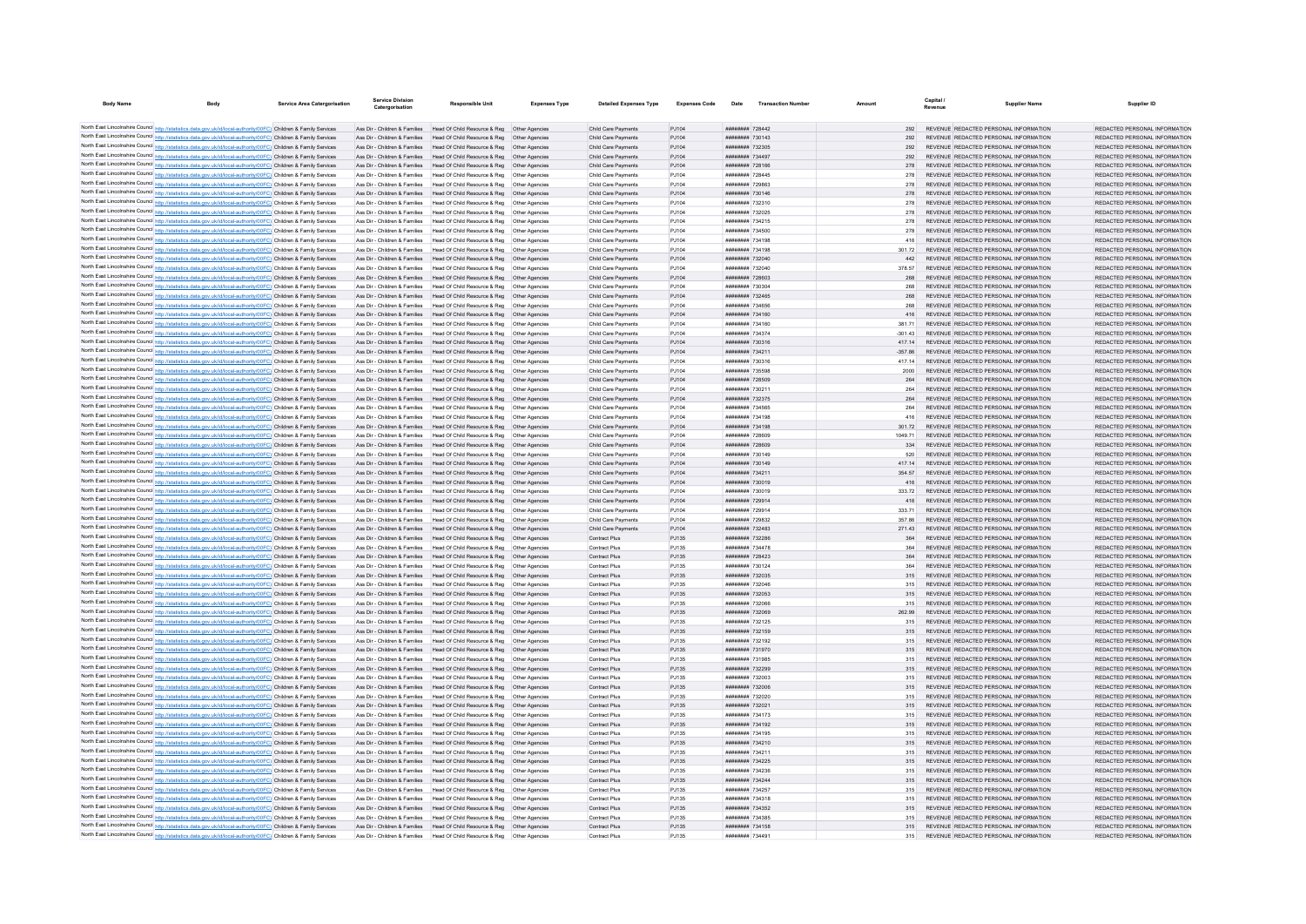| <b>Body Name</b>                                                                                                                                                                                                                       | <b>Service Area Catergorisation</b> | <b>Service Division</b><br>Catergorisation | <b>Responsible Unit</b>                                                                                                                                | <b>Expenses Type</b> | <b>Detailed Expenses Type</b>              | <b>Expenses Code</b> | Date                                             | <b>Transaction Number</b> | Amount        | Revenue | <b>Supplier Name</b>                                                           | Supplier ID                                                    |
|----------------------------------------------------------------------------------------------------------------------------------------------------------------------------------------------------------------------------------------|-------------------------------------|--------------------------------------------|--------------------------------------------------------------------------------------------------------------------------------------------------------|----------------------|--------------------------------------------|----------------------|--------------------------------------------------|---------------------------|---------------|---------|--------------------------------------------------------------------------------|----------------------------------------------------------------|
|                                                                                                                                                                                                                                        |                                     |                                            |                                                                                                                                                        |                      |                                            |                      |                                                  |                           |               |         |                                                                                |                                                                |
| North East Lincolnshire Council http://statistics.data.gov.uk/id/local-authority/00FC) Children & Family Services                                                                                                                      |                                     |                                            | Ass Dir - Children & Families Head Of Child Resource & Reg Other Agencies                                                                              |                      | Child Care Payments                        | PJ104                | ######## 728442                                  |                           | 292           |         | REVENUE REDACTED PERSONAL INFORMATION                                          | REDACTED PERSONAL INFORMATION                                  |
| North East Lincolnshire Council http://statistics.data.gov.uk/id/local-authority/00FC) Children & Family Services                                                                                                                      |                                     |                                            | Ass Dir - Children & Families Head Of Child Resource & Reg Other Agencies                                                                              |                      | Child Care Payments                        | PJ104                | ######## 730143                                  |                           |               |         | REVENUE REDACTED PERSONAL INFORMATION                                          | REDACTED PERSONAL INFORMATION                                  |
| North East Lincolnshire Council http://statistics.data.gov.uk/id/local-authority/00FC) Children & Family Services                                                                                                                      |                                     |                                            | Ass Dir - Children & Families Head Of Child Resource & Reg Other Agencies                                                                              |                      | Child Care Payments                        | PJ104                | ######## 732305                                  |                           | 292           |         | REVENUE REDACTED PERSONAL INFORMATION                                          | REDACTED PERSONAL INFORMATION                                  |
| North East Lincolnshire Council http://statistics.data.gov.uk/id/local-authority/00FC) Children & Family Services                                                                                                                      |                                     |                                            | Ass Dir - Children & Families Head Of Child Resource & Reg Other Agencies                                                                              |                      | Child Care Payments                        | PJ104                | ######## 734497                                  |                           | 292           |         | REVENUE REDACTED PERSONAL INFORMATION                                          | REDACTED PERSONAL INFORMATION                                  |
| North East Lincolnshire Council http://statistics.data.gov.uk/id/local-authority/00FC) Children & Family Services                                                                                                                      |                                     |                                            | Ass Dir - Children & Families Head Of Child Resource & Reg Other Agencies                                                                              |                      | Child Care Payments                        | PJ104                | ######## 728166                                  |                           | 278           |         | REVENUE REDACTED PERSONAL INFORMATION                                          | REDACTED PERSONAL INFORMATION                                  |
| North East Lincolnshire Council http://statistics.data.gov.uk/id/local-authority/00FC) Children & Family Services                                                                                                                      |                                     |                                            | Ass Dir - Children & Families Head Of Child Resource & Reg Other Agencies                                                                              |                      | Child Care Payments                        | PJ104                | ######## 728445                                  |                           |               |         | REVENUE REDACTED PERSONAL INFORMATION                                          | REDACTED PERSONAL INFORMATION                                  |
| North East Lincolnshire Council http://statistics.data.gov.uk/id/local-authority/00FC) Children & Family Services                                                                                                                      |                                     |                                            | Ass Dir - Children & Families Head Of Child Resource & Reg Other Agencies                                                                              |                      | Child Care Payments                        | PJ104                | ######## 729863                                  |                           | 278           |         | REVENUE REDACTED PERSONAL INFORMATION                                          | REDACTED PERSONAL INFORMATION                                  |
| North East Lincolnshire Council http://statistics.data.gov.uk/id/local-authority/00FC) Children & Family Services                                                                                                                      |                                     |                                            | Ass Dir - Children & Families Head Of Child Resource & Reg Other Agencies                                                                              |                      | Child Care Payments                        | PJ104                | ######## 730146                                  |                           | 278           |         | REVENUE REDACTED PERSONAL INFORMATION                                          | REDACTED PERSONAL INFORMATION                                  |
| North East Lincolnshire Council http://statistics.data.gov.uk/id/local-authority/00FC) Children & Family Services                                                                                                                      |                                     |                                            | Ass Dir - Children & Families Head Of Child Resource & Reg Other Agencies                                                                              |                      | Child Care Payments                        | PJ104                | ######## 732310                                  |                           | 278           |         | REVENUE REDACTED PERSONAL INFORMATION                                          | REDACTED PERSONAL INFORMATION                                  |
| North East Lincolnshire Council http://statistics.data.gov.uk/id/local-authority/00FC) Children & Family Services                                                                                                                      |                                     | Ass Dir - Children & Families              | Head Of Child Resource & Reg   Other Agencies                                                                                                          |                      | Child Care Payments                        | PJ104                | ######## 732025                                  |                           |               |         | REVENUE REDACTED PERSONAL INFORMATION                                          | REDACTED PERSONAL INFORMATION                                  |
| North East Lincolnshire Council http://statistics.data.gov.uk/id/local-authority/00FC) Children & Family Services                                                                                                                      |                                     |                                            | Ass Dir - Children & Families Head Of Child Resource & Reg   Other Agencies                                                                            |                      | Child Care Payments                        | PJ104                | ######## 734215                                  |                           | 278           |         | REVENUE REDACTED PERSONAL INFORMATION                                          | REDACTED PERSONAL INFORMATION                                  |
| North East Lincolnshire Council http://statistics.data.gov.uk/id/local-authority/00FC) Children & Family Services                                                                                                                      |                                     |                                            | Ass Dir - Children & Families Head Of Child Resource & Reg. Other Agencies                                                                             |                      | Child Care Payments                        | PJ104                | ######## 734500                                  |                           | 278           |         | REVENUE REDACTED PERSONAL INFORMATION                                          | REDACTED PERSONAL INFORMATION                                  |
| North East Lincolnshire Council http://statistics.data.gov.uk/id/local-authority/00FC) Children & Family Services                                                                                                                      |                                     |                                            | Ass Dir - Children & Families Head Of Child Resource & Reg   Other Agencies                                                                            |                      | Child Care Payments                        | PJ104                | ######## 734198                                  |                           | 416           |         | REVENUE REDACTED PERSONAL INFORMATION                                          | REDACTED PERSONAL INFORMATION                                  |
| North East Lincolnshire Council http://statistics.data.gov.uk/id/local-authority/00FC) Children & Family Services                                                                                                                      |                                     |                                            | Ass Dir - Children & Families Head Of Child Resource & Reg Other Agencies                                                                              |                      | Child Care Payments                        | PJ104                | ######## 734198                                  |                           | 301.72        |         | REVENUE REDACTED PERSONAL INFORMATION                                          | REDACTED PERSONAL INFORMATION                                  |
| North East Lincolnshire Council http://statistics.data.gov.uk/id/local-authority/00FC) Children & Family Services                                                                                                                      |                                     |                                            | Ass Dir - Children & Families Head Of Child Resource & Reg Other Agencies                                                                              |                      | Child Care Payments                        | PJ104                | ######## 732040                                  |                           | AA2           |         | REVENUE REDACTED PERSONAL INFORMATION                                          | REDACTED PERSONAL INFORMATION                                  |
| North East Lincolnshire Council http://statistics.data.gov.uk/id/local-authority/00FC) Children & Family Services                                                                                                                      |                                     |                                            | Ass Dir - Children & Families Head Of Child Resource & Reg Other Agencies                                                                              |                      | Child Care Payments                        | P.1104               | ######## 732040                                  |                           | 378.57        |         | REVENUE REDACTED PERSONAL INFORMATION                                          | REDACTED PERSONAL INFORMATION                                  |
| North East Lincolnshire Council http://statistics.data.gov.uk/id/local-authority/00FC) Children & Family Services                                                                                                                      |                                     |                                            | Ass Dir - Children & Families Head Of Child Resource & Reg Other Agencies                                                                              |                      | Child Care Payments                        | PJ104                | ######## 728603                                  |                           | 268           |         | REVENUE REDACTED PERSONAL INFORMATION                                          | REDACTED PERSONAL INFORMATION                                  |
| North East Lincolnshire Council http://statistics.data.gov.uk/id/local-authority/00FC) Children & Family Services                                                                                                                      |                                     |                                            | Ass Dir - Children & Families Head Of Child Resource & Reg Other Agencies                                                                              |                      | Child Care Payments                        | PJ104                | ######## 730304                                  |                           |               |         | REVENUE REDACTED PERSONAL INFORMATION                                          | REDACTED PERSONAL INFORMATION                                  |
| North East Lincolnshire Council http://statistics.data.gov.uk/id/local-authority/00FC) Children & Family Services                                                                                                                      |                                     |                                            | Ass Dir - Children & Families Head Of Child Resource & Reg Other Agencies                                                                              |                      | Child Care Payments                        | PJ104                | ######## 732465                                  |                           | 268           |         | REVENUE REDACTED PERSONAL INFORMATION                                          | REDACTED PERSONAL INFORMATION                                  |
| North East Lincolnshire Council http://statistics.data.gov.uk/id/local-authority/00FC) Children & Family Services                                                                                                                      |                                     |                                            | Ass Dir - Children & Families Head Of Child Resource & Reg. Other Agencies                                                                             |                      | Child Care Payments                        | PJ104                | ######## 734656                                  |                           | 268           |         | REVENUE REDACTED PERSONAL INFORMATION                                          | REDACTED PERSONAL INFORMATION                                  |
| North East Lincolnshire Council http://statistics.data.gov.uk/id/local-authority/00FC) Children & Family Services                                                                                                                      |                                     |                                            | Ass Dir - Children & Families Head Of Child Resource & Reg Other Agencies                                                                              |                      | Child Care Payments                        | PJ104                | ######## 734160                                  |                           | 416           |         | REVENUE REDACTED PERSONAL INFORMATION                                          | REDACTED PERSONAL INFORMATION                                  |
| North East Lincolnshire Council http://statistics.data.gov.uk/id/local-authority/00FC) Children & Family Services                                                                                                                      |                                     |                                            | Ass Dir - Children & Families Head Of Child Resource & Reg Other Agencies                                                                              |                      | Child Care Payments                        | PJ104                | ######## 734160                                  |                           | 381.71        |         | REVENUE REDACTED PERSONAL INFORMATION                                          | REDACTED PERSONAL INFORMATION                                  |
| North East Lincolnshire Council http://statistics.data.gov.uk/id/local-authority/00FC) Children & Family Services                                                                                                                      |                                     |                                            | Ass Dir - Children & Families Head Of Child Resource & Reg Other Agencies                                                                              |                      | Child Care Payments                        | PJ104                | ######## 734374                                  |                           | $-301.43$     |         | REVENUE REDACTED PERSONAL INFORMATION                                          | REDACTED PERSONAL INFORMATION                                  |
| North East Lincolnshire Council http://statistics.data.gov.uk/id/local-authority/00FC) Children & Family Services                                                                                                                      |                                     |                                            | Ass Dir - Children & Families Head Of Child Resource & Reg Other Agencies                                                                              |                      | Child Care Payments                        | PJ104                | ######## 730316                                  |                           | 41714         |         | REVENUE REDACTED PERSONAL INFORMATION                                          | REDACTED PERSONAL INFORMATION                                  |
| North East Lincolnshire Council http://statistics.data.gov.uk/id/local-authority/00FC) Children & Family Services                                                                                                                      |                                     |                                            | Ass Dir - Children & Families Head Of Child Resource & Reg Other Agencies                                                                              |                      | Child Care Payments                        | PJ104                | ######## 734211                                  |                           | $-357.86$     |         | REVENUE REDACTED PERSONAL INFORMATION                                          | REDACTED PERSONAL INFORMATION                                  |
| North East Lincolnshire Council http://statistics.data.gov.uk/id/local-authority/00FC) Children & Family Services                                                                                                                      |                                     | Ass Dir - Children & Families              | Head Of Child Resource & Reg Other Agencies                                                                                                            |                      | Child Care Payments                        | PJ104                | ######## 730316                                  |                           | 417.14        |         | REVENUE REDACTED PERSONAL INFORMATION                                          | REDACTED PERSONAL INFORMATION                                  |
| North East Lincolnshire Council http://statistics.data.gov.uk/id/local-authority/00FC) Children & Family Services                                                                                                                      |                                     |                                            | Ass Dir - Children & Families Head Of Child Resource & Reg Other Agencie                                                                               |                      | Child Care Payments                        | PJ104                | ######## 735598                                  |                           | 2000          |         | REVENUE REDACTED PERSONAL INFORMATION                                          | REDACTED PERSONAL INFORMATION                                  |
| North East Lincolnshire Council http://statistics.data.gov.uk/id/local-authority/00FC) Children & Family Services                                                                                                                      |                                     |                                            | Ass Dir - Children & Families Head Of Child Resource & Reg Other Agencies                                                                              |                      | Child Care Payments                        | PJ104                | ######## 728509                                  |                           |               |         | REVENUE REDACTED PERSONAL INFORMATION                                          | REDACTED PERSONAL INFORMATION                                  |
| North East Lincolnshire Council http://statistics.data.gov.uk/id/local-authority/00FC) Children & Family Services                                                                                                                      |                                     |                                            | Ass Dir - Children & Families Head Of Child Resource & Reg Other Agencies                                                                              |                      | Child Care Payments                        | PJ104                | ######## 730211                                  |                           | 264           |         | REVENUE REDACTED PERSONAL INFORMATION                                          | REDACTED PERSONAL INFORMATION                                  |
| North East Lincolnshire Council http://statistics.data.gov.uk/id/local-authority/00FC) Children & Family Services                                                                                                                      |                                     |                                            | Ass Dir - Children & Families Head Of Child Resource & Reg Other Agencies                                                                              |                      | Child Care Payments                        | PJ104                | ######## 732375                                  |                           |               |         | REVENUE REDACTED PERSONAL INFORMATION                                          | REDACTED PERSONAL INFORMATION                                  |
| North East Lincolnshire Council http://statistics.data.gov.uk/id/local-authority/00FC) Children & Family Services                                                                                                                      |                                     |                                            | Ass Dir - Children & Families Head Of Child Resource & Reg Other Agencies                                                                              |                      | Child Care Payments                        | PJ104                | ######## 734565                                  |                           |               |         | REVENUE REDACTED PERSONAL INFORMATION                                          | REDACTED PERSONAL INFORMATION                                  |
| North East Lincolnshire Council http://statistics.data.gov.uk/id/local-authority/00FC) Children & Family Services                                                                                                                      |                                     |                                            | Ass Dir - Children & Families Head Of Child Resource & Reg   Other Agencies                                                                            |                      | Child Care Payments                        | PJ104                | ######## 734198                                  |                           | 416           |         | REVENUE REDACTED PERSONAL INFORMATION                                          | REDACTED PERSONAL INFORMATION                                  |
| North East Lincolnshire Council http://statistics.data.gov.uk/id/local-authority/00FC) Children & Family Services                                                                                                                      |                                     |                                            | Ass Dir - Children & Families Head Of Child Resource & Reg Other Agencies                                                                              |                      | Child Care Payments                        | PJ104                | ######## 734198                                  |                           | 301.72        |         | REVENUE REDACTED PERSONAL INFORMATION                                          | REDACTED PERSONAL INFORMATION                                  |
| North East Lincolnshire Council http://statistics.data.gov.uk/id/local-authority/00FC) Children & Family Services                                                                                                                      |                                     |                                            | Ass Dir - Children & Families Head Of Child Resource & Reg Other Agencies                                                                              |                      | Child Care Payments                        | PJ104                | ######## 728609                                  |                           | 1049.71       |         | REVENUE REDACTED PERSONAL INFORMATION                                          | REDACTED PERSONAL INFORMATION                                  |
| North East Lincolnshire Council http://statistics.data.gov.uk/id/local-authority/00FC) Children & Family Services                                                                                                                      |                                     |                                            | Ass Dir - Children & Families Head Of Child Resource & Reg Other Agencies                                                                              |                      | Child Care Payments                        | PJ104                | ######## 728609<br><b><i>BRESHHHH 730149</i></b> |                           | 334           |         | REVENUE REDACTED PERSONAL INFORMATION<br>REVENUE REDACTED PERSONAL INFORMATION | REDACTED PERSONAL INFORMATION<br>REDACTED PERSONAL INFORMATION |
| North East Lincolnshire Council http://statistics.data.gov.uk/id/local-authority/00FC) Children & Family Services<br>North East Lincolnshire Council http://statistics.data.gov.uk/id/local-authority/00FC) Children & Family Services |                                     |                                            | Ass Dir - Children & Families Head Of Child Resource & Reg Other Agencies<br>Ass Dir - Children & Families Head Of Child Resource & Reg Other Agencies |                      | Child Care Payments<br>Child Care Payments | PJ104                | ######## 730149                                  |                           | 520<br>417.14 |         | REVENUE REDACTED PERSONAL INFORMATION                                          | REDACTED PERSONAL INFORMATION                                  |
| North East Lincolnshire Council http://statistics.data.gov.uk/id/local-authority/00FC) Children & Family Services                                                                                                                      |                                     |                                            | Ass Dir - Children & Families Head Of Child Resource & Reg Other Agencies                                                                              |                      | Child Care Payments                        | PJ104<br>PJ104       | ######## 734211                                  |                           | 354.57        |         | REVENUE REDACTED PERSONAL INFORMATION                                          | REDACTED PERSONAL INFORMATION                                  |
| North East Lincolnshire Council http://statistics.data.gov.uk/id/local-authority/00FC) Children & Family Services                                                                                                                      |                                     |                                            | Ass Dir - Children & Families Head Of Child Resource & Reg Other Agencies                                                                              |                      | Child Care Payments                        | PJ104                | ######## 730019                                  |                           | 416           |         | REVENUE REDACTED PERSONAL INFORMATION                                          | REDACTED PERSONAL INFORMATION                                  |
| North East Lincolnshire Council http://statistics.data.gov.uk/id/local-authority/00FC) Children & Family Services                                                                                                                      |                                     |                                            | Ass Dir - Children & Families Head Of Child Resource & Reg Other Agencies                                                                              |                      | Child Care Payments                        | PJ104                | ######## 730019                                  |                           | 333.72        |         | REVENUE REDACTED PERSONAL INFORMATION                                          | REDACTED PERSONAL INFORMATION                                  |
| North East Lincolnshire Council http://statistics.data.gov.uk/id/local-authority/00FC) Children & Family Services                                                                                                                      |                                     |                                            | Ass Dir - Children & Families Head Of Child Resource & Reg. Other Agencies                                                                             |                      | Child Care Payments                        | PJ104                | ######## 729914                                  |                           | 416           |         | REVENUE REDACTED PERSONAL INFORMATION                                          | REDACTED PERSONAL INFORMATION                                  |
| North East Lincolnshire Council http://statistics.data.gov.uk/id/local-authority/00FC) Children & Family Services                                                                                                                      |                                     |                                            | Ass Dir - Children & Families Head Of Child Resource & Reg Other Agencies                                                                              |                      | Child Care Payments                        | PJ104                | ######## 729914                                  |                           | 333 71        |         | REVENUE REDACTED PERSONAL INFORMATION                                          | REDACTED PERSONAL INFORMATION                                  |
| North East Lincolnshire Council http://statistics.data.gov.uk/id/local-authority/00FC) Children & Family Services                                                                                                                      |                                     |                                            | Ass Dir - Children & Families Head Of Child Resource & Reg Other Agencies                                                                              |                      | Child Care Payments                        | PJ104                | ######## 729832                                  |                           | 357.86        |         | REVENUE REDACTED PERSONAL INFORMATION                                          | REDACTED PERSONAL INFORMATION                                  |
| North East Lincolnshire Council http://statistics.data.gov.uk/id/local-authority/00FC) Children & Family Services                                                                                                                      |                                     |                                            | Ass Dir - Children & Families Head Of Child Resource & Reg Other Agencies                                                                              |                      | Child Care Payments                        | PJ104                | ######## 732483                                  |                           | 27143         |         | REVENUE REDACTED PERSONAL INFORMATION                                          | REDACTED PERSONAL INFORMATION                                  |
| North East Lincolnshire Council http://statistics.data.gov.uk/id/local-authority/00FC) Children & Family Services                                                                                                                      |                                     |                                            | Ass Dir - Children & Families Head Of Child Resource & Reg. Other Agencies                                                                             |                      | Contract Plus                              | PJ135                | <b>ИНИИИНИ 732286</b>                            |                           | 364           |         | REVENUE REDACTED PERSONAL INFORMATION                                          | REDACTED PERSONAL INFORMATION                                  |
| North East Lincolnshire Council http://statistics.data.gov.uk/id/local-authority/00FC) Children & Family Services                                                                                                                      |                                     |                                            | Ass Dir - Children & Families Head Of Child Resource & Reg Other Agencies                                                                              |                      | Contract Plus                              | PJ135                | <b>иннинин</b> 734478                            |                           | 364           |         | REVENUE REDACTED PERSONAL INFORMATION                                          | REDACTED PERSONAL INFORMATION                                  |
| North East Lincolnshire Council http://statistics.data.gov.uk/id/local-authority/00FC) Children & Family Services                                                                                                                      |                                     |                                            | Ass Dir - Children & Families Head Of Child Resource & Reg Other Agencies                                                                              |                      | Contract Plus                              | PJ135                | ######## 728423                                  |                           |               |         | REVENUE REDACTED PERSONAL INFORMATION                                          | REDACTED PERSONAL INFORMATION                                  |
| North East Lincolnshire Council http://statistics.data.gov.uk/id/local-authority/00FC) Children & Family Services                                                                                                                      |                                     |                                            | Ass Dir - Children & Families Head Of Child Resource & Reg Other Agencies                                                                              |                      | <b>Contract Plus</b>                       | PJ135                | ######## 730124                                  |                           | 364           |         | REVENUE REDACTED PERSONAL INFORMATION                                          | REDACTED PERSONAL INFORMATION                                  |
| North East Lincolnshire Council http://statistics.data.gov.uk/id/local-authority/00FC) Children & Family Services                                                                                                                      |                                     |                                            | Ass Dir - Children & Families Head Of Child Resource & Reg Other Agencies                                                                              |                      | Contract Plus                              | PJ135                | ######## 732035                                  |                           | 315           |         | REVENUE REDACTED PERSONAL INFORMATION                                          | REDACTED PERSONAL INFORMATION                                  |
| North East Lincolnshire Council http://statistics.data.gov.uk/id/local-authority/00FC) Children & Family Services                                                                                                                      |                                     |                                            | Ass Dir - Children & Families Head Of Child Resource & Reg Other Agencies                                                                              |                      | <b>Contract Plus</b>                       | PJ135                | ######## 732046                                  |                           |               |         | REVENUE REDACTED PERSONAL INFORMATION                                          | REDACTED PERSONAL INFORMATION                                  |
| North East Lincolnshire Council http://statistics.data.gov.uk/id/local-authority/00FC) Children & Family Services                                                                                                                      |                                     |                                            | Ass Dir - Children & Families Head Of Child Resource & Reg Other Agencies                                                                              |                      | Contract Plus                              | PJ135                | ######## 732053                                  |                           |               |         | REVENUE REDACTED PERSONAL INFORMATION                                          | REDACTED PERSONAL INFORMATION                                  |
| North East Lincolnshire Council http://statistics.data.gov.uk/id/local-authority/00FC) Children & Family Services                                                                                                                      |                                     |                                            | Ass Dir - Children & Families Head Of Child Resource & Reg Other Agencies                                                                              |                      | Contract Plus                              | PJ135                | ######## 732066                                  |                           | 315           |         | REVENUE REDACTED PERSONAL INFORMATION                                          | REDACTED PERSONAL INFORMATION                                  |
| North East Lincolnshire Council http://statistics.data.gov.uk/id/local-authority/00FC) Children & Family Services                                                                                                                      |                                     |                                            | Ass Dir - Children & Families Head Of Child Resource & Reg. Other Agencies                                                                             |                      | Contract Plus                              | PJ135                | ######## 732069                                  |                           | 262.99        |         | REVENUE REDACTED PERSONAL INFORMATION                                          | REDACTED PERSONAL INFORMATION                                  |
| North East Lincolnshire Council http://statistics.data.gov.uk/id/local-authority/00FC) Children & Family Services                                                                                                                      |                                     |                                            | Ass Dir - Children & Families Head Of Child Resource & Reg Other Agencies                                                                              |                      | Contract Plus                              | PJ135                | ######## 732125                                  |                           | 315           |         | REVENUE REDACTED PERSONAL INFORMATION                                          | REDACTED PERSONAL INFORMATION                                  |
| North East Lincolnshire Council http://statistics.data.gov.uk/id/local-authority/00FC) Children & Family Services                                                                                                                      |                                     |                                            | Ass Dir - Children & Families Head Of Child Resource & Reg Other Agencies                                                                              |                      | Contract Plus                              | PJ135                | ######## 732159                                  |                           | 315           |         | REVENUE REDACTED PERSONAL INFORMATION                                          | REDACTED PERSONAL INFORMATION                                  |
| North East Lincolnshire Council http://statistics.data.gov.uk/id/local-authority/00FC) Children & Family Services                                                                                                                      |                                     |                                            | Ass Dir - Children & Families Head Of Child Resource & Reg Other Agencies                                                                              |                      | Contract Plus                              | PJ135                | ######## 732192                                  |                           | 315           |         | REVENUE REDACTED PERSONAL INFORMATION                                          | REDACTED PERSONAL INFORMATION                                  |
| North East Lincolnshire Council http://statistics.data.gov.uk/id/local-authority/00FC) Children & Family Services                                                                                                                      |                                     |                                            | Ass Dir - Children & Families Head Of Child Resource & Reg Other Agencies                                                                              |                      | Contract Plus                              | PJ135                | ######## 731970                                  |                           | 315           |         | REVENUE REDACTED PERSONAL INFORMATION                                          | REDACTED PERSONAL INFORMATION                                  |
| North East Lincolnshire Council http://statistics.data.gov.uk/id/local-authority/00FC) Children & Family Services                                                                                                                      |                                     |                                            | Ass Dir - Children & Families Head Of Child Resource & Reg Other Agencies                                                                              |                      | Contract Plus                              | PJ135                | ######## 731985                                  |                           | 315           |         | REVENUE REDACTED PERSONAL INFORMATION                                          | REDACTED PERSONAL INFORMATION                                  |
| North East Lincolnshire Council http://statistics.data.gov.uk/id/local-authority/00FC) Children & Family Services                                                                                                                      |                                     |                                            | Ass Dir - Children & Families Head Of Child Resource & Reg Other Agencies                                                                              |                      | Contract Plus                              | PJ135                | ######## 732299                                  |                           | 315           |         | REVENUE REDACTED PERSONAL INFORMATION                                          | REDACTED PERSONAL INFORMATION                                  |
| North East Lincolnshire Council http://statistics.data.gov.uk/id/local-authority/00FC) Children & Family Services                                                                                                                      |                                     |                                            | Ass Dir - Children & Families Head Of Child Resource & Reg Other Agencie                                                                               |                      | Contract Plus                              | PJ135                | ######## 732003                                  |                           | 315           |         | REVENUE REDACTED PERSONAL INFORMATION                                          | REDACTED PERSONAL INFORMATION                                  |
| North East Lincolnshire Council http://statistics.data.gov.uk/id/local-authority/00FC) Children & Family Services                                                                                                                      |                                     |                                            | Ass Dir - Children & Families Head Of Child Resource & Reg Other Agencies                                                                              |                      | Contract Plus                              | PJ135                | ######## 732006                                  |                           | 315           |         | REVENUE REDACTED PERSONAL INFORMATION                                          | REDACTED PERSONAL INFORMATION                                  |
| North East Lincolnshire Council http://statistics.data.gov.uk/id/local-authority/00FC) Children & Family Services                                                                                                                      |                                     |                                            | Ass Dir - Children & Families Head Of Child Resource & Reg Other Agencies                                                                              |                      | Contract Plus                              | PJ135                | ######## 732020                                  |                           |               |         | 315 REVENUE REDACTED PERSONAL INFORMATION                                      | REDACTED PERSONAL INFORMATION                                  |
| North East Lincolnshire Council http://statistics.data.gov.uk/id/local-authority/00FC) Children & Family Services                                                                                                                      |                                     |                                            | Ass Dir - Children & Families Head Of Child Resource & Reg Other Agencies                                                                              |                      | Contract Plus                              | PJ135                | ######## 732021                                  |                           |               |         | 315 REVENUE REDACTED PERSONAL INFORMATION                                      | REDACTED PERSONAL INFORMATION                                  |
| North East Lincolnshire Council http://statistics.data.gov.uk/id/local-authority/00FC) Children & Family Services                                                                                                                      |                                     |                                            | Ass Dir - Children & Families Head Of Child Resource & Reg Other Agencies                                                                              |                      | Contract Plus                              | PJ135                | ######## 734173                                  |                           |               |         | 315 REVENUE REDACTED PERSONAL INFORMATION                                      | REDACTED PERSONAL INFORMATION                                  |
| North East Lincolnshire Council http://statistics.data.gov.uk/id/local-authority/00FC) Children & Family Services                                                                                                                      |                                     |                                            | Ass Dir - Children & Families Head Of Child Resource & Reg Other Agencies                                                                              |                      | Contract Plus                              | PJ135                | ######## 734192                                  |                           | 315           |         | REVENUE REDACTED PERSONAL INFORMATION                                          | REDACTED PERSONAL INFORMATION                                  |
| North East Lincolnshire Council http://statistics.data.gov.uk/id/local-authority/00FC) Children & Family Services                                                                                                                      |                                     |                                            | Ass Dir - Children & Families Head Of Child Resource & Reg Other Agencies                                                                              |                      | <b>Contract Plus</b>                       | PJ135                | ######## 734195                                  |                           | 315           |         | REVENUE REDACTED PERSONAL INFORMATION                                          | REDACTED PERSONAL INFORMATION                                  |
| North East Lincolnshire Council http://statistics.data.gov.uk/id/local-authority/00FC) Children & Family Services                                                                                                                      |                                     |                                            | Ass Dir - Children & Families Head Of Child Resource & Reg Other Agencies                                                                              |                      | Contract Plus                              | PJ135                | ######## 734210                                  |                           | 315           |         | REVENUE REDACTED PERSONAL INFORMATION                                          | REDACTED PERSONAL INFORMATION                                  |
| North East Lincolnshire Council http://statistics.data.gov.uk/id/local-authority/00FC) Children & Family Services                                                                                                                      |                                     |                                            | Ass Dir - Children & Families Head Of Child Resource & Reg Other Agencies                                                                              |                      | Contract Plus                              | PJ135                | ######## 73421                                   |                           |               |         | REVENUE REDACTED PERSONAL INFORMATION                                          | REDACTED PERSONAL INFORMATION                                  |
| North East Lincolnshire Council http://statistics.data.gov.uk/id/local-authority/00FC) Children & Family Services                                                                                                                      |                                     |                                            | Ass Dir - Children & Families Head Of Child Resource & Reg Other Agencies                                                                              |                      | Contract Plus                              | PJ135                | <b>ининини 734225</b>                            |                           | 315           |         | REVENUE REDACTED PERSONAL INFORMATION                                          | REDACTED PERSONAL INFORMATION                                  |
| North East Lincolnshire Council http://statistics.data.gov.uk/id/local-authority/00FC) Children & Family Services                                                                                                                      |                                     |                                            | Ass Dir - Children & Families Head Of Child Resource & Reg. Other Agencies                                                                             |                      | Contract Plus                              | P.1135               | ######## 734236                                  |                           | 315           |         | REVENUE REDACTED PERSONAL INFORMATION                                          | REDACTED PERSONAL INFORMATION                                  |
| North East Lincolnshire Council http://statistics.data.gov.uk/id/local-authority/00FC) Children & Family Services                                                                                                                      |                                     |                                            | Ass Dir - Children & Families Head Of Child Resource & Reg Other Agencies                                                                              |                      | Contract Plus                              | PJ135                | ######## 734244                                  |                           | 315           |         | REVENUE REDACTED PERSONAL INFORMATION                                          | REDACTED PERSONAL INFORMATION                                  |
| North East Lincolnshire Council http://statistics.data.gov.uk/id/local-authority/00FC) Children & Family Services                                                                                                                      |                                     |                                            | Ass Dir - Children & Families Head Of Child Resource & Reg Other Agencies                                                                              |                      | Contract Plus                              | PJ135                | ######## 734257                                  |                           |               |         | REVENUE REDACTED PERSONAL INFORMATION                                          | REDACTED PERSONAL INFORMATION                                  |
| North East Lincolnshire Council http://statistics.data.gov.uk/id/local-authority/00FC) Children & Family Services                                                                                                                      |                                     |                                            | Ass Dir - Children & Families Head Of Child Resource & Reg Other Agencies                                                                              |                      | Contract Plus                              | PJ135                | ######## 734318                                  |                           | 315           |         | REVENUE REDACTED PERSONAL INFORMATION                                          | REDACTED PERSONAL INFORMATION                                  |
| North East Lincolnshire Council http://statistics.data.gov.uk/id/local-authority/00FC) Children & Family Services                                                                                                                      |                                     |                                            | Ass Dir - Children & Families Head Of Child Resource & Reg Other Agencies                                                                              |                      | <b>Contract Plus</b>                       | PJ135                | ######## 734352                                  |                           | 315           |         | REVENUE REDACTED PERSONAL INFORMATION                                          | REDACTED PERSONAL INFORMATION                                  |
| North East Lincolnshire Council http://statistics.data.gov.uk/id/local-authority/00FC) Children & Family Services                                                                                                                      |                                     |                                            | Ass Dir - Children & Families   Head Of Child Resource & Reg   Other Agencies                                                                          |                      | Contract Plus                              | PJ135                | ######## 734385                                  |                           | 315           |         | REVENUE REDACTED PERSONAL INFORMATION                                          | REDACTED PERSONAL INFORMATION                                  |
| North East Lincolnshire Council http://statistics.data.gov.uk/id/local-authority/00FC) Children & Family Services                                                                                                                      |                                     |                                            | Ass Dir - Children & Families Head Of Child Resource & Reg Other Agencies                                                                              |                      | Contract Plus                              | PJ135                | ######## 734158                                  |                           | 315           |         | REVENUE REDACTED PERSONAL INFORMATION                                          | REDACTED PERSONAL INFORMATION                                  |
| North East Lincolnshire Council http://statistics.data.gov.uk/id/local-authority/00FC) Children & Family Services                                                                                                                      |                                     |                                            | Ass Dir - Children & Families Head Of Child Resource & Reg Other Agencie                                                                               |                      | Contract Plus                              | PJ135                | ######## 73449                                   |                           |               |         | 315 REVENUE REDACTED PERSONAL INFORMATION                                      | REDACTED PERSONAL INFORMATION                                  |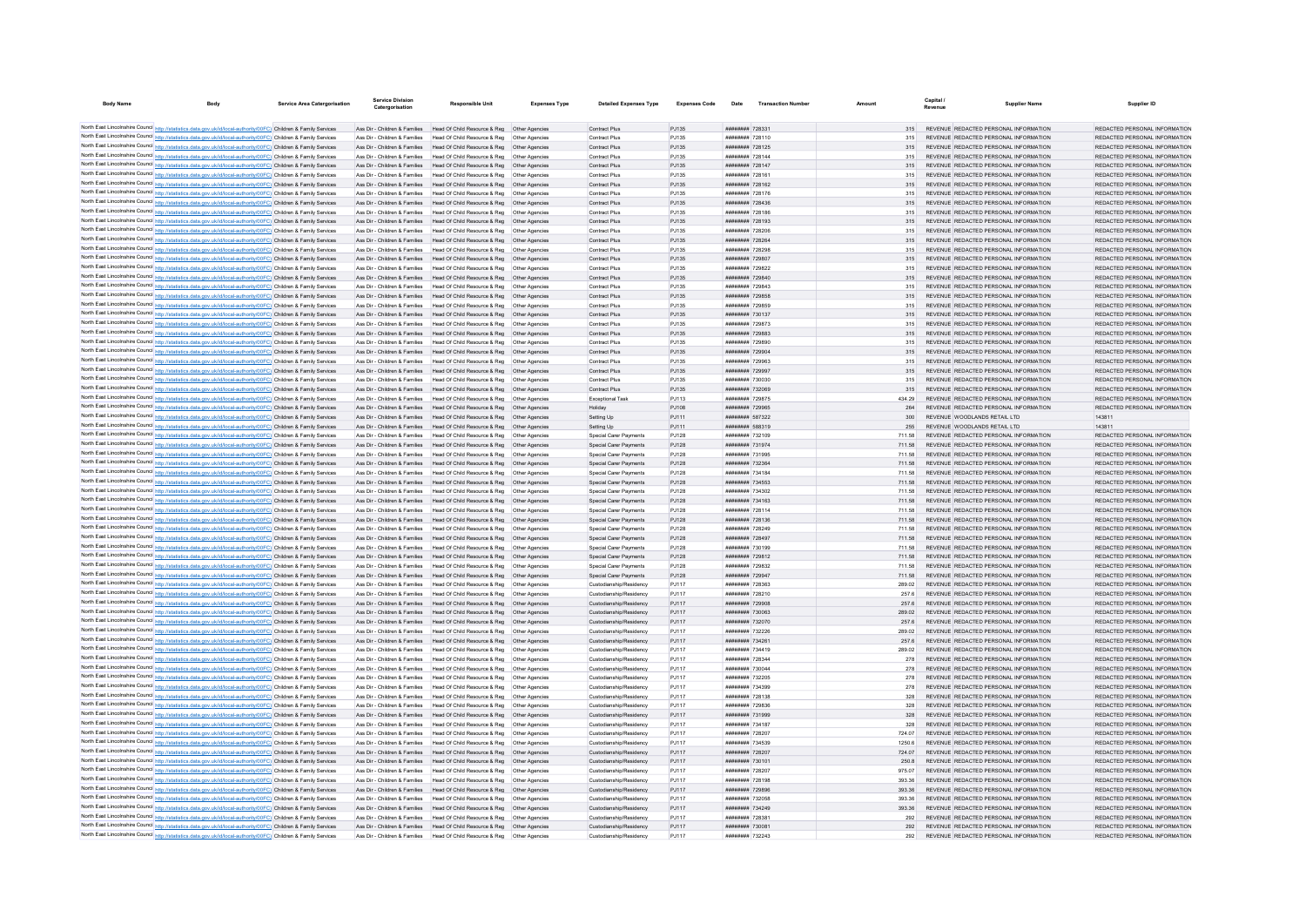| <b>Body Name</b>                                                                                                                                                                                                                       | <b>Service Area Catergorisation</b> | Service Division<br>Catergorisation | <b>Responsible Unit</b>                                                                                                                                 | <b>Expenses Type</b> | <b>Detailed Expenses Type</b>                      | <b>Expenses Code</b> | Date                                            | <b>Transaction Number</b> | Amount           | <b>Pavenue</b> | <b>Supplier Name</b>                                                           | Supplier ID                                                    |
|----------------------------------------------------------------------------------------------------------------------------------------------------------------------------------------------------------------------------------------|-------------------------------------|-------------------------------------|---------------------------------------------------------------------------------------------------------------------------------------------------------|----------------------|----------------------------------------------------|----------------------|-------------------------------------------------|---------------------------|------------------|----------------|--------------------------------------------------------------------------------|----------------------------------------------------------------|
|                                                                                                                                                                                                                                        |                                     |                                     |                                                                                                                                                         |                      |                                                    |                      |                                                 |                           |                  |                |                                                                                |                                                                |
| North East Lincolnshire Council http://statistics.data.gov.uk/id/local-authority/00FC) Children & Family Services                                                                                                                      |                                     |                                     | Ass Dir - Children & Families Head Of Child Resource & Reg Other Agencies                                                                               |                      | Contract Plus                                      | PJ135                | ####### 728331                                  |                           |                  |                | REVENUE REDACTED PERSONAL INFORMATION                                          | REDACTED PERSONAL INFORMATION                                  |
| North East Lincolnshire Council http://statistics.data.gov.uk/id/local-authority/00FC) Children & Family Services                                                                                                                      |                                     |                                     | Ass Dir - Children & Families Head Of Child Resource & Reg Other Agencies                                                                               |                      | Contract Plus                                      | PJ135                | ######## 728110                                 |                           |                  |                | REVENUE REDACTED PERSONAL INFORMATION                                          | REDACTED PERSONAL INFORMATION                                  |
| North East Lincolnshire Council http://statistics.data.gov.uk/id/local-authority/00FC) Children & Family Services                                                                                                                      |                                     |                                     | Ass Dir - Children & Families Head Of Child Resource & Reg Other Agencies                                                                               |                      | Contract Plus                                      | PJ135                | ######## 728125                                 |                           |                  |                | REVENUE REDACTED PERSONAL INFORMATION                                          | REDACTED PERSONAL INFORMATION                                  |
| North East Lincolnshire Council http://statistics.data.gov.uk/id/local-authority/00FC) Children & Family Services                                                                                                                      |                                     |                                     | Ass Dir - Children & Families Head Of Child Resource & Reg. Other Agencies                                                                              |                      | Contract Plus                                      | P.1135               | ######## 728144                                 |                           |                  |                | REVENUE REDACTED PERSONAL INFORMATION                                          | REDACTED PERSONAL INFORMATION                                  |
| North East Lincolnshire Council http://statistics.data.gov.uk/id/local-authority/00FC) Children & Family Services<br>North East Lincolnshire Council http://statistics.data.gov.uk/id/local-authority/00FC) Children & Family Services |                                     |                                     | Ass Dir - Children & Families Head Of Child Resource & Reg Other Agencies<br>Ass Dir - Children & Families Head Of Child Resource & Reg Other Agencies  |                      | Contract Plus<br>Contract Plus                     | PJ135<br>PJ135       | ######## 728147<br>######## 728161              |                           | 315              |                | REVENUE REDACTED PERSONAL INFORMATION<br>REVENUE REDACTED PERSONAL INFORMATION | REDACTED PERSONAL INFORMATION<br>REDACTED PERSONAL INFORMATION |
| North East Lincolnshire Council http://statistics.data.gov.uk/id/local-authority/00FC) Children & Family Services                                                                                                                      |                                     |                                     | Ass Dir - Children & Families Head Of Child Resource & Reg Other Agencies                                                                               |                      | Contract Plus                                      | PJ135                | ######## 728162                                 |                           | 315              |                | REVENUE REDACTED PERSONAL INFORMATION                                          | REDACTED PERSONAL INFORMATION                                  |
| North East Lincolnshire Council http://statistics.data.gov.uk/id/local-authority/00FC) Children & Family Services                                                                                                                      |                                     |                                     | Ass Dir - Children & Families Head Of Child Resource & Reg. Other Agencies                                                                              |                      | Contract Plus                                      | PJ135                | <b>НАПИЛИНИ 728176</b>                          |                           | 315              |                | REVENUE REDACTED PERSONAL INFORMATION                                          | REDACTED PERSONAL INFORMATION                                  |
| North East Lincolnshire Council http://statistics.data.gov.uk/id/local-authority/00FC) Children & Family Services                                                                                                                      |                                     |                                     | Ass Dir - Children & Families Head Of Child Resource & Reg Other Agencies                                                                               |                      | Contract Plus                                      | PJ135                | ######## 728436                                 |                           | 315              |                | REVENUE REDACTED PERSONAL INFORMATION                                          | REDACTED PERSONAL INFORMATION                                  |
| North East Lincolnshire Council http://statistics.data.gov.uk/id/local-authority/00FC) Children & Family Services                                                                                                                      |                                     | Ass Dir - Children & Families       | Head Of Child Resource & Reg   Other Agencies                                                                                                           |                      | Contract Plus                                      | PJ135                | ######## 72818                                  |                           |                  |                | REVENUE REDACTED PERSONAL INFORMATION                                          | REDACTED PERSONAL INFORMATION                                  |
| North East Lincolnshire Council http://statistics.data.gov.uk/id/local-authority/00FC) Children & Family Services                                                                                                                      |                                     |                                     | Ass Dir - Children & Families Head Of Child Resource & Reg Other Agencies                                                                               |                      | Contract Plus                                      | PJ135                | ######## 728193                                 |                           |                  |                | REVENUE REDACTED PERSONAL INFORMATION                                          | REDACTED PERSONAL INFORMATION                                  |
| North East Lincolnshire Council http://statistics.data.gov.uk/id/local-authority/00FC) Children & Family Services                                                                                                                      |                                     |                                     | Ass Dir - Children & Families Head Of Child Resource & Reg Other Agencies                                                                               |                      | Contract Plus                                      | PJ135                | ######## 728206                                 |                           | 315              |                | REVENUE REDACTED PERSONAL INFORMATION                                          | REDACTED PERSONAL INFORMATION                                  |
| North East Lincolnshire Council http://statistics.data.gov.uk/id/local-authority/00FC) Children & Family Services                                                                                                                      |                                     |                                     | Ass Dir - Children & Families Head Of Child Resource & Reg Other Agencies                                                                               |                      | Contract Plus                                      | PJ135                | ######## 728264                                 |                           | 315              |                | REVENUE REDACTED PERSONAL INFORMATION                                          | REDACTED PERSONAL INFORMATION                                  |
| North East Lincolnshire Council http://statistics.data.gov.uk/id/local-authority/00FC) Children & Family Services                                                                                                                      |                                     |                                     | Ass Dir - Children & Families Head Of Child Resource & Reg Other Agencies                                                                               |                      | Contract Plus                                      | PJ135                | ######## 728298                                 |                           |                  |                | 315 REVENUE REDACTED PERSONAL INFORMATION                                      | REDACTED PERSONAL INFORMATION                                  |
| North East Lincolnshire Council http://statistics.data.gov.uk/id/local-authority/00FC) Children & Family Services<br>North East Lincolnshire Council http://statistics.data.gov.uk/id/local-authority/00FC) Children & Family Services |                                     |                                     | Ass Dir - Children & Families Head Of Child Resource & Reg Other Agencies<br>Ass Dir - Children & Families Head Of Child Resource & Reg Other Agencies  |                      | Contract Plus<br>Contract Plus                     | PJ135                | ######## 729807<br>######## 729822              |                           |                  |                | REVENUE REDACTED PERSONAL INFORMATION<br>REVENUE REDACTED PERSONAL INFORMATION | REDACTED PERSONAL INFORMATION<br>REDACTED PERSONAL INFORMATION |
| North East Lincolnshire Council http://statistics.data.gov.uk/id/local-authority/00FC) Children & Family Services                                                                                                                      |                                     |                                     | Ass Dir - Children & Families Head Of Child Resource & Reg Other Agencies                                                                               |                      | Contract Plus                                      | PJ135<br>PJ135       | ######## 729840                                 |                           |                  |                | REVENUE REDACTED PERSONAL INFORMATION                                          | REDACTED PERSONAL INFORMATION                                  |
| North East Lincolnshire Council http://statistics.data.gov.uk/id/local-authority/00FC) Children & Family Services                                                                                                                      |                                     |                                     | Ass Dir - Children & Families Head Of Child Resource & Reg Other Agencies                                                                               |                      | Contract Plus                                      | PJ135                | иннинин 729843                                  |                           |                  |                | REVENUE REDACTED PERSONAL INFORMATION                                          | REDACTED PERSONAL INFORMATION                                  |
| North East Lincolnshire Council http://statistics.data.gov.uk/id/local-authority/00FC) Children & Family Services                                                                                                                      |                                     |                                     | Ass Dir - Children & Families Head Of Child Resource & Reg Other Agencies                                                                               |                      | Contract Plus                                      | PJ135                | ######## 729858                                 |                           |                  |                | REVENUE REDACTED PERSONAL INFORMATION                                          | REDACTED PERSONAL INFORMATION                                  |
| North East Lincolnshire Council http://statistics.data.gov.uk/id/local-authority/00FC) Children & Family Services                                                                                                                      |                                     |                                     | Ass Dir - Children & Families Head Of Child Resource & Reg Other Agencies                                                                               |                      | Contract Plus                                      | PJ135                | ######## 729859                                 |                           |                  |                | REVENUE REDACTED PERSONAL INFORMATION                                          | REDACTED PERSONAL INFORMATION                                  |
| North East Lincolnshire Council http://statistics.data.gov.uk/id/local-authority/00FC) Children & Family Services                                                                                                                      |                                     |                                     | Ass Dir - Children & Families Head Of Child Resource & Reg. Other Agencies                                                                              |                      | Contract Plus                                      | PJ135                | ######## 730137                                 |                           | 315              |                | REVENUE REDACTED PERSONAL INFORMATION                                          | REDACTED PERSONAL INFORMATION                                  |
| North East Lincolnshire Council http://statistics.data.gov.uk/id/local-authority/00FC) Children & Family Services                                                                                                                      |                                     |                                     | Ass Dir - Children & Families Head Of Child Resource & Reg Other Agencies                                                                               |                      | Contract Plus                                      | PJ135                | ####### 729873                                  |                           | 315              |                | REVENUE REDACTED PERSONAL INFORMATION                                          | REDACTED PERSONAL INFORMATION                                  |
| North East Lincolnshire Council http://statistics.data.gov.uk/id/local-authority/00FC) Children & Family Services                                                                                                                      |                                     |                                     | Ass Dir - Children & Families Head Of Child Resource & Reg Other Agencies                                                                               |                      | Contract Plus                                      | PJ135                | ######## 729883                                 |                           |                  |                | REVENUE REDACTED PERSONAL INFORMATION                                          | REDACTED PERSONAL INFORMATION                                  |
| North East Lincolnshire Council http://statistics.data.gov.uk/id/local-authority/00FC) Children & Family Services                                                                                                                      |                                     |                                     | Ass Dir - Children & Families Head Of Child Resource & Reg Other Agencies                                                                               |                      | Contract Plus                                      | PJ135                | ######## 729890                                 |                           | 315              |                | REVENUE REDACTED PERSONAL INFORMATION                                          | REDACTED PERSONAL INFORMATION                                  |
| North East Lincolnshire Council http://statistics.data.gov.uk/id/local-authority/00FC) Children & Family Services                                                                                                                      |                                     |                                     | Ass Dir - Children & Families Head Of Child Resource & Reg. Other Agencies                                                                              |                      | Contract Plus                                      | PJ135                | ######## 729904                                 |                           | 315              |                | REVENUE REDACTED PERSONAL INFORMATION                                          | REDACTED PERSONAL INFORMATION                                  |
| North East Lincolnshire Council http://statistics.data.gov.uk/id/local-authority/00FC) Children & Family Services                                                                                                                      |                                     |                                     | Ass Dir - Children & Families Head Of Child Resource & Reg Other Agencies<br>Ass Dir - Children & Families Head Of Child Resource & Reg Other Agencies  |                      | Contract Plus<br>Contract Plus                     | PJ135                | ######## 729963<br>######## 729997              |                           | 315              |                | REVENUE REDACTED PERSONAL INFORMATION<br>REVENUE REDACTED PERSONAL INFORMATION | REDACTED PERSONAL INFORMATION<br>REDACTED PERSONAL INFORMATION |
| North East Lincolnshire Council http://statistics.data.gov.uk/id/local-authority/00FC) Children & Family Services<br>North East Lincolnshire Council http://statistics.data.gov.uk/id/local-authority/00FC) Children & Family Services |                                     |                                     | Ass Dir - Children & Families Head Of Child Resource & Reg Other Agencies                                                                               |                      | Contract Plus                                      | PJ135<br>PJ135       | ######## 730030                                 |                           | 315              |                | REVENUE REDACTED PERSONAL INFORMATION                                          | REDACTED PERSONAL INFORMATION                                  |
| North East Lincolnshire Council http://statistics.data.gov.uk/id/local-authority/00FC) Children & Family Services                                                                                                                      |                                     |                                     | Ass Dir - Children & Families Head Of Child Resource & Reg Other Agencies                                                                               |                      | Contract Plus                                      | PJ135                | ######## 732069                                 |                           | 315              |                | REVENUE REDACTED PERSONAL INFORMATION                                          | REDACTED PERSONAL INFORMATION                                  |
| North East Lincolnshire Council http://statistics.data.gov.uk/id/local-authority/00FC) Children & Family Services                                                                                                                      |                                     |                                     | Ass Dir - Children & Families Head Of Child Resource & Reg Other Agencies                                                                               |                      | Exceptional Task                                   | PJ113                | ######## 729875                                 |                           |                  |                | 434.29 REVENUE REDACTED PERSONAL INFORMATION                                   | REDACTED PERSONAL INFORMATION                                  |
| North East Lincolnshire Council http://statistics.data.gov.uk/id/local-authority/00FC) Children & Family Services                                                                                                                      |                                     |                                     | Ass Dir - Children & Families Head Of Child Resource & Reg Other Agencies                                                                               |                      | Holiday                                            | PJ108                | ######## 729965                                 |                           | 264              |                | REVENUE REDACTED PERSONAL INFORMATION                                          | REDACTED PERSONAL INFORMATION                                  |
| North East Lincolnshire Council http://statistics.data.gov.uk/id/local-authority/00FC) Children & Family Services                                                                                                                      |                                     |                                     | Ass Dir - Children & Families Head Of Child Resource & Reg Other Agencies                                                                               |                      | Setting Up                                         | PJ111                | ######## 587322                                 |                           | 300              |                | REVENUE WOODLANDS RETAIL LTD                                                   | 143811                                                         |
| North East Lincolnshire Council http://statistics.data.gov.uk/id/local-authority/00FC) Children & Family Services                                                                                                                      |                                     |                                     | Ass Dir - Children & Families Head Of Child Resource & Reg Other Agencies                                                                               |                      | Setting Up                                         | PJ111                | ######## 588319                                 |                           | 255              |                | REVENUE WOODLANDS RETAIL LTD                                                   | 143811                                                         |
| North East Lincolnshire Council http://statistics.data.gov.uk/id/local-authority/00FC) Children & Family Services                                                                                                                      |                                     |                                     | Ass Dir - Children & Families Head Of Child Resource & Reg. Other Agencies                                                                              |                      | Special Carer Payments                             | PJ128                | ######## 732109                                 |                           | 711.58           |                | REVENUE REDACTED PERSONAL INFORMATION                                          | REDACTED PERSONAL INFORMATION                                  |
| North East Lincolnshire Council http://statistics.data.gov.uk/id/local-authority/00FC) Children & Family Services                                                                                                                      |                                     |                                     | Ass Dir - Children & Families Head Of Child Resource & Reg Other Agencies                                                                               |                      | Special Carer Payments                             | PJ128                | ######## 731974                                 |                           | 711.58           |                | REVENUE REDACTED PERSONAL INFORMATION                                          | REDACTED PERSONAL INFORMATION                                  |
| North East Lincolnshire Council http://statistics.data.gov.uk/id/local-authority/00FC) Children & Family Services                                                                                                                      |                                     |                                     | Ass Dir - Children & Families Head Of Child Resource & Reg Other Agencies                                                                               |                      | Special Carer Payments                             | PJ128                | ######## 73199                                  |                           |                  |                | REVENUE REDACTED PERSONAL INFORMATION                                          | REDACTED PERSONAL INFORMATION                                  |
| North East Lincolnshire Council http://statistics.data.gov.uk/id/local-authority/00FC) Children & Family Services                                                                                                                      |                                     |                                     | Ass Dir - Children & Families Head Of Child Resource & Reg Other Agencies                                                                               |                      | Special Carer Payments                             | PJ128                | ######## 732364                                 |                           | 711.58           |                | REVENUE REDACTED PERSONAL INFORMATION                                          | REDACTED PERSONAL INFORMATION                                  |
| North East Lincolnshire Council http://statistics.data.gov.uk/id/local-authority/00FC) Children & Family Services                                                                                                                      |                                     |                                     | Ass Dir - Children & Families Head Of Child Resource & Reg. Other Agencies<br>Ass Dir - Children & Families Head Of Child Resource & Reg Other Agencies |                      | Special Carer Payments                             | PJ128                | <b><i>BREERER 734184</i></b><br>######## 734553 |                           | 711.58           |                | REVENUE REDACTED PERSONAL INFORMATION<br>REVENUE REDACTED PERSONAL INFORMATION | REDACTED PERSONAL INFORMATION<br>REDACTED PERSONAL INFORMATION |
| North East Lincolnshire Council http://statistics.data.gov.uk/id/local-authority/00FC) Children & Family Services<br>North East Lincolnshire Council http://statistics.data.gov.uk/id/local-authority/00FC) Children & Family Services |                                     |                                     | Ass Dir - Children & Families Head Of Child Resource & Reg Other Agencies                                                                               |                      | Special Carer Payments<br>Special Carer Payments   | PJ128<br>PJ128       | ######## 734302                                 |                           | 711.58<br>711.58 |                | REVENUE REDACTED PERSONAL INFORMATION                                          | REDACTED PERSONAL INFORMATION                                  |
| North East Lincolnshire Council http://statistics.data.gov.uk/id/local-authority/00FC) Children & Family Services                                                                                                                      |                                     |                                     | Ass Dir - Children & Families Head Of Child Resource & Reg Other Agencies                                                                               |                      | Special Carer Payments                             | PJ128                | ####### 734163                                  |                           | 711.58           |                | REVENUE REDACTED PERSONAL INFORMATION                                          | REDACTED PERSONAL INFORMATION                                  |
| North East Lincolnshire Council http://statistics.data.gov.uk/id/local-authority/00FC) Children & Family Services                                                                                                                      |                                     |                                     | Ass Dir - Children & Families Head Of Child Resource & Reg Other Agencies                                                                               |                      | Special Carer Payments                             | PJ128                | ######## 728114                                 |                           | 711.58           |                | REVENUE REDACTED PERSONAL INFORMATION                                          | REDACTED PERSONAL INFORMATION                                  |
| North East Lincolnshire Council http://statistics.data.gov.uk/id/local-authority/00FC) Children & Family Services                                                                                                                      |                                     |                                     | Ass Dir - Children & Families Head Of Child Resource & Reg Other Agencies                                                                               |                      | Special Carer Payments                             | PJ128                | ######## 728136                                 |                           | 711.58           |                | REVENUE REDACTED PERSONAL INFORMATION                                          | REDACTED PERSONAL INFORMATION                                  |
| North East Lincolnshire Council http://statistics.data.gov.uk/id/local-authority/00FC) Children & Family Services                                                                                                                      |                                     |                                     | Ass Dir - Children & Families Head Of Child Resource & Reg Other Agencies                                                                               |                      | Special Carer Payments                             | PJ128                | ######## 728249                                 |                           | 711.58           |                | REVENUE REDACTED PERSONAL INFORMATION                                          | REDACTED PERSONAL INFORMATION                                  |
| North East Lincolnshire Council http://statistics.data.gov.uk/id/local-authority/00FC) Children & Family Services                                                                                                                      |                                     |                                     | Ass Dir - Children & Families Head Of Child Resource & Reg Other Agencies                                                                               |                      | Special Carer Payments                             | PJ128                | ######## 728497                                 |                           | 711.58           |                | REVENUE REDACTED PERSONAL INFORMATION                                          | REDACTED PERSONAL INFORMATION                                  |
| North East Lincolnshire Council http://statistics.data.gov.uk/id/local-authority/00FC) Children & Family Services                                                                                                                      |                                     |                                     | Ass Dir - Children & Families Head Of Child Resource & Reg Other Agencies                                                                               |                      | Special Carer Payments                             | PJ128                | <b><i>BREERER 730199</i></b>                    |                           | 711.58           |                | REVENUE REDACTED PERSONAL INFORMATION                                          | REDACTED PERSONAL INFORMATION                                  |
| North East Lincolnshire Council http://statistics.data.gov.uk/id/local-authority/00FC) Children & Family Services                                                                                                                      |                                     |                                     | Ass Dir - Children & Families Head Of Child Resource & Reg. Other Agencies                                                                              |                      | Special Carer Payments                             | PJ128                | ######## 729812                                 |                           | 711.58           |                | REVENUE REDACTED PERSONAL INFORMATION                                          | REDACTED PERSONAL INFORMATION                                  |
| North East Lincolnshire Council http://statistics.data.gov.uk/id/local-authority/00FC) Children & Family Services                                                                                                                      |                                     |                                     | Ass Dir - Children & Families Head Of Child Resource & Reg Other Agencies                                                                               |                      | Special Carer Payments                             | PJ128                | ######## 729832                                 |                           | 711.58           |                | REVENUE REDACTED PERSONAL INFORMATION                                          | REDACTED PERSONAL INFORMATION                                  |
| North East Lincolnshire Council http://statistics.data.gov.uk/id/local-authority/00FC) Children & Family Services<br>North East Lincolnshire Council http://statistics.data.gov.uk/id/local-authority/00FC) Children & Family Services |                                     |                                     | Ass Dir - Children & Families Head Of Child Resource & Reg Other Agencies                                                                               |                      | Special Carer Payments<br>Custodianship/Residency  | PJ128                | ######## 729947<br>######## 728363              |                           | 289.02           |                | REVENUE REDACTED PERSONAL INFORMATION<br>REVENUE REDACTED PERSONAL INFORMATION | REDACTED PERSONAL INFORMATION<br>REDACTED PERSONAL INFORMATION |
| North East Lincolnshire Council http://statistics.data.gov.uk/id/local-authority/00FC) Children & Family Services                                                                                                                      |                                     |                                     | Ass Dir - Children & Families Head Of Child Resource & Reg Other Agencies<br>Ass Dir - Children & Families Head Of Child Resource & Reg Other Agencies  |                      | Custodianship/Residency                            | PJ117<br>P.1117      | ######## 728210                                 |                           | 257.6            |                | REVENUE REDACTED PERSONAL INFORMATION                                          | REDACTED PERSONAL INFORMATION                                  |
| North East Lincolnshire Council http://statistics.data.gov.uk/id/local-authority/00FC) Children & Family Services                                                                                                                      |                                     |                                     | Ass Dir - Children & Families Head Of Child Resource & Reg Other Agencies                                                                               |                      | Custodianship/Residency                            | PJ117                | ######## 729908                                 |                           | 257.6            |                | REVENUE REDACTED PERSONAL INFORMATION                                          | REDACTED PERSONAL INFORMATION                                  |
| North East Lincolnshire Council http://statistics.data.gov.uk/id/local-authority/00FC) Children & Family Services                                                                                                                      |                                     |                                     | Ass Dir - Children & Families Head Of Child Resource & Reg Other Agencies                                                                               |                      | Custodianship/Residency                            | PJ117                | ######## 730063                                 |                           |                  |                | REVENUE REDACTED PERSONAL INFORMATION                                          | REDACTED PERSONAL INFORMATION                                  |
| North East Lincolnshire Council http://statistics.data.gov.uk/id/local-authority/00FC) Children & Family Services                                                                                                                      |                                     |                                     | Ass Dir - Children & Families Head Of Child Resource & Reg Other Agencies                                                                               |                      | Custodianship/Residency                            | PJ117                | ######## 732070                                 |                           | 257.6            |                | REVENUE REDACTED PERSONAL INFORMATION                                          | REDACTED PERSONAL INFORMATION                                  |
| North East Lincolnshire Council http://statistics.data.gov.uk/id/local-authority/00FC) Children & Family Services                                                                                                                      |                                     |                                     | Ass Dir - Children & Families Head Of Child Resource & Reg. Other Agencies                                                                              |                      | Custodianship/Residency                            | P.1117               | ######## 732226                                 |                           | 289.02           |                | REVENUE REDACTED PERSONAL INFORMATION                                          | REDACTED PERSONAL INFORMATION                                  |
| North East Lincolnshire Council http://statistics.data.gov.uk/id/local-authority/00FC) Children & Family Services                                                                                                                      |                                     |                                     | Ass Dir - Children & Families Head Of Child Resource & Reg Other Agencies                                                                               |                      | Custodianship/Residency                            | PJ117                | ######## 734261                                 |                           | 257.6            |                | REVENUE REDACTED PERSONAL INFORMATION                                          | REDACTED PERSONAL INFORMATION                                  |
| North East Lincolnshire Council http://statistics.data.gov.uk/id/local-authority/00FC) Children & Family Services                                                                                                                      |                                     |                                     | Ass Dir - Children & Families Head Of Child Resource & Reg Other Agencies                                                                               |                      | Custodianship/Residency                            | PJ117                | ######## 734419                                 |                           | 289.02           |                | REVENUE REDACTED PERSONAL INFORMATION                                          | REDACTED PERSONAL INFORMATION                                  |
| North East Lincolnshire Council http://statistics.data.gov.uk/id/local-authority/00FC) Children & Family Services                                                                                                                      |                                     |                                     | Ass Dir - Children & Families Head Of Child Resource & Reg Other Agencies                                                                               |                      | Custodianship/Residency                            | PJ117                | ####### 728344                                  |                           | 278              |                | REVENUE REDACTED PERSONAL INFORMATION                                          | REDACTED PERSONAL INFORMATION                                  |
| North East Lincolnshire Council http://statistics.data.gov.uk/id/local-authority/00FC) Children & Family Services                                                                                                                      |                                     |                                     | Ass Dir - Children & Families Head Of Child Resource & Reg Other Agencies                                                                               |                      | Custodianship/Residency                            | PJ117                | ######## 730044                                 |                           | 278              |                | REVENUE REDACTED PERSONAL INFORMATION                                          | REDACTED PERSONAL INFORMATION                                  |
| North East Lincolnshire Council http://statistics.data.gov.uk/id/local-authority/00FC) Children & Family Services                                                                                                                      |                                     |                                     | Ass Dir - Children & Families Head Of Child Resource & Reg Other Agencies                                                                               |                      | Custodianship/Residency                            | PJ117                | ######## 732205                                 |                           | 278              |                | REVENUE REDACTED PERSONAL INFORMATION                                          | REDACTED PERSONAL INFORMATION                                  |
| North East Lincolnshire Council http://statistics.data.gov.uk/id/local-authority/00FC) Children & Family Services                                                                                                                      |                                     |                                     | Ass Dir - Children & Families Head Of Child Resource & Reg Other Agencies                                                                               |                      | Custodianship/Residency                            | PJ117                | ######## 734399                                 |                           | 278<br>328       |                | REVENUE REDACTED PERSONAL INFORMATION                                          | REDACTED PERSONAL INFORMATION                                  |
| North East Lincolnshire Council http://statistics.data.gov.uk/id/local-authority/00FC) Children & Family Services<br>North East Lincolnshire Council http://statistics.data.gov.uk/id/local-authority/00FC) Children & Family Services |                                     |                                     | Ass Dir - Children & Families Head Of Child Resource & Reg Other Agencies<br>Ass Dir - Children & Families Head Of Child Resource & Reg Other Agencies  |                      | Custodianship/Residency<br>Custodianship/Residency | PJ117<br>PJ117       | ######## 728138<br>######## 729836              |                           | 328              |                | REVENUE REDACTED PERSONAL INFORMATION<br>REVENUE REDACTED PERSONAL INFORMATION | REDACTED PERSONAL INFORMATION<br>REDACTED PERSONAL INFORMATION |
| North East Lincolnshire Council http://statistics.data.gov.uk/id/local-authority/00FC) Children & Family Services                                                                                                                      |                                     |                                     | Ass Dir - Children & Families Head Of Child Resource & Reg. Other Agencies                                                                              |                      | Custodianship/Residency                            | PJ117                | ######## 731999                                 |                           | 328              |                | REVENUE REDACTED PERSONAL INFORMATION                                          | REDACTED PERSONAL INFORMATION                                  |
| North East Lincolnshire Council http://statistics.data.gov.uk/id/local-authority/00FC) Children & Family Services                                                                                                                      |                                     |                                     | Ass Dir - Children & Families Head Of Child Resource & Reg Other Agencies                                                                               |                      | Custodianship/Residency                            | PJ117                | ######## 734187                                 |                           | 328              |                | REVENUE REDACTED PERSONAL INFORMATION                                          | REDACTED PERSONAL INFORMATION                                  |
| North East Lincolnshire Council http://statistics.data.gov.uk/id/local-authority/00FC) Children & Family Services                                                                                                                      |                                     |                                     | Ass Dir - Children & Families Head Of Child Resource & Reg Other Agencies                                                                               |                      | Custodianship/Residency                            | PJ117                | ######## 728207                                 |                           |                  |                | REVENUE REDACTED PERSONAL INFORMATION                                          | REDACTED PERSONAL INFORMATION                                  |
| North East Lincolnshire Council http://statistics.data.gov.uk/id/local-authority/00FC) Children & Family Services                                                                                                                      |                                     |                                     | Ass Dir - Children & Families   Head Of Child Resource & Reg   Other Agencies                                                                           |                      | Custodianship/Residency                            | PJ117                | ######## 734539                                 |                           | 1250.6           |                | REVENUE REDACTED PERSONAL INFORMATION                                          | REDACTED PERSONAL INFORMATION                                  |
| North East Lincolnshire Council http://statistics.data.gov.uk/id/local-authority/00FC) Children & Family Services                                                                                                                      |                                     |                                     | Ass Dir - Children & Families Head Of Child Resource & Reg Other Agencies                                                                               |                      | Custodianship/Residency                            | PJ117                | ######## 728207                                 |                           | 724.07           |                | REVENUE REDACTED PERSONAL INFORMATION                                          | REDACTED PERSONAL INFORMATION                                  |
| North East Lincolnshire Council http://statistics.data.gov.uk/id/local-authority/00FC) Children & Family Services                                                                                                                      |                                     |                                     | Ass Dir - Children & Families Head Of Child Resource & Reg Other Agencies                                                                               |                      | Custodianship/Residency                            | PJ117                | ######## 730101                                 |                           | 250.8            |                | REVENUE REDACTED PERSONAL INFORMATION                                          | REDACTED PERSONAL INFORMATION                                  |
| North East Lincolnshire Council http://statistics.data.gov.uk/id/local-authority/00FC) Children & Family Services                                                                                                                      |                                     |                                     | Ass Dir - Children & Families Head Of Child Resource & Reg Other Agencies                                                                               |                      | Custodianship/Residency                            | PJ117                | ######## 728207                                 |                           | 975.07           |                | REVENUE REDACTED PERSONAL INFORMATION                                          | REDACTED PERSONAL INFORMATION                                  |
| North East Lincolnshire Council http://statistics.data.gov.uk/id/local-authority/00FC) Children & Family Services                                                                                                                      |                                     |                                     | Ass Dir - Children & Families Head Of Child Resource & Reg Other Agencies                                                                               |                      | Custodianship/Residency                            | PJ117                | ######## 728198                                 |                           | 393.36           |                | REVENUE REDACTED PERSONAL INFORMATION                                          | REDACTED PERSONAL INFORMATION                                  |
| North East Lincolnshire Council http://statistics.data.gov.uk/id/local-authority/00FC) Children & Family Services                                                                                                                      |                                     |                                     | Ass Dir - Children & Families Head Of Child Resource & Reg Other Agencies                                                                               |                      | Custodianship/Residency                            | PJ117                | ######## 729896                                 |                           | 393.36           |                | REVENUE REDACTED PERSONAL INFORMATION                                          | REDACTED PERSONAL INFORMATION                                  |
| North East Lincolnshire Council http://statistics.data.gov.uk/id/local-authority/00FC) Children & Family Services                                                                                                                      |                                     |                                     | Ass Dir - Children & Families Head Of Child Resource & Reg Other Agencies                                                                               |                      | Custodianship/Residency                            | PJ117                | ######## 732058                                 |                           | 393.36           |                | REVENUE REDACTED PERSONAL INFORMATION                                          | REDACTED PERSONAL INFORMATION                                  |
| North East Lincolnshire Council http://statistics.data.gov.uk/id/local-authority/00FC) Children & Family Services<br>North East Lincolnshire Council http://statistics.data.gov.uk/id/local-authority/00FC) Children & Family Services |                                     |                                     | Ass Dir - Children & Families Head Of Child Resource & Reg Other Agencies<br>Ass Dir - Children & Families Head Of Child Resource & Reg Other Agencies  |                      | Custodianship/Residency<br>Custodianship/Residency | PJ117<br>PJ117       | ######## 734249<br>######## 72838               |                           | 393.36<br>292    |                | REVENUE REDACTED PERSONAL INFORMATION<br>REVENUE REDACTED PERSONAL INFORMATION | REDACTED PERSONAL INFORMATION<br>REDACTED PERSONAL INFORMATION |
| North East Lincolnshire Council http://statistics.data.gov.uk/id/local-authority/00FC) Children & Family Services                                                                                                                      |                                     |                                     | Ass Dir - Children & Families Head Of Child Resource & Reg Other Agencies                                                                               |                      | Custodianship/Residency                            | PJ117                | ######## 730081                                 |                           | 292              |                | REVENUE REDACTED PERSONAL INFORMATION                                          | REDACTED PERSONAL INFORMATION                                  |
| North East Lincolnshire Council http://statistics.data.gov.uk/id/local-authority/00FC) Children & Family Services                                                                                                                      |                                     |                                     | Ass Dir - Children & Families Head Of Child Resource & Reg Other Agencies                                                                               |                      | Custodianship/Residency                            | P.1117               | <b>ининнин</b> 732243                           |                           | 292              |                | REVENUE REDACTED PERSONAL INFORMATION                                          | REDACTED PERSONAL INFORMATION                                  |
|                                                                                                                                                                                                                                        |                                     |                                     |                                                                                                                                                         |                      |                                                    |                      |                                                 |                           |                  |                |                                                                                |                                                                |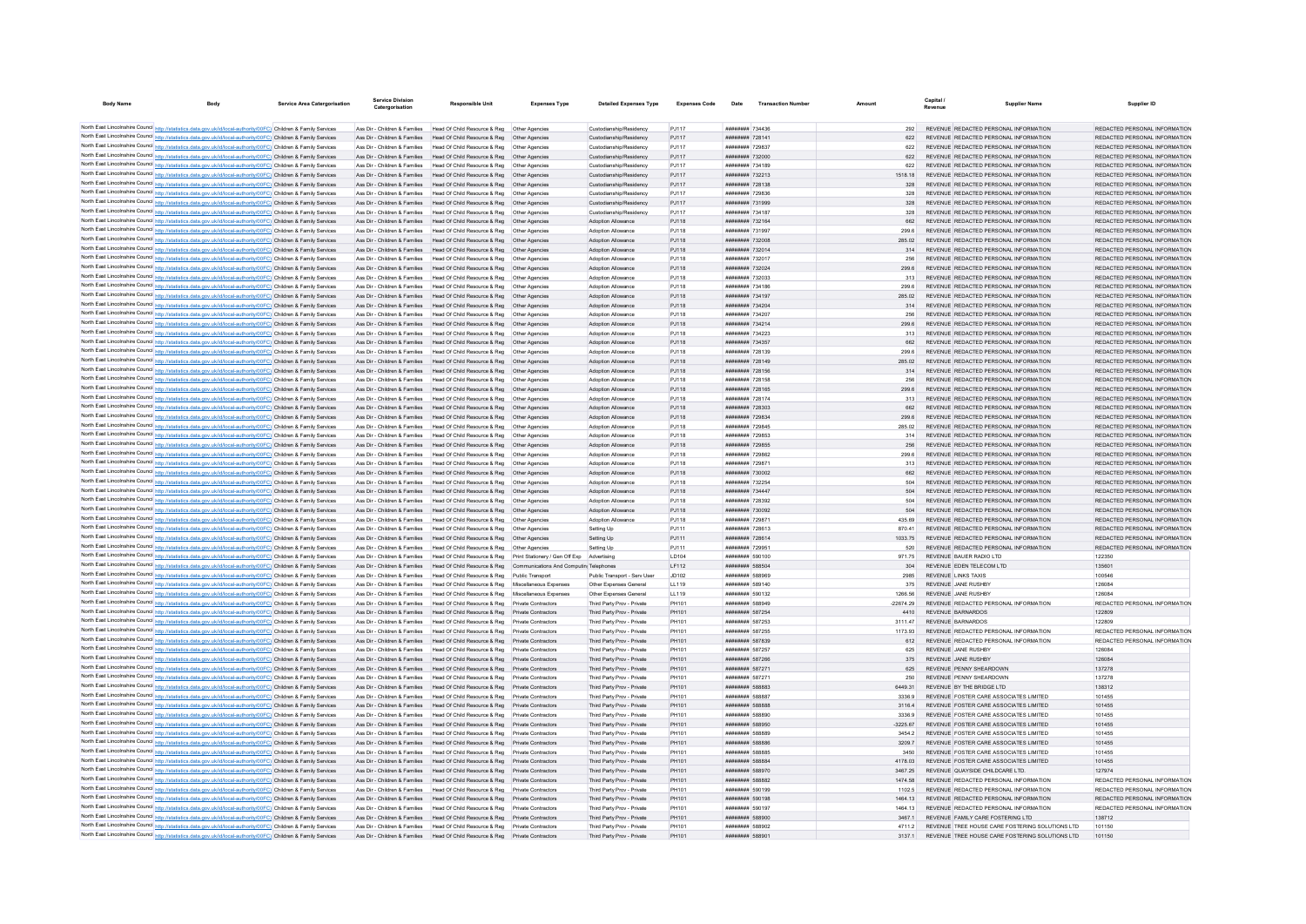| <b>Body Name</b>                                                                                                                                                                                                                       | <b>Service Area Catergorisation</b> | <b>Service Division</b><br>Catergorisation | <b>Responsible Unit</b>                                                                                                                                | <b>Expenses Type</b> | <b>Detailed Expenses Type</b>            | <b>Expenses Code</b> | Date                                           | <b>Transaction Number</b> |                    | Revenue                 | <b>Supplier Name</b>                                                                  | Supplier ID                                                    |
|----------------------------------------------------------------------------------------------------------------------------------------------------------------------------------------------------------------------------------------|-------------------------------------|--------------------------------------------|--------------------------------------------------------------------------------------------------------------------------------------------------------|----------------------|------------------------------------------|----------------------|------------------------------------------------|---------------------------|--------------------|-------------------------|---------------------------------------------------------------------------------------|----------------------------------------------------------------|
|                                                                                                                                                                                                                                        |                                     |                                            |                                                                                                                                                        |                      |                                          |                      |                                                |                           |                    |                         |                                                                                       |                                                                |
| North East Lincolnshire Council http://statistics.data.gov.uk/id/local-authority/00FC) Children & Family Services                                                                                                                      |                                     |                                            | Ass Dir - Children & Families Head Of Child Resource & Reg Other Agencies                                                                              |                      | Custodianship/Residency                  | PJ117                | ######## 734436                                |                           | 292                |                         | REVENUE REDACTED PERSONAL INFORMATION                                                 | REDACTED PERSONAL INFORMATION                                  |
| North East Lincolnshire Council http://statistics.data.gov.uk/id/local-authority/00FC) Children & Family Services                                                                                                                      |                                     |                                            | Ass Dir - Children & Families Head Of Child Resource & Reg                                                                                             |                      | Custodianship/Residency                  | PJ117                | ######## 728141                                |                           | 622                |                         | REVENUE REDACTED PERSONAL INFORMATION                                                 | REDACTED PERSONAL INFORMATION                                  |
| North East Lincolnshire Council http://statistics.data.gov.uk/id/local-authority/00FC) Children & Family Services                                                                                                                      |                                     |                                            | Ass Dir - Children & Families Head Of Child Resource & Reg                                                                                             | Other Agencies       | Custodianship/Residency                  | PJ117                | ######## 729837                                |                           | 622                |                         | REVENUE REDACTED PERSONAL INFORMATION                                                 | REDACTED PERSONAL INFORMATION                                  |
| North East Lincolnshire Council http://statistics.data.gov.uk/id/local-authority/00FC) Children & Family Services                                                                                                                      |                                     |                                            | Ass Dir - Children & Families Head Of Child Resource & Reg Other Agencies                                                                              |                      | Custodianship/Residency                  | PJ117                | ######## 732000                                |                           | 622                |                         | REVENUE REDACTED PERSONAL INFORMATION                                                 | REDACTED PERSONAL INFORMATION                                  |
| North East Lincolnshire Council http://statistics.data.gov.uk/id/local-authority/00FC) Children & Family Services                                                                                                                      |                                     |                                            | Ass Dir - Children & Families Head Of Child Resource & Reg Other Agencies                                                                              |                      | Custodianship/Residency                  | PJ117                | ######## 734189                                |                           | 622                |                         | REVENUE REDACTED PERSONAL INFORMATION                                                 | REDACTED PERSONAL INFORMATION                                  |
| North East Lincolnshire Council http://statistics.data.gov.uk/id/local-authority/00FC) Children & Family Services                                                                                                                      |                                     | Ass Dir - Children & Families              | Head Of Child Resource & Reg   Other Agencies                                                                                                          |                      | Custodianship/Residency                  | PJ117                | ######## 732213                                |                           | 1518.18            |                         | REVENUE REDACTED PERSONAL INFORMATION                                                 | REDACTED PERSONAL INFORMATION                                  |
| North East Lincolnshire Council http://statistics.data.gov.uk/id/local-authority/00FC) Children & Family Services                                                                                                                      |                                     | Ass Dir - Children & Families              | Head Of Child Resource & Reg  Other Agencies                                                                                                           |                      | Custodianship/Residency                  | PJ117                | ######## 728138                                |                           | 328                |                         | REVENUE REDACTED PERSONAL INFORMATION                                                 | REDACTED PERSONAL INFORMATION                                  |
| North East Lincolnshire Council http://statistics.data.gov.uk/id/local-authority/00FC) Children & Family Services                                                                                                                      |                                     | Ass Dir - Children & Families              | Head Of Child Resource & Reg. Other Agencies                                                                                                           |                      | Custodianship/Residency                  | P.1117               | ######## 729836                                |                           | 328                |                         | REVENUE REDACTED PERSONAL INFORMATION                                                 | REDACTED PERSONAL INFORMATION                                  |
| North East Lincolnshire Council http://statistics.data.gov.uk/id/local-authority/00FC) Children & Family Services                                                                                                                      |                                     | Ass Dir - Children & Families              | Head Of Child Resource & Reg   Other Agencies                                                                                                          |                      | Custodianship/Residency                  | PJ117                | ######## 731999                                |                           | 328                |                         | REVENUE REDACTED PERSONAL INFORMATION                                                 | REDACTED PERSONAL INFORMATION                                  |
| North East Lincolnshire Council http://statistics.data.gov.uk/id/local-authority/00FC) Children & Family Services                                                                                                                      |                                     | Ass Dir - Children & Families              | Head Of Child Resource & Reg                                                                                                                           | Other Agencie        | Custodianship/Residency                  | PJ117                | ######## 73418                                 |                           | 328                |                         | REVENUE REDACTED PERSONAL INFORMATION                                                 | REDACTED PERSONAL INFORMATION                                  |
| North East Lincolnshire Council http://statistics.data.gov.uk/id/local-authority/00FC) Children & Family Services                                                                                                                      |                                     | Ass Dir - Children & Families              | Head Of Child Resource & Reg                                                                                                                           | Other Agencies       | Adoption Allowance                       | PJ118                | ######## 732164                                |                           | 662                |                         | REVENUE REDACTED PERSONAL INFORMATION                                                 | REDACTED PERSONAL INFORMATION                                  |
| North East Lincolnshire Council http://statistics.data.gov.uk/id/local-authority/00FC) Children & Family Services                                                                                                                      |                                     |                                            | Ass Dir - Children & Families Head Of Child Resource & Reg. Other Agencies                                                                             |                      | Adoption Allowance                       | PJ118                | ######## 731997                                |                           | 299.6              |                         | REVENUE REDACTED PERSONAL INFORMATION                                                 | REDACTED PERSONAL INFORMATION                                  |
| North East Lincolnshire Council http://statistics.data.gov.uk/id/local-authority/00FC) Children & Family Services                                                                                                                      |                                     |                                            | Ass Dir - Children & Families Head Of Child Resource & Reg Other Agencies                                                                              |                      | Adoption Allowance                       | PJ118                | ######## 732008                                |                           | 285.02             |                         | REVENUE REDACTED PERSONAL INFORMATION                                                 | REDACTED PERSONAL INFORMATION                                  |
| North East Lincolnshire Council http://statistics.data.gov.uk/id/local-authority/00FC) Children & Family Services                                                                                                                      |                                     |                                            | Ass Dir - Children & Families Head Of Child Resource & Reg Other Agencies                                                                              |                      | Adoption Allowance                       | PJ118                | ######## 732014                                |                           |                    |                         | REVENUE REDACTED PERSONAL INFORMATION                                                 | REDACTED PERSONAL INFORMATION                                  |
| North East Lincolnshire Council http://statistics.data.gov.uk/id/local-authority/00FC) Children & Family Services                                                                                                                      |                                     | Ass Dir - Children & Families              | Head Of Child Resource & Reg   Other Agencies                                                                                                          |                      | Adoption Allowance                       | PJ118                | ######## 732017                                |                           | 299.6              |                         | REVENUE REDACTED PERSONAL INFORMATION                                                 | REDACTED PERSONAL INFORMATION                                  |
| North East Lincolnshire Council http://statistics.data.gov.uk/id/local-authority/00FC) Children & Family Services                                                                                                                      |                                     |                                            | Ass Dir - Children & Families Head Of Child Resource & Reg Other Agencies<br>Ass Dir - Children & Families Head Of Child Resource & Reg Other Agencies |                      | Adoption Allowance                       | PJ118                | ######## 732024<br>######## 732033             |                           | 313                |                         | REVENUE REDACTED PERSONAL INFORMATION<br>REVENUE REDACTED PERSONAL INFORMATION        | REDACTED PERSONAL INFORMATION<br>REDACTED PERSONAL INFORMATION |
| North East Lincolnshire Council http://statistics.data.gov.uk/id/local-authority/00FC) Children & Family Services<br>North East Lincolnshire Council http://statistics.data.gov.uk/id/local-authority/00FC) Children & Family Services |                                     | Ass Dir - Children & Families              | Head Of Child Resource & Reg  Other Agencies                                                                                                           |                      | Adoption Allowance<br>Adoption Allowance | PJ118<br>PJ118       | ######## 734186                                |                           | 299.6              |                         | REVENUE REDACTED PERSONAL INFORMATION                                                 | REDACTED PERSONAL INFORMATION                                  |
| North East Lincolnshire Council http://statistics.data.gov.uk/id/local-authority/00FC) Children & Family Services                                                                                                                      |                                     | Ass Dir - Children & Families              | Head Of Child Resource & Reg                                                                                                                           |                      | Adoption Allowance                       | PJ118                | ######## 734197                                |                           | 285.02             |                         | REVENUE REDACTED PERSONAL INFORMATION                                                 | REDACTED PERSONAL INFORMATION                                  |
| North East Lincolnshire Council http://statistics.data.gov.uk/id/local-authority/00FC) Children & Family Services                                                                                                                      |                                     | Ass Dir - Children & Families              | Head Of Child Resource & Reg                                                                                                                           | Other Agencies       | Adoption Allowance                       | PJ118                | ######## 734204                                |                           | 314                |                         | REVENUE REDACTED PERSONAL INFORMATION                                                 | REDACTED PERSONAL INFORMATION                                  |
| North East Lincolnshire Council http://statistics.data.gov.uk/id/local-authority/00FC) Children & Family Services                                                                                                                      |                                     |                                            | Ass Dir - Children & Families Head Of Child Resource & Reg Other Agencies                                                                              |                      | Adoption Allowance                       | PJ118                | ######## 734207                                |                           | 256                |                         | REVENUE REDACTED PERSONAL INFORMATION                                                 | REDACTED PERSONAL INFORMATION                                  |
| North East Lincolnshire Council http://statistics.data.gov.uk/id/local-authority/00FC) Children & Family Services                                                                                                                      |                                     |                                            | Ass Dir - Children & Families Head Of Child Resource & Reg Other Agencies                                                                              |                      | Adoption Allowance                       | PJ118                | ######## 734214                                |                           | 299.6              |                         | REVENUE REDACTED PERSONAL INFORMATION                                                 | REDACTED PERSONAL INFORMATION                                  |
| North East Lincolnshire Council http://statistics.data.gov.uk/id/local-authority/00FC) Children & Family Services                                                                                                                      |                                     | Ass Dir - Children & Families              | Head Of Child Resource & Reg   Other Agencies                                                                                                          |                      | Adoption Allowance                       | PJ118                | ######## 734223                                |                           |                    |                         | REVENUE REDACTED PERSONAL INFORMATION                                                 | REDACTED PERSONAL INFORMATION                                  |
| North East Lincolnshire Council http://statistics.data.gov.uk/id/local-authority/00FC) Children & Family Services                                                                                                                      |                                     | Ass Dir - Children & Families              | Head Of Child Resource & Reg   Other Agencies                                                                                                          |                      | Adoption Allowance                       | PJ118                | ######## 734357                                |                           | 662                |                         | REVENUE REDACTED PERSONAL INFORMATION                                                 | REDACTED PERSONAL INFORMATION                                  |
| North East Lincolnshire Council http://statistics.data.gov.uk/id/local-authority/00FC) Children & Family Services                                                                                                                      |                                     | Ass Dir - Children & Families              | Head Of Child Resource & Reg. Other Agencies                                                                                                           |                      | Adoption Allowance                       | P.I118               | ######## 728139                                |                           | 299.6              |                         | REVENUE REDACTED PERSONAL INFORMATION                                                 | REDACTED PERSONAL INFORMATION                                  |
| North East Lincolnshire Council http://statistics.data.gov.uk/id/local-authority/00FC) Children & Family Services                                                                                                                      |                                     | Ass Dir - Children & Families              | Head Of Child Resource & Reg  Other Agencies                                                                                                           |                      | Adoption Allowance                       | PJ118                | ######## 728149                                |                           | 285.02             |                         | REVENUE REDACTED PERSONAL INFORMATION                                                 | REDACTED PERSONAL INFORMATION                                  |
| North East Lincolnshire Council http://statistics.data.gov.uk/id/local-authority/00FC) Children & Family Services                                                                                                                      |                                     | Ass Dir - Children & Families              | Head Of Child Resource & Reg  Other Agencies                                                                                                           |                      | Adoption Allowance                       | PJ118                | ######## 728156                                |                           |                    |                         | REVENUE REDACTED PERSONAL INFORMATION                                                 | REDACTED PERSONAL INFORMATION                                  |
| North East Lincolnshire Council http://statistics.data.gov.uk/id/local-authority/00FC) Children & Family Services                                                                                                                      |                                     | Ass Dir - Children & Families              | Head Of Child Resource & Reg                                                                                                                           | Other Agencie        | Adoption Allowance                       | PJ118                | ######## 728158                                |                           | 256                |                         | REVENUE REDACTED PERSONAL INFORMATION                                                 | REDACTED PERSONAL INFORMATION                                  |
| North East Lincolnshire Council http://statistics.data.gov.uk/id/local-authority/00FC) Children & Family Services                                                                                                                      |                                     |                                            | Ass Dir - Children & Families Head Of Child Resource & Reg. Other Agencies                                                                             |                      | Adoption Allowance                       | PJ118                | ######## 728165                                |                           | 299.6              |                         | REVENUE REDACTED PERSONAL INFORMATION                                                 | REDACTED PERSONAL INFORMATION                                  |
| North East Lincolnshire Council http://statistics.data.gov.uk/id/local-authority/00FC) Children & Family Services                                                                                                                      |                                     |                                            | Ass Dir - Children & Families Head Of Child Resource & Reg Other Agencies                                                                              |                      | Adoption Allowance                       | PJ118                | ######## 728174                                |                           | 313                |                         | REVENUE REDACTED PERSONAL INFORMATION                                                 | REDACTED PERSONAL INFORMATION                                  |
| North East Lincolnshire Council http://statistics.data.gov.uk/id/local-authority/00FC) Children & Family Services                                                                                                                      |                                     |                                            | Ass Dir - Children & Families Head Of Child Resource & Reg Other Agencies                                                                              |                      | Adoption Allowance                       | PJ118                | ######## 728303                                |                           |                    |                         | REVENUE REDACTED PERSONAL INFORMATION                                                 | REDACTED PERSONAL INFORMATION                                  |
| North East Lincolnshire Council http://statistics.data.gov.uk/id/local-authority/00FC) Children & Family Services                                                                                                                      |                                     |                                            | Ass Dir - Children & Families Head Of Child Resource & Reg Other Agencies                                                                              |                      | Adoption Allowance                       | PJ118                | ######## 729834                                |                           | 299.6              |                         | REVENUE REDACTED PERSONAL INFORMATION                                                 | REDACTED PERSONAL INFORMATION                                  |
| North East Lincolnshire Council http://statistics.data.gov.uk/id/local-authority/00FC) Children & Family Services                                                                                                                      |                                     |                                            | Ass Dir - Children & Families Head Of Child Resource & Reg   Other Agencies                                                                            |                      | Adoption Allowance                       | PJ118                | ######## 729845                                |                           | 285.02             |                         | REVENUE REDACTED PERSONAL INFORMATION                                                 | REDACTED PERSONAL INFORMATION                                  |
| North East Lincolnshire Council http://statistics.data.gov.uk/id/local-authority/00FC) Children & Family Services                                                                                                                      |                                     | Ass Dir - Children & Families              | Head Of Child Resource & Reg  Other Agencies                                                                                                           |                      | Adoption Allowance                       | PJ118                | ######## 729853                                |                           | 314                |                         | REVENUE REDACTED PERSONAL INFORMATION                                                 | REDACTED PERSONAL INFORMATION                                  |
| North East Lincolnshire Council http://statistics.data.gov.uk/id/local-authority/00FC) Children & Family Services                                                                                                                      |                                     | Ass Dir - Children & Families              | Head Of Child Resource & Reg                                                                                                                           | Other Agencies       | Adoption Allowance                       | PJ118                | ######## 729855                                |                           | 256                |                         | REVENUE REDACTED PERSONAL INFORMATION                                                 | REDACTED PERSONAL INFORMATION                                  |
| North East Lincolnshire Council http://statistics.data.gov.uk/id/local-authority/00FC) Children & Family Services                                                                                                                      |                                     | Ass Dir - Children & Families              | Head Of Child Resource & Reg                                                                                                                           |                      | Adoption Allowance                       | PJ118                | ######## 729862                                |                           | 299.6              |                         | REVENUE REDACTED PERSONAL INFORMATION                                                 | REDACTED PERSONAL INFORMATION                                  |
| North East Lincolnshire Council http://statistics.data.gov.uk/id/local-authority/00FC) Children & Family Services                                                                                                                      |                                     | Ass Dir - Children & Families              | Head Of Child Resource & Reg                                                                                                                           | Other Agencies       | Adoption Allowance                       | PJ118                | ######## 729871                                |                           | 313                |                         | REVENUE REDACTED PERSONAL INFORMATION                                                 | REDACTED PERSONAL INFORMATION                                  |
| North East Lincolnshire Council http://statistics.data.gov.uk/id/local-authority/00FC) Children & Family Services                                                                                                                      |                                     |                                            | Ass Dir - Children & Families Head Of Child Resource & Reg Other Agencies                                                                              |                      | Adoption Allowance                       | PJ118                | ######## 730002                                |                           | 662                |                         | REVENUE REDACTED PERSONAL INFORMATION                                                 | REDACTED PERSONAL INFORMATION                                  |
| North East Lincolnshire Council http://statistics.data.gov.uk/id/local-authority/00FC) Children & Family Services                                                                                                                      |                                     | Ass Dir - Children & Families              | Head Of Child Resource & Reg  Other Agencies                                                                                                           |                      | Adoption Allowance                       | PJ118                | <b>иннинин</b> 732254                          |                           | 504                |                         | REVENUE REDACTED PERSONAL INFORMATION                                                 | REDACTED PERSONAL INFORMATION                                  |
| North East Lincolnshire Council http://statistics.data.gov.uk/id/local-authority/00FC) Children & Family Services                                                                                                                      |                                     | Ass Dir - Children & Families              | Head Of Child Resource & Reg  Other Agencies                                                                                                           |                      | Adoption Allowance                       | PJ118                | ######## 734441                                |                           | 504                |                         | REVENUE REDACTED PERSONAL INFORMATION                                                 | REDACTED PERSONAL INFORMATION                                  |
| North East Lincolnshire Council http://statistics.data.gov.uk/id/local-authority/00FC) Children & Family Services                                                                                                                      |                                     | Ass Dir - Children & Families              | Head Of Child Resource & Reg  Other Agencies                                                                                                           |                      | Adoption Allowance                       | PJ118                | ######## 728392                                |                           | 504                |                         | REVENUE REDACTED PERSONAL INFORMATION                                                 | REDACTED PERSONAL INFORMATION                                  |
| North East Lincolnshire Council http://statistics.data.gov.uk/id/local-authority/00FC) Children & Family Services                                                                                                                      |                                     | Ass Dir - Children & Families              | Head Of Child Resource & Reg. Other Agencies                                                                                                           |                      | Adoption Allowance                       | PJ118                | ######## 730092                                |                           | 504                |                         | REVENUE REDACTED PERSONAL INFORMATION                                                 | REDACTED PERSONAL INFORMATION                                  |
| North East Lincolnshire Council http://statistics.data.gov.uk/id/local-authority/00FC) Children & Family Services                                                                                                                      |                                     | Ass Dir - Children & Families              | Head Of Child Resource & Reg   Other Agencies                                                                                                          |                      | Adoption Allowance                       | PJ118                | ######## 729871                                |                           | 435.69             |                         | REVENUE REDACTED PERSONAL INFORMATION                                                 | REDACTED PERSONAL INFORMATION                                  |
| North East Lincolnshire Council http://statistics.data.gov.uk/id/local-authority/00FC) Children & Family Services                                                                                                                      |                                     | Ass Dir - Children & Families              | Head Of Child Resource & Reg                                                                                                                           | Other Agencie        | Setting Up                               | PJ111                | ######## 728613                                |                           | 870.41             |                         | REVENUE REDACTED PERSONAL INFORMATION                                                 | REDACTED PERSONAL INFORMATION                                  |
| North East Lincolnshire Council http://statistics.data.gov.uk/id/local-authority/00FC) Children & Family Services                                                                                                                      |                                     | Ass Dir - Children & Families              | Head Of Child Resource & Reg                                                                                                                           | Other Agencie        | Setting Up                               | PJ111                | ######## 728614                                |                           | 1033 75            |                         | REVENUE REDACTED PERSONAL INFORMATION                                                 | REDACTED PERSONAL INFORMATION                                  |
| North East Lincolnshire Council http://statistics.data.gov.uk/id/local-authority/00FC) Children & Family Services                                                                                                                      |                                     |                                            | Ass Dir - Children & Families Head Of Child Resource & Reg   Other Agencies                                                                            |                      | Setting Up                               | PJ111                | ######## 729951                                |                           | 520                |                         | REVENUE REDACTED PERSONAL INFORMATION                                                 | REDACTED PERSONAL INFORMATION                                  |
| North East Lincolnshire Council http://statistics.data.gov.uk/id/local-authority/00FC) Children & Family Services                                                                                                                      |                                     |                                            | Ass Dir - Children & Families Head Of Child Resource & Reg Print Stationery / Gen Off Exp Advertising                                                  |                      |                                          | LD104                | ######## 590100                                |                           | 971.75             | REVENUE BAUER RADIO LTD |                                                                                       | 122350                                                         |
| North East Lincolnshire Council http://statistics.data.gov.uk/id/local-authority/00FC) Children & Family Services                                                                                                                      |                                     |                                            | Ass Dir - Children & Families Head Of Child Resource & Reg Communications And Computin Telephones                                                      |                      |                                          | LF112                | ######## 588504                                |                           |                    |                         | REVENUE EDEN TELECOM LTD                                                              | 135601                                                         |
| North East Lincolnshire Council http://statistics.data.gov.uk/id/local-authority/00FC) Children & Family Services                                                                                                                      |                                     | Ass Dir - Children & Families              | Head Of Child Resource & Reg Public Transport                                                                                                          |                      | Public Transport - Serv User             | JD102                | ######## 588969                                |                           | 2985               | REVENUE LINKS TAXIS     |                                                                                       | 100546                                                         |
| North East Lincolnshire Council http://statistics.data.gov.uk/id/local-authority/00FC) Children & Family Services                                                                                                                      |                                     | Ass Dir - Children & Families              | Head Of Child Resource & Reg Miscellaneous Expenses                                                                                                    |                      | Other Expenses General                   | LL119                | ######## 589140                                |                           | 375                | REVENUE JANE RUSHBY     |                                                                                       | 126084                                                         |
| North East Lincolnshire Council http://statistics.data.gov.uk/id/local-authority/00FC) Children & Family Services                                                                                                                      |                                     | Ass Dir - Children & Families              | Head Of Child Resource & Reg Miscellaneous Expenses                                                                                                    |                      | Other Expenses General                   | LL119                | ######## 590132                                |                           | 1266.56            | REVENUE JANE RUSHBY     |                                                                                       | 126084                                                         |
| North East Lincolnshire Council http://statistics.data.gov.uk/id/local-authority/00FC) Children & Family Services                                                                                                                      |                                     | Ass Dir - Children & Families              | Head Of Child Resource & Reg                                                                                                                           | Private Contractors  | Third Party Prov - Private               | PH101                | ######## 588949                                |                           | $-22674.29$        |                         | REVENUE REDACTED PERSONAL INFORMATION                                                 | REDACTED PERSONAL INFORMATION                                  |
| North East Lincolnshire Council http://statistics.data.gov.uk/id/local-authority/00FC) Children & Family Services                                                                                                                      |                                     | Ass Dir - Children & Families              | Head Of Child Resource & Reg                                                                                                                           |                      | Third Party Prov - Private               | PH101                | ######## 587254                                |                           | 4410               | REVENUE BARNARDOS       |                                                                                       | 122809                                                         |
| North East Lincolnshire Council http://statistics.data.gov.uk/id/local-authority/00FC) Children & Family Services                                                                                                                      |                                     | Ass Dir - Children & Families              | Head Of Child Resource & Reg                                                                                                                           | Private Contractors  | Third Party Prov - Private               | PH101                | ######## 587253                                |                           | 3111.47            | REVENUE BARNARDOS       |                                                                                       | 122809                                                         |
| North East Lincolnshire Council http://statistics.data.gov.uk/id/local-authority/00FC) Children & Family Services                                                                                                                      |                                     | Ass Dir - Children & Families              | Head Of Child Resource & Reg                                                                                                                           | Private Contractors  | Third Party Prov - Private               | PH101                | ######## 587255                                |                           | 1173.93            |                         | REVENUE REDACTED PERSONAL INFORMATION                                                 | REDACTED PERSONAL INFORMATION                                  |
| North East Lincolnshire Council http://statistics.data.gov.uk/id/local-authority/00FC) Children & Family Services                                                                                                                      |                                     |                                            | Ass Dir - Children & Families Head Of Child Resource & Reg Private Contractors                                                                         |                      | Third Party Prov - Private               | PH101                | ######## 587839                                |                           | 612                |                         | REVENUE REDACTED PERSONAL INFORMATION                                                 | REDACTED PERSONAL INFORMATION                                  |
| North East Lincolnshire Council http://statistics.data.gov.uk/id/local-authority/00FC) Children & Family Services                                                                                                                      |                                     | Ass Dir - Children & Families              | Head Of Child Resource & Reg                                                                                                                           | Private Contractors  | Third Party Prov - Private               | PH101                | ######## 587257                                |                           |                    | REVENUE JANE RUSHBY     |                                                                                       | 12608                                                          |
| North East Lincolnshire Council http://statistics.data.gov.uk/id/local-authority/00FC) Children & Family Services                                                                                                                      |                                     | Ass Dir - Children & Families              | Head Of Child Resource & Reg                                                                                                                           | Private Contractors  | Third Party Prov - Private               | PH101                | ######## 587266                                |                           | 375                | REVENUE JANE RUSHBY     |                                                                                       | 126084                                                         |
| North East Lincolnshire Council http://statistics.data.gov.uk/id/local-authority/00FC) Children & Family Services                                                                                                                      |                                     | Ass Dir - Children & Families              | Head Of Child Resource & Reg.                                                                                                                          | Private Contractors  | Third Party Prov - Private               | PH101                | <b><i>BBBBBBBB</i></b> 58727*                  |                           | 625                |                         | REVENUE PENNY SHEARDOWN                                                               | 137278                                                         |
| North East Lincolnshire Council http://statistics.data.gov.uk/id/local-authority/00FC) Children & Family Services                                                                                                                      |                                     | Ass Dir - Children & Families              | Head Of Child Resource & Reg                                                                                                                           | Private Contractors  | Third Party Prov - Private               | PH101                | ######## 58727                                 |                           | 250                |                         | REVENUE PENNY SHEARDOWN                                                               | 137278                                                         |
| North East Lincolnshire Council http://statistics.data.gov.uk/id/local-authority/00FC) Children & Family Services                                                                                                                      |                                     | Ass Dir - Children & Families              | Head Of Child Resource & Reg                                                                                                                           | Private Contractors  | Third Party Prov - Private               | PH101                | ######## 588883                                |                           | 6449.31            |                         | REVENUE BY THE BRIDGE LTD                                                             | 138312                                                         |
| North East Lincolnshire Council http://statistics.data.gov.uk/id/local-authority/00FC) Children & Family Services                                                                                                                      |                                     | Ass Dir - Children & Families              | Head Of Child Resource & Reg                                                                                                                           | Private Contractors  | Third Party Prov - Private               | PH101                | ######## 588887                                |                           | 3336.9             |                         | REVENUE FOSTER CARE ASSOCIATES LIMITED                                                | 101455                                                         |
| North East Lincolnshire Council http://statistics.data.gov.uk/id/local-authority/00FC) Children & Family Services                                                                                                                      |                                     |                                            | Ass Dir - Children & Families Head Of Child Resource & Reg                                                                                             | Private Contractors  | Third Party Prov - Private               | PH101                | <b><i>BRABBAR 588888</i></b>                   |                           | 31164              |                         | REVENUE FOSTER CARE ASSOCIATES LIMITED.                                               | 101455                                                         |
| North East Lincolnshire Council http://statistics.data.gov.uk/id/local-authority/00FC) Children & Family Services                                                                                                                      |                                     |                                            | Ass Dir - Children & Families Head Of Child Resource & Reg Private Contractors                                                                         |                      | Third Party Prov - Private               | PH101                | ######## 588890                                |                           | 3336.9             |                         | REVENUE FOSTER CARE ASSOCIATES LIMITED                                                | 101455                                                         |
| North East Lincolnshire Council http://statistics.data.gov.uk/id/local-authority/00FC) Children & Family Services                                                                                                                      |                                     |                                            | Ass Dir - Children & Families Head Of Child Resource & Reg Private Contractors                                                                         |                      | Third Party Prov - Private               | PH101                | ######## 588950                                |                           | $-3225.67$         |                         | REVENUE FOSTER CARE ASSOCIATES LIMITED                                                | 101455                                                         |
| North East Lincolnshire Council http://statistics.data.gov.uk/id/local-authority/00FC) Children & Family Services                                                                                                                      |                                     | Ass Dir - Children & Families              | Head Of Child Resource & Reg                                                                                                                           | Private Contractors  | Third Party Prov - Private               | PH101                | ######## 588889                                |                           | 3454.2             |                         | REVENUE FOSTER CARE ASSOCIATES LIMITED                                                | 101455                                                         |
| North East Lincolnshire Council http://statistics.data.gov.uk/id/local-authority/00FC) Children & Family Services                                                                                                                      |                                     |                                            | Ass Dir - Children & Families Head Of Child Resource & Reg Private Contractors                                                                         |                      | Third Party Prov - Private               | PH101                | ######## 588886                                |                           | 3209.7             |                         | REVENUE FOSTER CARE ASSOCIATES LIMITED                                                | 101455                                                         |
| North East Lincolnshire Council http://statistics.data.gov.uk/id/local-authority/00FC) Children & Family Services                                                                                                                      |                                     |                                            | Ass Dir - Children & Families Head Of Child Resource & Reg Private Contractors                                                                         |                      | Third Party Prov - Private               | PH101                | ######## 588885                                |                           | 3450               |                         | REVENUE FOSTER CARE ASSOCIATES LIMITED                                                | 101455                                                         |
| North East Lincolnshire Council http://statistics.data.gov.uk/id/local-authority/00FC) Children & Family Services                                                                                                                      |                                     | Ass Dir - Children & Families              | Head Of Child Resource & Reg                                                                                                                           | Private Contractors  | Third Party Prov - Private               | PH101                | ######## 588884                                |                           | 4178.03            |                         | REVENUE FOSTER CARE ASSOCIATES LIMITED                                                | 101455                                                         |
| North East Lincolnshire Council http://statistics.data.gov.uk/id/local-authority/00FC) Children & Family Services                                                                                                                      |                                     | Ass Dir - Children & Families              | Head Of Child Resource & Reg                                                                                                                           |                      | Third Party Prov - Private               | PH101                | ######## 588970                                |                           | 3467.25            |                         | REVENUE QUAYSIDE CHILDCARE LTD.                                                       | 127974                                                         |
| North East Lincolnshire Council http://statistics.data.gov.uk/id/local-authority/00FC) Children & Family Services                                                                                                                      |                                     |                                            | Ass Dir - Children & Families Head Of Child Resource & Reg                                                                                             | Private Contractors  | Third Party Prov - Private               | PH101                | <b><i>BREERHAM 588882</i></b>                  |                           | 1474.58            |                         | REVENUE REDACTED PERSONAL INFORMATION                                                 | REDACTED PERSONAL INFORMATION                                  |
| North East Lincolnshire Council http://statistics.data.gov.uk/id/local-authority/00FC) Children & Family Services                                                                                                                      |                                     |                                            | Ass Dir - Children & Families Head Of Child Resource & Reg                                                                                             | Private Contractors  | Third Party Prov - Private               | PH101                | ######## 590199                                |                           | 1102.5             |                         | REVENUE REDACTED PERSONAL INFORMATION                                                 | REDACTED PERSONAL INFORMATION                                  |
| North East Lincolnshire Council http://statistics.data.gov.uk/id/local-authority/00FC) Children & Family Services                                                                                                                      |                                     |                                            | Ass Dir - Children & Families Head Of Child Resource & Reg Private Contractors                                                                         |                      | Third Party Prov - Private               | PH101                | ####### 590198                                 |                           | 1464.13<br>1464 13 |                         | REVENUE REDACTED PERSONAL INFORMATION                                                 | REDACTED PERSONAL INFORMATION                                  |
| North East Lincolnshire Council http://statistics.data.gov.uk/id/local-authority/00FC) Children & Family Services                                                                                                                      |                                     | Ass Dir - Children & Families              | Head Of Child Resource & Reg                                                                                                                           |                      | Third Party Prov - Private               | PH101                | ######## 590197<br>######## 588900             |                           |                    |                         | REVENUE REDACTED PERSONAL INFORMATION                                                 | REDACTED PERSONAL INFORMATION                                  |
| North East Lincolnshire Council http://statistics.data.gov.uk/id/local-authority/00FC) Children & Family Services                                                                                                                      |                                     |                                            | Ass Dir - Children & Families Head Of Child Resource & Reg Private Contractors                                                                         |                      | Third Party Prov - Private               | PH101                |                                                |                           | 34671              |                         | REVENUE FAMILY CARE FOSTERING LTD<br>REVENUE TREE HOUSE CARE FOSTERING SOLUTIONS LTD. | 138712<br>101150                                               |
| North East Lincolnshire Council http://statistics.data.gov.uk/id/local-authority/00FC) Children & Family Services                                                                                                                      |                                     |                                            | Ass Dir - Children & Families Head Of Child Resource & Reg Private Contractors                                                                         |                      | Third Party Prov - Private               | PH101<br>PH101       | <b><i>BREEZER SRRAC</i></b><br>######## 588901 |                           | 47112              |                         | REVENUE TREE HOUSE CARE FOSTERING SOLUTIONS LTD.                                      | 101150                                                         |
| North East Lincolnshire Council http://statistics.data.gov.uk/id/local-authority/00FC) Children & Family Services                                                                                                                      |                                     |                                            | Ass Dir - Children & Families Head Of Child Resource & Reg Private Contractors                                                                         |                      | Third Party Prov - Private               |                      |                                                |                           | 31371              |                         |                                                                                       |                                                                |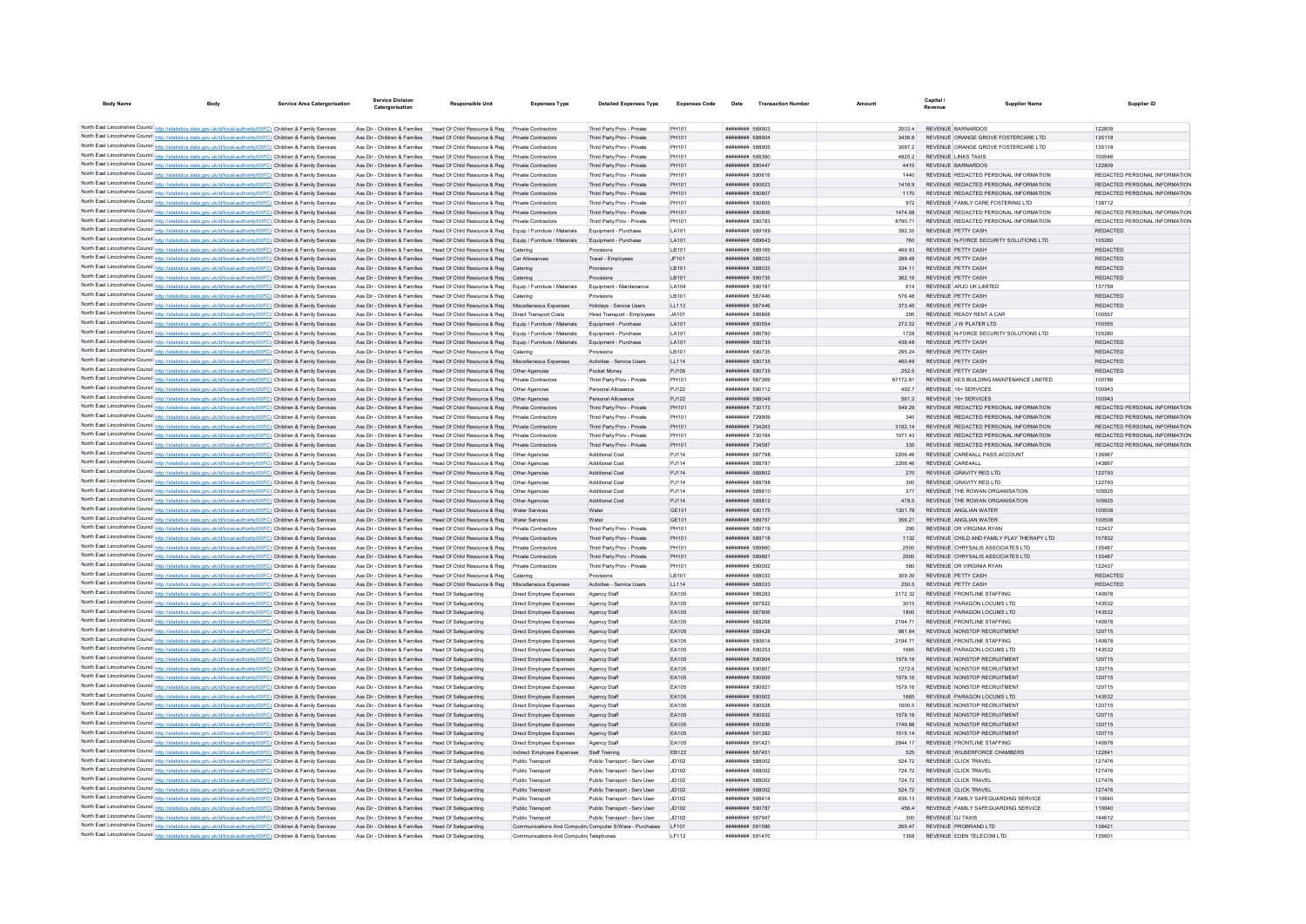| <b>Body Name</b> |                                                                                                                                                                                                                                        | Service Area Catergorisation | Service Divisio<br>Catergorisation                             | <b>Responsible Unit</b>                                                                  | <b>Expenses Type</b>                                 | <b>Detailed Expenses Type</b>                                  | <b>Expenses Code</b> | Date                                             | <b>Transaction Numbe</b> |                  | Canital<br>Revenue                             | <b>Supplier Name</b>                                                           | Supplier ID                             |
|------------------|----------------------------------------------------------------------------------------------------------------------------------------------------------------------------------------------------------------------------------------|------------------------------|----------------------------------------------------------------|------------------------------------------------------------------------------------------|------------------------------------------------------|----------------------------------------------------------------|----------------------|--------------------------------------------------|--------------------------|------------------|------------------------------------------------|--------------------------------------------------------------------------------|-----------------------------------------|
|                  |                                                                                                                                                                                                                                        |                              |                                                                |                                                                                          |                                                      |                                                                |                      |                                                  |                          |                  |                                                |                                                                                |                                         |
|                  | North East Lincolnshire Council http://statistics.data.gov.uk/id/local-authority/00FC) Children & Family Services                                                                                                                      |                              | Ass Dir - Children & Families                                  | Head Of Child Resource & Reg Private Contractors                                         |                                                      | Third Party Prov - Private                                     | PH101                | ######## 588903                                  |                          | 2003.4           | REVENUE BARNARDOS                              |                                                                                | 122809                                  |
|                  | North East Lincolnshire Council http://statistics.data.gov.uk/id/local-authority/00FC) Children & Family Services                                                                                                                      |                              | Ass Dir - Children & Families                                  | Head Of Child Resource & Reg                                                             | Private Contractors                                  | Third Party Prov - Private                                     | PH101                | ######## 588904                                  |                          | 3436.8           |                                                | REVENUE ORANGE GROVE FOSTERCARE LTD                                            | 135118                                  |
|                  | North East Lincolnshire Council http://statistics.data.gov.uk/id/local-authority/00FC) Children & Family Services                                                                                                                      |                              | Ass Dir - Children & Families                                  | Head Of Child Resource & Reg                                                             | Private Contractors                                  | Third Party Prov - Private                                     | PH101                | ######## 588905                                  |                          | 3097.2           |                                                | REVENUE ORANGE GROVE FOSTERCARE LTD                                            | 135118                                  |
|                  | North East Lincolnshire Council http://statistics.data.gov.uk/id/local-authority/00FC) Children & Family Services                                                                                                                      |                              | Ass Dir - Children & Families                                  | Head Of Child Resource & Reg   Private Contractors                                       |                                                      | Third Party Prov - Private                                     | PH101                | ######## 588360                                  |                          | 4825.2           | <b>REVENUE LINKS TAXIS</b>                     |                                                                                | 100546                                  |
|                  | North East Lincolnshire Council http://statistics.data.gov.uk/id/local-authority/00FC) Children & Family Services                                                                                                                      |                              | Ass Dir - Children & Families                                  | Head Of Child Resource & Reg Private Contractors                                         |                                                      | Third Party Prov - Private                                     | PH101                | ######## 590447                                  |                          | 4410             | REVENUE BARNARDOS                              |                                                                                | 122809<br>REDACTED PERSONAL INFORMATION |
|                  | North East Lincolnshire Council http://statistics.data.gov.uk/id/local-authority/00FC) Children & Family Services<br>North East Lincolnshire Council http://statistics.data.gov.uk/id/local-authority/00FC) Children & Family Services |                              | Ass Dir - Children & Families<br>Ass Dir - Children & Families | Head Of Child Resource & Reg<br>Head Of Child Resource & Reg                             | Private Contractors<br>Private Contractors           | Third Party Prov - Private<br>Third Party Prov - Private       | PH101<br>PH101       | ######## 590616<br>######## 590623               |                          | 1440<br>14169    |                                                | REVENUE REDACTED PERSONAL INFORMATION<br>REVENUE REDACTED PERSONAL INFORMATION | REDACTED PERSONAL INFORMATION           |
|                  | North East Lincolnshire Council http://statistics.data.gov.uk/id/local-authority/00FC) Children & Family Services                                                                                                                      |                              | Ass Dir - Children & Families                                  | Head Of Child Resource & Reg Private Contractors                                         |                                                      | Third Party Prov - Private                                     | PH101                | ######## 590807                                  |                          | 1170             |                                                | REVENUE REDACTED PERSONAL INFORMATION                                          | REDACTED PERSONAL INFORMATION           |
|                  | North East Lincolnshire Council http://statistics.data.gov.uk/id/local-authority/00FC) Children & Family Services                                                                                                                      |                              | Ass Dir - Children & Families                                  | Head Of Child Resource & Reg                                                             | Private Contractors                                  | Third Party Prov - Private                                     | PH101                | ######## 590805                                  |                          | 972              |                                                | REVENUE FAMILY CARE FOSTERING LTD                                              | 138712                                  |
|                  | North East Lincolnshire Council http://statistics.data.gov.uk/id/local-authority/00FC) Children & Family Services                                                                                                                      |                              | Ass Dir - Children & Families                                  | Head Of Child Resource & Reg                                                             | Private Contractors                                  | Third Party Prov - Private                                     | PH101                | ######## 590806                                  |                          | 1474.58          |                                                | REVENUE REDACTED PERSONAL INFORMATION                                          | REDACTED PERSONAL INFORMATION           |
|                  | North East Lincolnshire Council http://statistics.data.gov.uk/id/local-authority/00FC) Children & Family Services                                                                                                                      |                              | Ass Dir - Children & Families                                  | Head Of Child Resource & Reg                                                             | Private Contractors                                  | Third Party Prov - Private                                     | PH101                | ######## 590783                                  |                          | 8790.71          |                                                | REVENUE REDACTED PERSONAL INFORMATION                                          | REDACTED PERSONAL INFORMATION           |
|                  | North East Lincolnshire Council http://statistics.data.gov.uk/id/local-authority/00FC) Children & Family Services                                                                                                                      |                              | Ass Dir - Children & Families                                  | Head Of Child Resource & Reg Equip / Furniture / Materials                               |                                                      | Equipment - Purchase                                           | LA101                | ######## 589169                                  |                          | 392.35           | REVENUE PETTY CASH                             |                                                                                | REDACTED                                |
|                  | North East Lincolnshire Council http://statistics.data.gov.uk/id/local-authority/00FC) Children & Family Services                                                                                                                      |                              |                                                                | Ass Dir - Children & Families Head Of Child Resource & Reg Equip / Furniture / Materials |                                                      | Equipment - Purchase                                           | LA101                | ######## 589643                                  |                          | 760              |                                                | REVENUE N-FORCE SECURITY SOLUTIONS LTD                                         | 105280                                  |
|                  | North East Lincolnshire Council http://statistics.data.gov.uk/id/local-authority/00FC) Children & Family Services                                                                                                                      |                              | Ass Dir - Children & Families                                  | Head Of Child Resource & Reg Catering                                                    |                                                      | Provisions                                                     | LB101                | ######## 589169                                  |                          | 469.93           | REVENUE PETTY CASH                             |                                                                                | REDACTED                                |
|                  | North East Lincolnshire Council http://statistics.data.gov.uk/id/local-authority/00FC) Children & Family Services                                                                                                                      |                              | Ass Dir - Children & Families                                  | Head Of Child Resource & Reg Car Allowances                                              |                                                      | Travel - Employees                                             | JF101                | ######## 588033                                  |                          | 289.48           | REVENUE PETTY CASH                             |                                                                                | REDACTED                                |
|                  | North East Lincolnshire Council http://statistics.data.gov.uk/id/local-authority/00FC) Children & Family Services                                                                                                                      |                              | Ass Dir - Children & Families                                  | Head Of Child Resource & Reg Catering                                                    |                                                      | Provisions                                                     | LB101                | ######## 588033                                  |                          | 334.11           | REVENUE PETTY CASH                             |                                                                                | REDACTED                                |
|                  | North East Lincolnshire Council http://statistics.data.gov.uk/id/local-authority/00FC) Children & Family Services                                                                                                                      |                              | Ass Dir - Children & Families                                  | Head Of Child Resource & Reg Catering                                                    |                                                      | Provisions                                                     | LB101                | ######## 590735                                  |                          | 362 16           | REVENUE PETTY CASH                             |                                                                                | <b>REDACTED</b>                         |
|                  | North East Lincolnshire Council http://statistics.data.gov.uk/id/local-authority/00FC) Children & Family Services                                                                                                                      |                              | Ass Dir - Children & Families                                  | Head Of Child Resource & Reg                                                             | Equip / Furniture / Materials                        | Equipment - Maintenance                                        | LA104                | ######## 590187                                  |                          |                  | REVENUE ARJO UK LIMITED                        |                                                                                | 137759                                  |
|                  | North East Lincolnshire Council http://statistics.data.gov.uk/id/local-authority/00FC) Children & Family Services                                                                                                                      |                              | Ass Dir - Children & Families                                  | Head Of Child Resource & Reg                                                             | Caterine                                             | Provisions                                                     | I R101               | ######## 587446<br><b><i>BREEBHAH</i></b> 587446 |                          | 576.48           | REVENUE PETTY CASH                             |                                                                                | <b>REDACTED</b><br><b>REDACTED</b>      |
|                  | North East Lincolnshire Council http://statistics.data.gov.uk/id/local-authority/00FC) Children & Family Services<br>North East Lincolnshire Council http://statistics.data.gov.uk/id/local-authority/00FC) Children & Family Services |                              | Ass Dir - Children & Families<br>Ass Dir - Children & Families | Head Of Child Resource & Reg<br>Head Of Child Resource & Reg                             | Miscellaneous Expenses<br>Direct Transport Costs     | Holidays - Service Users<br><b>Hired Transport - Employees</b> | 11113<br>JA101       | <b><i>BREEZER SBBBB</i></b>                      |                          | 373.45<br>295    | REVENUE PETTY CASH<br>REVENUE READY RENT A CAR |                                                                                | 100557                                  |
|                  | North East Lincolnshire Council http://statistics.data.gov.uk/id/local-authority/00FC) Children & Family Services                                                                                                                      |                              | Ass Dir - Children & Families                                  | Head Of Child Resource & Reg                                                             | Equip / Furniture / Materials                        | Equipment - Purchase                                           | LA101                | ######## 590554                                  |                          | 273.32           | REVENUE J W PLATER LTD                         |                                                                                | 100555                                  |
|                  | North East Lincolnshire Council http://statistics.data.gov.uk/id/local-authority/00FC) Children & Family Services                                                                                                                      |                              | Ass Dir - Children & Families                                  | Head Of Child Resource & Reg                                                             | Equip / Furniture / Materials                        | Equipment - Purchase                                           | LA101                | ######## 586780                                  |                          | 1728             |                                                | REVENUE N-FORCE SECURITY SOLUTIONS LTD                                         | 105280                                  |
|                  | North East Lincolnshire Council http://statistics.data.gov.uk/id/local-authority/00FC) Children & Family Services                                                                                                                      |                              | Ass Dir - Children & Families                                  | Head Of Child Resource & Reg. Fouin / Furniture / Materials                              |                                                      | Foujoment - Purchase                                           | LA101                | ######## 590735                                  |                          | 438 48           | REVENUE PETTY CASH                             |                                                                                | <b>REDACTED</b>                         |
|                  | North East Lincolnshire Council http://statistics.data.gov.uk/id/local-authority/00FC) Children & Family Services                                                                                                                      |                              | Ass Dir - Children & Families                                  | Head Of Child Resource & Reg Catering                                                    |                                                      | Provisions                                                     | LB101                | ######## 590735                                  |                          | 295.24           | REVENUE PETTY CASH                             |                                                                                | REDACTED                                |
|                  | North East Lincolnshire Council http://statistics.data.gov.uk/id/local-authority/00FC) Children & Family Services                                                                                                                      |                              | Ass Dir - Children & Families                                  | Head Of Child Resource & Reg                                                             | Miscellaneous Expenses                               | Activities - Service Users                                     | LL114                | ######## 590735                                  |                          | 460.49           | REVENUE PETTY CASH                             |                                                                                | REDACTED                                |
|                  | North East Lincolnshire Council http://statistics.data.gov.uk/id/local-authority/00FC) Children & Family Services                                                                                                                      |                              | Ass Dir - Children & Families                                  | Head Of Child Resource & Reg                                                             | Other Agencies                                       | Pocket Money                                                   | PJ105                | ######## 590735                                  |                          | 252.5            | REVENUE PETTY CASH                             |                                                                                | REDACTED                                |
|                  | North East Lincolnshire Council http://statistics.data.gov.uk/id/local-authority/00FC) Children & Family Services                                                                                                                      |                              | Ass Dir - Children & Families                                  | Head Of Child Resource & Reg. Private Contractors                                        |                                                      | Third Party Prov - Private                                     | PH101                | ######## 587369                                  |                          | 6717281          |                                                | REVENUE KES BUILDING MAINTENANCE LIMITED                                       | 100786                                  |
|                  | North East Lincolnshire Council http://statistics.data.gov.uk/id/local-authority/00FC) Children & Family Services                                                                                                                      |                              | Ass Dir - Children & Families                                  | Head Of Child Resource & Reg   Other Agencies                                            |                                                      | Personal Allowance                                             | PJ122                | ######## 590112                                  |                          | 492.7            | REVENUE 16+ SERVICES                           |                                                                                | 100943                                  |
|                  | North East Lincolnshire Council http://statistics.data.gov.uk/id/local-authority/00FC) Children & Family Services                                                                                                                      |                              | Ass Dir - Children & Families                                  | Head Of Child Resource & Reg  Other Agencies                                             |                                                      | Personal Allowance                                             | PJ122                | ######## 588046                                  |                          | 561.2            | REVENUE 16+ SERVICES                           |                                                                                | 100943                                  |
|                  | North East Lincolnshire Council http://statistics.data.gov.uk/id/local-authority/00FC) Children & Family Services                                                                                                                      |                              | Ass Dir - Children & Families                                  | Head Of Child Resource & Reg                                                             | Private Contractors                                  | Third Party Prov - Private                                     | PH101                | ######## 730173                                  |                          | 549.29           |                                                | REVENUE REDACTED PERSONAL INFORMATION                                          | REDACTED PERSONAL INFORMATION           |
|                  | North East Lincolnshire Council http://statistics.data.gov.uk/id/local-authority/00FC) Children & Family Services                                                                                                                      |                              | Ass Dir - Children & Families                                  | Head Of Child Resource & Reg Private Contractors                                         |                                                      | Third Party Prov - Private                                     | PH101                | ######## 729909                                  |                          | 340              |                                                | REVENUE REDACTED PERSONAL INFORMATION                                          | REDACTED PERSONAL INFORMATION           |
|                  | North East Lincolnshire Council http://statistics.data.gov.uk/id/local-authority/00FC) Children & Family Services                                                                                                                      |                              | Ass Dir - Children & Families                                  | Head Of Child Resource & Reg                                                             | Private Contractors                                  | Third Party Prov - Private                                     | PH101                | ######## 734263                                  |                          | 3182 14          |                                                | REVENUE REDACTED PERSONAL INFORMATION                                          | REDACTED PERSONAL INFORMATION           |
|                  | North East Lincolnshire Council http://statistics.data.gov.uk/id/local-authority/00FC) Children & Family Services                                                                                                                      |                              | Ass Dir - Children & Families                                  | Head Of Child Resource & Reg                                                             | Private Contractors                                  | Third Party Prov - Private                                     | PH101                | ######## 730164                                  |                          |                  |                                                | REVENUE REDACTED PERSONAL INFORMATION                                          | REDACTED PERSONAL INFORMATION           |
|                  | North East Lincolnshire Council http://statistics.data.gov.uk/id/local-authority/00FC) Children & Family Services                                                                                                                      |                              | Ass Dir - Children & Families                                  | Head Of Child Resource & Reg                                                             | Private Contractors                                  | Third Party Prov - Private                                     | PH101                | ######## 734587                                  |                          | 335              |                                                | REVENUE REDACTED PERSONAL INFORMATION                                          | REDACTED PERSONAL INFORMATION           |
|                  | North East Lincolnshire Council http://statistics.data.gov.uk/id/local-authority/00FC) Children & Family Services                                                                                                                      |                              | Ass Dir - Children & Families                                  | Head Of Child Resource & Reg                                                             | Other Agencies                                       | Additional Cost                                                | PJ114                | <b>######## 587798</b>                           |                          | 2206.46          | REVENUE CARE4AU                                | REVENUE CARE4ALL PASS ACCOUNT                                                  | 136967                                  |
|                  | North East Lincolnshire Council http://statistics.data.gov.uk/id/local-authority/00FC) Children & Family Services                                                                                                                      |                              | Ass Dir - Children & Families<br>Ass Dir - Children & Families | Head Of Child Resource & Reg<br>Head Of Child Resource & Reg   Other Agencies            | Other Agencies                                       | Additional Cost<br>Additional Cost                             | PJ114                | ######## 588797<br>######## 588802               |                          | 2206.46<br>270   | REVENUE GRAVITY RED LTD                        |                                                                                | 143867<br>122793                        |
|                  | North East Lincolnshire Council http://statistics.data.gov.uk/id/local-authority/00FC) Children & Family Services<br>North East Lincolnshire Council http://statistics.data.gov.uk/id/local-authority/00FC) Children & Family Services |                              | Ass Dir - Children & Families                                  | Head Of Child Resource & Reg                                                             | Other Agencies                                       | <b>Additional Cos</b>                                          | PJ114<br>PJ114       | ######## 588798                                  |                          | 300              | REVENUE GRAVITY RED LTD                        |                                                                                | 122793                                  |
|                  | North East Lincolnshire Council http://statistics.data.gov.uk/id/local-authority/00FC) Children & Family Services                                                                                                                      |                              | Ass Dir - Children & Families                                  | Head Of Child Resource & Reg   Other Agencies                                            |                                                      | <b>Additional Cost</b>                                         | PJ114                | ######## 588810                                  |                          | 377              |                                                | REVENUE THE ROWAN ORGANISATION                                                 | 105925                                  |
|                  | North East Lincolnshire Council http://statistics.data.gov.uk/id/local-authority/00FC) Children & Family Services                                                                                                                      |                              | Ass Dir - Children & Families                                  | Head Of Child Resource & Reg                                                             | Other Agencies                                       | <b>Additional Cost</b>                                         | PJ114                | ######## 588812                                  |                          | 478.5            |                                                | REVENUE THE ROWAN ORGANISATION                                                 | 105925                                  |
|                  | North East Lincolnshire Council http://statistics.data.gov.uk/id/local-authority/00FC) Children & Family Services                                                                                                                      |                              | Ass Dir - Children & Families                                  | Head Of Child Resource & Reg.                                                            | <b>Water Services</b>                                | Water                                                          | GE101                | ######## 590175                                  |                          | 1301.78          | REVENUE ANGLIAN WATER                          |                                                                                | 100508                                  |
|                  | North East Lincolnshire Council http://statistics.data.gov.uk/id/local-authority/00FC) Children & Family Services                                                                                                                      |                              | Ass Dir - Children & Families                                  | Head Of Child Resource & Reg                                                             |                                                      | Water                                                          | GE101                | ######## 589757                                  |                          | 356.21           | REVENUE ANGLIAN WATER                          |                                                                                | 100508                                  |
|                  | North East Lincolnshire Council http://statistics.data.gov.uk/id/local-authority/00FC) Children & Family Services                                                                                                                      |                              | Ass Dir - Children & Families                                  | Head Of Child Resource & Reg                                                             | Private Contractors                                  | Third Party Prov - Private                                     | PH101                | ######## 589719                                  |                          | 295              | REVENUE DR VIRGINIA RYAN                       |                                                                                | 122437                                  |
|                  | North East Lincolnshire Council http://statistics.data.gov.uk/id/local-authority/00FC) Children & Family Services                                                                                                                      |                              |                                                                | Ass Dir - Children & Families Head Of Child Resource & Reg                               | Private Contractors                                  | Third Party Prov - Private                                     | PH101                | ######## 589718                                  |                          | 1132             |                                                | REVENUE CHILD AND FAMILY PLAY THERAPY LTD                                      | 107832                                  |
|                  | North East Lincolnshire Council http://statistics.data.gov.uk/id/local-authority/00FC) Children & Family Services                                                                                                                      |                              | Ass Dir - Children & Families                                  | Head Of Child Resource & Reg                                                             | Private Contractors                                  | Third Party Prov - Private                                     | PH101                | ######## 589860                                  |                          | 2500             |                                                | REVENUE CHRYSALIS ASSOCIATES LTD                                               | 135487                                  |
|                  | North East Lincolnshire Council http://statistics.data.gov.uk/id/local-authority/00FC) Children & Family Services                                                                                                                      |                              | Ass Dir - Children & Families                                  | Head Of Child Resource & Reg Private Contractors                                         |                                                      | Third Party Prov - Private                                     | PH101                | ######## 58986                                   |                          | 2500             |                                                | REVENUE CHRYSALIS ASSOCIATES LTD                                               | 135487                                  |
|                  | North East Lincolnshire Council http://statistics.data.gov.uk/id/local-authority/00FC) Children & Family Services                                                                                                                      |                              | Ass Dir - Children & Families                                  | Head Of Child Resource & Reg   Private Contractors                                       |                                                      | Third Party Prov - Private                                     | PH101                | ######## 590002                                  |                          | 580              | REVENUE DR VIRGINIA RYAN                       |                                                                                | 122437                                  |
|                  | North East Lincolnshire Council http://statistics.data.gov.uk/id/local-authority/00FC) Children & Family Services                                                                                                                      |                              | Ass Dir - Children & Families                                  | Head Of Child Resource & Reg Catering                                                    |                                                      | Provisions                                                     | LB101                | ######## 588033                                  |                          | 309.39           | REVENUE PETTY CASH                             |                                                                                | REDACTED                                |
|                  | North East Lincolnshire Council http://statistics.data.gov.uk/id/local-authority/00FC) Children & Family Services                                                                                                                      |                              | Ass Dir - Children & Families                                  | Head Of Child Resource & Reg Miscellaneous Expenses                                      |                                                      | Activities - Service Users                                     | LL114                | ######## 588033                                  |                          | 250.5            | REVENUE PETTY CASH                             |                                                                                | REDACTED                                |
|                  | North East Lincolnshire Council http://statistics.data.gov.uk/id/local-authority/00FC) Children & Family Services                                                                                                                      |                              | Ass Dir - Children & Families                                  | <b>Head Of Safeguarding</b>                                                              | Direct Employee Expenses                             | Agency Staff                                                   | EA105                | ######## 588283                                  |                          | 2172.32          |                                                | REVENUE FRONTLINE STAFFING                                                     | 140978                                  |
|                  | North East Lincolnshire Council http://statistics.data.gov.uk/id/local-authority/00FC) Children & Family Services                                                                                                                      |                              | Ass Dir - Children & Families                                  | Head Of Safeguarding                                                                     | Direct Employee Expenses                             | Agency Staff                                                   | EA105                | ######## 587822                                  |                          | 3015             |                                                | REVENUE PARAGON LOCUMS LTD                                                     | 143532                                  |
|                  | North East Lincolnshire Council http://statistics.data.gov.uk/id/local-authority/00FC) Children & Family Services<br>North East Lincolnshire Council http://statistics.data.gov.uk/id/local-authority/00FC) Children & Family Services |                              | Ass Dir - Children & Families<br>Ass Dir - Children & Families | Head Of Safeguarding<br>Head Of Safeguarding                                             | Direct Employee Expenses<br>Direct Employee Expenses | Agency Staff<br>Agency Staff                                   | EA105<br>EA105       | ######## 587806<br>######## 588268               |                          | 1800<br>2194.71  |                                                | REVENUE PARAGON LOCUMS LTD<br>REVENUE FRONTLINE STAFFING                       | 143532<br>140978                        |
|                  | North East Lincolnshire Council http://statistics.data.gov.uk/id/local-authority/00FC) Children & Family Services                                                                                                                      |                              | Ass Dir - Children & Families                                  | Head Of Safeguarding                                                                     | Direct Employee Expenses                             | Agency Staff                                                   | EA105                | ######## 588428                                  |                          | 981.64           |                                                | REVENUE NONSTOP RECRUITMENT                                                    | 120715                                  |
|                  | North East Lincolnshire Council http://statistics.data.gov.uk/id/local-authority/00FC) Children & Family Services                                                                                                                      |                              | Ass Dir - Children & Families                                  | Head Of Safeguarding                                                                     | Direct Employee Expenses                             | Agency Staff                                                   | EA105                | ######## 590614                                  |                          | 2194.71          |                                                | REVENUE FRONTLINE STAFFING                                                     | 140978                                  |
|                  | North East Lincolnshire Council http://statistics.data.gov.uk/id/local-authority/00FC) Children & Family Services                                                                                                                      |                              | Ass Dir - Children & Families                                  | Head Of Safeguarding                                                                     | Direct Employee Expenses                             | Agency Staff                                                   | EA105                | ######## 590253                                  |                          | 1665             |                                                | REVENUE PARAGON LOCUMS LTD                                                     | 143532                                  |
|                  | North East Lincolnshire Council http://statistics.data.gov.uk/id/local-authority/00FC) Children & Family Services                                                                                                                      |                              | Ass Dir - Children & Families                                  | Head Of Safeguarding                                                                     | Direct Employee Expenses                             | Agency Staff                                                   | EA105                | ######## 590904                                  |                          | 1579.16          |                                                | REVENUE NONSTOP RECRUITMENT                                                    | 120715                                  |
|                  | North East Lincolnshire Council http://statistics.data.gov.uk/id/local-authority/00FC) Children & Family Services                                                                                                                      |                              | Ass Dir - Children & Families                                  | Head Of Safeguarding                                                                     | Direct Employee Expenses                             | Agency Staff                                                   | EA105                | ######## 590907                                  |                          | 1272.6           |                                                | REVENUE NONSTOP RECRUITMENT                                                    | 120715                                  |
|                  | North East Lincolnshire Council http://statistics.data.gov.uk/id/local-authority/00FC) Children & Family Services                                                                                                                      |                              | Ass Dir - Children & Families                                  | Head Of Safeguarding                                                                     | Direct Employee Expenses                             | Agency Staff                                                   | EA105                | ######## 590909                                  |                          | 1579 16          |                                                | REVENUE NONSTOP RECRUITMENT                                                    | 120715                                  |
|                  | North East Lincolnshire Council http://statistics.data.gov.uk/id/local-authority/00FC) Children & Family Services                                                                                                                      |                              | Ass Dir - Children & Families                                  | Head Of Safeguarding                                                                     | Direct Employee Expenses                             | <b>Anency Staff</b>                                            | FA105                | ######## 590921                                  |                          | 1579 16          |                                                | REVENUE NONSTOP RECRUITMENT                                                    | 120715                                  |
|                  | North East Lincolnshire Council http://statistics.data.gov.uk/id/local-authority/00FC) Children & Family Services                                                                                                                      |                              | Ass Dir - Children & Families Head Of Safeguarding             |                                                                                          | Direct Employee Expenses                             | Agency Staff                                                   | EA105                | ######## 590902                                  |                          | 1665             |                                                | REVENUE PARAGON LOCUMS LTD                                                     | 143532                                  |
|                  | North East Lincolnshire Council http://statistics.data.gov.uk/id/local-authority/00FC) Children & Family Services                                                                                                                      |                              | Ass Dir - Children & Families                                  | Head Of Safeguarding                                                                     | Direct Employee Expenses                             | Agency Staff                                                   | EA105                | ######## 590928                                  |                          | 1600.5           |                                                | REVENUE NONSTOP RECRUITMENT                                                    | 120715                                  |
|                  | North East Lincolnshire Council http://statistics.data.gov.uk/id/local-authority/00FC) Children & Family Services                                                                                                                      |                              | Ass Dir - Children & Families                                  | Head Of Safeguarding                                                                     | Direct Employee Expenses                             | Agency Staff                                                   | EA105                | ######## 590932                                  |                          | 1579 16          |                                                | REVENUE NONSTOP RECRUITMENT                                                    | 120715                                  |
|                  | North East Lincolnshire Council http://statistics.data.gov.uk/id/local-authority/00FC) Children & Family Services                                                                                                                      |                              | Ass Dir - Children & Families                                  | Head Of Safeguarding                                                                     | Direct Employee Expenses                             | <b>Agency Staff</b>                                            | FA105                | ######## 590936                                  |                          | 1749 88          |                                                | REVENUE NONSTOP RECRUITMENT                                                    | 120715                                  |
|                  | North East Lincolnshire Council http://statistics.data.gov.uk/id/local-authority/00FC) Children & Family Services                                                                                                                      |                              | Ass Dir - Children & Families                                  | Head Of Safeguarding                                                                     | Direct Employee Expenses                             | Agency Staff                                                   | EA105                | ######## 591382                                  |                          | 1515 14          |                                                | REVENUE NONSTOP RECRUITMENT                                                    | 120715                                  |
|                  | North East Lincolnshire Council http://statistics.data.gov.uk/id/local-authority/00FC) Children & Family Services                                                                                                                      |                              | Ass Dir - Children & Families                                  | Head Of Safeguarding                                                                     | Direct Employee Expenses                             | Agency Staf                                                    | EA105                | ####### 591421                                   |                          | 2844.17          |                                                | REVENUE FRONTLINE STAFFING                                                     | 140978                                  |
|                  | North East Lincolnshire Council http://statistics.data.gov.uk/id/local-authority/00FC) Children & Family Services                                                                                                                      |                              | Ass Dir - Children & Families                                  | Head Of Safeguarding                                                                     | Indirect Employee Expenses                           | Staff Training                                                 | EB122                | ######## 587451                                  |                          | 525              |                                                | REVENUE WILBERFORCE CHAMBERS                                                   | 122641                                  |
|                  | North East Lincolnshire Council http://statistics.data.gov.uk/id/local-authority/00FC) Children & Family Services                                                                                                                      |                              | Ass Dir - Children & Families<br>Ass Dir - Children & Families | Head Of Safeguarding<br>Head Of Safeguarding                                             | Public Transport                                     | Public Transport - Serv User                                   | .1D102               | ######## 588002<br>######## 588002               |                          | 524 72           | REVENUE CLICK TRAVEL                           |                                                                                | 127476                                  |
|                  | North East Lincolnshire Council http://statistics.data.gov.uk/id/local-authority/00FC) Children & Family Services<br>North East Lincolnshire Council http://statistics.data.gov.uk/id/local-authority/00FC) Children & Family Services |                              | Ass Dir - Children & Families                                  | Head Of Safeguarding                                                                     | Public Transport<br>Public Transport                 | Public Transport - Serv User<br>Public Transport - Serv User   | JD102<br>JD102       | ######## 588002                                  |                          | 724 72<br>724.72 | REVENUE CLICK TRAVEL<br>REVENUE CLICK TRAVEL   |                                                                                | 127476<br>127476                        |
|                  | North East Lincolnshire Council http://statistics.data.gov.uk/id/local-authority/00FC) Children & Family Services                                                                                                                      |                              | Ass Dir - Children & Families                                  | Head Of Safeguarding                                                                     | Public Transport                                     | Public Transport - Serv User                                   | JD102                | ######## 588002                                  |                          | 524.72           | REVENUE CLICK TRAVEL                           |                                                                                | 127476                                  |
|                  | North East Lincolnshire Council http://statistics.data.gov.uk/id/local-authority/00FC) Children & Family Services                                                                                                                      |                              | Ass Dir - Children & Families                                  | Head Of Safeguarding                                                                     | Public Transport                                     | Public Transport - Serv User                                   | .1D102               | <b>BREEZERS 588414</b>                           |                          | 636 13           |                                                | REVENUE FAMILY SAFEGUARDING SERVICE                                            | 110640                                  |
|                  | North East Lincolnshire Council http://statistics.data.gov.uk/id/local-authority/00FC) Children & Family Services                                                                                                                      |                              | Ass Dir - Children & Families                                  | Head Of Safeguarding                                                                     | Public Transport                                     | Public Transport - Serv User                                   | JD102                | ######## 590787                                  |                          | 456.4            |                                                | REVENUE FAMILY SAFEGUARDING SERVICE                                            | 110640                                  |
|                  | North East Lincolnshire Council http://statistics.data.gov.uk/id/local-authority/00FC) Children & Family Services                                                                                                                      |                              | Ass Dir - Children & Families                                  | Head Of Safeguarding                                                                     | Public Transport                                     | Public Transport - Serv Use                                    | JD102                | ######## 58794                                   |                          | 300              | <b>REVENUE DJ TAXIS</b>                        |                                                                                | 144612                                  |
|                  | North East Lincolnshire Council http://statistics.data.gov.uk/id/local-authority/00FC) Children & Family Services                                                                                                                      |                              | Ass Dir - Children & Families Head Of Safeguarding             |                                                                                          |                                                      | Communications And Computin Computer S/Ware - Purchases        | LF101                | ######## 591586                                  |                          | 265.47           | REVENUE PROBRAND LTD                           |                                                                                | 138421                                  |
|                  | North East Lincolnshire Council http://statistics.data.gov.uk/id/local-authority/00FC) Children & Family Services                                                                                                                      |                              | Ass Dir - Children & Families Head Of Safeguarding             |                                                                                          | Communications And Computin Telephones               |                                                                | IF112                | <b><i>BREEZER 591470</i></b>                     |                          | 1368             | REVENUE FOEN TELECOM LTD                       |                                                                                | 135601                                  |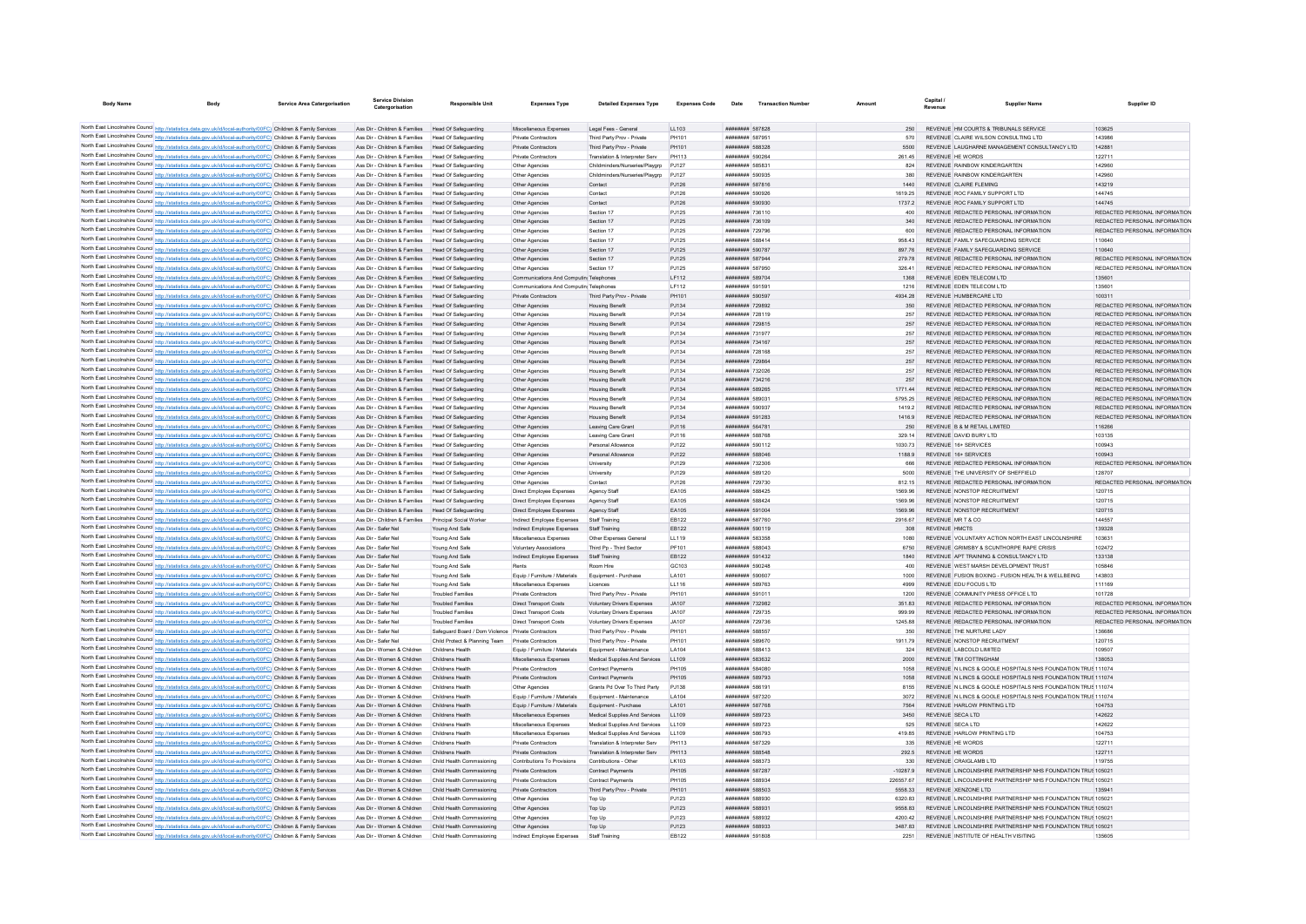| <b>Body Name</b>                                                                                                                                                                                                                       |                                                                   | <b>Service Area Catergorisation</b> | Service Division<br>Catergorisation                  | <b>Responsible Unit</b>                            | <b>Expenses Type</b>                       | <b>Detailed Expenses Type</b>       | <b>Expenses Code</b> | Date                          | <b>Transaction Numbe</b> | Amount     | Capital<br>Revenue   | <b>Supplier Name</b>                                          | Supplier ID                   |
|----------------------------------------------------------------------------------------------------------------------------------------------------------------------------------------------------------------------------------------|-------------------------------------------------------------------|-------------------------------------|------------------------------------------------------|----------------------------------------------------|--------------------------------------------|-------------------------------------|----------------------|-------------------------------|--------------------------|------------|----------------------|---------------------------------------------------------------|-------------------------------|
|                                                                                                                                                                                                                                        |                                                                   |                                     |                                                      |                                                    |                                            |                                     |                      |                               |                          |            |                      |                                                               |                               |
| North East Lincolnshire Council http://sta                                                                                                                                                                                             | s.data.gov.uk/id/local-authority/00FC) Children & Family Services |                                     | Ass Dir - Children & Families Head Of Safeguarding   |                                                    | Miscellaneous Expenses                     | Legal Fees - General                | LL103                | ######## 587828               |                          | 250        |                      | REVENUE HM COURTS & TRIBUNALS SERVICE                         | 103625                        |
| North East Lincolnshire Council http://statistics.data.gov.uk/id/local-authority/00FC) Children & Family Services                                                                                                                      |                                                                   |                                     | Ass Dir - Children & Families                        | <b>Head Of Safeguarding</b>                        | Private Contractors                        | Third Party Prov - Private          | PH101                | ######## 58795                |                          |            |                      | REVENUE CLAIRE WILSON CONSULTING LTD                          | 143986                        |
| North East Lincolnshire Council http://statistics.data.gov.uk/id/local-authority/00FC) Children & Family Services                                                                                                                      |                                                                   |                                     | Ass Dir - Children & Families                        | Head Of Safeguarding                               | Private Contractors                        | Third Party Prov - Private          | PH101                | ######## 588328               |                          | 5500       |                      | REVENUE LAUGHARNE MANAGEMENT CONSULTANCY LTD                  | 142881                        |
| North East Lincolnshire Council http://statistics.data.gov.uk/id/local-authority/00FC) Children & Family Services                                                                                                                      |                                                                   |                                     | Ass Dir - Children & Families                        | Head Of Safeguarding                               | Private Contractors                        | Translation & Interpreter Serv      | PH113                | ######## 590264               |                          | 261.45     |                      | REVENUE HE WORDS                                              | 122711                        |
| North East Lincolnshire Council http://statistics.data.gov.uk/id/local-authority/00FC) Children & Family Services                                                                                                                      |                                                                   |                                     | Ass Dir - Children & Families                        | Head Of Safeguarding                               | Other Agencies                             | Childminders/Nurseries/Playgrp      | PJ127                | ######## 58583                |                          | 824        |                      | REVENUE RAINBOW KINDERGARTEN                                  | 142960                        |
| North East Lincolnshire Council http://statistics.data.gov.uk/id/local-authority/00FC) Children & Family Services                                                                                                                      |                                                                   |                                     | Ass Dir - Children & Families                        | Head Of Safeguarding                               | Other Agencies                             | Childminders/Nurseries/Playgrp      | PJ127                | ######## 590935               |                          | 380        |                      | REVENUE RAINBOW KINDERGARTEN                                  | 142960                        |
| North East Lincolnshire Council http://statistics.data.gov.uk/id/local-authority/00FC) Children & Family Services                                                                                                                      |                                                                   |                                     | Ass Dir - Children & Families                        | Head Of Safeguarding                               | Other Agencies                             | Contact                             | PJ126                | ######## 587816               |                          | 1440       |                      | <b>REVENUE CLAIRE FLEMING</b>                                 | 143219                        |
| North East Lincolnshire Council http://statistics.data.gov.uk/id/local-authority/00FC) Children & Family Services                                                                                                                      |                                                                   |                                     | Ass Dir - Children & Families                        | Head Of Safeguarding                               | Other Agencies                             | Contact                             | P.1126               | ######## 590926               |                          | 1619 25    |                      | REVENUE ROCEAMILY SUPPORT LTD                                 | 144745                        |
| North East Lincolnshire Council http://statistics.data.gov.uk/id/local-authority/00FC) Children & Family Services                                                                                                                      |                                                                   |                                     | Ass Dir - Children & Families                        | Head Of Safeguarding                               | Other Agencies                             | Contact                             | PJ126                | ######## 590930               |                          | 1737.2     |                      | REVENUE ROC FAMILY SUPPORT LTD                                | 144745                        |
| North East Lincolnshire Council http://statistics.data.gov.uk/id/local-authority/00FC) Children & Family Services                                                                                                                      |                                                                   |                                     | Ass Dir - Children & Families                        | <b>Head Of Safeguarding</b>                        | Other Agencies                             | Section 17                          | PJ125                | ######## 73611                |                          | 400        |                      | REVENUE REDACTED PERSONAL INFORMATION                         | REDACTED PERSONAL INFORMATION |
| North East Lincolnshire Council http://statistics.data.gov.uk/id/local-authority/00FC) Children & Family Services                                                                                                                      |                                                                   |                                     | Ass Dir - Children & Families                        | Head Of Safeguarding                               | Other Agencies                             | Section 17                          | PJ125                | ######## 736109               |                          | 340        |                      | REVENUE REDACTED PERSONAL INFORMATION                         | REDACTED PERSONAL INFORMATION |
| North East Lincolnshire Council http://statistics.data.gov.uk/id/local-authority/00FC) Children & Family Services                                                                                                                      |                                                                   |                                     | Ass Dir - Children & Families                        | Head Of Safeguarding                               | Other Agencies                             | Section 17                          | PJ125                | ######## 729796               |                          | 600        |                      | REVENUE REDACTED PERSONAL INFORMATION                         | REDACTED PERSONAL INFORMATION |
| North East Lincolnshire Council http://statistics.data.gov.uk/id/local-authority/00FC) Children & Family Services                                                                                                                      |                                                                   |                                     | Ass Dir - Children & Families                        | Head Of Safeguarding                               | Other Agencies                             | Section 17                          | PJ125                | ######## 588414               |                          | 958.43     |                      | REVENUE FAMILY SAFEGUARDING SERVICE                           | 110640                        |
| North East Lincolnshire Council http://statistics.data.gov.uk/id/local-authority/00FC) Children & Family Services                                                                                                                      |                                                                   |                                     | Ass Dir - Children & Families                        | Head Of Safeguarding                               | Other Agencies                             | Section 17                          | PJ125                | ######## 590787               |                          | 897.76     |                      | REVENUE FAMILY SAFEGUARDING SERVICE                           | 110640                        |
| North East Lincolnshire Council http://statistics.data.gov.uk/id/local-authority/00FC) Children & Family Services                                                                                                                      |                                                                   |                                     | Ass Dir - Children & Families                        | Head Of Safeguarding                               | Other Agencies                             | Section 17                          | PJ125                | ######## 587944               |                          | 279.78     |                      | REVENUE REDACTED PERSONAL INFORMATION                         | REDACTED PERSONAL INFORMATION |
| North East Lincolnshire Council http://statistics.data.gov.uk/id/local-authority/00FC) Children & Family Services                                                                                                                      |                                                                   |                                     | Ass Dir - Children & Families                        | Head Of Safeguarding                               | Other Agencies                             | Section 17                          | PJ125                | ######## 587950               |                          | 326.41     |                      | REVENUE REDACTED PERSONAL INFORMATION                         | REDACTED PERSONAL INFORMATION |
| North East Lincolnshire Council http://statistics.data.gov.uk/id/local-authority/00FC) Children & Family Services                                                                                                                      |                                                                   |                                     | Ass Dir - Children & Families                        | Head Of Safeguarding                               | Communications And Computin Telephones     |                                     | LF112                | ######## 589704               |                          | 1368       |                      | REVENUE EDEN TELECOM LTD                                      | 135601                        |
| North East Lincolnshire Council http://statistics.data.gov.uk/id/local-authority/00FC) Children & Family Services                                                                                                                      |                                                                   |                                     | Ass Dir - Children & Families                        | Head Of Safeguarding                               | Communications And Computin Telephones     |                                     | LF112                | ######## 591591               |                          | 1216       |                      | REVENUE EDEN TELECOM LTD                                      | 13560                         |
| North East Lincolnshire Council http://statistics.data.gov.uk/id/local-authority/00FC) Children & Family Services                                                                                                                      |                                                                   |                                     | Ass Dir - Children & Families                        | Head Of Safeguarding                               | Private Contractors                        | Third Party Prov - Private          | PH101                | ######## 590597               |                          | 4934.28    |                      | REVENUE HUMBERCARE LTD                                        | 100311                        |
| North East Lincolnshire Council http://statistics.data.gov.uk/id/local-authority/00FC) Children & Family Services                                                                                                                      |                                                                   |                                     | Ass Dir - Children & Families                        | Head Of Safeguarding                               | Other Agencies                             | <b>Housing Benefi</b>               | PJ134                | ######## 729892               |                          | 350        |                      | REVENUE REDACTED PERSONAL INFORMATION                         | REDACTED PERSONAL INFORMATION |
| North East Lincolnshire Council http://statistics.data.gov.uk/id/local-authority/00FC) Children & Family Services                                                                                                                      |                                                                   |                                     | Ass Dir - Children & Families                        | Head Of Safeguarding                               | Other Agencies                             | <b>Housing Benefit</b>              | PJ134                | ######## 728119               |                          | 257        |                      | REVENUE REDACTED PERSONAL INFORMATION                         | REDACTED PERSONAL INFORMATION |
| North East Lincolnshire Council http://statistics.data.gov.uk/id/local-authority/00FC) Children & Family Services                                                                                                                      |                                                                   |                                     | Ass Dir - Children & Families                        | Head Of Safeguarding                               | Other Agencies                             | <b>Housing Benefit</b>              | PJ134                | ####### 729815                |                          | 257        |                      | REVENUE REDACTED PERSONAL INFORMATION                         | REDACTED PERSONAL INFORMATION |
| North East Lincolnshire Council http://statistics.data.gov.uk/id/local-authority/00FC) Children & Family Services                                                                                                                      |                                                                   |                                     | Ass Dir - Children & Families                        | Head Of Safeguarding                               | Other Agencies                             | <b>Housing Benefi</b>               | PJ134                | ######## 731977               |                          | 257        |                      | REVENUE REDACTED PERSONAL INFORMATION                         | REDACTED PERSONAL INFORMATION |
| North East Lincolnshire Council http://statistics.data.gov.uk/id/local-authority/00FC) Children & Family Services                                                                                                                      |                                                                   |                                     | Ass Dir - Children & Families                        | Head Of Safeguarding                               | Other Agencies                             | <b>Housing Benefit</b>              | PJ134                | ######## 734167               |                          | 257        |                      | REVENUE REDACTED PERSONAL INFORMATION                         | REDACTED PERSONAL INFORMATION |
| North East Lincolnshire Council http://statistics.data.gov.uk/id/local-authority/00FC) Children & Family Services                                                                                                                      |                                                                   |                                     | Ass Dir - Children & Families                        | Head Of Safeguarding                               | Other Agencies                             | <b>Housing Benefit</b>              | P.1134               | ######## 728168               |                          | 257        |                      | REVENUE REDACTED PERSONAL INFORMATION                         | REDACTED PERSONAL INFORMATION |
| North East Lincolnshire Council http://statistics.data.gov.uk/id/local-authority/00FC) Children & Family Services                                                                                                                      |                                                                   |                                     | Ass Dir - Children & Families                        | Head Of Safeguarding                               | Other Agencies                             | <b>Housing Benefit</b>              | PJ134                | ######## 729864               |                          | 257        |                      | REVENUE REDACTED PERSONAL INFORMATION                         | REDACTED PERSONAL INFORMATION |
| North East Lincolnshire Council http://statistics.data.gov.uk/id/local-authority/00FC) Children & Family Services                                                                                                                      |                                                                   |                                     | Ass Dir - Children & Families                        | <b>Head Of Safeguarding</b>                        | Other Agencie                              | <b>Housing Benefi</b>               | PJ134                | ######## 73202                |                          | 257        |                      | REVENUE REDACTED PERSONAL INFORMATION                         | REDACTED PERSONAL INFORMATION |
| North East Lincolnshire Council http://statistics.data.gov.uk/id/local-authority/00FC) Children & Family Services                                                                                                                      |                                                                   |                                     | Ass Dir - Children & Families                        | <b>Head Of Safeguarding</b>                        | Other Agencie                              | <b>Housing Benefi</b>               | PJ134                | ######## 734216               |                          | 257        |                      | REVENUE REDACTED PERSONAL INFORMATION                         | REDACTED PERSONAL INFORMATION |
| North East Lincolnshire Council http://statistics.data.gov.uk/id/local-authority/00FC) Children & Family Services                                                                                                                      |                                                                   |                                     | Ass Dir - Children & Families                        | Head Of Safeguarding                               | Other Agencies                             | <b>Housing Benefit</b>              | PJ134                | ######## 589265               |                          | 1771 44    |                      | REVENUE REDACTED PERSONAL INFORMATION                         | REDACTED PERSONAL INFORMATION |
| North East Lincolnshire Council http://statistics.data.gov.uk/id/local-authority/00FC) Children & Family Services                                                                                                                      |                                                                   |                                     | Ass Dir - Children & Families                        | Head Of Safeguarding                               | Other Agencies                             | <b>Housing Benefit</b>              | PJ134                | ######## 58903                |                          | 5795.25    |                      | REVENUE REDACTED PERSONAL INFORMATION                         | REDACTED PERSONAL INFORMATION |
| North East Lincolnshire Council http://statistics.data.gov.uk/id/local-authority/00FC) Children & Family Services                                                                                                                      |                                                                   |                                     | Ass Dir - Children & Families                        | Head Of Safeguarding                               | Other Agencies                             | <b>Housing Benefit</b>              | PJ134                | ######## 590937               |                          | 1419.2     |                      | REVENUE REDACTED PERSONAL INFORMATION                         | REDACTED PERSONAL INFORMATION |
| North East Lincolnshire Council http://statistics.data.gov.uk/id/local-authority/00FC) Children & Family Services                                                                                                                      |                                                                   |                                     | Ass Dir - Children & Families                        | <b>Head Of Safeguarding</b>                        | Other Agencies                             | <b>Housing Benefit</b>              | PJ134                | ####### 591283                |                          | 1416.9     |                      | REVENUE REDACTED PERSONAL INFORMATION                         | REDACTED PERSONAL INFORMATION |
| North East Lincolnshire Council http://statistics.data.gov.uk/id/local-authority/00FC) Children & Family Services                                                                                                                      |                                                                   |                                     | Ass Dir - Children & Families                        | Head Of Safeguarding                               | Other Agencies                             | Leaving Care Grant                  | PJ116                | ######## 564781               |                          | 250        |                      | REVENUE B & M RETAIL LIMITED                                  | 116266                        |
| North East Lincolnshire Council http://statistics.data.gov.uk/id/local-authority/00FC) Children & Family Services                                                                                                                      |                                                                   |                                     | Ass Dir - Children & Families                        | Head Of Safeguarding                               | Other Agencies                             | Leaving Care Grant                  | PJ116                | ######## 588768               |                          | 329.14     |                      | REVENUE DAVID BURY LTD                                        | 103135                        |
| North East Lincolnshire Council http://statistics.data.gov.uk/id/local-authority/00FC) Children & Family Services                                                                                                                      |                                                                   |                                     | Ass Dir - Children & Families                        | Head Of Safeguarding                               | Other Agencies                             | Personal Allowance                  | PJ122                | ######## 590112               |                          | 1030.73    |                      | REVENUE 16+ SERVICES                                          | 100943                        |
| North East Lincolnshire Council http://statistics.data.gov.uk/id/local-authority/00FC) Children & Family Services                                                                                                                      |                                                                   |                                     | Ass Dir - Children & Families                        | Head Of Safeguarding                               | Other Agencies                             | Personal Allowance                  | PJ122                | ######## 588046               |                          | 1188.9     |                      | REVENUE 16+ SERVICES                                          | 100943                        |
| North East Lincolnshire Council http://statistics.data.gov.uk/id/local-authority/00FC) Children & Family Services                                                                                                                      |                                                                   |                                     | Ass Dir - Children & Families                        | Head Of Safeguarding                               | Other Agencies                             | University                          | PJ129                | ######## 732306               |                          | 666        |                      | REVENUE REDACTED PERSONAL INFORMATION                         | REDACTED PERSONAL INFORMATION |
| North East Lincolnshire Council http://statistics.data.gov.uk/id/local-authority/00FC) Children & Family Services                                                                                                                      |                                                                   |                                     | Ass Dir - Children & Families                        | Head Of Safeguarding                               | Other Agencies                             | University                          | PJ129                | ######## 589120               |                          | 5000       |                      | REVENUE THE UNIVERSITY OF SHEFFIELD                           | 128707                        |
| North East Lincolnshire Council http://statistics.data.gov.uk/id/local-authority/00FC) Children & Family Services                                                                                                                      |                                                                   |                                     | Ass Dir - Children & Families                        | Head Of Safeguarding                               |                                            | Contact                             | PJ126                | ######## 729730               |                          | 812.15     |                      | REVENUE REDACTED PERSONAL INFORMATION                         | REDACTED PERSONAL INFORMATION |
| North East Lincolnshire Council http://statistics.data.gov.uk/id/local-authority/00FC) Children & Family Services                                                                                                                      |                                                                   |                                     | Ass Dir - Children & Families                        | Head Of Safeguarding                               | Other Agencies<br>Direct Employee Expenses | Agency Staff                        | EA105                | ######## 588425               |                          | 1569.96    |                      | REVENUE NONSTOP RECRUITMENT                                   | 120715                        |
|                                                                                                                                                                                                                                        |                                                                   |                                     | Ass Dir - Children & Families                        |                                                    |                                            |                                     |                      | ######## 588424               |                          | 1569.96    |                      | REVENUE NONSTOP RECRUITMENT                                   | 120715                        |
| North East Lincolnshire Council http://statistics.data.gov.uk/id/local-authority/00FC) Children & Family Services<br>North East Lincolnshire Council http://statistics.data.gov.uk/id/local-authority/00FC) Children & Family Services |                                                                   |                                     | Ass Dir - Children & Families                        | Head Of Safeguarding<br>Head Of Safeguarding       | Direct Employee Expenses                   | Agency Staf                         | EA105                | ######## 591004               |                          | 1569.96    |                      | REVENUE NONSTOP RECRUITMENT                                   | 120715                        |
|                                                                                                                                                                                                                                        |                                                                   |                                     |                                                      |                                                    | Direct Employee Expenses                   | Agency Staff                        | EA105                | ######## 587760               |                          |            |                      |                                                               | 144557                        |
| North East Lincolnshire Council http://statistics.data.gov.uk/id/local-authority/00FC) Children & Family Services                                                                                                                      |                                                                   |                                     | Ass Dir - Children & Families                        | Principal Social Worker                            | Indirect Employee Expenses                 | Staff Training                      | EB122                |                               |                          | 2916.67    |                      | REVENUE MR T & CO                                             |                               |
| North East Lincolnshire Council http://statistics.data.gov.uk/id/local-authority/00FC) Children & Family Services                                                                                                                      |                                                                   |                                     | Ass Dir - Safer Nel                                  | Young And Safe                                     | Indirect Employee Expenses                 | Staff Training                      | EB122                | ######## 590119               |                          | 308        | <b>REVENUE HMCTS</b> |                                                               | 139328                        |
| North East Lincolnshire Council http://statistics.data.gov.uk/id/local-authority/00FC) Children & Family Services                                                                                                                      |                                                                   |                                     | Ass Dir - Safer Nel                                  | Young And Safe                                     | Miscellaneous Expenses                     | Other Expenses General              | LL119                | ######## 583358               |                          | 1080       |                      | REVENUE VOLUNTARY ACTION NORTH EAST LINCOLNSHIRE              | 103631                        |
| North East Lincolnshire Council http://statistics.data.gov.uk/id/local-authority/00FC) Children & Family Services                                                                                                                      |                                                                   |                                     | Ass Dir - Safer Nel                                  | Young And Safe                                     | <b>Voluntary Associations</b>              | Third Pn - Third Sector             | PF101                | <b>BREEZER SSSO43</b>         |                          | 6750       |                      | REVENUE, GRIMSBY & SCUNTHORPE RAPE CRISIS                     | 102472                        |
| North East Lincolnshire Council http://statistics.data.gov.uk/id/local-authority/00FC) Children & Family Services                                                                                                                      |                                                                   |                                     | Ass Dir - Safer Nel                                  | Young And Safe                                     | Indirect Employee Expenses                 | Staff Training                      | EB122                | ######## 591432               |                          | 1840       |                      | REVENUE APT TRAINING & CONSULTANCY LTD                        | 133138                        |
| North East Lincolnshire Council http://statistics.data.gov.uk/id/local-authority/00FC) Children & Family Services                                                                                                                      |                                                                   |                                     | Ass Dir - Safer Nel                                  | Young And Safe                                     | Rents                                      | Room Hire                           | GC103                | ######## 590248               |                          | 400        |                      | REVENUE WEST MARSH DEVELOPMENT TRUST                          | 105846                        |
| North East Lincolnshire Council http://statistics.data.gov.uk/id/local-authority/00FC) Children & Family Services                                                                                                                      |                                                                   |                                     | Ass Dir - Safer Ne                                   | Young And Safe                                     | Equip / Furniture / Materials              | Equipment - Purchase                | LA101                | ######## 590607               |                          | 1000       |                      | REVENUE FUSION BOXING - FUSION HEALTH & WELLBEING             | 143803                        |
| North East Lincolnshire Council http://statistics.data.gov.uk/id/local-authority/00FC) Children & Family Services                                                                                                                      |                                                                   |                                     | Ass Dir - Safer Nel                                  | Young And Safe                                     | Miscellaneous Expenses                     | Licences                            | LL116                | ######## 589763               |                          | 4999       |                      | REVENUE EDU FOCUS LTD                                         | 111169                        |
| North East Lincolnshire Council http://statistics.data.gov.uk/id/local-authority/00FC) Children & Family Services                                                                                                                      |                                                                   |                                     | Ass Dir - Safer Ne                                   | <b>Troubled Families</b>                           | Private Contractors                        | Third Party Prov - Private          | PH101                | ######## 591011               |                          | 1200       |                      | REVENUE COMMUNITY PRESS OFFICE LTD                            | 101728                        |
| North East Lincolnshire Council http://statistics.data.gov.uk/id/local-authority/00FC) Children & Family Services                                                                                                                      |                                                                   |                                     | Ass Dir - Safer Nel                                  | <b>Troubled Families</b>                           | Direct Transport Costs                     | Voluntary Drivers Expenses          | JA107                | ######## 732982               |                          | 351.83     |                      | REVENUE REDACTED PERSONAL INFORMATION                         | REDACTED PERSONAL INFORMATION |
| North East Lincolnshire Council http://statistics.data.gov.uk/id/local-authority/00FC) Children & Family Services                                                                                                                      |                                                                   |                                     | Ass Dir - Safer Nel                                  | <b>Troubled Families</b>                           | Direct Transport Costs                     | <b>Voluntary Drivers Expenses</b>   | JA107                | ######## 729735               |                          |            |                      | REVENUE REDACTED PERSONAL INFORMATION                         | REDACTED PERSONAL INFORMATION |
| North East Lincolnshire Council http://statistics.data.gov.uk/id/local-authority/00FC) Children & Family Services                                                                                                                      |                                                                   |                                     | Ass Dir - Safer Nel                                  | <b>Troubled Families</b>                           | <b>Direct Transport Costs</b>              | <b>Voluntary Drivers Expenses</b>   | JA107                | ######## 729736               |                          | 1245.88    |                      | REVENUE REDACTED PERSONAL INFORMATION                         | REDACTED PERSONAL INFORMATION |
| North East Lincolnshire Council http://statistics.data.gov.uk/id/local-authority/00FC) Children & Family Services                                                                                                                      |                                                                   |                                     | Ass Dir - Safer Nel                                  | Safequard Board / Dom Violence Private Contractors |                                            | Third Party Prov - Private          | PH101                | ######## 588557               |                          | 350        |                      | REVENUE THE NURTURE LADY                                      | 136686                        |
| North East Lincolnshire Council http://statistics.data.gov.uk/id/local-authority/00FC) Children & Family Services                                                                                                                      |                                                                   |                                     | Ass Dir - Safer Nel                                  | Child Protect & Planning Team Private Contractors  |                                            | Third Party Prov - Private          | PH101                | ######## 589670               |                          | 1911.79    |                      | REVENUE NONSTOP RECRUITMENT                                   | 120715                        |
| North East Lincolnshire Council http://statistics.data.gov.uk/id/local-authority/00FC) Children & Family Services                                                                                                                      |                                                                   |                                     | Ass Dir - Women & Children                           | Childrens Health                                   | Equip / Furniture / Materials              | Equipment - Maintenance             | LA104                | ######## 588413               |                          | 324        |                      | REVENUE LABCOLD LIMITED                                       | 109507                        |
| North East Lincolnshire Council http://statistics.data.gov.uk/id/local-authority/00FC) Children & Family Services                                                                                                                      |                                                                   |                                     | Ass Dir - Women & Children                           | Childrens Health                                   | Miscellaneous Expenses                     | Medical Supplies And Services       | LL109                | ######## 583632               |                          | 2000       |                      | REVENUE TIM COTTINGHAM                                        | 138053                        |
| North East Lincolnshire Council http://statistics.data.gov.uk/id/local-authority/00FC) Children & Family Services                                                                                                                      |                                                                   |                                     | Ass Dir - Women & Children                           | Childrens Health                                   | Private Contractors                        | Contract Payments                   | PH105                | <b><i>BREEZERE 584080</i></b> |                          | 1058       |                      | REVENUE N LINCS & GOOLE HOSPITALS NHS FOUNDATION TRUS 111074  |                               |
| North East Lincolnshire Council http://statistics.data.gov.uk/id/local-authority/00FC) Children & Family Services                                                                                                                      |                                                                   |                                     | Ass Dir - Women & Children                           | Childrens Health                                   | Private Contractors                        | <b>Contract Payments</b>            | PH105                | ######## 589793               |                          | 1058       |                      | REVENUE N LINCS & GOOLE HOSPITALS NHS FOUNDATION TRUS 111074  |                               |
| North East Lincolnshire Council http://statistics.data.gov.uk/id/local-authority/00FC) Children & Family Services                                                                                                                      |                                                                   |                                     | Ass Dir - Women & Children                           |                                                    | Other Agencies                             | Grants Pd Over To Third Party       | PJ138                | ######## 58619                |                          | 8155       |                      | REVENUE N LINCS & GOOLE HOSPITALS NHS FOUNDATION TRUS 111074  |                               |
| North East Lincolnshire Council http://statistics.data.gov.uk/id/local-authority/00FC) Children & Family Services                                                                                                                      |                                                                   |                                     | Ass Dir - Women & Children                           | Childrane Hosith                                   | Equip / Furniture / Materials              | Equipment - Maintenance             | <b>1 A104</b>        | <b><i>BREEBHAH</i></b> 587320 |                          | 3072       |                      | REVENUE IN LINCS & GOOLE HOSPITALS NHS FOUNDATION TRUS 111074 |                               |
| North East Lincolnshire Council http://statistics.data.gov.uk/id/local-authority/00FC) Children & Family Services                                                                                                                      |                                                                   |                                     | Ass Dir - Women & Children                           | Childrens Health                                   | Equip / Furniture / Materials              | Foujoment - Purchase                | <b>LA101</b>         | <b>######## 587768</b>        |                          | 7564       |                      | REVENUE HARLOW PRINTING LTD                                   | 104753                        |
| North East Lincolnshire Council http://statistics.data.gov.uk/id/local-authority/00FC) Children & Family Services                                                                                                                      |                                                                   |                                     | Ass Dir - Women & Children                           | Childrens Health                                   | Miscellaneous Expenses                     | Medical Supplies And Services       | LL109                | ######## 589723               |                          | 3450       |                      | REVENUE SECA LTD                                              | 142622                        |
| North East Lincolnshire Council http://statistics.data.gov.uk/id/local-authority/00FC) Children & Family Services                                                                                                                      |                                                                   |                                     | Ass Dir - Women & Children                           | Childrens Health                                   | Miscellaneous Expenses                     | Medical Supplies And Services LL109 |                      | ######## 589723               |                          | 525        |                      | REVENUE SECA LTD                                              | 142622                        |
| North East Lincolnshire Council http://statistics.data.gov.uk/id/local-authority/00FC) Children & Family Services                                                                                                                      |                                                                   |                                     | Ass Dir - Women & Children                           | Childrens Health                                   | Miscellaneous Expenses                     | Medical Supplies And Services       | LL109                | ######## 586793               |                          | 419.85     |                      | REVENUE HARLOW PRINTING LTD                                   | 104753                        |
| North East Lincolnshire Council http://statistics.data.gov.uk/id/local-authority/00FC) Children & Family Services                                                                                                                      |                                                                   |                                     | Ass Dir - Women & Children                           | Childrens Health                                   | Private Contractors                        | Translation & Interpreter Serv      | PH113                | ######## 587329               |                          | 335        |                      | REVENUE HE WORDS                                              | 122711                        |
| North East Lincolnshire Council http://statistics.data.gov.uk/id/local-authority/00FC) Children & Family Services                                                                                                                      |                                                                   |                                     | Ass Dir - Women & Children                           | Childrens Health                                   | Private Contractors                        | Translation & Interpreter Serv      | PH113                | ######## 588548               |                          | 292.5      |                      | REVENUE HE WORDS                                              | 122711                        |
| North East Lincolnshire Council http://statistics.data.gov.uk/id/local-authority/00FC) Children & Family Services                                                                                                                      |                                                                   |                                     | Ass Dir - Women & Children                           | Child Health Commssioning                          | Contributions To Provisions                | Contributions - Other               | LK103                | ######## 588373               |                          | 330        |                      | REVENUE CRAIGLAMB LTD                                         | 119755                        |
| North East Lincolnshire Council http://statistics.data.gov.uk/id/local-authority/00FC) Children & Family Services                                                                                                                      |                                                                   |                                     | Ass Dir - Women & Children                           | Child Health Commssioning                          | Private Contractors                        | Contract Payments                   | PH105                | ######## 587287               |                          | $-10287.9$ |                      | REVENUE LINCOLNSHIRE PARTNERSHIP NHS FOUNDATION TRUS 105021   |                               |
| North East Lincolnshire Council http://statistics.data.gov.uk/id/local-authority/00FC) Children & Family Services                                                                                                                      |                                                                   |                                     | Ass Dir - Women & Children                           | Child Health Commssioning                          | Private Contractors                        | Contract Payments                   | PH105                | ######## 588934               |                          | 226557.67  |                      | REVENUE LINCOLNSHIRE PARTNERSHIP NHS FOUNDATION TRUS 105021   |                               |
| North East Lincolnshire Council http://statistics.data.gov.uk/id/local-authority/00FC) Children & Family Services                                                                                                                      |                                                                   |                                     | Ass Dir - Women & Children                           | Child Health Commssioning                          | Private Contractors                        | Third Party Prov - Private          | PH101                | ######## 588503               |                          | 5558.33    |                      | REVENUE XENZONE LTD                                           | 135941                        |
| North East Lincolnshire Council http://statistics.data.gov.uk/id/local-authority/00FC) Children & Family Services                                                                                                                      |                                                                   |                                     | Ass Dir - Women & Children                           | Child Health Commssioning                          | Other Agencies                             | Top Up                              | PJ123                | ######## 588930               |                          | 6320.83    |                      | REVENUE LINCOLNSHIRE PARTNERSHIP NHS FOUNDATION TRUS 10502    |                               |
| North East Lincolnshire Council http://statistics.data.gov.uk/id/local-authority/00FC) Children & Family Services                                                                                                                      |                                                                   |                                     | Ass Dir - Women & Children                           | Child Health Commssioning                          | Other Agencies                             | Top Up                              | PJ123                | ######## 58893                |                          | 9558.83    |                      | REVENUE LINCOLNSHIRE PARTNERSHIP NHS FOUNDATION TRUS 105021   |                               |
| North East Lincolnshire Council http://statistics.data.gov.uk/id/local-authority/00FC) Children & Family Services                                                                                                                      |                                                                   |                                     | Ass Dir - Women & Children                           | Child Health Commssioning                          | Other Agencies                             | Top Up                              | PJ123                | ######## 588932               |                          | 4200.42    |                      | REVENUE LINCOLNSHIRE PARTNERSHIP NHS FOUNDATION TRUS 10502:   |                               |
| North East Lincolnshire Council http://statistics.data.gov.uk/id/local-authority/00FC) Children & Family Services                                                                                                                      |                                                                   |                                     | Ass Dir - Women & Children Child Health Commssioning |                                                    | Other Agencies                             | Top Up                              | PJ123                | ######## 588933               |                          | 348783     |                      | REVENUE LINCOLNSHIRE PARTNERSHIP NHS FOUNDATION TRUS 10502:   |                               |
| North East Lincolnshire Council http://statistics.data.gov.uk/id/local-authority/00FC) Children & Family Services                                                                                                                      |                                                                   |                                     | Ass Dir - Women & Children                           |                                                    | Indirect Employee Expenses                 | Staff Training                      | EB122                | ######## 591808               |                          | 2251       |                      | REVENUE INSTITUTE OF HEALTH VISITING                          | 135605                        |
|                                                                                                                                                                                                                                        |                                                                   |                                     |                                                      | Child Health Commssioning                          |                                            |                                     |                      |                               |                          |            |                      |                                                               |                               |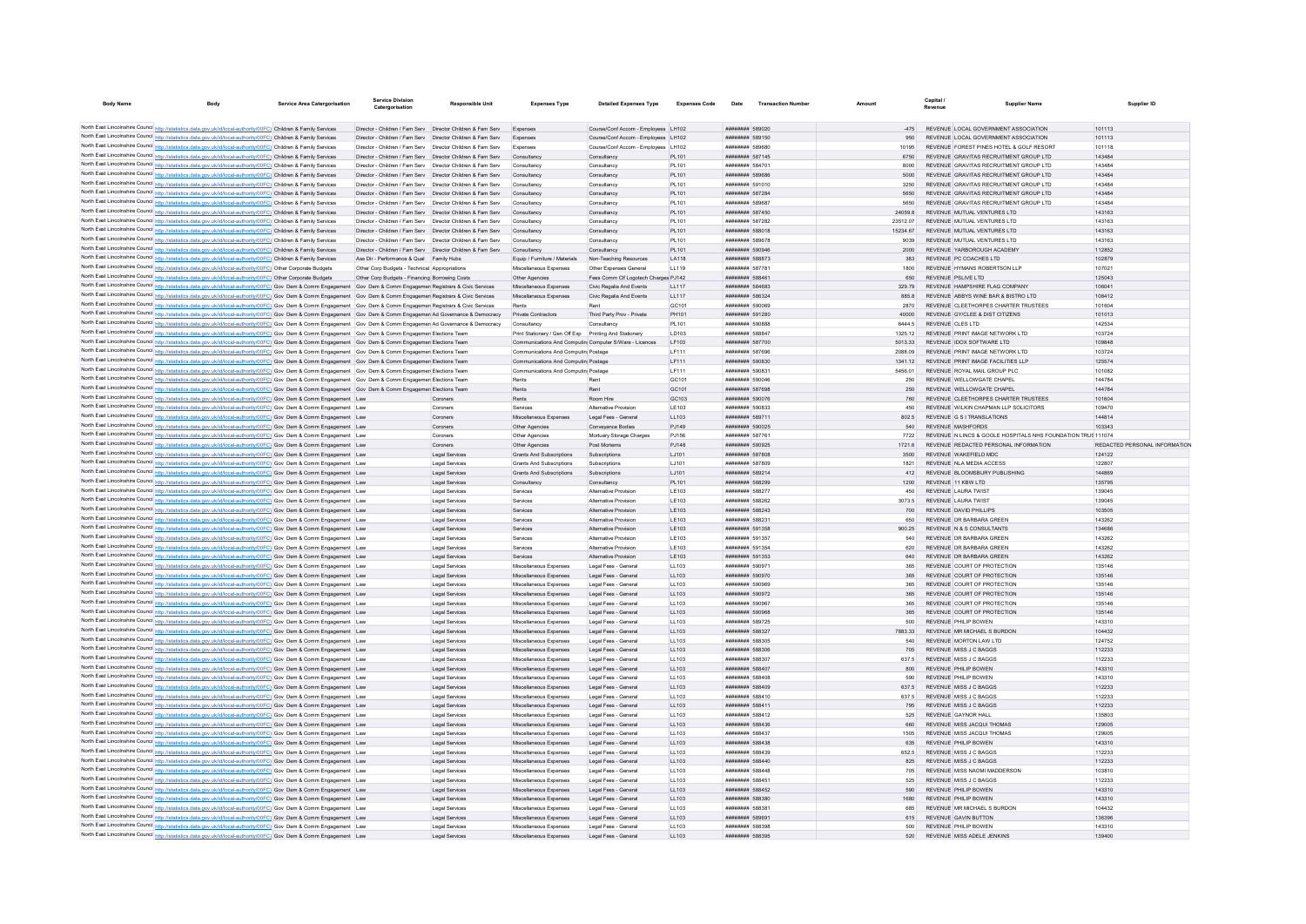| <b>Body Name</b> | Body                                                                                                                                                                                                                                                                                                                            | <b>Service Area Catergorisation</b> | Service Division<br>Catergorisation                          | <b>Responsible Unit</b>                                                 | <b>Expenses Type</b>                                                                                             | <b>Detailed Expenses Type</b>                  | <b>Expenses Code</b> | Date                                            | <b>Transaction Number</b> | Amount            | Capital<br>Revenue                                  | <b>Supplier Name</b>                                                             | Supplier ID                   |
|------------------|---------------------------------------------------------------------------------------------------------------------------------------------------------------------------------------------------------------------------------------------------------------------------------------------------------------------------------|-------------------------------------|--------------------------------------------------------------|-------------------------------------------------------------------------|------------------------------------------------------------------------------------------------------------------|------------------------------------------------|----------------------|-------------------------------------------------|---------------------------|-------------------|-----------------------------------------------------|----------------------------------------------------------------------------------|-------------------------------|
|                  |                                                                                                                                                                                                                                                                                                                                 |                                     |                                                              |                                                                         |                                                                                                                  |                                                |                      |                                                 |                           |                   |                                                     |                                                                                  |                               |
|                  | North East Lincolnshire Council http://statistics.data.gov.uk/id/local-authority/00FC) Children & Family Services                                                                                                                                                                                                               |                                     | Director - Children / Fam Serv Director Children & Fam Serv  |                                                                         | Expenses                                                                                                         | Course/Conf Accom - Employees LH102            |                      | ######## 589020                                 |                           |                   |                                                     | REVENUE LOCAL GOVERNMENT ASSOCIATION                                             | 101113                        |
|                  | North East Lincolnshire Council http://statistics.data.gov.uk/id/local-authority/00FC) Children & Family Services                                                                                                                                                                                                               |                                     | Director - Children / Fam Serv  Director Children & Fam Serv |                                                                         |                                                                                                                  | Course/Conf Accom - Employees LH102            |                      | ######## 589150                                 |                           |                   |                                                     | REVENUE LOCAL GOVERNMENT ASSOCIATION                                             | 101113                        |
|                  | North East Lincolnshire Council http://statistics.data.gov.uk/id/local-authority/00FC) Children & Family Services                                                                                                                                                                                                               |                                     | Director - Children / Fam Serv Director Children & Fam Serv  |                                                                         | Expenses                                                                                                         | Course/Conf Accom - Employees LH102            |                      | <b>HEBREHER SR968C</b>                          |                           | 10195             |                                                     | REVENUE, FOREST PINES HOTEL & GOLF RESORT                                        | 101118                        |
|                  | North East Lincolnshire Council http://statistics.data.gov.uk/id/local-authority/00FC) Children & Family Services                                                                                                                                                                                                               |                                     |                                                              | Director - Children / Fam Serv Director Children & Fam Serv Consultancy |                                                                                                                  | Consultancy                                    | PL101                | ######## 587145                                 |                           | 6750              |                                                     | REVENUE GRAVITAS RECRUITMENT GROUP LTD                                           | 143484                        |
|                  | North East Lincolnshire Council http://statistics.data.gov.uk/id/local-authority/00FC) Children & Family Services                                                                                                                                                                                                               |                                     | Director - Children / Fam Serv Director Children & Fam Serv  |                                                                         | Consultancy                                                                                                      | Consultancy                                    | PL101                | ######## 58470                                  |                           | 8000              |                                                     | REVENUE GRAVITAS RECRUITMENT GROUP LTD                                           | 143484                        |
|                  | North East Lincolnshire Council http://statistics.data.gov.uk/id/local-authority/00FC) Children & Family Services<br>North East Lincolnshire Council http://statistics.data.gov.uk/id/local-authority/00FC) Children & Family Services                                                                                          |                                     | Director - Children / Fam Serv Director Children & Fam Serv  | Director - Children / Fam Serv Director Children & Fam Serv Consultancy | Consultancy                                                                                                      | Consultancy<br>Consultancy                     | PL101<br>PL101       | ######## 589686<br>######## 591010              |                           | 5000<br>3250      |                                                     | REVENUE GRAVITAS RECRUITMENT GROUP LTD<br>REVENUE GRAVITAS RECRUITMENT GROUP LTD | 143484<br>143484              |
|                  | North East Lincolnshire Council http://statistics.data.gov.uk/id/local-authority/00FC) Children & Family Services                                                                                                                                                                                                               |                                     | Director - Children / Fam Serv  Director Children & Fam Serv |                                                                         | Consultancy                                                                                                      | Consultancy                                    | PL101                | ######## 587284                                 |                           | 5650              |                                                     | REVENUE GRAVITAS RECRUITMENT GROUP LTD                                           | 143484                        |
|                  | North East Lincolnshire Council http://statistics.data.gov.uk/id/local-authority/00FC) Children & Family Services                                                                                                                                                                                                               |                                     | Director - Children / Fam Serv  Director Children & Fam Serv |                                                                         | Consultancy                                                                                                      | Consultancy                                    | PL101                | ######## 589687                                 |                           | 5650              |                                                     | REVENUE GRAVITAS RECRUITMENT GROUP LTD                                           | 143484                        |
|                  | North East Lincolnshire Council http://statistics.data.gov.uk/id/local-authority/00FC) Children & Family Services                                                                                                                                                                                                               |                                     | Director - Children / Fam Serv  Director Children & Fam Serv |                                                                         | Consultancy                                                                                                      | Consultancy                                    | PL101                | ######## 587450                                 |                           | 24059.8           | REVENUE MUTUAL VENTURES LTD                         |                                                                                  | 143163                        |
|                  | North East Lincolnshire Council http://statistics.data.gov.uk/id/local-authority/00FC) Children & Family Services                                                                                                                                                                                                               |                                     | Director - Children / Fam Serv Director Children & Fam Serv  |                                                                         | Consultancy                                                                                                      | Consultancy                                    | PL101                | ######## 587282                                 |                           | 23512.07          | REVENUE MUTUAL VENTURES LTD                         |                                                                                  | 143163                        |
|                  | North East Lincolnshire Council http://statistics.data.gov.uk/id/local-authority/00FC) Children & Family Services                                                                                                                                                                                                               |                                     | Director - Children / Fam Serv  Director Children & Fam Serv |                                                                         | Consultancy                                                                                                      | Consultancy                                    | PL101                | ######## 588018                                 |                           | 15234.67          | REVENUE MUTUAL VENTURES LTD                         |                                                                                  | 143163                        |
|                  | North East Lincolnshire Council http://statistics.data.gov.uk/id/local-authority/00FC) Children & Family Services                                                                                                                                                                                                               |                                     | Director - Children / Fam Serv  Director Children & Fam Serv |                                                                         | Consultancy                                                                                                      | Consultancy                                    | PL101                | ######## 589678                                 |                           | 9039              | REVENUE MUTUAL VENTURES LTD                         |                                                                                  | 143163                        |
|                  | North East Lincolnshire Council http://statistics.data.gov.uk/id/local-authority/00FC) Children & Family Services                                                                                                                                                                                                               |                                     | Director - Children / Fam Serv  Director Children & Fam Serv |                                                                         | Consultancy                                                                                                      | Consultancy                                    | PL101                | ######## 590946                                 |                           | 2000              | REVENUE YARBOROUGH ACADEMY                          |                                                                                  | 112852                        |
|                  | North East Lincolnshire Council http://statistics.data.gov.uk/id/local-authority/00FC) Children & Family Services                                                                                                                                                                                                               |                                     | Ass Dir - Performance & Qual Family Hubs                     |                                                                         | Equip / Furniture / Materials                                                                                    | Non-Teaching Resources                         | LA118                | ######## 588873                                 |                           | 383               | REVENUE PC COACHES LTD                              |                                                                                  | 102879                        |
|                  | North East Lincolnshire Council http://statistics.data.gov.uk/id/local-authority/00FC) Other Corporate Budgets                                                                                                                                                                                                                  |                                     | Other Corp Budgets - Technical Appropriations                |                                                                         | Miscellaneous Expenses                                                                                           | Other Expenses General                         | LL119                | ######## 58778*                                 |                           | 1800              | REVENUE HYMANS ROBERTSON LLP                        |                                                                                  | 10702                         |
|                  | North East Lincolnshire Council http://statistics.data.gov.uk/id/local-authority/00FC) Other Corporate Budgets                                                                                                                                                                                                                  |                                     | Other Corp Budgets - Financing Borrowing Costs               |                                                                         | Other Agencies                                                                                                   | Fees Comm Clf Logotech Charges PJ142           |                      | ######## 588461                                 |                           | 650               | REVENUE PSLIVE LTD                                  |                                                                                  | 125043                        |
|                  | North East Lincolnshire Council http://statistics.data.gov.uk/id/local-authority/00FC) Gov Dem & Comm Engagement                                                                                                                                                                                                                |                                     | Gov Dem & Comm Engagemen Registrars & Civic Services         |                                                                         | Miscellaneous Expenses                                                                                           | Civic Regalia And Events                       | LL117                | ######## 584683                                 |                           | 329.79            | REVENUE HAMPSHIRE FLAG COMPANY                      |                                                                                  | 10604                         |
|                  | North East Lincolnshire Council http://statistics.data.gov.uk/id/local-authority/00FC) Gov Dem & Comm Engagement Gov Dem & Comm Engagemen Registrars & Civic Services                                                                                                                                                           |                                     |                                                              |                                                                         | Miscellaneous Expenses                                                                                           | Civic Regalia And Events                       | LL117                | <b><i>BREEZER 586324</i></b>                    |                           | 8858              | REVENUE ARRYS WINE BAR & BISTRO LTD                 |                                                                                  | 108412                        |
|                  | North East Lincolnshire Council http://statistics.data.gov.uk/id/local-authority/00FC) Gov Dem & Comm Engagement Gov Dem & Comm Engagemen Registrars & Civic Services                                                                                                                                                           |                                     |                                                              |                                                                         | Rente                                                                                                            | Rent                                           | GC101                | ######## 590069                                 |                           | 2870              | REVENUE GY/CLEE & DIST CITIZENS                     | REVENUE CLEETHORPES CHARTER TRUSTEES                                             | 101604                        |
|                  | North East Lincolnshire Council http://statistics.data.gov.uk/id/local-authority/00FC) Gov Dem & Comm Engagement Gov Dem & Comm Engagemen Ad Governance & Democracy Private Contractors                                                                                                                                         |                                     |                                                              |                                                                         |                                                                                                                  | Third Party Prov - Private                     | PH101                | ######## 591280                                 |                           | 40000             |                                                     |                                                                                  | 101013                        |
|                  | North East Lincolnshire Council http://statistics.data.gov.uk/id/local-authority/00FC) Gov Dem & Comm Engagement Gov Dem & Comm Engagemer Ad Governance & Democracy<br>North East Lincolnshire Council http://statistics.data.gov.uk/id/local-authority/00FC) Gov Dem & Comm Engagement Gov Dem & Comm Engagemen Elections Team |                                     |                                                              |                                                                         | Consultancy                                                                                                      | Consultancy                                    | PL101<br>LD103       | ######## 590888<br>######## 588847              |                           | 6444.5<br>1325.12 | REVENUE CLES LTD<br>REVENUE PRINT IMAGE NETWORK LTD |                                                                                  | 142534<br>103724              |
|                  | North East Lincolnshire Council http://statistics.data.gov.uk/id/local-authority/00FC) Gov Dem & Comm Engagement Gov Dem & Comm Engagemer Elections Team                                                                                                                                                                        |                                     |                                                              |                                                                         | Print Stationery / Gen Off Exp Printing And Stationery<br>Communications And Computin Computer S/Ware - Licences |                                                | IF103                | <b><i>BREEZERB 587700</i></b>                   |                           | 5013 33           | REVENUE IDOX SOFTWARE I TD                          |                                                                                  | 109848                        |
|                  | North East Lincolnshire Council http://statistics.data.gov.uk/id/local-authority/00FC) Gov Dem & Comm Engagement Gov Dem & Comm Engagemen Elections Team                                                                                                                                                                        |                                     |                                                              |                                                                         | Communications And Computin Postage                                                                              |                                                | LF111                | ######## 587696                                 |                           | 2088.09           | REVENUE PRINT IMAGE NETWORK LTD                     |                                                                                  | 103724                        |
|                  | North East Lincolnshire Council http://statistics.data.gov.uk/id/local-authority/00FC) Gov Dem & Comm Engagement Gov Dem & Comm Engagement Elections Team                                                                                                                                                                       |                                     |                                                              |                                                                         | Communications And Computin Postage                                                                              |                                                | LF111                | ######## 590830                                 |                           | 1341.12           | REVENUE PRINT IMAGE FACILITIES LLP                  |                                                                                  | 125574                        |
|                  | North East Lincolnshire Council http://statistics.data.gov.uk/id/local-authority/00FC) Gov Dem & Comm Engagement Gov Dem & Comm Engagemen Elections Team                                                                                                                                                                        |                                     |                                                              |                                                                         | Communications And Computin Postage                                                                              |                                                | LF111                | ######## 590831                                 |                           | 5456.01           | REVENUE ROYAL MAIL GROUP PLC                        |                                                                                  | 101082                        |
|                  | North East Lincolnshire Council http://statistics.data.gov.uk/id/local-authority/00FC) Gov Dem & Comm Engagement Gov Dem & Comm Engagemen Elections Team                                                                                                                                                                        |                                     |                                                              |                                                                         | Rents                                                                                                            | Rent                                           | GC101                | <b><i>BREERERE</i></b> 590046                   |                           | 250               | REVENUE WELLOWGATE CHAPEL                           |                                                                                  | 144784                        |
|                  | North East Lincolnshire Council http://statistics.data.gov.uk/id/local-authority/00FC) Gov Dem & Comm Engagement Gov Dem & Comm Engagement Elections Team                                                                                                                                                                       |                                     |                                                              |                                                                         | Rents                                                                                                            | Rent                                           | GC101                | ######## 587698                                 |                           | 250               | REVENUE WELLOWGATE CHAPEL                           |                                                                                  | 144784                        |
|                  | North East Lincolnshire Council http://statistics.data.gov.uk/id/local-authority/00FC) Gov Dem & Comm Engagement Law                                                                                                                                                                                                            |                                     |                                                              | Coroners                                                                | Rents                                                                                                            | Room Hire                                      | GC103                | ######## 590076                                 |                           | 760               |                                                     | REVENUE CLEETHORPES CHARTER TRUSTEES                                             | 101604                        |
|                  | North East Lincolnshire Council http://statistics.data.gov.uk/id/local-authority/00FC) Gov Dem & Comm Engagement Law                                                                                                                                                                                                            |                                     |                                                              | Coroners                                                                | Services                                                                                                         | Alternative Provision                          | LE103                | ######## 590833                                 |                           | 450               |                                                     | REVENUE WILKIN CHAPMAN LLP SOLICITORS                                            | 109470                        |
|                  | North East Lincolnshire Council http://statistics.data.gov.uk/id/local-authority/00FC) Gov Dem & Comm Engagement Law                                                                                                                                                                                                            |                                     |                                                              | Coroners                                                                | Miscellaneous Expenses                                                                                           | Legal Fees - General                           | 11.103               | ######## 589711                                 |                           | 8025              | REVENUE G S LTRANSLATIONS                           |                                                                                  | 144814                        |
|                  | North East Lincolnshire Council http://statistics.data.gov.uk/id/local-authority/00FC) Gov Dem & Comm Engagement Law                                                                                                                                                                                                            |                                     |                                                              | Coroners                                                                | Other Agencies                                                                                                   | Conveyance Bodies                              | PJ149                | ######## 590025                                 |                           | 540               | <b>REVENUE MASHEORDS</b>                            |                                                                                  | 103343                        |
|                  | North East Lincolnshire Council http://statistics.data.gov.uk/id/local-authority/00FC) Gov Dem & Comm Engagement Law                                                                                                                                                                                                            |                                     |                                                              | Coroners                                                                | Other Agencies                                                                                                   | Mortuary Storage Charges                       | PJ156                | ######## 587761                                 |                           | 7722              |                                                     | REVENUE N LINCS & GOOLE HOSPITALS NHS FOUNDATION TRUS 111074                     |                               |
|                  | North East Lincolnshire Council http://statistics.data.gov.uk/id/local-authority/00FC) Gov Dem & Comm Engagement Law                                                                                                                                                                                                            |                                     |                                                              | Coroners                                                                | Other Agencies                                                                                                   | Post Mortems                                   | PJ148                | ######## 590925                                 |                           | 1721.6            |                                                     | REVENUE REDACTED PERSONAL INFORMATION                                            | REDACTED PERSONAL INFORMATION |
|                  | North East Lincolnshire Council http://statistics.data.gov.uk/id/local-authority/00FC) Gov Dem & Comm Engagement Law                                                                                                                                                                                                            |                                     |                                                              | <b>Legal Services</b>                                                   | Grants And Subscriptions                                                                                         | Subscriptions                                  | LJ101                | <b><i>BREEZER 587808</i></b>                    |                           | 3500              | REVENUE WAKEFIELD MDC                               |                                                                                  | 124122                        |
|                  | North East Lincolnshire Council http://statistics.data.gov.uk/id/local-authority/00FC) Gov Dem & Comm Engagement Law                                                                                                                                                                                                            |                                     |                                                              | Legal Services                                                          | Grants And Subscriptions                                                                                         | Subscriptions                                  | LJ101                | ######## 587809                                 |                           | 1821              | REVENUE NLA MEDIA ACCESS                            |                                                                                  | 122807                        |
|                  | North East Lincolnshire Council http://statistics.data.gov.uk/id/local-authority/00FC) Gov Dem & Comm Engagement Law                                                                                                                                                                                                            |                                     |                                                              | Legal Services                                                          | Grants And Subscriptions                                                                                         | Subscriptions                                  | LJ101                | ######## 589214                                 |                           | 412               | REVENUE BLOOMSBURY PUBLISHING                       |                                                                                  | 144869                        |
|                  | North East Lincolnshire Council http://statistics.data.gov.uk/id/local-authority/00FC) Gov Dem & Comm Engagement Law                                                                                                                                                                                                            |                                     |                                                              | Legal Services                                                          | Consultancy                                                                                                      | Consultancy                                    | PL101                | ####### 588299                                  |                           | 1200              | REVENUE 11 KBW LTD                                  |                                                                                  | 135795                        |
|                  | North East Lincolnshire Council http://statistics.data.gov.uk/id/local-authority/00FC) Gov Dem & Comm Engagement Law                                                                                                                                                                                                            |                                     |                                                              | Legal Services                                                          | Services                                                                                                         | Alternative Provision                          | LE103<br>LE103       | ######## 588277<br>######## 588262              |                           | 450               | REVENUE LAURA TWIST<br>REVENUE LAURA TWIST          |                                                                                  | 139045<br>139045              |
|                  | North East Lincolnshire Council http://statistics.data.gov.uk/id/local-authority/00FC) Gov Dem & Comm Engagement Law<br>North East Lincolnshire Council http://statistics.data.gov.uk/id/local-authority/00FC) Gov Dem & Comm Engagement Law                                                                                    |                                     |                                                              | Legal Services<br>Legal Services                                        | Services<br>Services                                                                                             | Alternative Provision<br>Alternative Provision | LE103                | ####### 588243                                  |                           | 3073.5<br>700     | REVENUE DAVID PHILLIPS                              |                                                                                  | 103505                        |
|                  | North East Lincolnshire Council http://statistics.data.gov.uk/id/local-authority/00FC) Gov Dem & Comm Engagement Law                                                                                                                                                                                                            |                                     |                                                              | Legal Services                                                          | Services                                                                                                         | Alternative Provision                          | LE103                | ######## 588231                                 |                           | 650               | REVENUE DR BARBARA GREEN                            |                                                                                  | 143262                        |
|                  | North East Lincolnshire Council http://statistics.data.gov.uk/id/local-authority/00FC) Gov Dem & Comm Engagement Law                                                                                                                                                                                                            |                                     |                                                              | Legal Services                                                          | Services                                                                                                         | Alternative Provision                          | LE103                | ######## 591358                                 |                           | 900.25            | REVENUE N & S CONSULTANTS                           |                                                                                  | 134686                        |
|                  | North East Lincolnshire Council http://statistics.data.gov.uk/id/local-authority/00FC) Gov Dem & Comm Engagement Law                                                                                                                                                                                                            |                                     |                                                              | Legal Services                                                          | Services                                                                                                         | Alternative Provision                          | LE103                | ######## 591357                                 |                           | 540               | REVENUE DR BARBARA GREEN                            |                                                                                  | 143262                        |
|                  | North East Lincolnshire Council http://statistics.data.gov.uk/id/local-authority/00FC) Gov Dem & Comm Engagement Law                                                                                                                                                                                                            |                                     |                                                              | Legal Services                                                          | Services                                                                                                         | Alternative Provision                          | LE103                | ######## 591354                                 |                           | 620               | REVENUE DR BARBARA GREEN                            |                                                                                  | 143262                        |
|                  | North East Lincolnshire Council http://statistics.data.gov.uk/id/local-authority/00FC) Gov Dem & Comm Engagement Law                                                                                                                                                                                                            |                                     |                                                              | Legal Services                                                          | Services                                                                                                         | Alternative Provision                          | LE103                | ######## 591353                                 |                           | 640               | REVENUE DR BARBARA GREEN                            |                                                                                  | 143262                        |
|                  | North East Lincolnshire Council http://statistics.data.gov.uk/id/local-authority/00FC) Gov Dem & Comm Engagement Law                                                                                                                                                                                                            |                                     |                                                              | Legal Services                                                          | Miscellaneous Expenses                                                                                           | Legal Fees - General                           | LL103                | ######## 590971                                 |                           | 365               | REVENUE COURT OF PROTECTION                         |                                                                                  | 135146                        |
|                  | North East Lincolnshire Council http://statistics.data.gov.uk/id/local-authority/00FC) Gov Dem & Comm Engagement Law                                                                                                                                                                                                            |                                     |                                                              | <b>Legal Services</b>                                                   | Miscellaneous Expenses                                                                                           | Legal Fees - General                           | LL103                | ######## 590970                                 |                           | 365               | REVENUE COURT OF PROTECTION                         |                                                                                  | 135146                        |
|                  | North East Lincolnshire Council http://statistics.data.gov.uk/id/local-authority/00FC) Gov Dem & Comm Engagement Law                                                                                                                                                                                                            |                                     |                                                              | Legal Services                                                          | Miscellaneous Expenses                                                                                           | Legal Fees - General                           | LL103                | ######## 590969                                 |                           | 365               | REVENUE COURT OF PROTECTION                         |                                                                                  | 135146                        |
|                  | North East Lincolnshire Council http://statistics.data.gov.uk/id/local-authority/00FC) Gov Dem & Comm Engagement Law                                                                                                                                                                                                            |                                     |                                                              | Legal Services                                                          | Miscellaneous Expenses                                                                                           | Legal Fees - General                           | LL103                | ######## 590972                                 |                           | 365               | REVENUE COURT OF PROTECTION                         |                                                                                  | 135146                        |
|                  | North East Lincolnshire Council http://statistics.data.gov.uk/id/local-authority/00FC) Gov Dem & Comm Engagement Law                                                                                                                                                                                                            |                                     |                                                              | Legal Services                                                          | Miscellaneous Expenses                                                                                           | Legal Fees - General                           | LL103                | ######## 590967                                 |                           | 365               | REVENUE COURT OF PROTECTION                         |                                                                                  | 135146                        |
|                  | North East Lincolnshire Council http://statistics.data.gov.uk/id/local-authority/00FC) Gov Dem & Comm Engagement Law                                                                                                                                                                                                            |                                     |                                                              | <b>Legal Services</b>                                                   | Miscellaneous Expenses                                                                                           | Legal Fees - General                           | LL103                | ######## 590968                                 |                           | 365               | REVENUE COURT OF PROTECTION                         |                                                                                  | 135146                        |
|                  | North East Lincolnshire Council http://statistics.data.gov.uk/id/local-authority/00FC) Gov Dem & Comm Engagement Law                                                                                                                                                                                                            |                                     |                                                              | Legal Services                                                          | Miscellaneous Expenses                                                                                           | Legal Fees - General                           | LL103                | ######## 589725                                 |                           | 500               | REVENUE PHILIP BOWEN                                |                                                                                  | 143310                        |
|                  | North East Lincolnshire Council http://statistics.data.gov.uk/id/local-authority/00FC) Gov Dem & Comm Engagement Law                                                                                                                                                                                                            |                                     |                                                              | Legal Services                                                          | Miscellaneous Expenses                                                                                           | Legal Fees - General                           | LL103                | ######## 588327                                 |                           | 7883.33           | REVENUE MR MICHAEL S BURDON                         |                                                                                  | 104432                        |
|                  | North East Lincolnshire Council http://statistics.data.gov.uk/id/local-authority/00FC) Gov Dem & Comm Engagement Law                                                                                                                                                                                                            |                                     |                                                              | Legal Services                                                          | Miscellaneous Expenses                                                                                           | Legal Fees - General                           | LL103                | ######## 588305                                 |                           | 540               | REVENUE MORTON LAW LTD                              |                                                                                  | 124752                        |
|                  | North East Lincolnshire Council http://statistics.data.gov.uk/id/local-authority/00FC) Gov Dem & Comm Engagement Law                                                                                                                                                                                                            |                                     |                                                              | <b>Legal Services</b>                                                   | Miscellaneous Expenses                                                                                           | Legal Fees - General                           | LL103                | ######## 588306                                 |                           | 705               | REVENUE MISS J C BAGGS                              |                                                                                  | 112233                        |
|                  | North East Lincolnshire Council http://statistics.data.gov.uk/id/local-authority/00FC) Gov Dem & Comm Engagement Law                                                                                                                                                                                                            |                                     |                                                              | Legal Services                                                          | Miscellaneous Expenses                                                                                           | Legal Fees - General                           | LL103                | ######## 588307                                 |                           | 637.5             | REVENUE MISS J C BAGGS                              |                                                                                  | 112233                        |
|                  | North East Lincolnshire Council http://statistics.data.gov.uk/id/local-authority/00FC) Gov Dem & Comm Engagement Law<br>North East Lincolnshire Council http://statistics.data.gov.uk/id/local-authority/00FC) Gov Dem & Comm Engagement Law                                                                                    |                                     |                                                              | Legal Services                                                          | Miscellaneous Expenses<br>Miscellaneous Expenses                                                                 | Legal Fees - General<br>Legal Fees - General   | LL103<br>LL103       | ######## 588407<br><b><i>BRESHERE SRADS</i></b> |                           | 800<br>590        | REVENUE PHILIP BOWEN<br>REVENUE PHILIP ROWEN        |                                                                                  | 143310<br>143310              |
|                  | North East Lincolnshire Council http://statistics.data.gov.uk/id/local-authority/00FC) Gov Dem & Comm Engagement Law                                                                                                                                                                                                            |                                     |                                                              | Legal Services<br><b>Legal Services</b>                                 | Miscellaneous Expenses                                                                                           | Legal Fees - General                           | LL103                | <b><i>BREEZER 588409</i></b>                    |                           | 637.5             | REVENUE MISS J C BAGGS                              |                                                                                  | 112233                        |
|                  | North East Lincolnshire Council http://statistics.data.gov.uk/id/local-authority/00FC) Gov Dem & Comm Engagement Law                                                                                                                                                                                                            |                                     |                                                              | Legal Services                                                          | Miscellaneous Expenses                                                                                           | Legal Fees - General                           | LL103                | ######## 588410                                 |                           | 637.5             | REVENUE MISS J C BAGGS                              |                                                                                  | 112233                        |
|                  | North East Lincolnshire Council http://statistics.data.gov.uk/id/local-authority/00FC) Gov Dem & Comm Engagement Law                                                                                                                                                                                                            |                                     |                                                              | Legal Services                                                          | Miscellaneous Expenses                                                                                           | Legal Fees - General                           | LL103                | ######## 588411                                 |                           | 795               | REVENUE MISS J C BAGGS                              |                                                                                  | 112233                        |
|                  | North East Lincolnshire Council http://statistics.data.gov.uk/id/local-authority/00FC) Gov Dem & Comm Engagement Law                                                                                                                                                                                                            |                                     |                                                              | Legal Services                                                          | Miscellaneous Expenses                                                                                           | Legal Fees - General                           | LL103                | ######## 588412                                 |                           | 525               | REVENUE GAYNOR HALL                                 |                                                                                  | 135803                        |
|                  | North East Lincolnshire Council http://statistics.data.gov.uk/id/local-authority/00FC) Gov Dem & Comm Engagement Law                                                                                                                                                                                                            |                                     |                                                              | Legal Services                                                          | Miscellaneous Expenses                                                                                           | Legal Fees - General                           | LL103                | <b><i>BREEZER 588436</i></b>                    |                           | 660               | REVENUE MISS JACQUI THOMAS                          |                                                                                  | 129005                        |
|                  | North East Lincolnshire Council http://statistics.data.gov.uk/id/local-authority/00FC) Gov Dem & Comm Engagement Law                                                                                                                                                                                                            |                                     |                                                              | Legal Services                                                          | Miscellaneous Expenses                                                                                           | Legal Fees - General                           | LL103                | ######## 588437                                 |                           | 1505              | REVENUE MISS JACQUI THOMAS                          |                                                                                  | 129005                        |
|                  | North East Lincolnshire Council http://statistics.data.gov.uk/id/local-authority/00FC) Gov Dem & Comm Engagement Law                                                                                                                                                                                                            |                                     |                                                              | Legal Services                                                          | Miscellaneous Expenses                                                                                           | Legal Fees - General                           | LL103                | ######## 588438                                 |                           | 635               | <b>REVENUE PHILIP BOWEN</b>                         |                                                                                  | 143310                        |
|                  | North East Lincolnshire Council http://statistics.data.gov.uk/id/local-authority/00FC) Gov Dem & Comm Engagement Law                                                                                                                                                                                                            |                                     |                                                              | Legal Services                                                          | Miscellaneous Expenses                                                                                           | Legal Fees - General                           | LL103                | ######## 588439                                 |                           | 652.5             | REVENUE MISS J C BAGGS                              |                                                                                  | 112233                        |
|                  | North East Lincolnshire Council http://statistics.data.gov.uk/id/local-authority/00FC) Gov Dem & Comm Engagement Law                                                                                                                                                                                                            |                                     |                                                              | Legal Services                                                          | Miscellaneous Expenses                                                                                           | Legal Fees - General                           | LL103                | <b><i>BRESHERE SRR440</i></b>                   |                           | 825               | REVENUE MISS J C BAGGS                              |                                                                                  | 112233                        |
|                  | North East Lincolnshire Council http://statistics.data.gov.uk/id/local-authority/00FC) Gov Dem & Comm Engagement Law                                                                                                                                                                                                            |                                     |                                                              | Legal Services                                                          | Miscellaneous Expenses                                                                                           | Legal Fees - General                           | LL103                | ######## 588448                                 |                           | 705               | REVENUE MISS NAOMI MADDERSON                        |                                                                                  | 103810                        |
|                  | North East Lincolnshire Council http://statistics.data.gov.uk/id/local-authority/00FC) Gov Dem & Comm Engagement Law                                                                                                                                                                                                            |                                     |                                                              | Legal Services                                                          | Miscellaneous Expenses                                                                                           | Legal Fees - General                           | LL103                | ######## 58845*                                 |                           | 525               | REVENUE MISS J C BAGGS                              |                                                                                  | 112233                        |
|                  | North East Lincolnshire Council http://statistics.data.gov.uk/id/local-authority/00FC) Gov Dem & Comm Engagement Law                                                                                                                                                                                                            |                                     |                                                              | Legal Services                                                          | Miscellaneous Expenses                                                                                           | Legal Fees - General                           | LL103                | ######## 588452                                 |                           | 590               | REVENUE PHILIP BOWEN                                |                                                                                  | 143310                        |
|                  | North East Lincolnshire Council http://statistics.data.gov.uk/id/local-authority/00FC) Gov Dem & Comm Engagement Law                                                                                                                                                                                                            |                                     |                                                              | <b>Legal Services</b>                                                   | Miscellaneous Expenses                                                                                           | Legal Fees - General                           | LL103                | <b><i>BREBRERH</i></b> 588380                   |                           | 1680              | REVENUE PHILIP BOWEN                                |                                                                                  | 143310                        |
|                  | North East Lincolnshire Council http://statistics.data.gov.uk/id/local-authority/00FC) Gov Dem & Comm Engagement Law                                                                                                                                                                                                            |                                     |                                                              | Legal Services                                                          | Miscellaneous Expenses                                                                                           | Legal Fees - General                           | LL103                | <i><b>BREEZHAH 58838*</b></i>                   |                           | 685               | REVENUE MR MICHAEL S BURDON                         |                                                                                  | 104432                        |
|                  | North East Lincolnshire Council http://statistics.data.gov.uk/id/local-authority/00FC) Gov Dem & Comm Engagement Law                                                                                                                                                                                                            |                                     |                                                              | Legal Services                                                          | Miscellaneous Expenses                                                                                           | Legal Fees - General                           | LL103                | ######## 589691                                 |                           | 615               | <b>REVENUE GAVIN BUTTON</b>                         |                                                                                  | 136396                        |
|                  | North East Lincolnshire Council http://statistics.data.gov.uk/id/local-authority/00FC) Gov Dem & Comm Engagement Law<br>North East Lincolnshire Council http://statistics.data.gov.uk/id/local-authority/00FC) Gov Dem & Comm Engagement Law                                                                                    |                                     |                                                              | Legal Services<br>Legal Services                                        | Miscellaneous Expenses<br>Miscellaneous Expenses                                                                 | Legal Fees - General<br>Legal Fees - General   | LL103<br>11.103      | ######## 588398<br>######## 588395              |                           | 500<br>520        | REVENUE PHILIP BOWEN<br>REVENUE MISS ADELE JENKINS  |                                                                                  | 143310<br>139400              |
|                  |                                                                                                                                                                                                                                                                                                                                 |                                     |                                                              |                                                                         |                                                                                                                  |                                                |                      |                                                 |                           |                   |                                                     |                                                                                  |                               |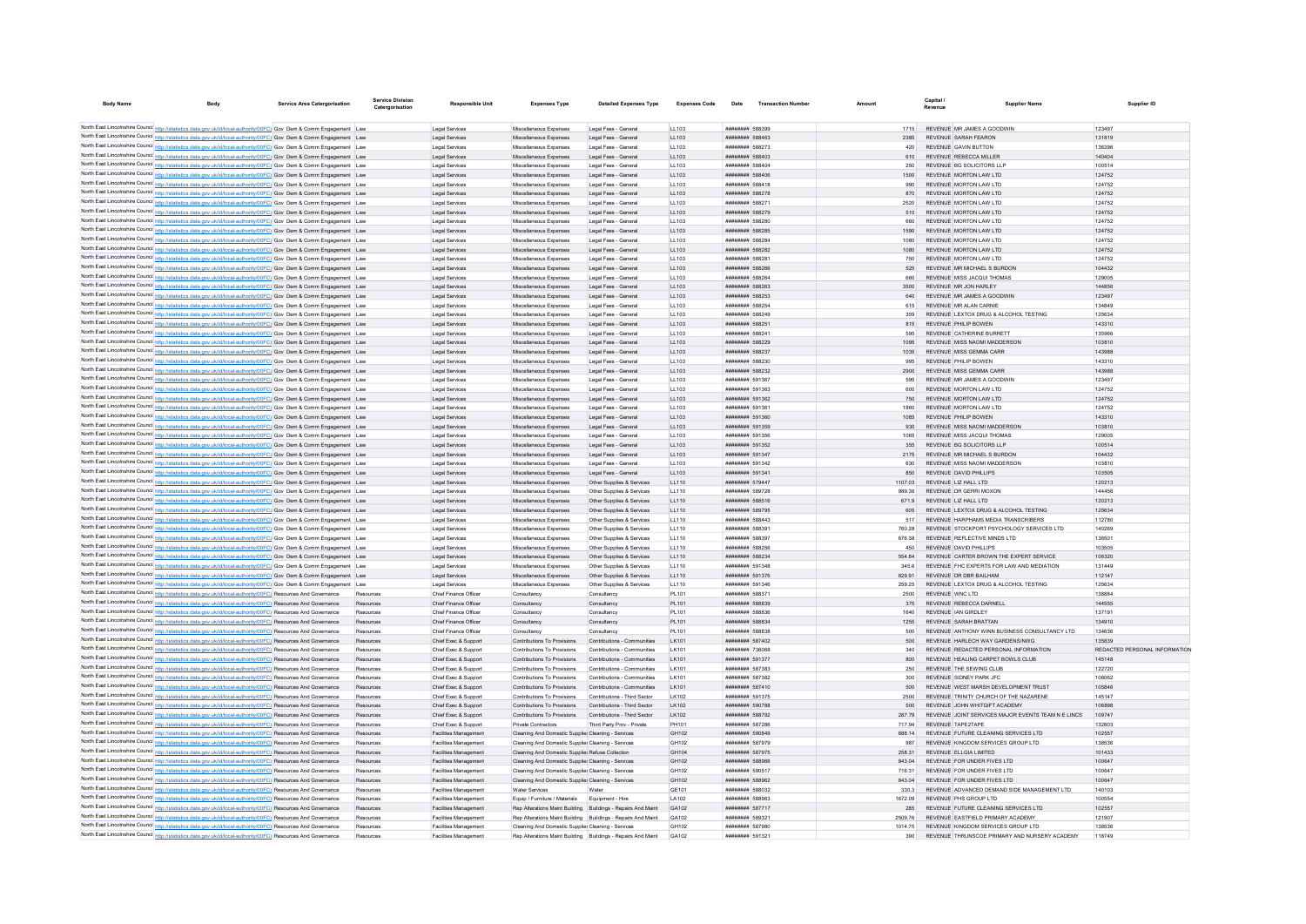| <b>Body Name</b>                                 |                                                                                                                                                                                                                                              | <b>Service Area Catergorisation</b> | Service Division<br>Catergorisation | <b>Responsible Unit</b>                              | <b>Expenses Type</b>                               | <b>Detailed Expenses Type</b>                                  | <b>Expenses Code</b> | Date                               | <b>Transaction Number</b> | Amount             | Capital.<br>Revenue | <b>Supplier Name</b>                                                    | Supplier ID                   |
|--------------------------------------------------|----------------------------------------------------------------------------------------------------------------------------------------------------------------------------------------------------------------------------------------------|-------------------------------------|-------------------------------------|------------------------------------------------------|----------------------------------------------------|----------------------------------------------------------------|----------------------|------------------------------------|---------------------------|--------------------|---------------------|-------------------------------------------------------------------------|-------------------------------|
|                                                  |                                                                                                                                                                                                                                              |                                     |                                     |                                                      |                                                    |                                                                |                      |                                    |                           |                    |                     |                                                                         |                               |
| North East Lincolnshire Council http://etatietic | s.data.gov.uk/id/local-authority/00FC) Gov Dem & Comm Engagement Law                                                                                                                                                                         |                                     |                                     | Legal Services                                       | Miscellaneous Expenses                             | Legal Fees - General                                           | LL103                | ######## 588399                    |                           | 1715               |                     | REVENUE MR JAMES A GOODWIN                                              | 123497                        |
|                                                  | North East Lincolnshire Council http://statistics.data.gov.uk/id/local-authority/00FC) Gov Dem & Comm Engagement Law                                                                                                                         |                                     |                                     | Legal Services                                       | Miscellaneous Expenses                             | Legal Fees - General                                           | LL103                | ######## 588463                    |                           | 2385               |                     | REVENUE SARAH FEARON                                                    | 131819                        |
|                                                  | North East Lincolnshire Council http://statistics.data.gov.uk/id/local-authority/00FC) Gov Dem & Comm Engagement Law                                                                                                                         |                                     |                                     | Legal Services                                       | Miscellaneous Expenses                             | Legal Fees - General                                           | LL103                | ######## 588273                    |                           | 420                |                     | REVENUE GAVIN BUTTON                                                    | 136396                        |
|                                                  | North East Lincolnshire Council http://statistics.data.gov.uk/id/local-authority/00FC) Gov Dem & Comm Engagement Law                                                                                                                         |                                     |                                     | Legal Services                                       | Miscellaneous Expenses                             | Legal Fees - General                                           | LL103                | ######## 588403                    |                           | 610                |                     | REVENUE REBECCA MILLER                                                  | 140404                        |
|                                                  | North East Lincolnshire Council http://statistics.data.gov.uk/id/local-authority/00FC) Gov Dem & Comm Engagement Law                                                                                                                         |                                     |                                     | Legal Services                                       | Miscellaneous Expenses                             | Legal Fees - General                                           | LL103                | ######## 588404                    |                           | 250                |                     | REVENUE BG SOLICITORS LLP                                               | 100514                        |
|                                                  | North East Lincolnshire Council http://statistics.data.gov.uk/id/local-authority/00FC) Gov Dem & Comm Engagement Law                                                                                                                         |                                     |                                     | Legal Services                                       | Miscellaneous Expenses                             | Legal Fees - General                                           | LL103                | ######## 588406                    |                           | 1500               |                     | REVENUE MORTON LAW LTD                                                  | 124752                        |
|                                                  | North East Lincolnshire Council http://statistics.data.gov.uk/id/local-authority/00FC) Gov Dem & Comm Engagement Law                                                                                                                         |                                     |                                     | Legal Services                                       | Miscellaneous Expenses                             | Legal Fees - General                                           | LL103                | ######## 588418                    |                           | 990                |                     | REVENUE MORTON LAW LTD                                                  | 124752                        |
|                                                  | North East Lincolnshire Council http://statistics.data.gov.uk/id/local-authority/00FC) Gov Dem & Comm Engagement Law                                                                                                                         |                                     |                                     | Legal Services                                       | Miscellaneous Expenses                             | Legal Fees - General                                           | LL103                | ######## 588278                    |                           | 870                |                     | REVENUE MORTON LAW LTD                                                  | 124752                        |
|                                                  | North East Lincolnshire Council http://statistics.data.gov.uk/id/local-authority/00FC) Gov Dem & Comm Engagement Law                                                                                                                         |                                     |                                     | Legal Services                                       | Miscellaneous Expenses                             | Legal Fees - Genera                                            | LL103                | ######## 58827                     |                           | 2520               |                     | REVENUE MORTON LAW LTD                                                  | 124752                        |
|                                                  | North East Lincolnshire Council http://statistics.data.gov.uk/id/local-authority/00FC) Gov Dem & Comm Engagement Law                                                                                                                         |                                     |                                     | Legal Services                                       | Miscellaneous Expenses                             | Legal Fees - General                                           | LL103                | ######## 588279                    |                           | 510                |                     | REVENUE MORTON LAW LTD                                                  | 124752                        |
|                                                  | North East Lincolnshire Council http://statistics.data.gov.uk/id/local-authority/00FC) Gov Dem & Comm Engagement Law                                                                                                                         |                                     |                                     | Legal Services                                       | Miscellaneous Expenses                             | Legal Fees - General                                           | LL103                | ######## 588280                    |                           | 660                |                     | REVENUE MORTON LAW LTD                                                  | 124752                        |
|                                                  | North East Lincolnshire Council http://statistics.data.gov.uk/id/local-authority/00FC) Gov Dem & Comm Engagement Law                                                                                                                         |                                     |                                     | Legal Services                                       | Miscellaneous Expenses                             | Legal Fees - General                                           | LL103                | ######## 588285                    |                           | 1590               |                     | REVENUE MORTON LAW LTD                                                  | 124752                        |
|                                                  | North East Lincolnshire Council http://statistics.data.gov.uk/id/local-authority/00FC) Gov Dem & Comm Engagement Law                                                                                                                         |                                     |                                     | Legal Services                                       | Miscellaneous Expenses                             | Legal Fees - General                                           | LL103                | <b><i>BREAGHAN 588284</i></b>      |                           | 1080               |                     | REVENUE MORTON LAW LTD                                                  | 124752                        |
|                                                  | North East Lincolnshire Council http://statistics.data.gov.uk/id/local-authority/00FC) Gov Dem & Comm Engagement Law                                                                                                                         |                                     |                                     | Legal Services                                       | Miscellaneous Expenses                             | Legal Fees - General                                           | LL103                | ######## 588282                    |                           | 1080               |                     | REVENUE MORTON LAW LTD                                                  | 124752                        |
|                                                  | North East Lincolnshire Council http://statistics.data.gov.uk/id/local-authority/00FC) Gov Dem & Comm Engagement Law                                                                                                                         |                                     |                                     | Legal Services                                       | Miscellaneous Expenses                             | Legal Fees - General                                           | LL103                | ######## 588281                    |                           | 750                |                     | REVENUE MORTON LAW LTD                                                  | 124752                        |
|                                                  | North East Lincolnshire Council http://statistics.data.gov.uk/id/local-authority/00FC) Gov Dem & Comm Engagement Law                                                                                                                         |                                     |                                     | Legal Services                                       | Miscellaneous Expenses                             | Legal Fees - General                                           | LL103                | ######## 588266                    |                           | 525                |                     | REVENUE MR MICHAEL S BURDON                                             | 104432                        |
|                                                  | North East Lincolnshire Council http://statistics.data.gov.uk/id/local-authority/00FC) Gov Dem & Comm Engagement Law                                                                                                                         |                                     |                                     | Legal Services                                       | Miscellaneous Expenses                             | Legal Fees - General                                           | LL103                | ######## 588264                    |                           | 660                |                     | REVENUE MISS JACQUI THOMAS                                              | 129005                        |
|                                                  | North East Lincolnshire Council http://statistics.data.gov.uk/id/local-authority/00FC) Gov Dem & Comm Engagement Law                                                                                                                         |                                     |                                     | Legal Services                                       | Miscellaneous Expenses                             | Legal Fees - General                                           | LL103                | ######## 588263<br>####### 588253  |                           | 3500               |                     | REVENUE MR JON HARLEY                                                   | 144856                        |
|                                                  | North East Lincolnshire Council http://statistics.data.gov.uk/id/local-authority/00FC) Gov Dem & Comm Engagement Law<br>North East Lincolnshire Council http://statistics.data.gov.uk/id/local-authority/00FC) Gov Dem & Comm Engagement Law |                                     |                                     | Legal Services                                       | Miscellaneous Expenses<br>Miscellaneous Expenses   | Legal Fees - General<br>Legal Fees - General                   | LL103                | ######## 588254                    |                           | 640<br>615         |                     | REVENUE MR JAMES A GOODWIN<br>REVENUE MR ALAN CARNIE                    | 123497<br>134849              |
|                                                  | North East Lincolnshire Council http://statistics.data.gov.uk/id/local-authority/00FC) Gov Dem & Comm Engagement Law                                                                                                                         |                                     |                                     | Legal Services<br>Legal Services                     | Miscellaneous Expenses                             | Legal Fees - General                                           | LL103<br>LL103       | ######## 588249                    |                           | 359                |                     | REVENUE LEXTOX DRUG & ALCOHOL TESTING                                   | 125634                        |
|                                                  | North East Lincolnshire Council http://statistics.data.gov.uk/id/local-authority/00FC) Gov Dem & Comm Engagement Law                                                                                                                         |                                     |                                     | Legal Services                                       | Miscellaneous Expenses                             | Legal Fees - General                                           |                      | ######## 588251                    |                           | 815                |                     | REVENUE PHILIP BOWEN                                                    | 143310                        |
|                                                  | North East Lincolnshire Council http://statistics.data.gov.uk/id/local-authority/00FC) Gov Dem & Comm Engagement Law                                                                                                                         |                                     |                                     | Legal Service                                        | Miscellaneous Expenses                             | Legal Fees - General                                           | LL103<br>LL103       | ######## 588241                    |                           | 595                |                     | REVENUE CATHERINE BURRETT                                               | 135966                        |
|                                                  | North East Lincolnshire Council http://statistics.data.gov.uk/id/local-authority/00FC) Gov Dem & Comm Engagement Law                                                                                                                         |                                     |                                     | Legal Services                                       | Miscellaneous Expenses                             | Legal Fees - General                                           | LL103                | ######## 588229                    |                           | 1095               |                     | REVENUE MISS NAOMI MADDERSON                                            | 103810                        |
|                                                  | North East Lincolnshire Council http://statistics.data.gov.uk/id/local-authority/00FC) Gov Dem & Comm Engagement Law                                                                                                                         |                                     |                                     | Legal Services                                       | Miscellaneous Expenses                             | Legal Fees - General                                           | LL103                | ######## 588237                    |                           | 1035               |                     | REVENUE MISS GEMMA CARR                                                 | 143988                        |
|                                                  | North East Lincolnshire Council http://statistics.data.gov.uk/id/local-authority/00FC) Gov Dem & Comm Engagement Law                                                                                                                         |                                     |                                     | Legal Services                                       | Miscellaneous Expenser                             | Legal Fees - Genera                                            | LL103                | ######## 588230                    |                           | 995                |                     | REVENUE PHILIP BOWEN                                                    | 143310                        |
|                                                  | North East Lincolnshire Council http://statistics.data.gov.uk/id/local-authority/00FC) Gov Dem & Comm Engagement Law                                                                                                                         |                                     |                                     | Legal Service                                        | Miscellaneous Expenses                             | Legal Fees - General                                           | LL103                | ######## 588232                    |                           | 2900               |                     | REVENUE MISS GEMMA CARR                                                 | 143988                        |
|                                                  | North East Lincolnshire Council http://statistics.data.gov.uk/id/local-authority/00FC) Gov Dem & Comm Engagement Law                                                                                                                         |                                     |                                     | Legal Services                                       | Miscellaneous Expenses                             | Legal Fees - General                                           | LL103                | ######## 591367                    |                           | 595                |                     | REVENUE MR JAMES A GOODWIN                                              | 123497                        |
|                                                  | North East Lincolnshire Council http://statistics.data.gov.uk/id/local-authority/00FC) Gov Dem & Comm Engagement Law                                                                                                                         |                                     |                                     | Legal Services                                       | Miscellaneous Expenses                             | Legal Fees - General                                           | LL103                | ######## 591363                    |                           | 600                |                     | REVENUE MORTON LAW LTD                                                  | 124752                        |
|                                                  | North East Lincolnshire Council http://statistics.data.gov.uk/id/local-authority/00FC) Gov Dem & Comm Engagement Law                                                                                                                         |                                     |                                     | Legal Services                                       | Miscellaneous Expenses                             | Legal Fees - General                                           | LL103                | ######## 591362                    |                           | 750                |                     | REVENUE MORTON LAW LTD                                                  | 124752                        |
|                                                  | North East Lincolnshire Council http://statistics.data.gov.uk/id/local-authority/00FC) Gov Dem & Comm Engagement Law                                                                                                                         |                                     |                                     | Legal Services                                       | Miscellaneous Expenses                             | Legal Fees - General                                           | LL103                | ######## 591361                    |                           | 1860               |                     | REVENUE MORTON LAW LTD                                                  | 124752                        |
|                                                  | North East Lincolnshire Council http://statistics.data.gov.uk/id/local-authority/00FC) Gov Dem & Comm Engagement Law                                                                                                                         |                                     |                                     | Legal Services                                       | Miscellaneous Expenses                             | Legal Fees - General                                           | LL103                | ######## 591360                    |                           | 1085               |                     | REVENUE PHILIP BOWEN                                                    | 143310                        |
|                                                  | North East Lincolnshire Council http://statistics.data.gov.uk/id/local-authority/00FC) Gov Dem & Comm Engagement Law                                                                                                                         |                                     |                                     | Legal Services                                       | Miscellaneous Expenses                             | Legal Fees - General                                           | LL103                | ######## 591359                    |                           | 930                |                     | REVENUE MISS NAOMI MADDERSON                                            | 103810                        |
|                                                  | North East Lincolnshire Council http://statistics.data.gov.uk/id/local-authority/00FC) Gov Dem & Comm Engagement Law                                                                                                                         |                                     |                                     | Legal Services                                       | Miscellaneous Expenses                             | Legal Fees - General                                           | LL103                | ######## 591356                    |                           | 1065               |                     | REVENUE MISS JACQUI THOMAS                                              | 129005                        |
|                                                  | North East Lincolnshire Council http://statistics.data.gov.uk/id/local-authority/00FC) Gov Dem & Comm Engagement Law                                                                                                                         |                                     |                                     | Legal Services                                       | Miscellaneous Expenses                             | Legal Fees - General                                           | LL103                | ######## 591352                    |                           | 355                |                     | REVENUE BG SOLICITORS LLP                                               | 100514                        |
|                                                  | North East Lincolnshire Council http://statistics.data.gov.uk/id/local-authority/00FC) Gov Dem & Comm Engagement Law                                                                                                                         |                                     |                                     | Legal Services                                       | Miscellaneous Expenses                             | Legal Fees - General                                           | LL103                | ######## 591347                    |                           | 2175               |                     | REVENUE MR MICHAEL S BURDON                                             | 104432                        |
|                                                  | North East Lincolnshire Council http://statistics.data.gov.uk/id/local-authority/00FC) Gov Dem & Comm Engagement Law                                                                                                                         |                                     |                                     | Legal Services                                       | Miscellaneous Expenses                             | Legal Fees - General                                           | LL103                | ######## 591342                    |                           | 630                |                     | REVENUE MISS NAOMI MADDERSON                                            | 103810                        |
|                                                  | North East Lincolnshire Council http://statistics.data.gov.uk/id/local-authority/00FC) Gov Dem & Comm Engagement Law                                                                                                                         |                                     |                                     | Legal Services                                       | Miscellaneous Expenses                             | Legal Fees - General                                           | LL103                | ######## 591341                    |                           | 850                |                     | REVENUE DAVID PHILLIPS                                                  | 103505                        |
|                                                  | North East Lincolnshire Council http://statistics.data.gov.uk/id/local-authority/00FC) Gov Dem & Comm Engagement Law                                                                                                                         |                                     |                                     | Legal Services                                       | Miscellaneous Expenses                             | Other Supplies & Services                                      | LL110                | ######## 579447                    |                           | 1107.03            |                     | REVENUE LIZ HALL LTD                                                    | 120213                        |
|                                                  | North East Lincolnshire Council http://statistics.data.gov.uk/id/local-authority/00FC) Gov Dem & Comm Engagement Law                                                                                                                         |                                     |                                     | Legal Services                                       | Miscellaneous Expenses                             | Other Supplies & Services                                      | LL110                | ######## 589728                    |                           | 989.36             |                     | REVENUE DR GERRLMOXON                                                   | 144456                        |
|                                                  | North East Lincolnshire Council http://statistics.data.gov.uk/id/local-authority/00FC) Gov Dem & Comm Engagement Law                                                                                                                         |                                     |                                     | Legal Services                                       | Miscellaneous Expenses                             | Other Sunnlies & Services                                      | 11110                | ######## 588516                    |                           | 6719               |                     | REVENUE   17 HALL LTD                                                   | 120213                        |
|                                                  | North East Lincolnshire Council http://statistics.data.gov.uk/id/local-authority/00FC) Gov Dem & Comm Engagement Law                                                                                                                         |                                     |                                     | Legal Services                                       | Miscellaneous Expenses                             | Other Supplies & Services                                      | LL110                | ######## 589795                    |                           | 605                |                     | REVENUE LEXTOX DRUG & ALCOHOL TESTING                                   | 125634                        |
|                                                  | North East Lincolnshire Council http://statistics.data.gov.uk/id/local-authority/00FC) Gov Dem & Comm Engagement Law                                                                                                                         |                                     |                                     | Legal Services                                       | Miscellaneous Expenser                             | Other Supplies & Services                                      | LL110                | ######## 588443                    |                           |                    |                     | REVENUE HARPHAMS MEDIA TRANSCRIBERS                                     | 112780                        |
|                                                  | North East Lincolnshire Council http://statistics.data.gov.uk/id/local-authority/00FC) Gov Dem & Comm Engagement Law                                                                                                                         |                                     |                                     | Legal Services                                       | Miscellaneous Expenses                             | Other Supplies & Services                                      | LL110                | ######## 588391                    |                           | 760.28             |                     | REVENUE STOCKPORT PSYCHOLOGY SERVICES LTD                               | 140269                        |
|                                                  | North East Lincolnshire Council http://statistics.data.gov.uk/id/local-authority/00FC) Gov Dem & Comm Engagement Law                                                                                                                         |                                     |                                     | Legal Services                                       | Miscellaneous Expenses                             | Other Supplies & Services                                      | 11 110               | ######## 588397                    |                           | 676.38             |                     | REVENUE REFLECTIVE MINDS LTD                                            | 136501                        |
|                                                  | North East Lincolnshire Council http://statistics.data.gov.uk/id/local-authority/00FC) Gov Dem & Comm Engagement Law                                                                                                                         |                                     |                                     | Legal Services                                       | Miscellaneous Expenses                             | Other Supplies & Services                                      | LL110                | ######## 588256                    |                           | 450                |                     | REVENUE DAVID PHILLIPS                                                  | 103505                        |
|                                                  | North East Lincolnshire Council http://statistics.data.gov.uk/id/local-authority/00FC) Gov Dem & Comm Engagement Law                                                                                                                         |                                     |                                     | Legal Services                                       | Miscellaneous Expenses                             | Other Supplies & Services                                      | LL110                | ######## 588234                    |                           |                    |                     | REVENUE CARTER BROWN THE EXPERT SERVICE                                 | 106320                        |
|                                                  | North East Lincolnshire Council http://statistics.data.gov.uk/id/local-authority/00FC) Gov Dem & Comm Engagement Law                                                                                                                         |                                     |                                     | Legal Services                                       | Miscellaneous Expenses                             | Other Supplies & Services                                      | LL110                | ######## 591348                    |                           | 345.6              |                     | REVENUE FHC EXPERTS FOR LAW AND MEDIATION                               | 131449                        |
|                                                  | North East Lincolnshire Council http://statistics.data.gov.uk/id/local-authority/00FC) Gov Dem & Comm Engagement Law                                                                                                                         |                                     |                                     | Legal Services                                       | Miscellaneous Expenses                             | Other Supplies & Services                                      | 11110                | ######## 591376                    |                           | 829.91             |                     | REVENUE DR DBR BAILHAM                                                  | 112147                        |
|                                                  | North East Lincolnshire Council http://statistics.data.gov.uk/id/local-authority/00FC) Gov Dem & Comm Engagement Law                                                                                                                         |                                     |                                     | Legal Services                                       | Miscellaneous Expenses                             | Other Supplies & Services                                      | LL110                | ######## 591346                    |                           | 259.25             |                     | REVENUE LEXTOX DRUG & ALCOHOL TESTING                                   | 125634                        |
|                                                  | North East Lincolnshire Council http://statistics.data.gov.uk/id/local-authority/00FC) Resources And Governance                                                                                                                              |                                     |                                     | Chief Finance Office                                 | Consultancy                                        | Consultancy                                                    | PL101                | ######## 58837                     |                           | 2500               |                     | REVENUE WNC LTD                                                         | 138884                        |
|                                                  | North East Lincolnshire Council http://statistics.data.gov.uk/id/local-authority/00FC) Resources And Governance                                                                                                                              |                                     |                                     | Chief Finance Office                                 | Consultancy                                        | Consultancy                                                    | PL101                | ######## 588839                    |                           | 375                |                     | REVENUE REBECCA DARNELL                                                 | 144555                        |
|                                                  | North East Lincolnshire Council http://statistics.data.gov.uk/id/local-authority/00FC) Resources And Governance                                                                                                                              |                                     | Resources                           | Chief Finance Office                                 | Consultancy                                        | Consultancy                                                    | PI 101               | <b><i>BRABBAR 588836</i></b>       |                           | 1640               |                     | REVENUE JAN GIRDLEY                                                     | 137191                        |
|                                                  | North East Lincolnshire Council http://statistics.data.gov.uk/id/local-authority/00FC) Resources And Governance                                                                                                                              |                                     | Resources                           | Chief Finance Officer                                | Consultancy                                        | Consultancy                                                    | PL101                | ######## 588834                    |                           | 1255               |                     | REVENUE SARAH BRATTAN                                                   | 134910                        |
|                                                  | North East Lincolnshire Council http://statistics.data.gov.uk/id/local-authority/00FC) Resources And Governance                                                                                                                              |                                     | Resources                           | Chief Finance Office                                 | Consultancy                                        | Consultancy                                                    | PL101                | ######## 588838                    |                           | 500                |                     | REVENUE ANTHONY WINN BUSINESS CONSULTANCY LTD                           | 134636                        |
|                                                  | North East Lincolnshire Council http://statistics.data.gov.uk/id/local-authority/00FC) Resources And Governance                                                                                                                              |                                     | Resources                           | Chief Exec & Support                                 | Contributions To Provisions                        | Contributions - Communities                                    | LK101                | ####### 587402                     |                           | 500                |                     | REVENUE HARLECH WAY GARDENS/NWG                                         | 135839                        |
|                                                  | North East Lincolnshire Council http://statistics.data.gov.uk/id/local-authority/00FC) Resources And Governance                                                                                                                              |                                     | Resources                           | Chief Exec & Support                                 | Contributions To Provisions                        | Contributions - Communities                                    | I K101               | ######## 736068                    |                           | 340                |                     | REVENUE REDACTED PERSONAL INFORMATION                                   | REDACTED PERSONAL INFORMATION |
|                                                  | North East Lincolnshire Council http://statistics.data.gov.uk/id/local-authority/00FC) Resources And Governance                                                                                                                              |                                     | Resources                           | Chief Exec & Support                                 | Contributions To Provisions                        | Contributions - Communities                                    | LK101                | ######## 591377                    |                           | 800                |                     | REVENUE HEALING CARPET BOWLS CLUB                                       | 145148                        |
|                                                  | North East Lincolnshire Council http://statistics.data.gov.uk/id/local-authority/00FC) Resources And Governance                                                                                                                              |                                     | Resources                           | Chief Exec & Support                                 | Contributions To Provisions                        | Contributions - Communities                                    | LK101                | ######## 587383                    |                           | 250                |                     | REVENUE THE SEWING CLUB                                                 | 122720                        |
|                                                  | North East Lincolnshire Council http://statistics.data.gov.uk/id/local-authority/00FC) Resources And Governance                                                                                                                              |                                     |                                     | Chief Exec & Support                                 | Contributions To Provisions                        | Contributions - Communities                                    | LK101                | ######## 587382                    |                           | 300                |                     | REVENUE SIDNEY PARK JFC                                                 | 106062                        |
|                                                  | North East Lincolnshire Council http://statistics.data.gov.uk/id/local-authority/00FC) Resources And Governance                                                                                                                              |                                     | Resources                           | Chief Exec & Support                                 | Contributions To Provisions                        | Contributions - Communities                                    | LK101                | ######## 587410                    |                           | 500                |                     | REVENUE WEST MARSH DEVELOPMENT TRUST                                    | 105846                        |
|                                                  | North East Lincolnshire Council http://statistics.data.gov.uk/id/local-authority/00FC) Resources And Governance                                                                                                                              |                                     | Resources                           | Chief Exec & Support                                 | Contributions To Provisions                        | Contributions - Third Sector                                   | LK102                | ######## 591375                    |                           | 2500               |                     | REVENUE TRINITY CHURCH OF THE NAZARENE                                  | 145147                        |
|                                                  | North East Lincolnshire Council http://statistics.data.gov.uk/id/local-authority/00FC) Resources And Governance                                                                                                                              |                                     | Resources                           | Chief Exec & Support                                 | Contributions To Provisions                        | Contributions - Third Sector                                   | LK102                | ######## 590788                    |                           | 500                |                     | REVENUE JOHN WHITGIFT ACADEMY                                           | 106898                        |
|                                                  | North East Lincolnshire Council http://statistics.data.gov.uk/id/local-authority/00FC) Resources And Governance                                                                                                                              |                                     | Resources                           | Chief Exec & Support                                 | Contributions To Provisions                        | Contributions - Third Sector                                   | LK102                | ######## 588792                    |                           | 287.79             |                     | REVENUE JOINT SERVICES MAJOR EVENTS TEAM N E LINCS                      | 109747                        |
|                                                  | North East Lincolnshire Council http://statistics.data.gov.uk/id/local-authority/00FC) Resources And Governance                                                                                                                              |                                     | Resources                           | Chief Exec & Support                                 | Private Contractors                                | Third Party Prov - Private                                     | PH101                | ######## 587286                    |                           | 717.94             |                     | REVENUE TAPE2TAPE                                                       | 132803                        |
|                                                  | North East Lincolnshire Council http://statistics.data.gov.uk/id/local-authority/00FC) Resources And Governance                                                                                                                              |                                     | Resources                           | Facilities Management                                | Cleaning And Domestic Supplier Cleaning - Services |                                                                | GH102                | ######## 590849                    |                           | 688.14             |                     | REVENUE FUTURE CLEANING SERVICES LTD                                    | 102557                        |
|                                                  | North East Lincolnshire Council http://statistics.data.gov.uk/id/local-authority/00FC) Resources And Governance                                                                                                                              |                                     | Resources                           | Facilities Managemen                                 | Cleaning And Domestic Supplier Cleaning - Services |                                                                | GH102                | ######## 587979                    |                           |                    |                     | REVENUE KINGDOM SERVICES GROUP I TD                                     | 138536                        |
|                                                  | North East Lincolnshire Council http://statistics.data.gov.uk/id/local-authority/00FC) Resources And Governance                                                                                                                              |                                     |                                     | Facilities Managemen                                 | Cleaning And Domestic Supplie: Refuse Collection   |                                                                | GH104                | ######## 587975                    |                           | 258.3              |                     | REVENUE ELLGIA LIMITED                                                  | 101433                        |
|                                                  | North East Lincolnshire Council http://statistics.data.gov.uk/id/local-authority/00FC) Resources And Governance                                                                                                                              |                                     |                                     | Facilities Management                                | Cleaning And Domestic Supplier Cleaning - Services |                                                                | GH102                | ######## 588966                    |                           | 843.04             |                     | REVENUE FOR UNDER FIVES LTD.                                            | 100647                        |
|                                                  | North East Lincolnshire Council http://statistics.data.gov.uk/id/local-authority/00FC) Resources And Governance                                                                                                                              |                                     | Reportinge                          | <b>Facilities Management</b>                         | Cleaning And Domestic Supplier Cleaning - Services |                                                                | GH102                | ######## 590517                    |                           | 71631              |                     | REVENUE FOR UNDER FIVES LTD.                                            | 100647                        |
|                                                  | North East Lincolnshire Council http://statistics.data.gov.uk/id/local-authority/00FC) Resources And Governance                                                                                                                              |                                     | Resources                           | Facilities Management                                | Cleaning And Domestic Supplier Cleaning - Services |                                                                | GH102                | ######## 588962                    |                           | 843.04             |                     | REVENUE FOR UNDER FIVES LTD                                             | 100647                        |
|                                                  | North East Lincolnshire Council http://statistics.data.gov.uk/id/local-authority/00FC) Resources And Governance                                                                                                                              |                                     | Resources                           | Facilities Management                                | <b>Water Services</b>                              | Water                                                          | GE101                | ######## 588032                    |                           | 330.3              |                     | REVENUE ADVANCED DEMAND SIDE MANAGEMENT LTD                             | 140103                        |
|                                                  | North East Lincolnshire Council http://statistics.data.gov.uk/id/local-authority/00FC) Resources And Governance                                                                                                                              |                                     | Resources                           | Facilities Managemen                                 | Equip / Furniture / Materials                      | Equipment - Hire                                               | LA102                | ######## 588963                    |                           | 1672.09            |                     | REVENUE PHS GROUP LTD                                                   | 100554                        |
|                                                  | North East Lincolnshire Council http://statistics.data.gov.uk/id/local-authority/00FC) Resources And Governance                                                                                                                              |                                     | Resources                           | Facilities Management                                |                                                    | Rep Alterations Maint Building Buildings - Repairs And Maint   | GA102                | <b><i>BBBBBBBB</i></b> 587717      |                           | 285                |                     | REVENUE FUTURE CLEANING SERVICES LTD                                    | 102557<br>121907              |
|                                                  | North East Lincolnshire Council http://statistics.data.gov.uk/id/local-authority/00FC) Resources And Governance<br>North East Lincolnshire Council http://statistics.data.gov.uk/id/local-authority/00FC) Resources And Governance           |                                     | Resources                           | Facilities Managemen<br><b>Facilities Management</b> | Cleaning And Domestic Supplier Cleaning - Services | Rep Alterations Maint Building Buildings - Repairs And Maint   | GA102<br>GH102       | ######## 589321<br>######## 587980 |                           | 2509.76<br>1014.75 |                     | REVENUE EASTFIELD PRIMARY ACADEMY<br>REVENUE KINGDOM SERVICES GROUP LTD | 138536                        |
|                                                  | North East Lincolnshire Council http://statistics.data.gov.uk/id/local-authority/00FC) Resources And Governance                                                                                                                              |                                     | Resources<br>Resource               | Facilities Managemen                                 |                                                    |                                                                | GA102                | ######## 591321                    |                           | 390                |                     | REVENUE THRUNSCOF PRIMARY AND NURSERY ACADEMY                           | 118749                        |
|                                                  |                                                                                                                                                                                                                                              |                                     |                                     |                                                      |                                                    | Rep Alterations Maint Building   Buildings - Repairs And Maint |                      |                                    |                           |                    |                     |                                                                         |                               |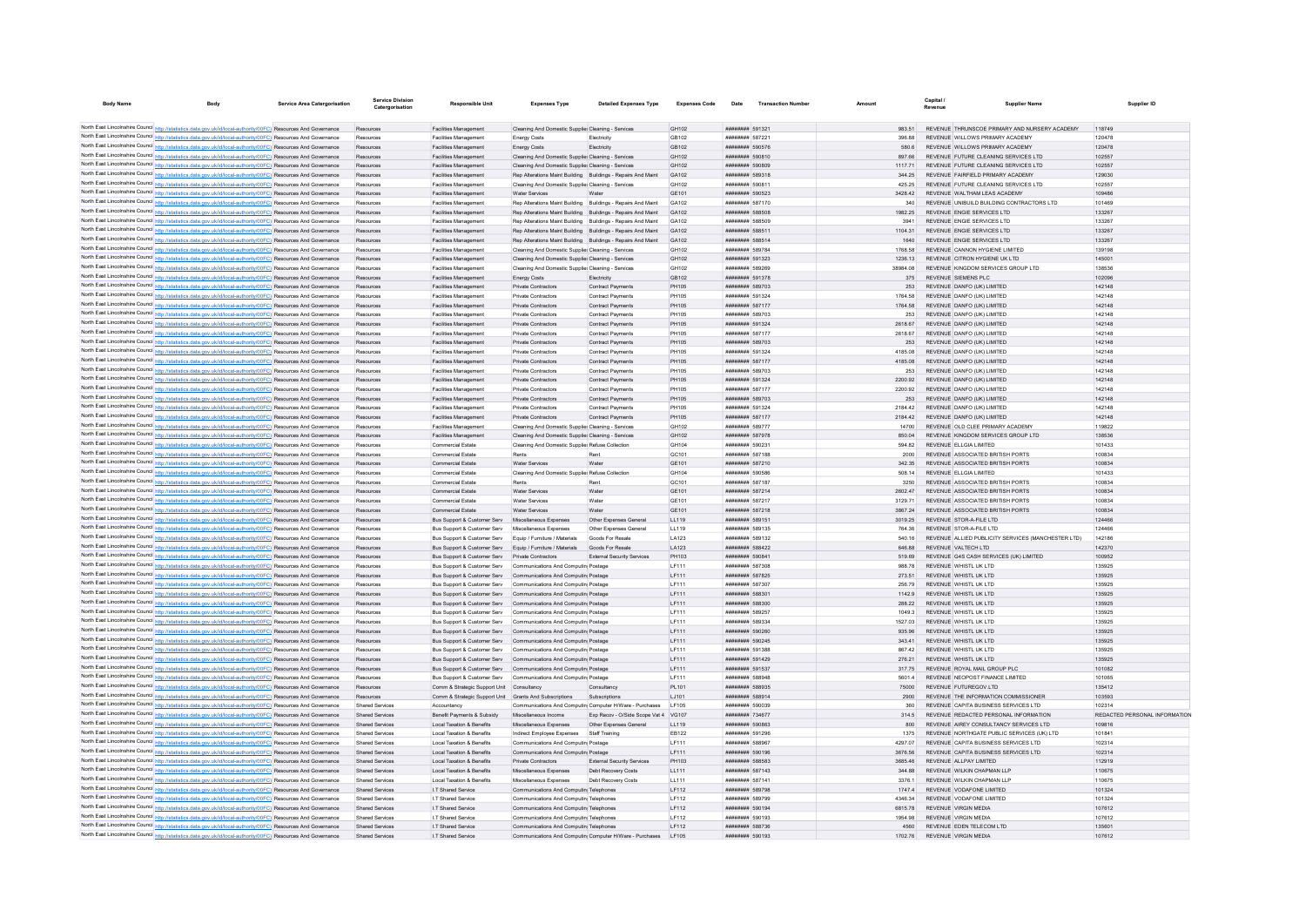| <b>Body Name</b> |                                                                                                                 | <b>Service Area Catergorisation</b> | Service Division<br>Catergorisation | Responsible Unit                                          | <b>Expenses Type</b>                                         | <b>Detailed Expenses Type</b>                                | <b>Expenses Code</b> | Date                          | <b>Transaction Number</b> | Amount   | Capital.<br>Revenue | Supplier Name                                      | Supplier ID                   |
|------------------|-----------------------------------------------------------------------------------------------------------------|-------------------------------------|-------------------------------------|-----------------------------------------------------------|--------------------------------------------------------------|--------------------------------------------------------------|----------------------|-------------------------------|---------------------------|----------|---------------------|----------------------------------------------------|-------------------------------|
|                  |                                                                                                                 |                                     |                                     |                                                           |                                                              |                                                              |                      |                               |                           |          |                     |                                                    |                               |
|                  | North East Lincolnshire Council http://statistics.data.gov.uk/id/local-authority/00FC) Resources And Governance |                                     | Resources                           | Facilities Management                                     | Cleaning And Domestic Supplier Cleaning - Services           |                                                              | GH102                | ####### 591321                |                           |          |                     | REVENUE THRUNSCOE PRIMARY AND NURSERY ACADEMY      | 118749                        |
|                  | North East Lincolnshire Council http://statistics.data.gov.uk/id/local-authority/00FC) Resources And Governance |                                     |                                     | Facilities Managemen                                      | <b>Energy Costs</b>                                          | Electricity                                                  | GB102                | ######## 587221               |                           |          |                     | REVENUE WILLOWS PRIMARY ACADEMY                    | 120478                        |
|                  | North East Lincolnshire Council http://statistics.data.gov.uk/id/local-authority/00FC) Resources And Governance |                                     | Resources                           | Facilities Management                                     | Energy Costs                                                 | Flectricity                                                  | GB102                | ######## 590576               |                           | 580.6    |                     | REVENUE WILLOWS PRIMARY ACADEMY                    | 120478                        |
|                  | North East Lincolnshire Council http://statistics.data.gov.uk/id/local-authority/00FC) Resources And Governance |                                     | Resources                           | Facilities Management                                     | Cleaning And Domestic Supplier Cleaning - Services           |                                                              | GH102                | ######## 590810               |                           | 897.66   |                     | REVENUE FUTURE CLEANING SERVICES LTD               | 102557                        |
|                  | North East Lincolnshire Council http://statistics.data.gov.uk/id/local-authority/00FC) Resources And Governance |                                     | Resources                           | Facilities Management                                     | Cleaning And Domestic Supplie: Cleaning - Services           |                                                              | GH102                | ######## 590809               |                           | 1117.71  |                     | REVENUE FUTURE CLEANING SERVICES LTD               | 102557                        |
|                  | North East Lincolnshire Council http://statistics.data.gov.uk/id/local-authority/00FC) Resources And Governance |                                     | Resources                           | Facilities Managemen                                      | Rep Alterations Maint Building Buildings - Repairs And Maint |                                                              | GA102                | ######## 589318               |                           | 344.25   |                     | REVENUE FAIRFIELD PRIMARY ACADEMY                  | 129030                        |
|                  | North East Lincolnshire Council http://statistics.data.gov.uk/id/local-authority/00FC) Resources And Governance |                                     | Resources                           | <b>Facilities Management</b>                              | Cleaning And Domestic Supplier Cleaning - Services           |                                                              | GH102                | ######## 590811               |                           | 425.25   |                     | REVENUE FUTURE CLEANING SERVICES LTD               | 102557                        |
|                  | North East Lincolnshire Council http://statistics.data.gov.uk/id/local-authority/00FC) Resources And Governance |                                     | Resources                           | Facilities Management                                     | <b>Water Services</b>                                        | Water                                                        | GE101                | ######## 590523               |                           | 3428.42  |                     | REVENUE WALTHAM LEAS ACADEMY                       | 109486                        |
|                  | North East Lincolnshire Council http://statistics.data.gov.uk/id/local-authority/00FC) Resources And Governance |                                     | Resources                           | Facilities Managemen                                      | Rep Alterations Maint Building Buildings - Repairs And Maint |                                                              | GA102                | ######## 587170               |                           | 340      |                     | REVENUE UNIBUILD BUILDING CONTRACTORS LTD          | 101469                        |
|                  | North East Lincolnshire Council http://statistics.data.gov.uk/id/local-authority/00FC) Resources And Governance |                                     |                                     | Facilities Managemen                                      | Rep Alterations Maint Building Buildings - Repairs And Maint |                                                              | GA102                | ######## 588508               |                           | 1982 25  |                     | REVENUE ENGIE SERVICES LTD                         | 133267                        |
|                  | North East Lincolnshire Council http://statistics.data.gov.uk/id/local-authority/00FC) Resources And Governance |                                     | Resources                           | Facilities Management                                     | Rep Alterations Maint Building Buildings - Repairs And Maint |                                                              | GA102                | ######## 588509               |                           | 3941     |                     | REVENUE ENGIE SERVICES LTD                         | 133267                        |
|                  | North East Lincolnshire Council http://statistics.data.gov.uk/id/local-authority/00FC) Resources And Governance |                                     | Resources                           | <b>Facilities Management</b>                              |                                                              | Ren Alterations Maint Building Buildings - Renairs And Maint | GA102                | ######## 588511               |                           | 1104 31  |                     | REVENUE ENGIE SERVICES LTD                         | 133267                        |
|                  | North East Lincolnshire Council http://statistics.data.gov.uk/id/local-authority/00FC) Resources And Governance |                                     | Resources                           | Facilities Management                                     |                                                              | Rep Alterations Maint Building Buildings - Repairs And Maint | GA102                | ######## 588514               |                           | 1640     |                     | REVENUE ENGIE SERVICES LTD                         | 133267                        |
|                  | North East Lincolnshire Council http://statistics.data.gov.uk/id/local-authority/00FC) Resources And Governance |                                     | Resources                           | Facilities Managemen                                      | Cleaning And Domestic Supplier Cleaning - Services           |                                                              | GH102                | ######## 589784               |                           | 1768.58  |                     | REVENUE CANNON HYGIENE LIMITED                     | 139198                        |
|                  | North East Lincolnshire Council http://statistics.data.gov.uk/id/local-authority/00FC) Resources And Governance |                                     | Resources                           | <b>Facilities Management</b>                              | Cleaning And Domestic Supplier Cleaning - Services           |                                                              | GH102                | ######## 591323               |                           | 1236.13  |                     | REVENUE CITRON HYGIENE UK LTD                      | 145001                        |
|                  | North East Lincolnshire Council http://statistics.data.gov.uk/id/local-authority/00FC) Resources And Governance |                                     | Resources                           | <b>Facilities Management</b>                              | Cleaning And Domestic Supplier Cleaning - Services           |                                                              | GH102                | ######## 589269               |                           | 38984.08 |                     | REVENUE KINGDOM SERVICES GROUP LTD                 | 138536                        |
|                  | North East Lincolnshire Council http://statistics.data.gov.uk/id/local-authority/00FC) Resources And Governance |                                     | Resources                           | Facilities Management                                     | Energy Costs                                                 | Flectricity                                                  | GB102                | ######## 591378               |                           | 375      |                     | REVENUE SIEMENS PLC.                               | 102096                        |
|                  | North East Lincolnshire Council http://statistics.data.gov.uk/id/local-authority/00FC) Resources And Governance |                                     |                                     | <b>Facilities Management</b>                              | Private Contractors                                          | Contract Payments                                            | PH105                | ######## 589703               |                           | 253      |                     | REVENUE DANFO (UK) LIMITED                         | 142148                        |
|                  | North East Lincolnshire Council http://statistics.data.gov.uk/id/local-authority/00FC) Resources And Governance |                                     | Resource                            | Facilities Managemen                                      | Private Contractors                                          | Contract Payments                                            | PH105                | ######## 591324               |                           | 1764.58  |                     | REVENUE DANEO (UK) LIMITED                         | 142148                        |
|                  | North East Lincolnshire Council http://statistics.data.gov.uk/id/local-authority/00FC) Resources And Governance |                                     | Resources                           | <b>Facilities Management</b>                              | Private Contractors                                          | Contract Payments                                            | PH105                | <b><i>BBBBBBBB</i></b> 587177 |                           | 1764.58  |                     | REVENUE DANEO (UK) LIMITED                         | 142148                        |
|                  | North East Lincolnshire Council http://statistics.data.gov.uk/id/local-authority/00FC) Resources And Governance |                                     | Resources                           | <b>Facilities Management</b>                              | Private Contractors                                          | Contract Payments                                            | PH105                | ######## 589703               |                           | 253      |                     | REVENUE DANFO (UK) LIMITED                         | 142148                        |
|                  | North East Lincolnshire Council http://statistics.data.gov.uk/id/local-authority/00FC) Resources And Governance |                                     | Resources                           | Facilities Management                                     | Private Contractors                                          | Contract Payments                                            | PH105                | ######## 591324               |                           | 2618.67  |                     | REVENUE DANFO (UK) LIMITED                         | 142148                        |
|                  | North East Lincolnshire Council http://statistics.data.gov.uk/id/local-authority/00FC) Resources And Governance |                                     | Resources                           | Facilities Managemen                                      | Private Contractors                                          | Contract Payments                                            | PH105                | ######## 587177               |                           | 2618.67  |                     | REVENUE DANFO (UK) LIMITED                         | 142148                        |
|                  | North East Lincolnshire Council http://statistics.data.gov.uk/id/local-authority/00FC) Resources And Governance |                                     | Resources                           | Facilities Management                                     | Private Contractors                                          | Contract Payments                                            | PH105                | ######## 589703               |                           | 253      |                     | REVENUE DANFO (UK) LIMITED                         | 142148                        |
|                  | North East Lincolnshire Council http://statistics.data.gov.uk/id/local-authority/00FC) Resources And Governance |                                     | Resources                           | Facilities Managemen                                      | <b>Private Contractors</b>                                   | Contract Payments                                            | PH105                | ######## 591324               |                           | 4185.08  |                     | REVENUE DANFO (UK) LIMITED                         | 142148                        |
|                  | North East Lincolnshire Council http://statistics.data.gov.uk/id/local-authority/00FC) Resources And Governance |                                     | Resources                           | Facilities Management                                     | Private Contractors                                          | Contract Payments                                            | PH105                | ######## 587177               |                           | 4185.08  |                     | REVENUE DANFO (UK) LIMITED                         | 142148                        |
|                  | North East Lincolnshire Council http://statistics.data.gov.uk/id/local-authority/00FC) Resources And Governance |                                     | Resources                           | Facilities Managemer                                      | Private Contractors                                          | Contract Payment                                             | PH105                | ######## 589703               |                           | 253      |                     | REVENUE DANFO (UK) LIMITED                         | 142148                        |
|                  | North East Lincolnshire Council http://statistics.data.gov.uk/id/local-authority/00FC) Resources And Governance |                                     | Resources                           | Facilities Management                                     | Private Contractors                                          | Contract Payments                                            | PH105                | ######## 591324               |                           | 2200.92  |                     | REVENUE DANEO (UK) LIMITED                         | 142148                        |
|                  | North East Lincolnshire Council http://statistics.data.gov.uk/id/local-authority/00FC) Resources And Governance |                                     | Resources                           | Facilities Management                                     | Private Contractors                                          | Contract Payments                                            | PH105                | ######## 587177               |                           | 2200.92  |                     | REVENUE DANFO (UK) LIMITED                         | 142148                        |
|                  | North East Lincolnshire Council http://statistics.data.gov.uk/id/local-authority/00FC) Resources And Governance |                                     | Resources                           | Facilities Management                                     | Private Contractors                                          | Contract Payments                                            | PH105                | ######## 589703               |                           | 253      |                     | REVENUE DANFO (UK) LIMITED                         | 142148                        |
|                  | North East Lincolnshire Council http://statistics.data.gov.uk/id/local-authority/00FC) Resources And Governance |                                     | Resources                           | Facilities Managemen                                      | Private Contractors                                          | Contract Payments                                            | PH105                | ######## 591324               |                           | 2184.42  |                     | REVENUE DANFO (UK) LIMITED                         | 142148                        |
|                  |                                                                                                                 |                                     | Resources                           |                                                           | Private Contractors                                          | Contract Payments                                            | PH105                | ######## 587177               |                           | 2184.42  |                     | REVENUE DANFO (UK) LIMITED                         | 142148                        |
|                  | North East Lincolnshire Council http://statistics.data.gov.uk/id/local-authority/00FC) Resources And Governance |                                     |                                     | Facilities Management                                     |                                                              |                                                              |                      |                               |                           |          |                     | REVENUE OLD CLEE PRIMARY ACADEMY                   |                               |
|                  | North East Lincolnshire Council http://statistics.data.gov.uk/id/local-authority/00FC) Resources And Governance |                                     | Resources                           | Facilities Management                                     | Cleaning And Domestic Supplier Cleaning - Services           |                                                              | GH102                | ######## 589777               |                           | 14700    |                     |                                                    | 119822                        |
|                  | North East Lincolnshire Council http://statistics.data.gov.uk/id/local-authority/00FC) Resources And Governance |                                     | Resources                           | Facilities Management                                     | Cleaning And Domestic Supplier Cleaning - Services           |                                                              | GH102                | ######## 587978               |                           | 850.04   |                     | REVENUE KINGDOM SERVICES GROUP LTD                 | 138536                        |
|                  | North East Lincolnshire Council http://statistics.data.gov.uk/id/local-authority/00FC) Resources And Governance |                                     |                                     | Commercial Estate                                         | Cleaning And Domestic Supplie: Refuse Collectio              |                                                              | GH104                | ######## 590231               |                           | 594.82   |                     | REVENUE ELLGIA LIMITED                             | 101433                        |
|                  | North East Lincolnshire Council http://statistics.data.gov.uk/id/local-authority/00FC) Resources And Governance |                                     | Resources                           | Commercial Estate                                         | Rents                                                        | Rent                                                         | GC101                | ######## 587188               |                           | 2000     |                     | REVENUE ASSOCIATED BRITISH PORTS                   | 100834                        |
|                  | North East Lincolnshire Council http://statistics.data.gov.uk/id/local-authority/00FC) Resources And Governance |                                     | Reportinge                          | <b>Commercial Estate</b>                                  | Water Services                                               | Water                                                        | GE101                | ######## 587210               |                           | 342.35   |                     | REVENUE ASSOCIATED BRITISH PORTS                   | 100834                        |
|                  | North East Lincolnshire Council http://statistics.data.gov.uk/id/local-authority/00FC) Resources And Governance |                                     | Resources                           | Commercial Estate                                         | Cleaning And Domestic Supplie: Refuse Collection             |                                                              | GH104                | ######## 590586               |                           | 508.14   |                     | REVENUE ELLGIA LIMITED                             | 101433                        |
|                  | North East Lincolnshire Council http://statistics.data.gov.uk/id/local-authority/00FC) Resources And Governance |                                     | Resources                           | Commercial Estate                                         |                                                              |                                                              | GC101                | ######## 587187               |                           | 3250     |                     | REVENUE ASSOCIATED BRITISH PORTS                   | 100834                        |
|                  | North East Lincolnshire Council http://statistics.data.gov.uk/id/local-authority/00FC) Resources And Governance |                                     | Resources                           | Commercial Estate                                         | Water Services                                               | Water                                                        | GE101                | ######## 587214               |                           | 2602.47  |                     | REVENUE ASSOCIATED BRITISH PORTS                   | 100834                        |
|                  | North East Lincolnshire Council http://statistics.data.gov.uk/id/local-authority/00FC) Resources And Governance |                                     | Resources                           | Commercial Estate                                         | <b>Water Services</b>                                        | Water                                                        | GF101                | <b><i>BREERER 587217</i></b>  |                           | 3129 71  |                     | REVENUE ASSOCIATED BRITISH PORTS                   | 100834                        |
|                  | North East Lincolnshire Council http://statistics.data.gov.uk/id/local-authority/00FC) Resources And Governance |                                     | Resources                           | Commercial Estate                                         | Water Services                                               | Water                                                        | GE101                | ######## 587218               |                           | 3867 24  |                     | REVENUE ASSOCIATED BRITISH PORTS                   | 100834                        |
|                  | North East Lincolnshire Council http://statistics.data.gov.uk/id/local-authority/00FC) Resources And Governance |                                     |                                     | Bus Support & Customer Serv                               | Miscellaneous Expenses                                       | Other Expenses General                                       | LL119                | ######## 589151               |                           | 3019.25  |                     | REVENUE STOR-A-FILE LTD                            | 124466                        |
|                  | North East Lincolnshire Council http://statistics.data.gov.uk/id/local-authority/00FC) Resources And Governance |                                     | Resources                           | Bus Support & Customer Serv                               | Miscellaneous Expenses                                       | Other Expenses General                                       | LL119                | ######## 589135               |                           | 764.36   |                     | REVENUE STOR-A-FILE LTD                            | 124466                        |
|                  | North East Lincolnshire Council http://statistics.data.gov.uk/id/local-authority/00FC) Resources And Governance |                                     | Resources                           | Bus Sunnort & Customer Serv                               | Foujo / Furniture / Materials                                | Goods For Resale                                             | <b>LA123</b>         | ######## 589132               |                           | 540 16   |                     | REVENUE ALLIED PUBLICITY SERVICES (MANCHESTER LTD) | 142186                        |
|                  | North East Lincolnshire Council http://statistics.data.gov.uk/id/local-authority/00FC) Resources And Governance |                                     | Resources                           | Bus Support & Customer Serv Equip / Furniture / Materials |                                                              | Goods For Resale                                             | LA123                | ######## 588422               |                           | 646.88   |                     | REVENUE VALTECH LTD                                | 142370                        |
|                  | North East Lincolnshire Council http://statistics.data.gov.uk/id/local-authority/00FC) Resources And Governance |                                     |                                     | Bus Support & Customer Serv                               | Private Contractors                                          | External Security Services                                   | PH103                | ######## 590841               |                           | 519.69   |                     | REVENUE G4S CASH SERVICES (UK) LIMITED             | 100952                        |
|                  | North East Lincolnshire Council http://statistics.data.gov.uk/id/local-authority/00FC) Resources And Governance |                                     | Resources                           | Bus Support & Customer Serv                               | Communications And Computin Postage                          |                                                              | LF111                | ######## 587308               |                           | 988.78   |                     | REVENUE WHISTL UK LTD                              | 135925                        |
|                  | North East Lincolnshire Council http://statistics.data.gov.uk/id/local-authority/00FC) Resources And Governance |                                     | Resources                           | Bus Support & Customer Serv                               | Communications And Computin Postage                          |                                                              | LF111                | ######## 587825               |                           | 273.51   |                     | REVENUE WHISTLUK LTD                               | 135925                        |
|                  | North East Lincolnshire Council http://statistics.data.gov.uk/id/local-authority/00FC) Resources And Governance |                                     | Resources                           | Bus Support & Customer Serv                               | Communications And Computin Postage                          |                                                              | LF111                | ######## 587307               |                           | 256.79   |                     | REVENUE WHISTL UK LTD                              | 135925                        |
|                  | North East Lincolnshire Council http://statistics.data.gov.uk/id/local-authority/00FC) Resources And Governance |                                     |                                     | Bus Support & Customer Serv                               | Communications And Computin Postage                          |                                                              | LF111                | ######## 588301               |                           | 1142.9   |                     | REVENUE WHISTL UK LTD                              | 135925                        |
|                  | North East Lincolnshire Council http://statistics.data.gov.uk/id/local-authority/00FC) Resources And Governance |                                     |                                     | Bus Support & Customer Serv                               | Communications And Computin Postage                          |                                                              | LF111                | ######## 588300               |                           | 288.22   |                     | REVENUE WHISTL UK LTD                              | 135925                        |
|                  | North East Lincolnshire Council http://statistics.data.gov.uk/id/local-authority/00FC) Resources And Governance |                                     | Reportings                          | <b>Bus Support &amp; Customer Serv</b>                    | Communications And Computin Postage                          |                                                              | LF111                | ######## 589257               |                           | 10493    |                     | REVENUE WHISTLUK LTD                               | 135925                        |
|                  | North East Lincolnshire Council http://statistics.data.gov.uk/id/local-authority/00FC) Resources And Governance |                                     | Resources                           | Bus Support & Customer Serv                               | Communications And Computin Postage                          |                                                              | LF111                | ######## 589334               |                           | 1527.03  |                     | REVENUE WHISTL UK LTD                              | 135925                        |
|                  | North East Lincolnshire Council http://statistics.data.gov.uk/id/local-authority/00FC) Resources And Governance |                                     | Resources                           | Bus Support & Customer Serv                               | Communications And Computin Postage                          |                                                              | LF111                | ######## 590260               |                           | 935.96   |                     | REVENUE WHISTL UK LTD                              | 135925                        |
|                  | North East Lincolnshire Council http://statistics.data.gov.uk/id/local-authority/00FC) Resources And Governance |                                     | Resources                           | Bus Support & Customer Serv                               | Communications And Computin Postage                          |                                                              | LF111                | ####### 590245                |                           | 343.41   |                     | REVENUE WHISTL UK LTD                              | 135925                        |
|                  | North East Lincolnshire Council http://statistics.data.gov.uk/id/local-authority/00FC) Resources And Governance |                                     | Resources                           | <b>Bus Support &amp; Customer Serv</b>                    | Communications And Computin Postage                          |                                                              | LF111                | ######## 591388               |                           | 86742    |                     | REVENUE WHISTLUK LTD                               | 135925                        |
|                  | North East Lincolnshire Council http://statistics.data.gov.uk/id/local-authority/00FC) Resources And Governance |                                     | Resources                           | Bus Support & Customer Serv                               | Communications And Computin Postage                          |                                                              | LF111                | ######## 591429               |                           | 276.21   |                     | REVENUE WHISTL UK LTD                              | 135925                        |
|                  | North East Lincolnshire Council http://statistics.data.gov.uk/id/local-authority/00FC) Resources And Governance |                                     | Resources                           | Bus Support & Customer Serv                               | Communications And Computin Postage                          |                                                              | LF111                | ######## 591537               |                           | 317.75   |                     | REVENUE ROYAL MAIL GROUP PLC                       | 101082                        |
|                  | North East Lincolnshire Council http://statistics.data.gov.uk/id/local-authority/00FC) Resources And Governance |                                     | Resources                           | Bus Support & Customer Serv                               | Communications And Computin Postage                          |                                                              | LF111                | ######## 588948               |                           | 5601.4   |                     | REVENUE NEOPOST FINANCE LIMITED                    | 101065                        |
|                  | North East Lincolnshire Council http://statistics.data.gov.uk/id/local-authority/00FC) Resources And Governance |                                     | Resources                           | Comm & Strategic Support Unit Consultancy                 |                                                              | Consultancy                                                  | PL101                | ######## 588935               |                           | 75000    |                     | REVENUE FUTUREGOV LTD                              | 135412                        |
|                  | North East Lincolnshire Council http://statistics.data.gov.uk/id/local-authority/00FC) Resources And Governance |                                     | Resources                           | Comm & Strategic Support Unit Grants And Subscriptions    |                                                              | Subscriptions                                                | LJ101                | ######## 588914               |                           | 2900     |                     | REVENUE THE INFORMATION COMMISSIONER               | 103593                        |
|                  | North East Lincolnshire Council http://statistics.data.gov.uk/id/local-authority/00FC) Resources And Governance |                                     | Shared Services                     | Accountancy                                               |                                                              | Communications And Computin Computer H/Ware - Purchases      | LF105                | ######## 590039               |                           | 360      |                     | REVENUE CAPITA BUSINESS SERVICES LTD               | 102314                        |
|                  | North East Lincolnshire Council http://statistics.data.gov.uk/id/local-authority/00FC) Resources And Governance |                                     | <b>Shared Services</b>              | Benefit Payments & Subsidy                                | Miscellaneous Income                                         | Exp Recov - O/Side Scope Vat 4 VG107                         |                      | ######## 734677               |                           | 314.5    |                     | REVENUE REDACTED PERSONAL INFORMATION              | REDACTED PERSONAL INFORMATION |
|                  | North East Lincolnshire Council http://statistics.data.gov.uk/id/local-authority/00FC) Resources And Governance |                                     | <b>Shared Services</b>              | Local Taxation & Benefits                                 | Miscellaneous Expenses                                       | Other Expenses General                                       | LL119                | ######## 590863               |                           | 800      |                     | REVENUE AIREY CONSULTANCY SERVICES LTD             | 109816                        |
|                  | North East Lincolnshire Council http://statistics.data.gov.uk/id/local-authority/00FC) Resources And Governance |                                     | <b>Shared Services</b>              | Local Taxation & Benefits                                 | Indirect Employee Expenses                                   | Staff Training                                               | EB122                | ######## 591296               |                           | 1375     |                     | REVENUE NORTHGATE PUBLIC SERVICES (UK) LTD         | 10184                         |
|                  | North East Lincolnshire Council http://statistics.data.gov.uk/id/local-authority/00FC) Resources And Governance |                                     | Shared Services                     | Local Taxation & Benefits                                 | Communications And Computin Postage                          |                                                              | I F111               | ######## 588967               |                           | 4297.07  |                     | REVENUE CAPITA BUSINESS SERVICES LTD               | 102314                        |
|                  | North East Lincolnshire Council http://statistics.data.gov.uk/id/local-authority/00FC) Resources And Governance |                                     | <b>Shared Services</b>              | Local Taxation & Benefits                                 | Communications And Computin Postage                          |                                                              | LF111                | ######## 590196               |                           | 3676.56  |                     | REVENUE CAPITA BUSINESS SERVICES LTD               | 102314                        |
|                  | North East Lincolnshire Council http://statistics.data.gov.uk/id/local-authority/00FC) Resources And Governance |                                     | Shared Services                     | Local Taxation & Benefits                                 | Private Contractors                                          | <b>External Security Services</b>                            | PH103                | <b>HUNNHHHH SRR583</b>        |                           | 3685.46  |                     | REVENUE ALLPAY LIMITED                             | 112919                        |
|                  | North East Lincolnshire Council http://statistics.data.gov.uk/id/local-authority/00FC) Resources And Governance |                                     | Shared Services                     | Local Taxation & Benefits                                 | Miscellaneous Expenses                                       | Deht Recovery Costs                                          | LL111                | <b>########</b> 587143        |                           | 34488    |                     | REVENUE WILKIN CHAPMAN LLP                         | 110675                        |
|                  | North East Lincolnshire Council http://statistics.data.gov.uk/id/local-authority/00FC) Resources And Governance |                                     | Shared Services                     | Local Taxation & Benefits                                 | Miscellaneous Expenses                                       | Debt Recovery Costs                                          | LL111                | ######## 587141               |                           | 3376.1   |                     | REVENUE WILKIN CHAPMAN LLP                         | 110675                        |
|                  | North East Lincolnshire Council http://statistics.data.gov.uk/id/local-authority/00FC) Resources And Governance |                                     | <b>Shared Services</b>              | I.T Shared Service                                        | Communications And Computin Telephones                       |                                                              | LF112                | ######## 589798               |                           | 1747.4   |                     | REVENUE VODAFONE LIMITED                           | 101324                        |
|                  | North East Lincolnshire Council http://statistics.data.gov.uk/id/local-authority/00FC) Resources And Governance |                                     | <b>Shared Services</b>              | I.T Shared Service                                        | Communications And Computin Telephones                       |                                                              | LF112                | ######## 589799               |                           | 4346.34  |                     | REVENUE VODAEONE LIMITED                           | 101324                        |
|                  | North East Lincolnshire Council http://statistics.data.gov.uk/id/local-authority/00FC) Resources And Governance |                                     | Shared Services                     | I.T Shared Service                                        | Communications And Computin Telephones                       |                                                              | LF112                | ######## 590194               |                           | 681578   |                     | REVENUE VIRGIN MEDIA                               | 107612                        |
|                  | North East Lincolnshire Council http://statistics.data.gov.uk/id/local-authority/00FC) Resources And Governance |                                     | Shared Services                     | I.T Shared Service                                        | Communications And Computin Telephones                       |                                                              | LF112                | ######## 590193               |                           | 1954 98  |                     | <b>REVENUE VIRGIN MEDIA</b>                        | 107612                        |
|                  | North East Lincolnshire Council http://statistics.data.gov.uk/id/local-authority/00FC) Resources And Governance |                                     | <b>Shared Services</b>              | I.T Shared Service                                        | Communications And Computin Telephones                       |                                                              | LF112                | ######## 588736               |                           | 4560     |                     | REVENUE EDEN TELECOM LTD                           | 13560                         |
|                  | North East Lincolnshire Council http://statistics.data.gov.uk/id/local-authority/00FC) Resources And Governance |                                     | <b>Shared Services</b>              | I.T Shared Service                                        |                                                              | Communications And Computin Computer H/Ware - Purchases      | LF105                | ######## 590193               |                           | 1702.76  |                     | REVENUE VIRGIN MEDIA                               | 107612                        |
|                  |                                                                                                                 |                                     |                                     |                                                           |                                                              |                                                              |                      |                               |                           |          |                     |                                                    |                               |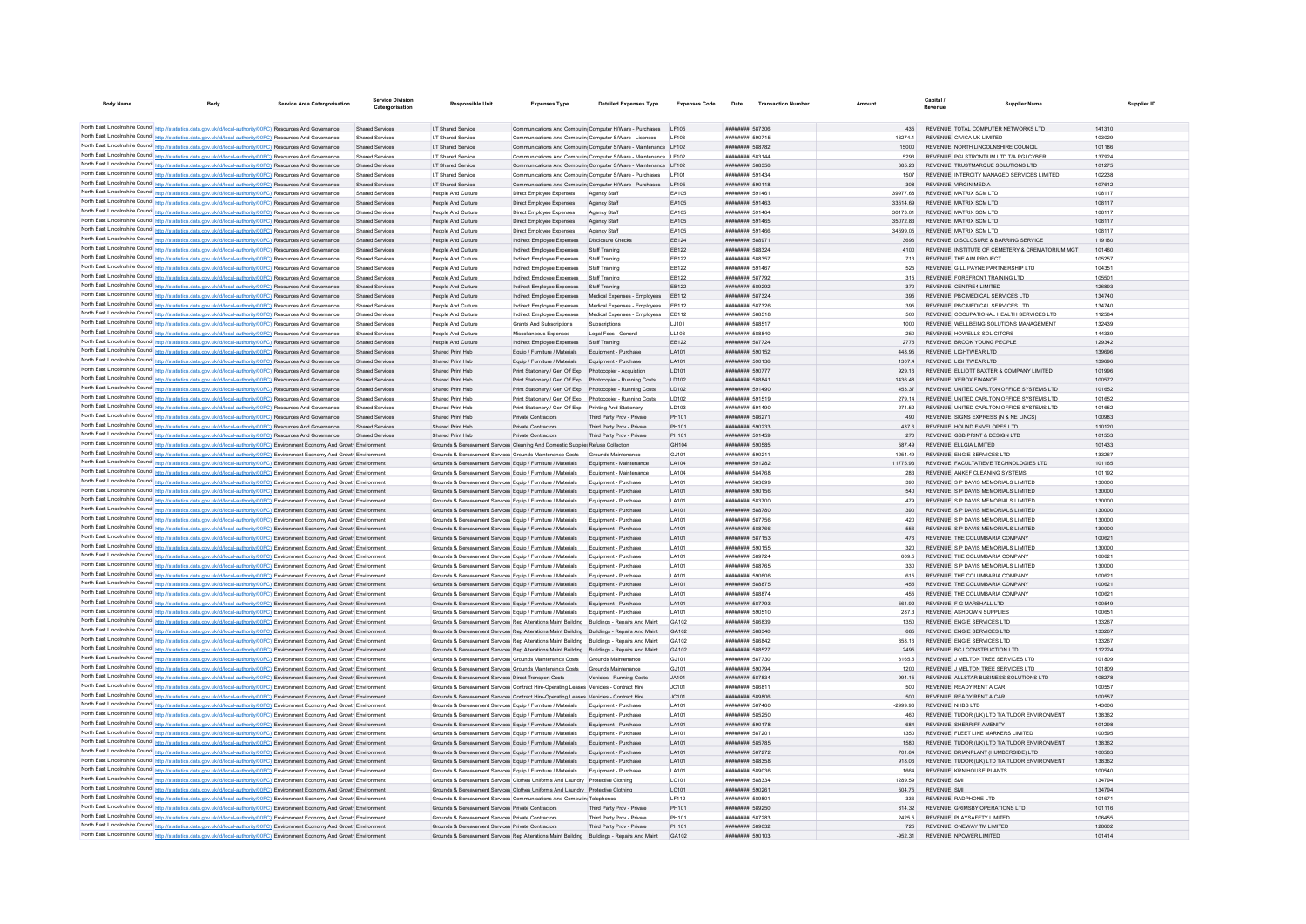| <b>Body Name</b>                                                                                                                                                                                                                                                       | <b>Body</b> | <b>Service Area Catergorisation</b> | Service Division<br>Catergorisation | <b>Responsible Unit</b>                                                                                                      | <b>Expenses Type</b>                                                                                                                                                        | <b>Detailed Expenses Type</b>                                   | <b>Expenses Code</b> | Date                               | <b>Transaction Numbe</b> | Amount              | Capital<br>Revenue | <b>Supplier Name</b>                                                       | Supplier ID      |
|------------------------------------------------------------------------------------------------------------------------------------------------------------------------------------------------------------------------------------------------------------------------|-------------|-------------------------------------|-------------------------------------|------------------------------------------------------------------------------------------------------------------------------|-----------------------------------------------------------------------------------------------------------------------------------------------------------------------------|-----------------------------------------------------------------|----------------------|------------------------------------|--------------------------|---------------------|--------------------|----------------------------------------------------------------------------|------------------|
|                                                                                                                                                                                                                                                                        |             |                                     |                                     |                                                                                                                              |                                                                                                                                                                             |                                                                 |                      |                                    |                          |                     |                    |                                                                            |                  |
| North East Lincolnshire Council http://statistics.data.gov.uk/id/local-authority/00FC) Resources And Governance                                                                                                                                                        |             |                                     | <b>Shared Services</b>              | I.T Shared Service                                                                                                           |                                                                                                                                                                             | Communications And Computin Computer H/Ware - Purchases LF105   |                      | ######## 587306                    |                          |                     |                    | REVENUE TOTAL COMPUTER NETWORKS LTD                                        | 141310           |
| North East Lincolnshire Council http://statistics.data.gov.uk/id/local-authority/00FC) Resources And Governance                                                                                                                                                        |             |                                     | Shared Services                     | I.T Shared Service                                                                                                           | Communications And Computin Computer S/Ware - Licences                                                                                                                      |                                                                 | IF103                | ######## 590715                    |                          | 13274 1             |                    | REVENUE CIVICA UK LIMITED                                                  | 103029           |
| North East Lincolnshire Council http://statistics.data.gov.uk/id/local-authority/00FC) Resources And Governance                                                                                                                                                        |             |                                     | Shared Services                     | I.T Shared Service                                                                                                           |                                                                                                                                                                             | Communications And Computin Computer S/Ware - Maintenance LF102 |                      | <b><i>BREEZER 588782</i></b>       |                          | 15000               |                    | REVENUE NORTH LINCOLNSHIRE COUNCIL                                         | 101186           |
| North East Lincolnshire Council http://statistics.data.gov.uk/id/local-authority/00FC) Resources And Governance                                                                                                                                                        |             |                                     | Shared Services                     | I.T Shared Service                                                                                                           |                                                                                                                                                                             | Communications And Computin Computer S/Ware - Maintenance LF102 |                      | ######## 583144                    |                          | 5293                |                    | REVENUE PGI STRONTIUM LTD T/A PGI CYBER                                    | 137924           |
| North East Lincolnshire Council http://statistics.data.gov.uk/id/local-authority/00FC) Resources And Governance                                                                                                                                                        |             |                                     | Shared Services                     | I.T Shared Service                                                                                                           |                                                                                                                                                                             | Communications And Computin Computer S/Ware - Maintenance LF102 |                      | ######## 588356                    |                          | 685.28              |                    | REVENUE TRUSTMARQUE SOLUTIONS LTD                                          | 101275           |
| North East Lincolnshire Council http://statistics.data.gov.uk/id/local-authority/00FC) Resources And Governance                                                                                                                                                        |             |                                     | Shared Services                     | I.T Shared Service                                                                                                           |                                                                                                                                                                             | Communications And Computin Computer S/Ware - Purchases LF101   |                      | ######## 591434                    |                          | 1507                |                    | REVENUE INTERCITY MANAGED SERVICES LIMITED                                 | 102238           |
| North East Lincolnshire Council http://statistics.data.gov.uk/id/local-authority/00FC) Resources And Governance                                                                                                                                                        |             |                                     | <b>Shared Services</b>              | I.T Shared Service                                                                                                           |                                                                                                                                                                             | Communications And Computin Computer H/Ware - Purchases LF105   |                      | ######## 590118                    |                          | 308                 |                    | REVENUE VIRGIN MEDIA                                                       | 107612           |
| North East Lincolnshire Council http://statistics.data.gov.uk/id/local-authority/00FC) Resources And Governance                                                                                                                                                        |             |                                     | <b>Shared Services</b>              | People And Culture                                                                                                           | Direct Employee Expenses                                                                                                                                                    | Agency Staff                                                    | EA105                | ######## 591461                    |                          | 39977.68            |                    | REVENUE MATRIX SCM LTD                                                     | 108117           |
| North East Lincolnshire Council http://statistics.data.gov.uk/id/local-authority/00FC) Resources And Governance                                                                                                                                                        |             |                                     | <b>Shared Services</b>              | People And Culture                                                                                                           | Direct Employee Expenses                                                                                                                                                    | Agency Staff                                                    | EA105                | ######## 591463                    |                          | 33514.69            |                    | REVENUE MATRIX SCM LTD                                                     | 108117           |
| North East Lincolnshire Council http://statistics.data.gov.uk/id/local-authority/00FC) Resources And Governance                                                                                                                                                        |             |                                     | <b>Shared Services</b>              | People And Culture                                                                                                           | Direct Employee Expenses                                                                                                                                                    | Agency Staff                                                    | EA105                | ######## 59146                     |                          | 30173.01            |                    | REVENUE MATRIX SCM LTD                                                     | 108117           |
| North East Lincolnshire Council http://statistics.data.gov.uk/id/local-authority/00FC) Resources And Governance<br>North East Lincolnshire Council http://statistics.data.gov.uk/id/local-authority/00FC) Resources And Governance                                     |             |                                     | Shared Services<br>Shared Services  | People And Culture<br>People And Culture                                                                                     | Direct Employee Expenses<br>Direct Employee Expenses                                                                                                                        | Agency Staff<br>Agency Staff                                    | FA105<br>FA105       | ######## 591465<br>######## 591466 |                          | 3507283<br>34599.05 |                    | REVENUE MATRIX SCM LTD<br>REVENUE MATRIX SCM LTD                           | 108117<br>108117 |
| North East Lincolnshire Council http://statistics.data.gov.uk/id/local-authority/00FC) Resources And Governance                                                                                                                                                        |             |                                     | Shared Services                     | People And Culture                                                                                                           | Indirect Employee Expenses                                                                                                                                                  | Disclosure Checks                                               | EB124                | <b><i>BRAHHHHH 58897</i></b>       |                          | 3696                |                    | REVENUE DISCLOSURE & BARRING SERVICE                                       | 119180           |
| North East Lincolnshire Council http://statistics.data.gov.uk/id/local-authority/00FC) Resources And Governance                                                                                                                                                        |             |                                     | <b>Shared Services</b>              | People And Culture                                                                                                           | Indirect Employee Expenses                                                                                                                                                  | Staff Training                                                  | EB122                | ######## 588324                    |                          | 4100                |                    | REVENUE INSTITUTE OF CEMETERY & CREMATORIUM MGT                            | 101460           |
| North East Lincolnshire Council http://statistics.data.gov.uk/id/local-authority/00FC) Resources And Governance                                                                                                                                                        |             |                                     | <b>Shared Services</b>              | People And Culture                                                                                                           | Indirect Employee Expenses                                                                                                                                                  | Staff Training                                                  | EB122                | ######## 588357                    |                          | 713                 |                    | REVENUE THE AIM PROJECT                                                    | 105257           |
| North East Lincolnshire Council http://statistics.data.gov.uk/id/local-authority/00FC) Resources And Governance                                                                                                                                                        |             |                                     | Shared Services                     | People And Culture                                                                                                           | Indirect Employee Expenses                                                                                                                                                  | Staff Training                                                  | FR122                | <b><i>BREERER 591467</i></b>       |                          | 525                 |                    | REVENUE GILL PAYNE PARTNERSHIP LTD                                         | 104351           |
| North East Lincolnshire Council http://statistics.data.gov.uk/id/local-authority/00FC) Resources And Governance                                                                                                                                                        |             |                                     | Shared Services                     | People And Culture                                                                                                           | Indirect Employee Expenses                                                                                                                                                  | Staff Training                                                  | FR122                | ######## 587792                    |                          | 315                 |                    | REVENUE FOREFRONT TRAINING I TD                                            | 105501           |
| North East Lincolnshire Council http://statistics.data.gov.uk/id/local-authority/00FC) Resources And Governance                                                                                                                                                        |             |                                     | <b>Shared Services</b>              | People And Culture                                                                                                           | Indirect Employee Expenses                                                                                                                                                  |                                                                 | EB122                | ######## 589292                    |                          | 370                 |                    | REVENUE CENTRE4 LIMITED                                                    | 126893           |
| North East Lincolnshire Council http://statistics.data.gov.uk/id/local-authority/00FC) Resources And Governance                                                                                                                                                        |             |                                     | <b>Shared Services</b>              | People And Culture                                                                                                           | Indirect Employee Expenses                                                                                                                                                  | Medical Expenses - Employees                                    | FR112                | ######## 587324                    |                          | 395                 |                    | REVENUE PBC MEDICAL SERVICES LTD                                           | 134740           |
| North East Lincolnshire Council http://statistics.data.gov.uk/id/local-authority/00FC) Resources And Governance                                                                                                                                                        |             |                                     | Shared Services                     | People And Culture                                                                                                           | Indirect Employee Expenses                                                                                                                                                  | Medical Expenses - Employees                                    | FR112                | <b><i>BREEZER 587326</i></b>       |                          | 395                 |                    | REVENUE PBC MEDICAL SERVICES LTD.                                          | 134740           |
| North East Lincolnshire Council http://statistics.data.gov.uk/id/local-authority/00FC) Resources And Governance                                                                                                                                                        |             |                                     | Shared Services                     | People And Culture                                                                                                           | Indirect Employee Expenses                                                                                                                                                  | Medical Expenses - Employees                                    | EB112                | <b><i>BREEBER 588518</i></b>       |                          | 500                 |                    | REVENUE OCCUPATIONAL HEALTH SERVICES LTD                                   | 112584           |
| North East Lincolnshire Council http://statistics.data.gov.uk/id/local-authority/00FC) Resources And Governance                                                                                                                                                        |             |                                     | Shared Services                     | People And Culture                                                                                                           | Grants And Subscriptions                                                                                                                                                    | Subscriptions                                                   | LJ101                | ######## 588517                    |                          | 1000                |                    | REVENUE WELLBEING SOLUTIONS MANAGEMENT                                     | 132439           |
| North East Lincolnshire Council http://statistics.data.gov.uk/id/local-authority/00FC) Resources And Governance                                                                                                                                                        |             |                                     | <b>Shared Services</b>              | People And Culture                                                                                                           | Miscellaneous Expenses                                                                                                                                                      | Legal Fees - General                                            | LL103                | <b><i>BREEZER SRBBAN</i></b>       |                          | 250                 |                    | REVENUE HOWELLS SOLICITORS                                                 | 144339           |
| North East Lincolnshire Council http://statistics.data.gov.uk/id/local-authority/00FC) Resources And Governance                                                                                                                                                        |             |                                     | Shared Services                     | People And Culture                                                                                                           | Indirect Employee Expenses                                                                                                                                                  | Staff Training                                                  | FR122                | <b><i>BREEZER 587724</i></b>       |                          | 2775                |                    | REVENUE BROOK YOUNG PEOPLE                                                 | 129342           |
| North East Lincolnshire Council http://statistics.data.gov.uk/id/local-authority/00FC) Resources And Governance                                                                                                                                                        |             |                                     | <b>Shared Services</b>              | Shared Print Hub                                                                                                             | Equip / Furniture / Materials                                                                                                                                               | Equipment - Purchase                                            | LA101                | ######## 590152                    |                          | 448.95              |                    | REVENUE LIGHTWEAR LTD                                                      | 139696           |
| North East Lincolnshire Council http://statistics.data.gov.uk/id/local-authority/00FC) Resources And Governance                                                                                                                                                        |             |                                     | <b>Shared Services</b>              | Shared Print Hub                                                                                                             | Equip / Furniture / Materials                                                                                                                                               | Equipment - Purchase                                            | LA101                | ######## 590136                    |                          | 1307.4              |                    | REVENUE LIGHTWEAR LTD                                                      | 139696           |
| North East Lincolnshire Council http://statistics.data.gov.uk/id/local-authority/00FC) Resources And Governance                                                                                                                                                        |             |                                     | <b>Shared Services</b>              | Shared Print Hub                                                                                                             | Print Stationery / Gen Off Exp                                                                                                                                              | Photocopier - Acquistion                                        | LD101                | ######## 590777                    |                          | 929.16              |                    | REVENUE ELLIOTT BAXTER & COMPANY LIMITED                                   | 101996           |
| North East Lincolnshire Council http://statistics.data.gov.uk/id/local-authority/00FC) Resources And Governance                                                                                                                                                        |             |                                     | Shared Services                     | Shared Print Hub                                                                                                             | Print Stationery / Gen Off Exp                                                                                                                                              | Photocopier - Running Costs                                     | <b>ID102</b>         | ######## 588841                    |                          | 1436 48             |                    | REVENUE XEROX FINANCE                                                      | 100572           |
| North East Lincolnshire Council http://statistics.data.gov.uk/id/local-authority/00FC) Resources And Governance                                                                                                                                                        |             |                                     | <b>Shared Services</b>              | Shared Print Hub                                                                                                             |                                                                                                                                                                             |                                                                 | LD102                | ######## 591490                    |                          | 453 37              |                    | REVENUE UNITED CARLTON OFFICE SYSTEMS LTD                                  | 101652           |
| North East Lincolnshire Council http://statistics.data.gov.uk/id/local-authority/00FC) Resources And Governance                                                                                                                                                        |             |                                     | Shared Services                     | Shared Print Hub                                                                                                             | Print Stationery / Gen Off Exp Photocopier - Running Costs                                                                                                                  |                                                                 | LD102                | ######## 591519                    |                          | 279.14              |                    | REVENUE UNITED CARLTON OFFICE SYSTEMS LTD                                  | 101652           |
| North East Lincolnshire Council http://statistics.data.gov.uk/id/local-authority/00FC) Resources And Governance                                                                                                                                                        |             |                                     | Shared Services                     | Shared Print Hub                                                                                                             | Print Stationery / Gen Off Exp Printing And Stationery                                                                                                                      |                                                                 | LD103                | ######## 591490                    |                          | 271.52              |                    | REVENUE UNITED CARLTON OFFICE SYSTEMS LTD                                  | 101652           |
| North East Lincolnshire Council http://statistics.data.gov.uk/id/local-authority/00FC) Resources And Governance                                                                                                                                                        |             |                                     | <b>Shared Services</b>              | Shared Print Hub                                                                                                             | Private Contractors                                                                                                                                                         | Third Party Prov - Private                                      | PH101                | ######## 586271                    |                          | 490                 |                    | REVENUE SIGNS EXPRESS (N & NE LINCS)                                       | 100983           |
| North East Lincolnshire Council http://statistics.data.gov.uk/id/local-authority/00FC) Resources And Governance                                                                                                                                                        |             |                                     | Shared Services                     | Shared Print Hub                                                                                                             | Private Contractors                                                                                                                                                         | Third Party Prov - Private                                      | PH101                | ######## 590233                    |                          | 437.6               |                    | REVENUE HOUND ENVELOPES LTD                                                | 110120           |
| North East Lincolnshire Council http://statistics.data.gov.uk/id/local-authority/00FC) Resources And Governance                                                                                                                                                        |             |                                     | <b>Shared Services</b>              | Shared Print Hub                                                                                                             | Private Contractors                                                                                                                                                         | Third Party Prov - Private                                      | PH101                | ######## 591459                    |                          | 270                 |                    | REVENUE GSB PRINT & DESIGN LTD                                             | 101553           |
| North East Lincolnshire Council http://statistics.data.gov.uk/id/local-authority/00FC) Environment Economy And Growth Environment                                                                                                                                      |             |                                     |                                     |                                                                                                                              | Grounds & Bereavement Services Cleaning And Domestic Supplier Refuse Collection                                                                                             |                                                                 | GH104                | ######## 590585                    |                          | 587.49              |                    | REVENUE ELLGIA LIMITED                                                     | 101433           |
| North East Lincolnshire Council http://statistics.data.gov.uk/id/local-authority/00FC) Environment Economy And Growth Environment                                                                                                                                      |             |                                     |                                     | Grounds & Bereavement Services Grounds Maintenance Costs                                                                     |                                                                                                                                                                             | Grounds Maintenance                                             | G.1101               | ######## 590211                    |                          | 1254 49             |                    | REVENUE ENGIE SERVICES LTD                                                 | 133267           |
| North East Lincolnshire Council http://statistics.data.gov.uk/id/local-authority/00FC) Environment Economy And Growth Environment                                                                                                                                      |             |                                     |                                     | Grounds & Bereavement Services Equip / Furniture / Materials                                                                 |                                                                                                                                                                             | Equipment - Maintenance                                         | LA104                | ######## 591282                    |                          | 11775.93            |                    | REVENUE FACULTATIEVE TECHNOLOGIES LTD                                      | 101165           |
| North East Lincolnshire Council http://statistics.data.gov.uk/id/local-authority/00FC) Environment Economy And Growth Environment                                                                                                                                      |             |                                     |                                     | Grounds & Bereavement Services Equip / Furniture / Materials                                                                 |                                                                                                                                                                             | Equipment - Maintenance                                         | LA104                | ######## 584768                    |                          | 283                 |                    | REVENUE ANKEF CLEANING SYSTEMS                                             | 101192           |
| North East Lincolnshire Council http://statistics.data.gov.uk/id/local-authority/00FC) Environment Economy And Growth Environment<br>North East Lincolnshire Council http://statistics.data.gov.uk/id/local-authority/00FC) Environment Economy And Growth Environment |             |                                     |                                     | Grounds & Bereavement Services Equip / Furniture / Materials<br>Grounds & Bereavement Services Equip / Furniture / Materials |                                                                                                                                                                             | Equipment - Purchase                                            | LA101<br>LA101       | ######## 583699<br>######## 590156 |                          | 390<br>540          |                    | REVENUE S P DAVIS MEMORIALS LIMITED<br>REVENUE S P DAVIS MEMORIALS LIMITED | 130000<br>130000 |
| North East Lincolnshire Council http://statistics.data.gov.uk/id/local-authority/00FC) Environment Economy And Growth Environment                                                                                                                                      |             |                                     |                                     | Grounds & Bereavement Services Fouin / Furniture / Materials                                                                 |                                                                                                                                                                             | Equipment - Purchase<br>Foujoment - Purchase                    | <b>LA101</b>         | <b><i>BREEZER 583700</i></b>       |                          | 479                 |                    | REVENUE S P DAVIS MEMORIALS LIMITED                                        | 130000           |
| North East Lincolnshire Council http://statistics.data.gov.uk/id/local-authority/00FC) Environment Economy And Growth Environment                                                                                                                                      |             |                                     |                                     | Grounds & Bereavement Services Equip / Furniture / Materials                                                                 |                                                                                                                                                                             | Foujoment - Purchase                                            | LA101                | <b><i>BREEZERE SBB780</i></b>      |                          | 390                 |                    | REVENUE S P DAVIS MEMORIALS LIMITED                                        | 130000           |
| North East Lincolnshire Council http://statistics.data.gov.uk/id/local-authority/00FC) Environment Economy And Growth Environment                                                                                                                                      |             |                                     |                                     | Grounds & Bereavement Services Equip / Furniture / Material:                                                                 |                                                                                                                                                                             | Equipment - Purchase                                            | LA101                | ######## 58775                     |                          | 420                 |                    | REVENUE S P DAVIS MEMORIALS LIMITED                                        | 130000           |
| North East Lincolnshire Council http://statistics.data.gov.uk/id/local-authority/00FC) Environment Economy And Growth Environment                                                                                                                                      |             |                                     |                                     | Grounds & Bereavement Services Equip / Furniture / Materials                                                                 |                                                                                                                                                                             | Foujoment - Purchase                                            | LA101                | <b>HHHHHHHH SRR766</b>             |                          | 556                 |                    | REVENUE S P DAVIS MEMORIALS LIMITED                                        | 130000           |
| North East Lincolnshire Council http://statistics.data.gov.uk/id/local-authority/00FC) Environment Economy And Growth Environment                                                                                                                                      |             |                                     |                                     | Grounds & Bereavement Services Fouin / Furniture / Materials                                                                 |                                                                                                                                                                             | Foujoment - Purchase                                            | <b>LA101</b>         | <b><i>BREEZER 587153</i></b>       |                          | 476                 |                    | REVENUE THE COLUMBARIA COMPANY                                             | 100621           |
| North East Lincolnshire Council http://statistics.data.gov.uk/id/local-authority/00FC) Environment Economy And Growth Environment                                                                                                                                      |             |                                     |                                     | Grounds & Bereavement Services Equip / Furniture / Materials                                                                 |                                                                                                                                                                             | Foujoment - Purchase                                            | LA101                | ######## 590155                    |                          | 320                 |                    | REVENUE S P DAVIS MEMORIALS LIMITED                                        | 130000           |
| North East Lincolnshire Council http://statistics.data.gov.uk/id/local-authority/00FC) Environment Economy And Growth Environment                                                                                                                                      |             |                                     |                                     | Grounds & Bereavement Services Equip / Furniture / Materials                                                                 |                                                                                                                                                                             | Equipment - Purchase                                            | LA101                | ######## 589724                    |                          | 609.5               |                    | REVENUE THE COLUMBARIA COMPANY                                             | 100621           |
| North East Lincolnshire Council http://statistics.data.gov.uk/id/local-authority/00FC) Environment Economy And Growth Environment                                                                                                                                      |             |                                     |                                     | Grounds & Bereavement Services Equip / Furniture / Materials                                                                 |                                                                                                                                                                             | Equipment - Purchase                                            | LA101                | ######## 588765                    |                          | 330                 |                    | REVENUE S P DAVIS MEMORIALS LIMITED                                        | 130000           |
| North East Lincolnshire Council http://statistics.data.gov.uk/id/local-authority/00FC) Environment Economy And Growth Environment                                                                                                                                      |             |                                     |                                     | Grounds & Bereavement Services Equip / Furniture / Materials                                                                 |                                                                                                                                                                             | Foujoment - Purchase                                            | <b>LA101</b>         | ######## 590606                    |                          | 615                 |                    | REVENUE THE COLUMBARIA COMPANY                                             | 100621           |
| North East Lincolnshire Council http://statistics.data.gov.uk/id/local-authority/00FC) Environment Economy And Growth Environment                                                                                                                                      |             |                                     |                                     | Grounds & Bereavement Services Equip / Furniture / Materials                                                                 |                                                                                                                                                                             | Foujnment - Purchase                                            | LA101                | <b><i>BREEZERE SRRR75</i></b>      |                          | 455                 |                    | REVENUE THE COLUMBARIA COMPANY                                             | 100621           |
| North East Lincolnshire Council http://statistics.data.gov.uk/id/local-authority/00FC) Environment Economy And Growth Environment                                                                                                                                      |             |                                     |                                     | Grounds & Bereavement Services Equip / Furniture / Materials                                                                 |                                                                                                                                                                             | Equipment - Purchase                                            | LA101                | ######## 58887                     |                          | 455                 |                    | REVENUE THE COLUMBARIA COMPANY                                             | 100621           |
| North East Lincolnshire Council http://statistics.data.gov.uk/id/local-authority/00FC) Environment Economy And Growth Environment                                                                                                                                      |             |                                     |                                     | Grounds & Bereavement Services Equip / Furniture / Materials                                                                 |                                                                                                                                                                             | Equipment - Purchase                                            | LA101                | ######## 587793                    |                          | 561.92              |                    | REVENUE F G MARSHALL LTD                                                   | 100549           |
| North East Lincolnshire Council http://statistics.data.gov.uk/id/local-authority/00FC) Environment Economy And Growth Environment                                                                                                                                      |             |                                     |                                     | Grounds & Bereavement Services Equip / Furniture / Materials                                                                 |                                                                                                                                                                             | Foujoment - Purchase                                            | <b>LA101</b>         | ######## 590510                    |                          | 2873                |                    | REVENUE ASHDOWN SUPPLIES                                                   | 100651           |
| North East Lincolnshire Council http://statistics.data.gov.uk/id/local-authority/00FC) Environment Economy And Growth Environment                                                                                                                                      |             |                                     |                                     |                                                                                                                              | Grounds & Bereavement Services Rep Alterations Maint Building Buildings - Repairs And Maint                                                                                 |                                                                 | GA102                | ######## 586839                    |                          | 1350                |                    | REVENUE ENGIE SERVICES I TD                                                | 133267           |
| North East Lincolnshire Council http://statistics.data.gov.uk/id/local-authority/00FC) Environment Economy And Growth Environment                                                                                                                                      |             |                                     |                                     |                                                                                                                              | Grounds & Bereavement Services Rep Alterations Maint Building Buildings - Repairs And Maint                                                                                 |                                                                 | GA102                | ######## 588340                    |                          | 685                 |                    | REVENUE ENGIE SERVICES LTD                                                 | 133267           |
| North East Lincolnshire Council http://statistics.data.gov.uk/id/local-authority/00FC) Environment Economy And Growth Environment                                                                                                                                      |             |                                     |                                     |                                                                                                                              | Grounds & Bereavement Services Rep Alterations Maint Building Buildings - Repairs And Maint                                                                                 |                                                                 | GA102                | ######## 586842                    |                          | 358.16              |                    | REVENUE ENGIE SERVICES LTD                                                 | 133267           |
| North East Lincolnshire Council http://statistics.data.gov.uk/id/local-authority/00FC) Environment Economy And Growth Environment                                                                                                                                      |             |                                     |                                     |                                                                                                                              | Grounds & Bereavement Services Rep Alterations Maint Building Buildings - Repairs And Maint                                                                                 |                                                                 | GA102                | <b><i>BREERERH</i></b> 588527      |                          | 2495                |                    | REVENUE BCJ CONSTRUCTION LTD                                               | 112224           |
| North East Lincolnshire Council http://statistics.data.gov.uk/id/local-authority/00FC) Environment Economy And Growth Environment                                                                                                                                      |             |                                     |                                     | Grounds & Bereavement Services Grounds Maintenance Costs                                                                     |                                                                                                                                                                             | Grounds Maintenance                                             | GJ101                | ######## 587730                    |                          | 3165.5              |                    | REVENUE J MELTON TREE SERVICES LTD                                         | 101809           |
| North East Lincolnshire Council http://statistics.data.gov.uk/id/local-authority/00FC) Environment Economy And Growth Environment                                                                                                                                      |             |                                     |                                     | Grounds & Bereavement Services Grounds Maintenance Costs                                                                     |                                                                                                                                                                             | Grounds Maintenance                                             | GJ101                | ######## 59079                     |                          | 1200                |                    | REVENUE J MELTON TREE SERVICES LTD                                         | 101809           |
| North East Lincolnshire Council http://statistics.data.gov.uk/id/local-authority/00FC) Environment Economy And Growth Environment                                                                                                                                      |             |                                     |                                     | Grounds & Bereavement Services Direct Transport Costs                                                                        |                                                                                                                                                                             | Vehicles - Running Costs                                        | JA104<br>IC101       | ######## 587834<br>######## 586811 |                          | 994.15<br>500       |                    | REVENUE ALLSTAR BUSINESS SOLUTIONS LTD<br>REVENUE READY RENT A CAR         | 108278<br>100557 |
| North East Lincolnshire Council http://statistics.data.gov.uk/id/local-authority/00FC) Environment Economy And Growth Environment                                                                                                                                      |             |                                     |                                     |                                                                                                                              | Grounds & Bereavement Services Contract Hire-Operating Leases Vehicles - Contract Hire                                                                                      |                                                                 |                      | ######## 589806                    |                          | 500                 |                    | REVENUE READY RENT A CAR                                                   | 100557           |
| North East Lincolnshire Council http://statistics.data.gov.uk/id/local-authority/00FC) Environment Economy And Growth Environment<br>North East Lincolnshire Council http://statistics.data.gov.uk/id/local-authority/00FC) Environment Economy And Growth Environment |             |                                     |                                     |                                                                                                                              | Grounds & Bereavement Services Contract Hire-Operating Leases Vehicles - Contract Hire<br>Grounds & Bereavement Services Equip / Furniture / Materials Equipment - Purchase |                                                                 | JC101<br>LA101       | ####### 587460                     |                          | $-2999.96$          |                    | REVENUE NHBS LTD                                                           | 143006           |
| North East Lincolnshire Council http://statistics.data.gov.uk/id/local-authority/00FC) Environment Economy And Growth Environment                                                                                                                                      |             |                                     |                                     | Grounds & Bereavement Services Equip / Furniture / Materials                                                                 |                                                                                                                                                                             | Equipment - Purchase                                            | LA101                | ######## 585250                    |                          | 460                 |                    | REVENUE TUDOR (UK) LTD T/A TUDOR ENVIRONMENT                               | 138362           |
| North East Lincolnshire Council http://statistics.data.gov.uk/id/local-authority/00FC) Environment Economy And Growth Environment                                                                                                                                      |             |                                     |                                     | Grounds & Bereavement Services Equip / Furniture / Materials                                                                 |                                                                                                                                                                             | Equipment - Purchase                                            | LA101                | ######## 590178                    |                          | 684                 |                    | REVENUE SHERRIFF AMENITY                                                   | 101298           |
| North East Lincolnshire Council http://statistics.data.gov.uk/id/local-authority/00FC) Environment Economy And Growth Environment                                                                                                                                      |             |                                     |                                     | Grounds & Bereavement Services Equip / Furniture / Materials                                                                 |                                                                                                                                                                             | Equipment - Purchase                                            | LA101                | ######## 587201                    |                          | 1350                |                    | REVENUE FLEET LINE MARKERS LIMITED                                         | 100595           |
| North East Lincolnshire Council http://statistics.data.gov.uk/id/local-authority/00FC) Environment Economy And Growth Environment                                                                                                                                      |             |                                     |                                     | Grounds & Bereavement Services Equip / Furniture / Materials                                                                 |                                                                                                                                                                             | Foujoment - Purchase                                            | LA101                | <b><i>BREEZER 585785</i></b>       |                          | 1580                |                    | REVENUE TUDOR (UK) LTD T/A TUDOR ENVIRONMENT                               | 138362           |
| North East Lincolnshire Council http://statistics.data.gov.uk/id/local-authority/00FC) Environment Economy And Growth Environment                                                                                                                                      |             |                                     |                                     | Grounds & Bereavement Services Equip / Furniture / Materials                                                                 |                                                                                                                                                                             | Equipment - Purchase                                            | LA101                | ######## 587272                    |                          | 701.64              |                    | REVENUE BRIANPLANT (HUMBERSIDE) LTD                                        | 100583           |
| North East Lincolnshire Council http://statistics.data.gov.uk/id/local-authority/00FC) Environment Economy And Growth Environment                                                                                                                                      |             |                                     |                                     | Grounds & Bereavement Services Equip / Furniture / Materials                                                                 |                                                                                                                                                                             | Foujoment - Purchase                                            | <b>LA101</b>         | <b><i>BREERER 588358</i></b>       |                          | 918.06              |                    | REVENUE TUDOR (UK) I TD T/A TUDOR ENVIRONMENT                              | 138362           |
| North East Lincolnshire Council http://statistics.data.gov.uk/id/local-authority/00FC) Environment Economy And Growth Environment                                                                                                                                      |             |                                     |                                     | Grounds & Bereavement Services Fouin / Furniture / Materials                                                                 |                                                                                                                                                                             | Foujoment - Purchase                                            | <b>LA101</b>         | ######## 589036                    |                          | 1664                |                    | REVENUE KRN HOUSE PLANTS                                                   | 100540           |
| North East Lincolnshire Council http://statistics.data.gov.uk/id/local-authority/00FC) Environment Economy And Growt Environment                                                                                                                                       |             |                                     |                                     |                                                                                                                              | Grounds & Bereavement Services Clothes Uniforms And Laundry Protective Clothing                                                                                             |                                                                 | LC101                | ######## 588334                    |                          | 1289.59             | REVENUE SMI        |                                                                            | 134794           |
| North East Lincolnshire Council http://statistics.data.gov.uk/id/local-authority/00FC) Environment Economy And Growth Environment                                                                                                                                      |             |                                     |                                     |                                                                                                                              | Grounds & Bereavement Services Clothes Uniforms And Laundry Protective Clothing                                                                                             |                                                                 | LC101                | ######## 590261                    |                          | 504.75              | REVENUE SMI        |                                                                            | 134794           |
| North East Lincolnshire Council http://statistics.data.gov.uk/id/local-authority/00FC) Environment Economy And Growth Environment                                                                                                                                      |             |                                     |                                     |                                                                                                                              | Grounds & Bereavement Services Communications And Computin Telephones                                                                                                       |                                                                 | LF112                | ######## 589801                    |                          | 336                 |                    | REVENUE RADPHONE I TD                                                      | 101671           |
| North East Lincolnshire Council http://statistics.data.gov.uk/id/local-authority/00FC) Environment Economy And Growth Environment                                                                                                                                      |             |                                     |                                     | Grounds & Bereavement Services Private Contractors                                                                           |                                                                                                                                                                             | Third Party Prov - Private                                      | PH101                | ######## 589250                    |                          | 81432               |                    | REVENUE GRIMSBY OPERATIONS LTD                                             | 101116           |
| North East Lincolnshire Council http://statistics.data.gov.uk/id/local-authority/00FC) Environment Economy And Growth Environment                                                                                                                                      |             |                                     |                                     | Grounds & Bereavement Services Private Contractors                                                                           |                                                                                                                                                                             | Third Party Prov - Private                                      | PH101                | <b>иннинин</b> 587283              |                          | 2425.5              |                    | REVENUE PLAYSAFETY LIMITED                                                 | 106455           |
| North East Lincolnshire Council http://statistics.data.gov.uk/id/local-authority/00FC) Environment Economy And Growth Environment                                                                                                                                      |             |                                     |                                     | Grounds & Bereavement Services Private Contractors                                                                           |                                                                                                                                                                             | Third Party Prov - Private                                      | PH101                | ######## 589032                    |                          | 725                 |                    | REVENUE ONEWAY TM LIMITED                                                  | 128602           |
| North East Lincolnshire Council http://statistics.data.gov.uk/id/local-authority/00FC) Environment Economy And Growth Environment                                                                                                                                      |             |                                     |                                     |                                                                                                                              | Grounds & Bereavement Services Rep Alterations Maint Building Buildings - Repairs And Maint                                                                                 |                                                                 | GA102                | <b><i>BRESHERE 500103</i></b>      |                          | $-952.31$           |                    | REVENUE NPOWER UMITED                                                      | 101414           |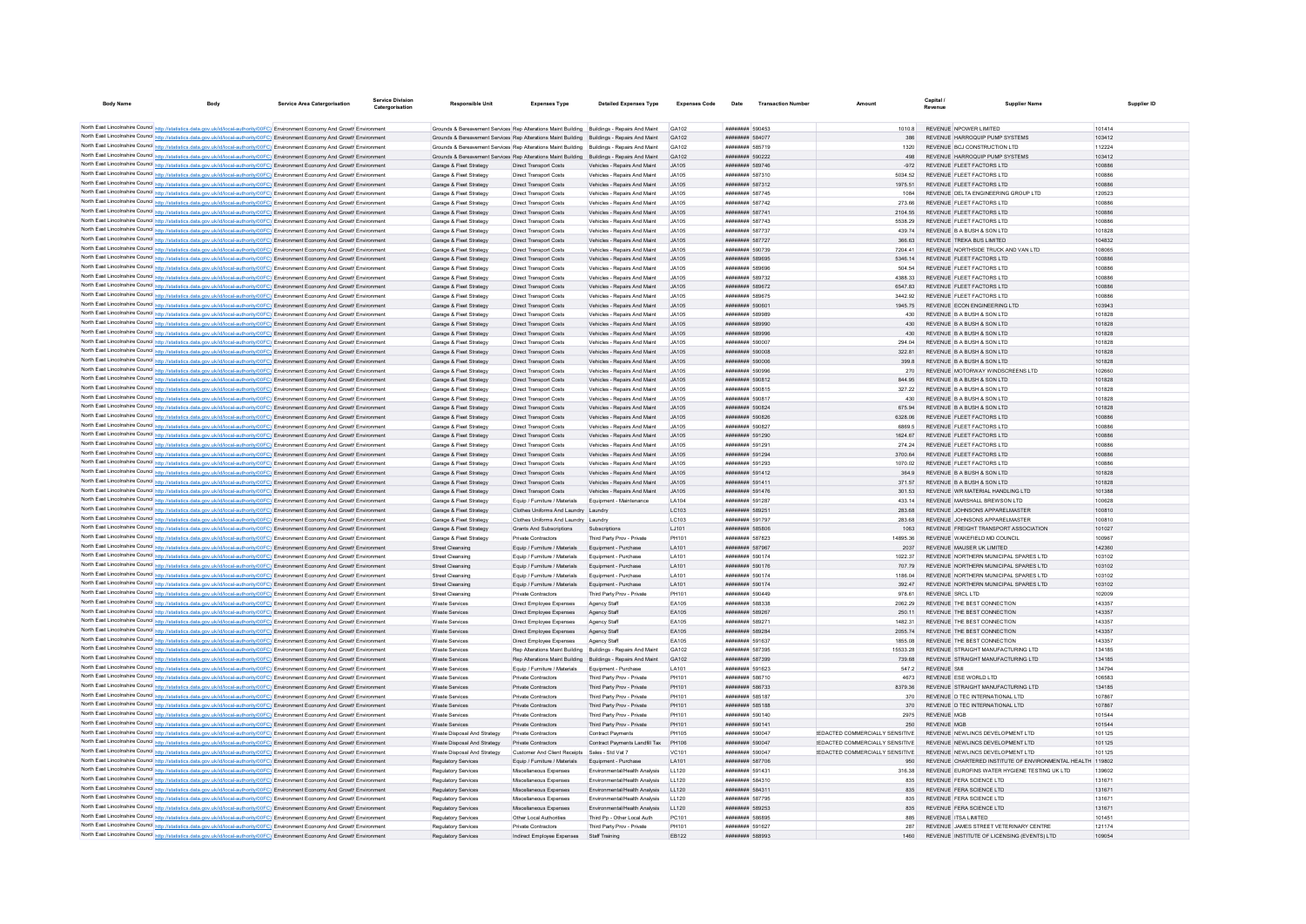| <b>Body Name</b> |                                                                                                                                                                                                                                                                        | <b>Service Area Catergorisation</b> | Service Divisio<br>Catergorisation | <b>Responsible Unit</b>                                                                     | <b>Expenses Type</b>                                                         | <b>Detailed Expenses Type</b>                                | <b>Expenses Code</b> | Date                                             | <b>Transaction Number</b> | Amoun                                         | Canital<br>Revenue                                               | Supplier Name                                              | Supplier ID      |
|------------------|------------------------------------------------------------------------------------------------------------------------------------------------------------------------------------------------------------------------------------------------------------------------|-------------------------------------|------------------------------------|---------------------------------------------------------------------------------------------|------------------------------------------------------------------------------|--------------------------------------------------------------|----------------------|--------------------------------------------------|---------------------------|-----------------------------------------------|------------------------------------------------------------------|------------------------------------------------------------|------------------|
|                  |                                                                                                                                                                                                                                                                        |                                     |                                    |                                                                                             |                                                                              |                                                              |                      |                                                  |                           |                                               |                                                                  |                                                            |                  |
|                  | North East Lincolnshire Council http://statistics.data.gov.uk/id/local-authority/00FC) Environment Economy And Growth Environment                                                                                                                                      |                                     |                                    | Grounds & Bereavement Services Rep Alterations Maint Building Buildings - Repairs And Maint |                                                                              |                                                              | GA102                | ######## 590453                                  |                           | 1010.8                                        | REVENUE NPOWER LIMITED                                           |                                                            | 101414           |
|                  | North East Lincolnshire Council http://statistics.data.gov.uk/id/local-authority/00FC) Environment Economy And Growth Environment                                                                                                                                      |                                     |                                    | Grounds & Bereavement Services Rep Alterations Maint Building Buildings - Repairs And Maint |                                                                              |                                                              | GA102                | ######## 584077                                  |                           |                                               | REVENUE HARROQUIP PUMP SYSTEMS                                   |                                                            | 103412           |
|                  | North East Lincolnshire Council http://statistics.data.gov.uk/id/local-authority/00FC) Environment Economy And Growt Environment                                                                                                                                       |                                     |                                    | Grounds & Bereavement Services Rep Alterations Maint Building Buildings - Repairs And Maint |                                                                              |                                                              | GA102                | <b><i>BREEZER 585719</i></b>                     |                           | 1320                                          | REVENUE BCJ CONSTRUCTION LTD                                     |                                                            | 112224           |
|                  | North East Lincolnshire Council http://statistics.data.gov.uk/id/local-authority/00FC) Environment Economy And Growth Environment                                                                                                                                      |                                     |                                    | Grounds & Bereavement Services Rep Alterations Maint Building Buildings - Repairs And Maint |                                                                              |                                                              | GA102                | ######## 590222                                  |                           | 498                                           | REVENUE HARROQUIP PUMP SYSTEMS                                   |                                                            | 103412           |
|                  | North East Lincolnshire Council http://statistics.data.gov.uk/id/local-authority/00FC) Environment Economy And Growth Environment                                                                                                                                      |                                     |                                    | Garage & Fleet Strategy                                                                     | <b>Direct Transport Costs</b>                                                | Vehicles - Repairs And Maint                                 | JA105                | ######## 589746                                  |                           | $-972$                                        | REVENUE FLEET FACTORS LTD                                        |                                                            | 100886           |
|                  | North East Lincolnshire Council http://statistics.data.gov.uk/id/local-authority/00FC) Environment Economy And Growth Environment                                                                                                                                      |                                     |                                    | Garage & Fleet Strategy                                                                     | <b>Direct Transport Costs</b>                                                | Vehicles - Repairs And Maint                                 | JA105                | ####### 587310                                   |                           | 5034.52                                       | REVENUE FLEET FACTORS LTD                                        |                                                            | 100886           |
|                  | North East Lincolnshire Council http://statistics.data.gov.uk/id/local-authority/00FC) Environment Economy And Growth Environment                                                                                                                                      |                                     |                                    | Garage & Fleet Strategy                                                                     | Direct Transport Costs                                                       | Vehicles - Repairs And Maint                                 | JA105                | ######## 587312                                  |                           | 1975.51                                       | REVENUE FLEET FACTORS LTD                                        |                                                            | 100886           |
|                  | North East Lincolnshire Council http://statistics.data.gov.uk/id/local-authority/00FC) Environment Economy And Growth Environment                                                                                                                                      |                                     |                                    | Garage & Fleet Strategy                                                                     | <b>Direct Transport Costs</b>                                                | Vehicles - Repairs And Maint                                 | JA105                | ######## 587745                                  |                           | 1084                                          |                                                                  | REVENUE DELTA ENGINEERING GROUP LTD                        | 120523           |
|                  | North East Lincolnshire Council http://statistics.data.gov.uk/id/local-authority/00FC) Environment Economy And Growth Environment                                                                                                                                      |                                     |                                    | Garage & Fleet Strategy                                                                     | <b>Direct Transport Costs</b>                                                | Vehicles - Repairs And Maint                                 | JA105                | ######## 587742                                  |                           | 273.66                                        | REVENUE FLEET FACTORS LTD                                        |                                                            | 100886           |
|                  | North East Lincolnshire Council http://statistics.data.gov.uk/id/local-authority/00FC) Environment Economy And Growth Environment                                                                                                                                      |                                     |                                    | Garage & Fleet Strategy                                                                     | <b>Direct Transport Costs</b>                                                | Vehicles - Repairs And Maint                                 | JA105                | ######## 587741                                  |                           | 2104.55                                       | REVENUE FLEET FACTORS LTD                                        |                                                            | 100886           |
|                  | North East Lincolnshire Council http://statistics.data.gov.uk/id/local-authority/00FC) Environment Economy And Growth Environment                                                                                                                                      |                                     |                                    | Garage & Fleet Strategy                                                                     | <b>Direct Transport Costs</b>                                                | Vehicles - Repairs And Maint                                 | .14105               | <b><i>BREEZER 587743</i></b>                     |                           | 5538.29                                       | REVENUE ELEET FACTORS LTD                                        |                                                            | 100886           |
|                  | North East Lincolnshire Council http://statistics.data.gov.uk/id/local-authority/00FC) Environment Economy And Growth Environment                                                                                                                                      |                                     |                                    | Garage & Fleet Strategy                                                                     | Direct Transport Costs                                                       | Vehicles - Renairs And Maint                                 | .14105               | <b><i>BREERER 587737</i></b>                     |                           | 439.74                                        | REVENUE B A BUSH & SON LTD                                       |                                                            | 101828           |
|                  | North East Lincolnshire Council http://statistics.data.gov.uk/id/local-authority/00FC) Environment Economy And Growth Environment                                                                                                                                      |                                     |                                    | Garage & Fleet Strategy                                                                     | Direct Transport Costs                                                       | Vehicles - Repairs And Maint                                 | .14105               | ######## 587727                                  |                           | 366.63                                        | REVENUE TREKA BUS LIMITED                                        |                                                            | 104832           |
|                  | North East Lincolnshire Council http://statistics.data.gov.uk/id/local-authority/00FC) Environment Economy And Growth Environment                                                                                                                                      |                                     |                                    | Garage & Fleet Strategy                                                                     | <b>Direct Transport Costs</b>                                                | Vehicles - Repairs And Maint                                 | JA105                | ######## 590739                                  |                           | 7204.41                                       |                                                                  | REVENUE NORTHSIDE TRUCK AND VAN LTD                        | 108065           |
|                  | North East Lincolnshire Council http://statistics.data.gov.uk/id/local-authority/00FC) Environment Economy And Growth Environment                                                                                                                                      |                                     |                                    | Garage & Fleet Strategy                                                                     | Direct Transport Costs                                                       | Vehicles - Repairs And Maint                                 | .14105               | ######## 589695                                  |                           | 5346.14                                       | REVENUE FLEET FACTORS LTD                                        |                                                            | 100886           |
|                  | North East Lincolnshire Council http://statistics.data.gov.uk/id/local-authority/00FC) Environment Economy And Growth Environment<br>North East Lincolnshire Council http://statistics.data.gov.uk/id/local-authority/00FC) Environment Economy And Growth Environment |                                     |                                    | Garage & Fleet Strategy<br>Garage & Fleet Strategy                                          | <b>Direct Transport Costs</b><br><b>Direct Transport Costs</b>               | Vehicles - Repairs And Maint<br>Vehicles - Repairs And Maint | .14105<br>.14105     | ######## 589696<br>######## 589732               |                           | 504 54<br>4388 33                             | REVENUE ELEFT FACTORS LTD<br>REVENUE FLEET FACTORS LTD           |                                                            | 100886<br>100886 |
|                  | North East Lincolnshire Council http://statistics.data.gov.uk/id/local-authority/00FC) Environment Economy And Growth Environment                                                                                                                                      |                                     |                                    | Garage & Fleet Strategy                                                                     | <b>Direct Transport Costs</b>                                                | Vehicles - Repairs And Maint                                 | <b>JA105</b>         | ######## 589672                                  |                           | 6547.83                                       | REVENUE FLEET FACTORS LTD                                        |                                                            | 100886           |
|                  | North East Lincolnshire Council http://statistics.data.gov.uk/id/local-authority/00FC) Environment Economy And Growth Environment                                                                                                                                      |                                     |                                    | Garage & Fleet Strategy                                                                     | <b>Direct Transport Costs</b>                                                | Vehicles - Repairs And Maint                                 | .14105               | <b><i>BREERER 589675</i></b>                     |                           | 3442.92                                       | REVENUE FLEET FACTORS LTD                                        |                                                            | 100886           |
|                  | North East Lincolnshire Council http://statistics.data.gov.uk/id/local-authority/00FC) Environment Economy And Growth Environment                                                                                                                                      |                                     |                                    | Garage & Fleet Strategy                                                                     | Direct Transport Costs                                                       | Vehicles - Renairs And Maint                                 | .14105               | ######## 590601                                  |                           | 1945 75                                       | REVENUE FCON ENGINEERING LTD                                     |                                                            | 103943           |
|                  | North East Lincolnshire Council http://statistics.data.gov.uk/id/local-authority/00FC) Environment Economy And Growth Environment                                                                                                                                      |                                     |                                    | Garage & Fleet Strategy                                                                     | <b>Direct Transport Costs</b>                                                | Vehicles - Repairs And Maint                                 | .14105               | <b><i>BROOMBARD 589989</i></b>                   |                           | 430                                           | REVENUE B A BUSH & SON LTD                                       |                                                            | 101828           |
|                  | North East Lincolnshire Council http://statistics.data.gov.uk/id/local-authority/00FC) Environment Economy And Growth Environment                                                                                                                                      |                                     |                                    | Garage & Fleet Strategy                                                                     | <b>Direct Transport Costs</b>                                                | Vehicles - Repairs And Maint                                 | JA105                | ######## 589990                                  |                           | 430                                           | REVENUE B A BUSH & SON LTD                                       |                                                            | 101828           |
|                  | North East Lincolnshire Council http://statistics.data.gov.uk/id/local-authority/00FC) Environment Economy And Growth Environment                                                                                                                                      |                                     |                                    | Garage & Fleet Strategy                                                                     | <b>Direct Transport Costs</b>                                                | Vehicles - Repairs And Maint                                 | JA105                | ######## 589996                                  |                           | 430                                           | REVENUE B A BUSH & SON LTD                                       |                                                            | 101828           |
|                  | North East Lincolnshire Council http://statistics.data.gov.uk/id/local-authority/00FC) Environment Economy And Growth Environment                                                                                                                                      |                                     |                                    | Garage & Fleet Strategy                                                                     | <b>Direct Transport Costs</b>                                                | Vehicles - Repairs And Maint                                 | .14105               | ######## 590007                                  |                           | 294.04                                        | REVENUE B A BUSH & SON LTD                                       |                                                            | 101828           |
|                  | North East Lincolnshire Council http://statistics.data.gov.uk/id/local-authority/00FC) Environment Economy And Growth Environment                                                                                                                                      |                                     |                                    | Garage & Fleet Strategy                                                                     | <b>Direct Transport Costs</b>                                                | Vehicles - Repairs And Maint                                 | JA105                | ######## 590008                                  |                           | 322.81                                        | REVENUE B A BUSH & SON LTD                                       |                                                            | 101828           |
|                  | North East Lincolnshire Council http://statistics.data.gov.uk/id/local-authority/00FC) Environment Economy And Growth Environment                                                                                                                                      |                                     |                                    | Garage & Fleet Strategy                                                                     | <b>Direct Transport Costs</b>                                                | Vehicles - Repairs And Maint                                 | JA105                | ######## 590006                                  |                           | 399.8                                         | REVENUE B A BUSH & SON LTD                                       |                                                            | 101828           |
|                  | North East Lincolnshire Council http://statistics.data.gov.uk/id/local-authority/00FC) Environment Economy And Growth Environment                                                                                                                                      |                                     |                                    | Garage & Fleet Strategy                                                                     | <b>Direct Transport Costs</b>                                                | Vehicles - Repairs And Maint                                 | JA105                | ######## 590996                                  |                           | 270                                           | REVENUE MOTORWAY WINDSCREENS LTD                                 |                                                            | 102660           |
|                  | North East Lincolnshire Council http://statistics.data.gov.uk/id/local-authority/00FC) Environment Economy And Growth Environment                                                                                                                                      |                                     |                                    | Garage & Fleet Strategy                                                                     | <b>Direct Transport Costs</b>                                                | Vehicles - Repairs And Maint                                 | .14105               | ######## 590812                                  |                           | 844.95                                        | REVENUE B A BUSH & SON LTD                                       |                                                            | 101828           |
|                  | North East Lincolnshire Council http://statistics.data.gov.uk/id/local-authority/00FC) Environment Economy And Growth Environment                                                                                                                                      |                                     |                                    | Garage & Fleet Strategy                                                                     | <b>Direct Transport Costs</b>                                                | Vehicles - Repairs And Maint                                 | JA105                | ######## 590815                                  |                           | 327.22                                        | REVENUE B A BUSH & SON LTD                                       |                                                            | 101828           |
|                  | North East Lincolnshire Council http://statistics.data.gov.uk/id/local-authority/00FC) Environment Economy And Growth Environment                                                                                                                                      |                                     |                                    | Garage & Fleet Strategy                                                                     | <b>Direct Transport Costs</b>                                                | Vehicles - Repairs And Maint                                 | JA105                | ######## 590817                                  |                           | 430                                           | REVENUE B A BUSH & SON LTD                                       |                                                            | 101828           |
|                  | North East Lincolnshire Council http://statistics.data.gov.uk/id/local-authority/00FC) Environment Economy And Growth Environment                                                                                                                                      |                                     |                                    | Garage & Fleet Strategy                                                                     | <b>Direct Transport Costs</b>                                                | Vehicles - Repairs And Maint                                 | JA105                | ######## 590824                                  |                           | 675.94                                        | REVENUE B A BUSH & SON LTD                                       |                                                            | 101828           |
|                  | North East Lincolnshire Council http://statistics.data.gov.uk/id/local-authority/00FC) Environment Economy And Growth Environment                                                                                                                                      |                                     |                                    | Garage & Fleet Strategy                                                                     | Direct Transport Costs                                                       | Vehicles - Repairs And Maint                                 | .14105               | ######## 590826                                  |                           | 6328.06                                       | REVENUE FLEET FACTORS LTD                                        |                                                            | 100886           |
|                  | North East Lincolnshire Council http://statistics.data.gov.uk/id/local-authority/00FC) Environment Economy And Growth Environment                                                                                                                                      |                                     |                                    | Garage & Fleet Strategy                                                                     | <b>Direct Transport Costs</b>                                                | Vehicles - Repairs And Maint                                 | JA105                | ######## 590827                                  |                           | 6869.5                                        | REVENUE FLEET FACTORS LTD                                        |                                                            | 100886           |
|                  | North East Lincolnshire Council http://statistics.data.gov.uk/id/local-authority/00FC) Environment Economy And Growth Environment                                                                                                                                      |                                     |                                    | Garage & Fleet Strategy                                                                     | Direct Transport Costs                                                       | Vehicles - Repairs And Maint                                 | JA105                | ######## 591290                                  |                           | 1624.67                                       | REVENUE FLEET FACTORS LTD                                        |                                                            | 100886           |
|                  | North East Lincolnshire Council http://statistics.data.gov.uk/id/local-authority/00FC) Environment Economy And Growth Environmen                                                                                                                                       |                                     |                                    | Garage & Fleet Strategy                                                                     | <b>Direct Transport Costs</b>                                                | Vehicles - Repairs And Maint                                 | JA105                | <i>wwwwww#</i> 59129                             |                           | 274.24                                        | REVENUE FLEET FACTORS LTD                                        |                                                            | 100886           |
|                  | North East Lincolnshire Council http://statistics.data.gov.uk/id/local-authority/00FC) Environment Economy And Growth Environment                                                                                                                                      |                                     |                                    | Garage & Fleet Strategy                                                                     | <b>Direct Transport Costs</b>                                                | Vehicles - Repairs And Maint                                 | .14105               | ######## 591294                                  |                           | 3700.64                                       | REVENUE FLEET FACTORS LTD                                        |                                                            | 100886           |
|                  | North East Lincolnshire Council http://statistics.data.gov.uk/id/local-authority/00FC) Environment Economy And Growth Environment                                                                                                                                      |                                     |                                    | Garage & Fleet Strategy                                                                     | <b>Direct Transport Costs</b>                                                | Vehicles - Repairs And Maint                                 | JA105                | ######## 591293                                  |                           | 1070.02                                       | REVENUE FLEET FACTORS LTD                                        |                                                            | 100886           |
|                  | North East Lincolnshire Council http://statistics.data.gov.uk/id/local-authority/00FC) Environment Economy And Growth Environment                                                                                                                                      |                                     |                                    | Garage & Fleet Strategy                                                                     | Direct Transport Costs                                                       | Vehicles - Repairs And Maint                                 | JA105                | ######## 591412                                  |                           | 364.9                                         | REVENUE B A BUSH & SON LTD                                       |                                                            | 101828           |
|                  | North East Lincolnshire Council http://statistics.data.gov.uk/id/local-authority/00FC) Environment Economy And Growth Environment                                                                                                                                      |                                     |                                    | Garage & Fleet Strategy                                                                     | Direct Transport Costs                                                       | Vehicles - Repairs And Maint                                 | JA105                | ####### 591411                                   |                           | 371.57                                        | REVENUE B A BUSH & SON LTD                                       |                                                            | 101828           |
|                  | North East Lincolnshire Council http://statistics.data.gov.uk/id/local-authority/00FC) Environment Economy And Growth Environment                                                                                                                                      |                                     |                                    | Garage & Fleet Strategy                                                                     | <b>Direct Transport Costs</b>                                                | Vehicles - Repairs And Maint                                 | JA105                | ######## 591476                                  |                           | 301.53                                        | REVENUE WR MATERIAL HANDLING LTD                                 |                                                            | 101388           |
|                  | North East Lincolnshire Council http://statistics.data.gov.uk/id/local-authority/00FC) Environment Economy And Growth Environment                                                                                                                                      |                                     |                                    | Garage & Fleet Strategy                                                                     | Fouin / Furniture / Materials                                                | Foujoment - Maintenance                                      | 1 A104               | <b><i>BREEZERE 591287</i></b><br>######## 589251 |                           | 433 14<br>283.68                              | REVENUE MARSHALL BREWSON LTD.                                    |                                                            | 100628<br>100810 |
|                  | North East Lincolnshire Council http://statistics.data.gov.uk/id/local-authority/00FC) Environment Economy And Growth Environment                                                                                                                                      |                                     |                                    | Garage & Fleet Strategy<br>Garage & Fleet Strategy                                          | Clothes Uniforms And Laundry Laundry<br>Clothes Uniforms And Laundry Laundry |                                                              | LC103<br>LC103       | ####### 591797                                   |                           | 283.68                                        | REVENUE JOHNSONS APPARELMASTER<br>REVENUE JOHNSONS APPARELMASTER |                                                            | 100810           |
|                  | North East Lincolnshire Council http://statistics.data.gov.uk/id/local-authority/00FC) Environment Economy And Growth Environmen<br>North East Lincolnshire Council http://statistics.data.gov.uk/id/local-authority/00FC) Environment Economy And Growth Environment  |                                     |                                    | Garage & Fleet Strategy                                                                     | <b>Grants And Subscriptions</b>                                              | Subscription:                                                | LJ101                | ######## 585806                                  |                           | 1063                                          |                                                                  | REVENUE EREIGHT TRANSPORT ASSOCIATION                      | 101027           |
|                  | North East Lincolnshire Council http://statistics.data.gov.uk/id/local-authority/00FC) Environment Economy And Growth Environment                                                                                                                                      |                                     |                                    | Garage & Fleet Strategy                                                                     | Private Contractors                                                          | Third Party Prov - Private                                   | PH101                | <b><i>BREEZER 587823</i></b>                     |                           | 1489536                                       | REVENUE WAKEFIELD MD COUNCIL                                     |                                                            | 100967           |
|                  | North East Lincolnshire Council http://statistics.data.gov.uk/id/local-authority/00FC) Environment Economy And Growth Environment                                                                                                                                      |                                     |                                    | Street Cleansing                                                                            | Equip / Furniture / Materials                                                | Equipment - Purchase                                         | LA101                | ######## 587967                                  |                           | 2037                                          | REVENUE MAUSER UK LIMITED                                        |                                                            | 142360           |
|                  | North East Lincolnshire Council http://statistics.data.gov.uk/id/local-authority/00FC) Environment Economy And Growth Environment                                                                                                                                      |                                     |                                    | Street Cleansing                                                                            | Equip / Furniture / Materials                                                | Equipment - Purchase                                         | LA101                | ######## 590174                                  |                           | 1022.37                                       |                                                                  | REVENUE NORTHERN MUNICIPAL SPARES LTD                      | 103102           |
|                  | North East Lincolnshire Council http://statistics.data.gov.uk/id/local-authority/00FC) Environment Economy And Growth Environment                                                                                                                                      |                                     |                                    | <b>Street Cleansing</b>                                                                     | Equip / Furniture / Materials                                                | Equipment - Purchase                                         | LA101                | ######## 590176                                  |                           | 707.79                                        |                                                                  | REVENUE NORTHERN MUNICIPAL SPARES LTD                      | 103102           |
|                  | North East Lincolnshire Council http://statistics.data.gov.uk/id/local-authority/00FC) Environment Economy And Growth Environment                                                                                                                                      |                                     |                                    | Street Cleansing                                                                            | Equip / Furniture / Materials                                                | Foujoment - Purchase                                         | <b>LA101</b>         | ######## 590174                                  |                           | 1186.04                                       |                                                                  | REVENUE NORTHERN MUNICIPAL SPARES LTD                      | 103102           |
|                  | North East Lincolnshire Council http://statistics.data.gov.uk/id/local-authority/00FC) Environment Economy And Growth Environment                                                                                                                                      |                                     |                                    | <b>Street Cleansing</b>                                                                     | Equip / Furniture / Materials                                                | Equipment - Purchase                                         | LA101                | ######## 590174                                  |                           | 392.47                                        |                                                                  | REVENUE NORTHERN MUNICIPAL SPARES LTD                      | 103102           |
|                  | North East Lincolnshire Council http://statistics.data.gov.uk/id/local-authority/00FC) Environment Economy And Growth Environment                                                                                                                                      |                                     |                                    | Street Cleansing                                                                            | Private Contractors                                                          | Third Party Prov - Private                                   | PH101                | ####### 590449                                   |                           | 978.6                                         | REVENUE SRCL LTD                                                 |                                                            | 102009           |
|                  | North East Lincolnshire Council http://statistics.data.gov.uk/id/local-authority/00FC) Environment Economy And Growth Environment                                                                                                                                      |                                     |                                    | Waste Service                                                                               | Direct Employee Expenses                                                     | Agency Staff                                                 | EA105                | <b><i>BREADER SABASA</i></b>                     |                           | 2062.29                                       | REVENUE THE BEST CONNECTION                                      |                                                            | 143357           |
|                  | North East Lincolnshire Council http://statistics.data.gov.uk/id/local-authority/00FC) Environment Economy And Growth Environment                                                                                                                                      |                                     |                                    | Waste Services                                                                              | Direct Employee Expenses                                                     | Agency Staff                                                 | FA105                | ######## 589267                                  |                           | 250.11                                        | REVENUE THE BEST CONNECTION                                      |                                                            | 143357           |
|                  | North East Lincolnshire Council http://statistics.data.gov.uk/id/local-authority/00FC) Environment Economy And Growth Environment                                                                                                                                      |                                     |                                    | <b>Waste Services</b>                                                                       | Direct Employee Expenses                                                     | Agency Staff                                                 | EA105                | ######## 589271                                  |                           | 1482.31                                       | REVENUE THE BEST CONNECTION                                      |                                                            | 143357           |
|                  | North East Lincolnshire Council http://statistics.data.gov.uk/id/local-authority/00FC) Environment Economy And Growth Environment                                                                                                                                      |                                     |                                    | Waste Services                                                                              | Direct Employee Expenses                                                     | Agency Staff                                                 | EA105                | ######## 589284                                  |                           | 2055.74                                       | REVENUE THE BEST CONNECTION                                      |                                                            | 143357           |
|                  | North East Lincolnshire Council http://statistics.data.gov.uk/id/local-authority/00FC) Environment Economy And Growth Environment                                                                                                                                      |                                     |                                    | <b>Waste Services</b>                                                                       | Direct Employee Expenses                                                     | Agency Staff                                                 | EA105                | ######## 591637                                  |                           | 1855.08                                       | REVENUE THE BEST CONNECTION                                      |                                                            | 143357           |
|                  | North East Lincolnshire Council http://statistics.data.gov.uk/id/local-authority/00FC) Environment Economy And Growth Environment                                                                                                                                      |                                     |                                    | Waste Services                                                                              |                                                                              | Rep Alterations Maint Building Buildings - Repairs And Maint | GA102                | ######## 587395                                  |                           | 15533.28                                      | REVENUE STRAIGHT MANUFACTURING LTD                               |                                                            | 134185           |
|                  | North East Lincolnshire Council http://statistics.data.gov.uk/id/local-authority/00FC) Environment Economy And Growth Environment                                                                                                                                      |                                     |                                    | <b>Waste Services</b>                                                                       |                                                                              | Rep Alterations Maint Building Buildings - Repairs And Maint | GA102                | ######## 587399                                  |                           | 739.68                                        | REVENUE STRAIGHT MANUFACTURING LTD                               |                                                            | 134185           |
|                  | North East Lincolnshire Council http://statistics.data.gov.uk/id/local-authority/00FC) Environment Economy And Growth Environment                                                                                                                                      |                                     |                                    | <b>Waste Services</b>                                                                       | Equip / Furniture / Materials                                                | Equipment - Purchase                                         | LA101                | ######## 591623                                  |                           | 547.2                                         | <b>REVENUE SMI</b>                                               |                                                            | 134794           |
|                  | North East Lincolnshire Council http://statistics.data.gov.uk/id/local-authority/00FC) Environment Economy And Growth Environmen                                                                                                                                       |                                     |                                    | <b>Waste Servicer</b>                                                                       | Private Contractors                                                          | Third Party Prov - Private                                   | PH101                | ######## 586710                                  |                           | 4673                                          | REVENUE ESE WORLD LTD                                            |                                                            | 106583           |
|                  | North East Lincolnshire Council http://statistics.data.gov.uk/id/local-authority/00FC) Environment Economy And Growth Environment                                                                                                                                      |                                     |                                    | Waste Services                                                                              | Private Contractors                                                          | Third Party Prov - Private                                   | PH101                | ######## 586733                                  |                           | 8379.36                                       | REVENUE STRAIGHT MANUFACTURING LTD                               |                                                            | 134185           |
|                  | North East Lincolnshire Council http://statistics.data.gov.uk/id/local-authority/00FC) Environment Economy And Growth Environment                                                                                                                                      |                                     |                                    | <b>Waste Services</b>                                                                       | Private Contractors                                                          | Third Party Prov - Private                                   | PH101                | ######## 585187                                  |                           | 370                                           | REVENUE D TEC INTERNATIONAL LTD                                  |                                                            | 107867           |
|                  | North East Lincolnshire Council http://statistics.data.gov.uk/id/local-authority/00FC) Environment Economy And Growth Environment                                                                                                                                      |                                     |                                    | Waste Services                                                                              | Private Contractors                                                          | Third Party Prov - Private                                   | PH101                | ######## 585188                                  |                           | 370                                           | REVENUE D TEC INTERNATIONAL LTD                                  |                                                            | 107867           |
|                  | North East Lincolnshire Council http://statistics.data.gov.uk/id/local-authority/00FC) Environment Economy And Growth Environment                                                                                                                                      |                                     |                                    | <b>Waste Services</b>                                                                       | Private Contractors                                                          | Third Party Prov - Private                                   | PH101<br>PH101       | ######## 590140<br>######## 590141               |                           | 2975                                          | <b>REVENUE MGB</b><br><b>REVENUE MGB</b>                         |                                                            | 101544<br>101544 |
|                  | North East Lincolnshire Council http://statistics.data.gov.uk/id/local-authority/00FC) Environment Economy And Growth Environment                                                                                                                                      |                                     |                                    | <b>Waste Services</b>                                                                       | Private Contractors                                                          | Third Party Prov - Private                                   |                      |                                                  |                           | 250<br>REDACTED COMMERCIALLY SENSITIVE        | REVENUE NEWLINCS DEVELOPMENT LTD                                 |                                                            |                  |
|                  | North East Lincolnshire Council http://statistics.data.gov.uk/id/local-authority/00FC) Environment Economy And Growth Environment<br>North East Lincolnshire Council http://statistics.data.gov.uk/id/local-authority/00FC) Environment Economy And Growth Environment |                                     |                                    | Waste Disposal And Strategy<br>Waste Disposal And Strategy                                  | Private Contractors<br>Private Contractors                                   | Contract Payments<br>Contract Payments Landfill Tax          | PH105<br>PH106       | ######## 590047<br>######## 590047               |                           | <b>IFDACTED COMMERCIALLY SENSITIVE</b>        | REVENUE NEWLINCS DEVELOPMENT LTD                                 |                                                            | 101125<br>101125 |
|                  | North East Lincolnshire Council http://statistics.data.gov.uk/id/local-authority/00FC) Environment Economy And Growth Environmen                                                                                                                                       |                                     |                                    | Waste Disposal And Strategy                                                                 | <b>Customer And Client Receipts</b>                                          | Sales - Std Vat 1                                            | VC101                | ********** 590047                                |                           | <b><i>IEDACTED COMMERCIALLY SENSITIVE</i></b> | REVENUE NEWLINCS DEVELOPMENT LTD                                 |                                                            | 101125           |
|                  | North East Lincolnshire Council http://statistics.data.gov.uk/id/local-authority/00FC) Environment Economy And Growth Environment                                                                                                                                      |                                     |                                    | Regulatory Services                                                                         | Equip / Furniture / Materials                                                | Equipment - Purchase                                         | <b>LA101</b>         | <b>######## 587706</b>                           |                           | 950                                           |                                                                  | REVENUE CHARTERED INSTITUTE OF ENVIRONMENTAL HEALTH 119802 |                  |
|                  | North East Lincolnshire Council http://statistics.data.gov.uk/id/local-authority/00FC) Environment Economy And Growth Environment                                                                                                                                      |                                     |                                    | <b>Regulatory Services</b>                                                                  | Miscellaneous Expenses                                                       | Fnyironmental/Health Analysis                                | 11120                | ######## 591431                                  |                           | 316 38                                        |                                                                  | REVENUE FUROEINS WATER HYGIENE TESTING UK LTD.             | 139602           |
|                  | North East Lincolnshire Council http://statistics.data.gov.uk/id/local-authority/00FC) Environment Economy And Growth Environment                                                                                                                                      |                                     |                                    | <b>Regulatory Services</b>                                                                  | Miscellaneous Expenses                                                       | Fnvironmental/Health Analysis                                | 11120                | ######## 584310                                  |                           | 835                                           | REVENUE FERA SCIENCE LTD                                         |                                                            | 131671           |
|                  | North East Lincolnshire Council http://statistics.data.gov.uk/id/local-authority/00FC) Environment Economy And Growth Environment                                                                                                                                      |                                     |                                    | Regulatory Services                                                                         | Miscellaneous Expenses                                                       | Environmental/Health Analysis LL120                          |                      | ######## 584311                                  |                           | 835                                           | REVENUE FERA SCIENCE LTD                                         |                                                            | 131671           |
|                  | North East Lincolnshire Council http://statistics.data.gov.uk/id/local-authority/00FC) Environment Economy And Growth Environment                                                                                                                                      |                                     |                                    | Regulatory Services                                                                         | Miscellaneous Expenses                                                       | Environmental/Health Analysis                                | LL120                | <b><i>BREERER 587795</i></b>                     |                           | 835                                           | REVENUE FERA SCIENCE LTD                                         |                                                            | 131671           |
|                  | North East Lincolnshire Council http://statistics.data.gov.uk/id/local-authority/00FC) Environment Economy And Growth Environment                                                                                                                                      |                                     |                                    | Regulatory Services                                                                         | Miscellaneous Expenses                                                       | Fnyironmental/Health Analysis                                | 11120                | ######## 589253                                  |                           | 835                                           | REVENUE FERA SCIENCE LTD                                         |                                                            | 131671           |
|                  | North East Lincolnshire Council http://statistics.data.gov.uk/id/local-authority/00FC) Environment Economy And Growth Environment                                                                                                                                      |                                     |                                    | <b>Regulatory Services</b>                                                                  | Other Local Authorities                                                      | Third Pp - Other Local Auth                                  | PC101                | ######## 586895                                  |                           | 885                                           | REVENUE ITSA LIMITED                                             |                                                            | 101451           |
|                  | North East Lincolnshire Council http://statistics.data.gov.uk/id/local-authority/00FC) Environment Economy And Growth Environment                                                                                                                                      |                                     |                                    | Regulatory Service                                                                          | Private Contractors                                                          | Third Party Prov - Private                                   | PH101                | ####### 591627                                   |                           | 287                                           |                                                                  | REVENUE JAMES STREET VETERINARY CENTRE                     | 121174           |
|                  | North East Lincolnshire Council http://statistics.data.gov.uk/id/local-authority/00FC) Environment Economy And Growth Environmen                                                                                                                                       |                                     |                                    | <b>Regulatory Service</b>                                                                   | Indirect Employee Expenses                                                   | Staff Training                                               | EB122                | ######## 588993                                  |                           | 1460                                          |                                                                  | REVENUE INSTITUTE OF LICENSING (EVENTS) LTD                | 109054           |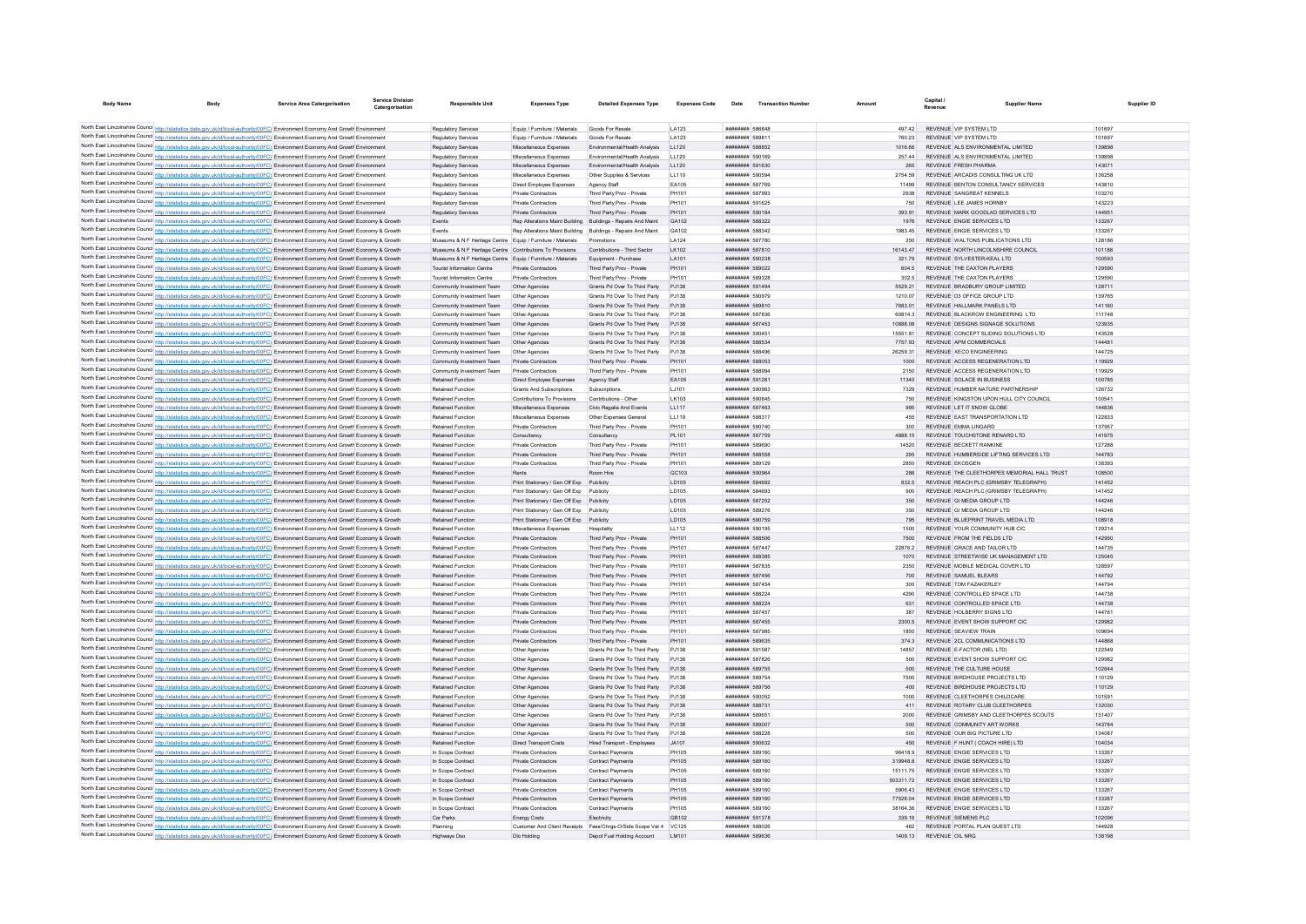| <b>Body Name</b> |                                                                                                                                                                                                                                                                                  | <b>Service Area Catergorisation</b> | Service Divisio<br>Catergorisation | <b>Responsible Unit</b>                                                                                                  | <b>Expenses Type</b>                              | <b>Detailed Expenses Type</b>                                | <b>Expenses Code</b>  | Date                                             | <b>Transaction Number</b> | Amoun               | Capital.<br>Revenue | <b>Supplier Name</b>                                                   |                  | Supplier ID |
|------------------|----------------------------------------------------------------------------------------------------------------------------------------------------------------------------------------------------------------------------------------------------------------------------------|-------------------------------------|------------------------------------|--------------------------------------------------------------------------------------------------------------------------|---------------------------------------------------|--------------------------------------------------------------|-----------------------|--------------------------------------------------|---------------------------|---------------------|---------------------|------------------------------------------------------------------------|------------------|-------------|
|                  |                                                                                                                                                                                                                                                                                  |                                     |                                    |                                                                                                                          |                                                   |                                                              |                       |                                                  |                           |                     |                     |                                                                        |                  |             |
|                  | North East Lincolnshire Council http://statistics.data.gov.uk/id/local-authority/00FC) Environment Economy And Growth Environment                                                                                                                                                |                                     |                                    | Regulatory Services                                                                                                      | Equip / Furniture / Materials                     | Goods For Resale                                             | LA123                 | ######## 586848                                  |                           | 497.42              |                     | REVENUE VIP SYSTEM LTD                                                 | 101697           |             |
|                  | North East Lincolnshire Council http://statistics.data.gov.uk/id/local-authority/00FC) Environment Economy And Growth Environmen                                                                                                                                                 |                                     |                                    | Regulatory Service                                                                                                       | Equip / Furniture / Materials                     | Goods For Resale                                             | LA123                 | <b><i>BREEZER 589811</i></b>                     |                           | 760.23              |                     | REVENUE VIP SYSTEM I TD                                                | 101697           |             |
|                  | North East Lincolnshire Council http://statistics.data.gov.uk/id/local-authority/00FC). Environment Economy And Growth Environment                                                                                                                                               |                                     |                                    | Regulatory Services                                                                                                      | Miscellaneous Expenses                            | Fnvironmental/Health Analysis                                | LL120                 | <b><i>BREEZER SRRR52</i></b>                     |                           | 1016.66             |                     | REVENUE ALS ENVIRONMENTAL LIMITED                                      | 139898           |             |
|                  | North East Lincolnshire Council http://statistics.data.gov.uk/id/local-authority/00FC) Environment Economy And Growth Environment                                                                                                                                                |                                     |                                    | <b>Regulatory Services</b>                                                                                               | Miscellaneous Expenses                            | Environmental/Health Analysis                                | LL120                 | ######## 590169                                  |                           | 257.44              |                     | REVENUE ALS ENVIRONMENTAL LIMITED                                      | 139898           |             |
|                  | North East Lincolnshire Council http://statistics.data.gov.uk/id/local-authority/00FC) Environment Economy And Growth Environment                                                                                                                                                |                                     |                                    | <b>Regulatory Services</b>                                                                                               | Miscellaneous Expenses                            | Environmental/Health Analysis                                | LL120                 | ######## 591630                                  |                           | 265                 |                     | REVENUE FRESH PHARMA                                                   | 143071           |             |
|                  | North East Lincolnshire Council http://statistics.data.gov.uk/id/local-authority/00FC) Environment Economy And Growth Environment                                                                                                                                                |                                     |                                    | <b>Regulatory Services</b>                                                                                               | Miscellaneous Expenses                            | Other Supplies & Services                                    | LL110                 | ######## 590594                                  |                           | 2754.59             |                     | REVENUE ARCADIS CONSULTING UK LTD                                      | 136258           |             |
|                  | North East Lincolnshire Council http://statistics.data.gov.uk/id/local-authority/00FC) Environment Economy And Growth Environment                                                                                                                                                |                                     |                                    | <b>Regulatory Services</b>                                                                                               | Direct Employee Expenses                          | Agency Staff                                                 | EA105                 | ######## 587769                                  |                           | 11499               |                     | REVENUE BENTON CONSULTANCY SERVICES                                    | 143810           |             |
|                  | North East Lincolnshire Council http://statistics.data.gov.uk/id/local-authority/00FC) Environment Economy And Growth Environment                                                                                                                                                |                                     |                                    | Regulatory Services                                                                                                      | Private Contractors                               | Third Party Prov - Private                                   | PH101                 | ######## 587993                                  |                           | 2938                |                     | REVENUE SANGREAT KENNELS                                               | 103270           |             |
|                  | North East Lincolnshire Council http://statistics.data.gov.uk/id/local-authority/00FC) Environment Economy And Growth Environment                                                                                                                                                |                                     |                                    | Regulatory Services                                                                                                      | Private Contractors                               | Third Party Prov - Private                                   | PH101                 | ####### 591625                                   |                           | 750                 |                     | REVENUE LEE JAMES HORNBY                                               | 143223           |             |
|                  | North East Lincolnshire Council http://statistics.data.gov.uk/id/local-authority/00FC) Environment Economy And Growth Environment                                                                                                                                                |                                     |                                    | <b>Regulatory Services</b>                                                                                               | Private Contractors                               | Third Party Prov - Private                                   | PH101                 | ######## 590184                                  |                           | 393.91              |                     | REVENUE MARK GOODLAD SERVICES LTD                                      | 144951           |             |
|                  | North East Lincolnshire Council http://statistics.data.gov.uk/id/local-authority/00FC) Environment Economy And Growth Economy & Growth                                                                                                                                           |                                     |                                    | Events                                                                                                                   |                                                   | Rep Alterations Maint Building Buildings - Repairs And Maint | GA102                 | <b><i>BREEZER 588322</i></b>                     |                           | 1976                |                     | REVENUE ENGIE SERVICES LTD                                             | 133267           |             |
|                  | North East Lincolnshire Council http://statistics.data.gov.uk/id/local-authority/00FC) Environment Economy And Growth Economy & Growth                                                                                                                                           |                                     |                                    | Fyents                                                                                                                   |                                                   | Ren Alterations Maint Building Ruildings - Renairs And Maint | GA102                 | <b><i>BREEZHER 588342</i></b><br>######## 587780 |                           | 1983 45             |                     | REVENUE ENGIE SERVICES I TD                                            | 133267           |             |
|                  | North East Lincolnshire Council http://statistics.data.gov.uk/id/local-authority/00FC) Environment Economy And Growth Economy & Growth<br>North East Lincolnshire Council http://statistics.data.gov.uk/id/local-authority/00FC) Environment Economy And Growth Economy & Growth |                                     |                                    | Museums & N F Heritage Centre Equip / Furniture / Materials<br>Museums & N F Heritage Centre Contributions To Provisions |                                                   | Promotions<br>Contributions - Third Sector                   | LA124<br>LK102        | ######## 587810                                  |                           | 250<br>16143.47     |                     | REVENUE WALTONS PUBLICATIONS LTD<br>REVENUE NORTH LINCOLNSHIRE COUNCIL | 128186<br>101186 |             |
|                  | North East Lincolnshire Council http://statistics.data.gov.uk/id/local-authority/00FC) Environment Economy And Growth Economy & Growth                                                                                                                                           |                                     |                                    | Museums & N F Heritage Centre Equip / Furniture / Materials                                                              |                                                   | Equipment - Purchase                                         | LA101                 | ######## 590238                                  |                           | 321.79              |                     | REVENUE SYLVESTER-KEAL LTD                                             | 100593           |             |
|                  | North East Lincolnshire Council http://statistics.data.gov.uk/id/local-authority/00FC) Environment Economy And Growth Economy & Growth                                                                                                                                           |                                     |                                    | Tourist Information Centre                                                                                               | Private Contractors                               | Third Party Prov - Private                                   | PH101                 | ######## 589022                                  |                           | 604.5               |                     | REVENUE THE CAXTON PLAYERS                                             | 129590           |             |
|                  | North East Lincolnshire Council http://statistics.data.gov.uk/id/local-authority/00FC) Environment Economy And Growth Economy & Growth                                                                                                                                           |                                     |                                    | <b>Tourist Information Centre</b>                                                                                        | <b>Private Contractors</b>                        | Third Party Prov - Private                                   | PH101                 | ####### 589328                                   |                           | 302.5               |                     | REVENUE THE CAXTON PLAYERS                                             | 129590           |             |
|                  | North East Lincolnshire Council http://statistics.data.gov.uk/id/local-authority/00FC) Environment Economy And Growth Economy & Growth                                                                                                                                           |                                     |                                    | Community Investment Team                                                                                                | Other Agencies                                    | Grants Pd Over To Third Party                                | PJ138                 | ######## 591494                                  |                           | 5529.21             |                     | REVENUE BRADBURY GROUP LIMITED                                         | 128711           |             |
|                  | North East Lincolnshire Council http://statistics.data.gov.uk/id/local-authority/00FC) Environment Economy And Growth Economy & Growth                                                                                                                                           |                                     |                                    | Community Investment Team                                                                                                | Other Agencies                                    | Grants Pd Over To Third Party                                | PJ138                 | ######## 590979                                  |                           | 1210.07             |                     | REVENUE D3 OFFICE GROUP LTD                                            | 139765           |             |
|                  | North East Lincolnshire Council http://statistics.data.gov.uk/id/local-authority/00FC) Environment Economy And Growth Economy & Growth                                                                                                                                           |                                     |                                    | Community Investment Team                                                                                                | Other Agencies                                    | Grants Pd Over To Third Party                                | P.1138                | ######## 589810                                  |                           | 7683.01             |                     | REVENUE HALLMARK PANELS LTD                                            | 141160           |             |
|                  | North East Lincolnshire Council http://statistics.data.gov.uk/id/local-authority/00FC) Environment Economy And Growth Economy & Growth                                                                                                                                           |                                     |                                    | Community Investment Team                                                                                                | Other Agencies                                    | Grants Pd Over To Third Party                                | PJ138                 | ######## 587836                                  |                           | 608143              |                     | REVENUE BLACKROW ENGINEERING LTD                                       | 111748           |             |
|                  | North East Lincolnshire Council http://statistics.data.gov.uk/id/local-authority/00FC) Environment Economy And Growth Economy & Growth                                                                                                                                           |                                     |                                    | Community Investment Team                                                                                                | Other Agencies                                    | Grants Pd Over To Third Party PJ138                          |                       | ######## 587453                                  |                           | 10888.08            |                     | REVENUE DESIGNS SIGNAGE SOLUTIONS                                      | 123935           |             |
|                  | North East Lincolnshire Council http://statistics.data.gov.uk/id/local-authority/00FC) Environment Economy And Growth Economy & Growth                                                                                                                                           |                                     |                                    | Community Investment Team                                                                                                | Other Agencies                                    | Grants Pd Over To Third Party                                | PJ138                 | ####### 590451                                   |                           | 15551.81            |                     | REVENUE CONCEPT SLIDING SOLUTIONS LTD                                  | 143528           |             |
|                  | North East Lincolnshire Council http://statistics.data.gov.uk/id/local-authority/00FC) Environment Economy And Growth Economy & Growth                                                                                                                                           |                                     |                                    | Community Investment Team                                                                                                | Other Agencies                                    | Grants Pd Over To Third Party                                | PJ138                 | ######## 588534                                  |                           | 7757.93             |                     | REVENUE APM COMMERCIALS                                                | 144481           |             |
|                  | North East Lincolnshire Council http://statistics.data.gov.uk/id/local-authority/00FC) Environment Economy And Growth Economy & Growth                                                                                                                                           |                                     |                                    | Community Investment Team                                                                                                | Other Agencies                                    | Grants Pd Over To Third Party                                | PJ138                 | ######## 588496                                  |                           | 26259.31            |                     | REVENUE XECO ENGINEERING                                               | 144725           |             |
|                  | North East Lincolnshire Council http://statistics.data.gov.uk/id/local-authority/00FC) Environment Economy And Growth Economy & Growth                                                                                                                                           |                                     |                                    | Community Investment Team                                                                                                | Private Contractors                               | Third Party Prov - Private                                   | PH101                 | ######## 588053                                  |                           | 1000                |                     | REVENUE ACCESS REGENERATION LTD                                        | 119929           |             |
|                  | North East Lincolnshire Council http://statistics.data.gov.uk/id/local-authority/00FC) Environment Economy And Growth Economy & Growth                                                                                                                                           |                                     |                                    | Community Investment Team                                                                                                | Private Contractors                               | Third Party Prov - Private                                   | PH101                 | ####### 588994                                   |                           | 2150                |                     | REVENUE ACCESS REGENERATION LTD                                        | 119929           |             |
|                  | North East Lincolnshire Council http://statistics.data.gov.uk/id/local-authority/00FC) Environment Economy And Growth Economy & Growth                                                                                                                                           |                                     |                                    | Retained Function                                                                                                        | Direct Employee Expenses                          | Agency Staff                                                 | EA105                 | ######## 591281                                  |                           | 11340               |                     | REVENUE SOLACE IN BUSINESS                                             | 100785           |             |
|                  | North East Lincolnshire Council http://statistics.data.gov.uk/id/local-authority/00FC) Environment Economy And Growth Economy & Growth                                                                                                                                           |                                     |                                    | Retained Function                                                                                                        | Grants And Subscriptions                          | Subscriptions                                                | LJ101                 | ######## 590963                                  |                           | 7329                |                     | REVENUE HUMBER NATURE PARTNERSHIP                                      | 126732           |             |
|                  | North East Lincolnshire Council http://statistics.data.gov.uk/id/local-authority/00FC) Environment Economy And Growth Economy & Growth                                                                                                                                           |                                     |                                    | <b>Retained Function</b>                                                                                                 | Contributions To Provisions                       | Contributions - Other                                        | LK103                 | ######## 590845                                  |                           | 750                 |                     | REVENUE KINGSTON UPON HULL CITY COUNCIL                                | 100541           |             |
|                  | North East Lincolnshire Council http://statistics.data.gov.uk/id/local-authority/00FC) Environment Economy And Growth Economy & Growth                                                                                                                                           |                                     |                                    | Retained Function                                                                                                        | Miscellaneous Expenses                            | Civic Regalia And Events                                     | LL117                 | ######## 587463                                  |                           | 995                 |                     | REVENUE LET IT SNOW GLOBE                                              | 144836           |             |
|                  | North East Lincolnshire Council http://statistics.data.gov.uk/id/local-authority/00FC) Environment Economy And Growth Economy & Growth                                                                                                                                           |                                     |                                    | Retained Function                                                                                                        | Miscellaneous Expenses                            | Other Expenses General                                       | LL119                 | ######## 588317                                  |                           | 455                 |                     | REVENUE EAST TRANSPORTATION LTD                                        | 122833           |             |
|                  | North East Lincolnshire Council http://statistics.data.gov.uk/id/local-authority/00FC) Environment Economy And Growth Economy & Growth                                                                                                                                           |                                     |                                    | <b>Retained Function</b>                                                                                                 | Private Contractors                               | Third Party Prov - Private                                   | PH101                 | ######## 590740                                  |                           | 300                 |                     | REVENUE EMMA LINGARD<br>REVENUE TOUCHSTONE RENARD LTD                  | 137957<br>141975 |             |
|                  | North East Lincolnshire Council http://statistics.data.gov.uk/id/local-authority/00FC) Environment Economy And Growth Economy & Growth                                                                                                                                           |                                     |                                    | Retained Function                                                                                                        | Consultancy                                       | Consultancy                                                  | PL101                 | ######## 587759<br>######## 589690               |                           | 4888.15             |                     | REVENUE BECKETT RANKINE                                                |                  |             |
|                  | North East Lincolnshire Council http://statistics.data.gov.uk/id/local-authority/00FC) Environment Economy And Growth Economy & Growt<br>North East Lincolnshire Council http://statistics.data.gov.uk/id/local-authority/00FC) Environment Economy And Growth Economy & Growth  |                                     |                                    | Retained Function<br>Retained Function                                                                                   | Private Contractors<br>Private Contractors        | Third Party Prov - Private<br>Third Party Prov - Private     | PH101<br>PH101        | ######## 588558                                  |                           | 14520<br>295        |                     | REVENUE HUMBERSIDE LIFTING SERVICES LTD                                | 127288<br>144783 |             |
|                  | North East Lincolnshire Council http://statistics.data.gov.uk/id/local-authority/00FC) Environment Economy And Growth Economy & Growth                                                                                                                                           |                                     |                                    | <b>Retained Function</b>                                                                                                 | Private Contractors                               | Third Party Prov - Private                                   | PH101                 | ######## 589129                                  |                           | 2850                |                     | <b>REVENUE EKOSGEN</b>                                                 | 138393           |             |
|                  | North East Lincolnshire Council http://statistics.data.gov.uk/id/local-authority/00FC) Environment Economy And Growth Economy & Growth                                                                                                                                           |                                     |                                    | Retained Function                                                                                                        | Rents                                             | Room Hire                                                    | GC103                 | ######## 590964                                  |                           | 286                 |                     | REVENUE THE CLEETHORPES MEMORIAL HALL TRUST                            | 108500           |             |
|                  | North East Lincolnshire Council http://statistics.data.gov.uk/id/local-authority/00FC) Environment Economy And Growth Economy & Growth                                                                                                                                           |                                     |                                    | Retained Function                                                                                                        | Print Stationery / Gen Off Exp                    | Publicity                                                    | LD105                 | ######## 584692                                  |                           | 832.5               |                     | REVENUE REACH PLC (GRIMSBY TELEGRAPH                                   | 141452           |             |
|                  | North East Lincolnshire Council http://statistics.data.gov.uk/id/local-authority/00FC) Environment Economy And Growth Economy & Growth                                                                                                                                           |                                     |                                    | Retained Function                                                                                                        | Print Stationery / Gen Off Exp                    | Publicity                                                    | LD105                 | ERABAR HERBERT                                   |                           | 900                 |                     | REVENUE REACH PLC (GRIMSBY TELEGRAPH)                                  | 141452           |             |
|                  | North East Lincolnshire Council http://statistics.data.gov.uk/id/local-authority/00FC) Environment Economy And Growth Economy & Growth                                                                                                                                           |                                     |                                    | <b>Retained Function</b>                                                                                                 | Print Stationery / Gen Off Exp                    | Publicity                                                    | <b>ID105</b>          | ######## 587252                                  |                           | 350                 |                     | REVENUE GLMEDIA GROUP LTD                                              | 144246           |             |
|                  | North East Lincolnshire Council http://statistics.data.gov.uk/id/local-authority/00FC) Environment Economy And Growth Economy & Growth                                                                                                                                           |                                     |                                    | <b>Retained Function</b>                                                                                                 | Print Stationery / Gen Off Exp Publicity          |                                                              | LD105                 | ######## 589276                                  |                           | 350                 |                     | REVENUE GI MEDIA GROUP LTD                                             | 144246           |             |
|                  | North East Lincolnshire Council http://statistics.data.gov.uk/id/local-authority/00FC) Environment Economy And Growth Economy & Growth                                                                                                                                           |                                     |                                    | Retained Function                                                                                                        | Print Stationery / Gen Off Exp                    | Publicity                                                    | LD105                 | ######## 590759                                  |                           | 795                 |                     | REVENUE BLUEPRINT TRAVEL MEDIA LTD                                     | 108918           |             |
|                  | North East Lincolnshire Council http://statistics.data.gov.uk/id/local-authority/00FC) Environment Economy And Growth Economy & Growth                                                                                                                                           |                                     |                                    | Retained Function                                                                                                        | Miscellaneous Expenses                            | Hospitality                                                  | LL112                 | ######## 590195                                  |                           | 1500                |                     | REVENUE YOUR COMMUNITY HUB CIC                                         | 129214           |             |
|                  | North East Lincolnshire Council http://statistics.data.gov.uk/id/local-authority/00FC) Environment Economy And Growth Economy & Growth                                                                                                                                           |                                     |                                    | <b>Retained Function</b>                                                                                                 | Private Contractors                               | Third Party Prov - Private                                   | PH101                 | ######## 588506                                  |                           | 7500                |                     | REVENUE FROM THE FIFLDS LTD.                                           | 142950           |             |
|                  | North East Lincolnshire Council http://statistics.data.gov.uk/id/local-authority/00FC) Environment Economy And Growth Economy & Growth                                                                                                                                           |                                     |                                    | <b>Retained Function</b>                                                                                                 | Private Contractors                               | Third Party Prov - Private                                   | PH101                 | ######## 587447                                  |                           | 228762              |                     | REVENUE GRACE AND TAILOR LTD                                           | 144735           |             |
|                  | North East Lincolnshire Council http://statistics.data.gov.uk/id/local-authority/00FC) Environment Economy And Growth Economy & Growth                                                                                                                                           |                                     |                                    | Retained Function                                                                                                        | Private Contractors                               | Third Party Prov - Private                                   | PH101                 | ######## 588385                                  |                           | 1070                |                     | REVENUE STREETWISE UK MANAGEMENT LTD                                   | 125045           |             |
|                  | North East Lincolnshire Council http://statistics.data.gov.uk/id/local-authority/00FC) Environment Economy And Growth Economy & Growth                                                                                                                                           |                                     |                                    | <b>Retained Function</b>                                                                                                 | Private Contractors                               | Third Party Prov - Private                                   | PH101                 | ######## 587835                                  |                           | 2350                |                     | REVENUE MOBILE MEDICAL COVER LTD                                       | 128597           |             |
|                  | North East Lincolnshire Council http://statistics.data.gov.uk/id/local-authority/00FC) Environment Economy And Growth Economy & Growth                                                                                                                                           |                                     |                                    | <b>Retained Function</b>                                                                                                 | Private Contractors                               | Third Party Prov - Private                                   | PH101                 | ######## 587456                                  |                           | 700                 |                     | REVENUE SAMUEL BLEARS                                                  | 144792           |             |
|                  | North East Lincolnshire Council http://statistics.data.gov.uk/id/local-authority/00FC) Environment Economy And Growth Economy & Growth                                                                                                                                           |                                     |                                    | <b>Retained Function</b>                                                                                                 | <b>Private Contractors</b>                        | Third Party Prov - Private                                   | PH101                 | ######## 587454                                  |                           | 300                 |                     | REVENUE TOM FAZAKERLEY                                                 | 144794           |             |
|                  | North East Lincolnshire Council http://statistics.data.gov.uk/id/local-authority/00FC) Environment Economy And Growth Economy & Growth                                                                                                                                           |                                     |                                    | <b>Retained Function</b>                                                                                                 | Private Contractors                               | Third Party Prov - Private                                   | PH101                 | ####### 588224                                   |                           | 4290                |                     | REVENUE CONTROLLED SPACE LTD                                           | 144738           |             |
|                  | North East Lincolnshire Council http://statistics.data.gov.uk/id/local-authority/00FC) Environment Economy And Growth Economy & Growth                                                                                                                                           |                                     |                                    | Retained Function                                                                                                        | Private Contractors                               | Third Party Prov - Private                                   | PH101                 | ######## 588224                                  |                           | 631                 |                     | REVENUE CONTROLLED SPACE LTD                                           | 144738           |             |
|                  | North East Lincolnshire Council http://statistics.data.gov.uk/id/local-authority/00FC) Environment Economy And Growth Economy & Growth<br>North East Lincolnshire Council http://statistics.data.gov.uk/id/local-authority/00FC) Environment Economy And Growth Economy & Growth |                                     |                                    | <b>Retained Function</b><br>Retained Function                                                                            | Private Contractors<br><b>Private Contractors</b> | Third Party Prov - Private<br>Third Party Prov - Private     | PH101<br>PH101        | <b><i>BREERERH</i></b> 587457<br>######## 587455 |                           | 387<br>2300.5       |                     | REVENUE HOLBERRY SIGNS LTD<br>REVENUE EVENT SHOW SUPPORT CIC           | 144761<br>129982 |             |
|                  | North East Lincolnshire Council http://statistics.data.gov.uk/id/local-authority/00FC) Environment Economy And Growth Economy & Growth                                                                                                                                           |                                     |                                    | Retained Function                                                                                                        | Private Contractors                               | Third Party Prov - Private                                   | PH101                 | ######## 587985                                  |                           | 1850                |                     | REVENUE SEAVIEW TRAIN                                                  | 109694           |             |
|                  | North East Lincolnshire Council http://statistics.data.gov.uk/id/local-authority/00FC) Environment Economy And Growth Economy & Growth                                                                                                                                           |                                     |                                    | Retained Function                                                                                                        | Private Contractors                               | Third Party Prov - Private                                   | PH101                 | ######## 589635                                  |                           | 374.3               |                     | REVENUE 2CL COMMUNICATIONS LTD                                         | 144868           |             |
|                  | North East Lincolnshire Council http://statistics.data.gov.uk/id/local-authority/00FC) Environment Economy And Growth Economy & Growth                                                                                                                                           |                                     |                                    | Retained Function                                                                                                        | Other Agencies                                    | Grants Pd Over To Third Party                                | PJ138                 | ######## 591587                                  |                           | 14857               |                     | REVENUE E-FACTOR (NEL LTD)                                             | 122549           |             |
|                  | North East Lincolnshire Council http://statistics.data.gov.uk/id/local-authority/00FC) Environment Economy And Growth Economy & Growth                                                                                                                                           |                                     |                                    | <b>Retained Function</b>                                                                                                 | Other Agencies                                    | Grants Pd Over To Third Party                                | P.1138                | ######## 587826                                  |                           | 500                 |                     | REVENUE EVENT SHOW SUPPORT CIC                                         | 129982           |             |
|                  | North East Lincolnshire Council http://statistics.data.gov.uk/id/local-authority/00FC) Environment Economy And Growth Economy & Growth                                                                                                                                           |                                     |                                    | Retained Function                                                                                                        | Other Agencies                                    | Grants Pd Over To Third Party                                | PJ138                 | ######## 589755                                  |                           | 500                 |                     | REVENUE THE CULTURE HOUSE                                              | 102644           |             |
|                  | North East Lincolnshire Council http://statistics.data.gov.uk/id/local-authority/00FC) Environment Economy And Growth Economy & Growth                                                                                                                                           |                                     |                                    | Retained Function                                                                                                        | Other Agencies                                    | Grants Pd Over To Third Party                                | PJ138                 | ######## 589754                                  |                           | 7500                |                     | REVENUE BIRDHOUSE PROJECTS LTD                                         | 110129           |             |
|                  | North East Lincolnshire Council http://statistics.data.gov.uk/id/local-authority/00FC) Environment Economy And Growth Economy & Growth                                                                                                                                           |                                     |                                    | Retained Function                                                                                                        | Other Agencies                                    | Grants Pd Over To Third Party                                | P.1138                | ######## 589756                                  |                           | 400                 |                     | REVENUE BIRDHOUSE PROJECTS LTD                                         | 110129           |             |
|                  | North East Lincolnshire Council http://statistics.data.gov.uk/id/local-authority/00FC) Environment Economy And Growth Economy & Growth                                                                                                                                           |                                     |                                    | Retained Function                                                                                                        | Other Agencies                                    | Grants Pd Over To Third Party PJ138                          |                       | ######## 590052                                  |                           | 1000                |                     | REVENUE CLEETHORPES CHILDCARE                                          | 101591           |             |
|                  | North East Lincolnshire Council http://statistics.data.gov.uk/id/local-authority/00FC) Environment Economy And Growth Economy & Growth                                                                                                                                           |                                     |                                    | Retained Function                                                                                                        | Other Agencies                                    | Grants Pd Over To Third Party PJ138                          |                       | ######## 588731                                  |                           | 411                 |                     | REVENUE ROTARY CLUB CLEETHORPES                                        | 132030           |             |
|                  | North East Lincolnshire Council http://statistics.data.gov.uk/id/local-authority/00FC) Environment Economy And Growth Economy & Growth                                                                                                                                           |                                     |                                    | <b>Retained Function</b>                                                                                                 | Other Agencies                                    | Grants Pd Over To Third Party PJ138                          |                       | ######## 589651                                  |                           | 2000                |                     | REVENUE GRIMSBY AND CLEETHORPES SCOUTS                                 | 131407           |             |
|                  | North East Lincolnshire Council http://statistics.data.gov.uk/id/local-authority/00FC) Environment Economy And Growth Economy & Growth                                                                                                                                           |                                     |                                    | Retained Function                                                                                                        | Other Agencies                                    | Grants Pd Over To Third Party                                | PJ138                 | ######## 589007                                  |                           | 500                 |                     | REVENUE COMMUNITY ART WORKS                                            | 143784           |             |
|                  | North East Lincolnshire Council http://statistics.data.gov.uk/id/local-authority/00FC) Environment Economy And Growth Economy & Growth                                                                                                                                           |                                     |                                    | <b>Retained Function</b>                                                                                                 | Other Agencies                                    | Grants Pd Over To Third Party                                | PJ138                 | ######## 588228                                  |                           | 500                 |                     | REVENUE OUR BIG PICTURE LTD                                            | 134087           |             |
|                  | North East Lincolnshire Council http://statistics.data.gov.uk/id/local-authority/00FC) Environment Economy And Growth Economy & Growth                                                                                                                                           |                                     |                                    | Retained Function                                                                                                        | Direct Transport Costs                            | Hired Transport - Employees                                  | .14101                | ######## 590632                                  |                           | 450                 |                     | REVENUE F HUNT (COACH HIRE) LTD                                        | 104034           |             |
|                  | North East Lincolnshire Council http://statistics.data.gov.uk/id/local-authority/00FC) Environment Economy And Growth Economy & Grow                                                                                                                                             |                                     |                                    | In Scope Contract                                                                                                        | Private Contractors                               | Contract Payments                                            | PH105                 | <b>########</b> 589160                           |                           | 96418.9             |                     | REVENUE ENGIE SERVICES LTD                                             | 133267           |             |
|                  | North East Lincolnshire Council http://statistics.data.gov.uk/id/local-authority/00FC) Environment Economy And Growth Economy & Growth                                                                                                                                           |                                     |                                    | In Scope Contract                                                                                                        | Private Contractors                               | <b>Contract Payments</b>                                     | PH105                 | ######## 589160                                  |                           | 3199488             |                     | REVENUE ENGIE SERVICES LTD                                             | 133267           |             |
|                  | North East Lincolnshire Council http://statistics.data.gov.uk/id/local-authority/00FC) Environment Economy And Growth Economy & Growth                                                                                                                                           |                                     |                                    | In Scope Contract                                                                                                        | Private Contractors                               | Contract Payments                                            | PH105                 | ######## 589160                                  |                           | 1511175             |                     | REVENUE ENGIE SERVICES LTD                                             | 133267           |             |
|                  | North East Lincolnshire Council http://statistics.data.gov.uk/id/local-authority/00FC) Environment Economy And Growth Economy & Growth                                                                                                                                           |                                     |                                    | In Scope Contract                                                                                                        | <b>Private Contractors</b>                        | Contract Payments                                            | PH105                 | ######## 589160                                  |                           | 50331172            |                     | REVENUE ENGIE SERVICES LTD                                             | 133267           |             |
|                  | North East Lincolnshire Council http://statistics.data.gov.uk/id/local-authority/00FC) Environment Economy And Growth Economy & Growth                                                                                                                                           |                                     |                                    | In Scope Contract                                                                                                        | Private Contractors                               | Contract Payments                                            | <b>PH105</b>          | ######## 589160                                  |                           | 5906.43             |                     | REVENUE ENGIE SERVICES LTD                                             | 133267           |             |
|                  | North East Lincolnshire Council http://statistics.data.gov.uk/id/local-authority/00FC) Environment Economy And Growth Economy & Growth                                                                                                                                           |                                     |                                    | In Scope Contract<br>In Scope Contract                                                                                   | Private Contractors<br>Private Contractors        | Contract Payments<br><b>Contract Payments</b>                | <b>PH105</b><br>PH105 | ######## 589160<br>######## 589160               |                           | 77528.04<br>3816436 |                     | REVENUE ENGIE SERVICES LTD<br>REVENUE ENGIE SERVICES LTD               | 133267<br>133267 |             |
|                  | North East Lincolnshire Council http://statistics.data.gov.uk/id/local-authority/00FC) Environment Economy And Growth Economy & Growth<br>North East Lincolnshire Council http://statistics.data.gov.uk/id/local-authority/00FC) Environment Economy And Growth Economy & Growth |                                     |                                    | Car Parks                                                                                                                | <b>Energy Costs</b>                               | Electricity                                                  | GR <sub>102</sub>     | ######## 591378                                  |                           | 339.16              |                     | REVENUE SIEMENS PLC.                                                   | 102096           |             |
|                  | North East Lincolnshire Council http://statistics.data.gov.uk/id/local-authority/00FC) Environment Economy And Growth Economy & Growth                                                                                                                                           |                                     |                                    | Planning                                                                                                                 |                                                   | Customer And Client Receipts Fees/Chros-O/Side Scope Vat 4   | VC125                 | ######## 588026                                  |                           | 462                 |                     | REVENUE PORTAL PLAN QUEST LTD                                          | 144928           |             |
|                  | North East Lincolnshire Council http://statistics.data.gov.uk/id/local-authority/00FC) Environment Economy And Growth Economy & Growth                                                                                                                                           |                                     |                                    | <b>Highways Dsc</b>                                                                                                      | Dlo Holding                                       | Depot Fuel Holding Account                                   | LM101                 | ######## 589636                                  |                           | 1409.13             |                     | REVENUE OIL NRG                                                        | 138108           |             |
|                  |                                                                                                                                                                                                                                                                                  |                                     |                                    |                                                                                                                          |                                                   |                                                              |                       |                                                  |                           |                     |                     |                                                                        |                  |             |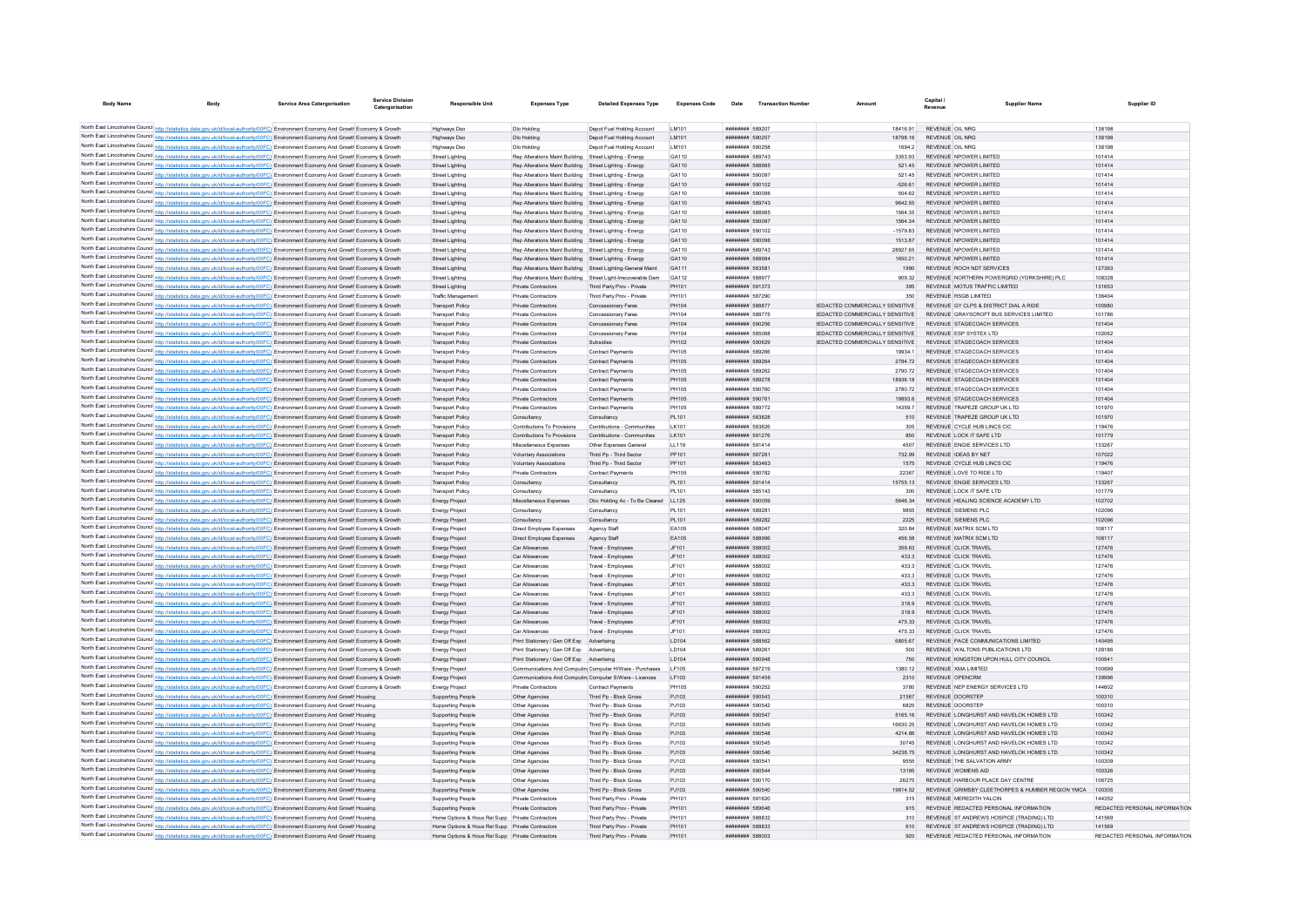| <b>Body Name</b>                    |                                                                                                                                                                                                                                                                                  | <b>Service Area Catergorisation</b> | Service Division<br>Catergorisation | <b>Responsible Unit</b>                            | <b>Expenses Type</b>                                                                                               | <b>Detailed Expenses Type</b>                                 | <b>Expenses Code</b> | Date                               | <b>Transaction Number</b> |                                        | Capital<br><b>Supplier Name</b><br>Revenue             | Supplier ID                   |
|-------------------------------------|----------------------------------------------------------------------------------------------------------------------------------------------------------------------------------------------------------------------------------------------------------------------------------|-------------------------------------|-------------------------------------|----------------------------------------------------|--------------------------------------------------------------------------------------------------------------------|---------------------------------------------------------------|----------------------|------------------------------------|---------------------------|----------------------------------------|--------------------------------------------------------|-------------------------------|
|                                     |                                                                                                                                                                                                                                                                                  |                                     |                                     |                                                    |                                                                                                                    |                                                               |                      |                                    |                           |                                        |                                                        |                               |
| North East Lincolnshire Council Res | data.gov.uk/id/local-authority/00FC) Environment Economy And Growt Economy & Growth                                                                                                                                                                                              |                                     |                                     | Highways Dso                                       | Dio Holding                                                                                                        | Depot Fuel Holding Account                                    | LM101                | ######## 589207                    |                           | 18416.91                               | REVENUE OIL NRG                                        | 138198                        |
|                                     | North East Lincolnshire Council http://statistics.data.gov.uk/id/local-authority/00FC) Environment Economy And Growth Economy & Growth                                                                                                                                           |                                     |                                     | <b>Highways Dso</b>                                | Dlo Holding                                                                                                        | Depot Fuel Holding Account                                    | LM101                | ######## 590257                    |                           | 18798.16                               | REVENUE OIL NRG                                        | 138198                        |
|                                     | North East Lincolnshire Council http://statistics.data.gov.uk/id/local-authority/00FC) Environment Economy And Growth Economy & Growth                                                                                                                                           |                                     |                                     | <b>Highways Dso</b>                                | Dio Holding                                                                                                        | Depot Fuel Holding Account                                    | LM101                | ######## 590258                    |                           | 1694.2                                 | <b>REVENUE OIL NRG</b>                                 | 138198                        |
|                                     | North East Lincolnshire Council http://statistics.data.gov.uk/id/local-authority/00FC) Environment Economy And Growth Economy & Growth                                                                                                                                           |                                     |                                     | Street Lighting                                    | Rep Alterations Maint Building Street Lighting - Energy                                                            |                                                               | GA110                | ######## 589743                    |                           | 3353.93                                | REVENUE NPOWER LIMITED                                 | 101414                        |
|                                     | North East Lincolnshire Council http://statistics.data.gov.uk/id/local-authority/00FC) Environment Economy And Growth Economy & Growth                                                                                                                                           |                                     |                                     | Street Lighting                                    | Rep Alterations Maint Building Street Lighting - Energy                                                            |                                                               | GA110                | ######## 588985                    |                           | 521.45                                 | REVENUE NPOWER LIMITED                                 | 101414                        |
|                                     | North East Lincolnshire Council http://statistics.data.gov.uk/id/local-authority/00FC) Environment Economy And Growth Economy & Growth                                                                                                                                           |                                     |                                     | Street Lighting                                    | Rep Alterations Maint Building                                                                                     | Street Lighting - Energy                                      | GA110                | ######## 590097                    |                           | 521.45                                 | REVENUE NPOWER LIMITED                                 | 101414                        |
|                                     | North East Lincolnshire Council http://statistics.data.gov.uk/id/local-authority/00FC) Environment Economy And Growth Economy & Growth                                                                                                                                           |                                     |                                     | Street Lighting                                    | Rep Alterations Maint Building Street Lighting - Energy                                                            |                                                               | GA110                | ######## 590102                    |                           | $-526.61$                              | REVENUE NPOWER LIMITED                                 | 101414                        |
|                                     | North East Lincolnshire Council http://statistics.data.gov.uk/id/local-authority/00FC) Environment Economy And Growth Economy & Growth                                                                                                                                           |                                     |                                     | Street Lighting                                    | Rep Alterations Maint Building Street Lighting - Energy                                                            |                                                               | GA110                | ######## 590096                    |                           | 504.62                                 | REVENUE NPOWER LIMITED                                 | 101414                        |
|                                     | North East Lincolnshire Council http://statistics.data.gov.uk/id/local-authority/00FC) Environment Economy And Growth Economy & Growth                                                                                                                                           |                                     |                                     | <b>Street Lighting</b>                             | Rep Alterations Maint Building Street Lighting - Energy                                                            |                                                               | GA110                | ######## 589743                    |                           | 9642.55                                | REVENUE NPOWER LIMITED                                 | 101414                        |
|                                     | North East Lincolnshire Council http://statistics.data.gov.uk/id/local-authority/00FC) Environment Economy And Growth Economy & Growth                                                                                                                                           |                                     |                                     | Street Lighting                                    | Rep Alterations Maint Building                                                                                     | Street Lighting - Energy                                      | GA110                | ######## 58898                     |                           | 1564.35                                | REVENUE NPOWER LIMITED                                 | 101414                        |
|                                     | North East Lincolnshire Council http://statistics.data.gov.uk/id/local-authority/00FC) Environment Economy And Growth Economy & Growth                                                                                                                                           |                                     |                                     | <b>Street Lighting</b>                             | Rep Alterations Maint Building Street Lighting - Energy                                                            |                                                               | GA110                | ######## 590097                    |                           | 1564.34                                | REVENUE NPOWER LIMITED                                 | 101414                        |
|                                     | North East Lincolnshire Council http://statistics.data.gov.uk/id/local-authority/00FC) Environment Economy And Growth Economy & Growth                                                                                                                                           |                                     |                                     | Street Lighting                                    | Rep Alterations Maint Building Street Lighting - Energy                                                            |                                                               | GA110                | ######## 590102<br>######## 590096 |                           | $-1579.83$                             | REVENUE NPOWER LIMITED<br>REVENUE NPOWER LIMITED       | 101414                        |
|                                     | North East Lincolnshire Council http://statistics.data.gov.uk/id/local-authority/00FC) Environment Economy And Growth Economy & Growth<br>North East Lincolnshire Council http://statistics.data.gov.uk/id/local-authority/00FC) Environment Economy And Growth Economy & Growth |                                     |                                     | Street Lighting<br><b>Street Lighting</b>          | Rep Alterations Maint Building Street Lighting - Energy<br>Rep Alterations Maint Building Street Lighting - Energy |                                                               | GA110<br>GA110       | ######## 589743                    |                           | 1513.87<br>28927.65                    | REVENUE NPOWER LIMITED                                 | 101414<br>101414              |
|                                     | North East Lincolnshire Council http://statistics.data.gov.uk/id/local-authority/00FC) Environment Economy And Growth Economy & Growth                                                                                                                                           |                                     |                                     | <b>Street Lighting</b>                             | Rep Alterations Maint Building Street Lighting - Energy                                                            |                                                               | GA110                | ######## 588984                    |                           | 1650.21                                | REVENUE NPOWER LIMITED                                 | 101414                        |
|                                     | North East Lincolnshire Council http://statistics.data.gov.uk/id/local-authority/00FC) Environment Economy And Growth Economy & Growth                                                                                                                                           |                                     |                                     | Street Lighting                                    | Rep Alterations Maint Building Street Lighting-General Maint                                                       |                                                               | GA111                | ######## 583581                    |                           | 1990                                   | REVENUE ROCH NDT SERVICES                              | 127363                        |
|                                     | North East Lincolnshire Council http://statistics.data.gov.uk/id/local-authority/00FC) Environment Economy And Growth Economy & Growth                                                                                                                                           |                                     |                                     | <b>Street Lighting</b>                             |                                                                                                                    | Rep Alterations Maint Building Street Light-Irrecoverable Dam | GA112                | ######## 588977                    |                           | 909.32                                 | REVENUE NORTHERN POWERGRID (YORKSHIRE) PLC             | 108328                        |
|                                     | North East Lincolnshire Council http://statistics.data.gov.uk/id/local-authority/00FC) Environment Economy And Growth Economy & Growth                                                                                                                                           |                                     |                                     | Street Lighting                                    | Private Contractors                                                                                                | Third Party Prov - Private                                    | PH101                | ######## 591373                    |                           | 395                                    | REVENUE MOTUS TRAFFIC LIMITED                          | 131653                        |
|                                     | North East Lincolnshire Council http://statistics.data.gov.uk/id/local-authority/00FC) Environment Economy And Growth Economy & Growth                                                                                                                                           |                                     |                                     | Traffic Managemen                                  | Private Contractors                                                                                                | Third Party Prov - Private                                    | PH101                | ######## 587290                    |                           | 350                                    | REVENUE RSGR LIMITED                                   | 136404                        |
|                                     | North East Lincolnshire Council http://statistics.data.gov.uk/id/local-authority/00FC) Environment Economy And Growth Economy & Growth                                                                                                                                           |                                     |                                     | <b>Transport Policy</b>                            | Private Contractors                                                                                                | Concessionary Fares                                           | PH104                | ######## 588877                    |                           | <b>IFDACTED COMMERCIALLY SENSITIVE</b> | REVENUE GY CLPS & DISTRICT DIAL A RIDE                 | 100980                        |
|                                     | North East Lincolnshire Council http://statistics.data.gov.uk/id/local-authority/00FC) Environment Economy And Growth Economy & Growth                                                                                                                                           |                                     |                                     | <b>Transport Policy</b>                            | Private Contractors                                                                                                | Concessionary Fares                                           | PH104                | ######## 588775                    |                           | <b>IFDACTED COMMERCIALLY SENSITIVE</b> | REVENUE GRAYSCROFT BUS SERVICES LIMITED                | 101786                        |
|                                     | North East Lincolnshire Council http://statistics.data.gov.uk/id/local-authority/00FC) Environment Economy And Growth Economy & Growth                                                                                                                                           |                                     |                                     | <b>Transport Policy</b>                            | Private Contractors                                                                                                | Concessionary Fares                                           | PH104                | ######## 590256                    |                           | REDACTED COMMERCIALLY SENSITIVE        | REVENUE STAGECOACH SERVICES                            | 101404                        |
|                                     | North East Lincolnshire Council http://statistics.data.gov.uk/id/local-authority/00FC) Environment Economy And Growth Economy & Growth                                                                                                                                           |                                     |                                     | Transport Policy                                   | Private Contractors                                                                                                | Concessionary Fares                                           | PH104                | ######## 585068                    |                           | REDACTED COMMERCIALLY SENSITIVE        | REVENUE ESP SYSTEX LTD                                 | 102062                        |
|                                     | North East Lincolnshire Council http://statistics.data.gov.uk/id/local-authority/00FC) Environment Economy And Growth Economy & Growth                                                                                                                                           |                                     |                                     | <b>Transport Policy</b>                            | Private Contractors                                                                                                | Subsidies                                                     | PH102                | ######## 590629                    |                           | REDACTED COMMERCIALLY SENSITIVE        | REVENUE STAGECOACH SERVICES                            | 101404                        |
|                                     | North East Lincolnshire Council http://statistics.data.gov.uk/id/local-authority/00FC) Environment Economy And Growth Economy & Growth                                                                                                                                           |                                     |                                     | <b>Transport Policy</b>                            | Private Contractors                                                                                                | <b>Contract Payments</b>                                      | <b>PH105</b>         | ######## 589266                    |                           | 19934                                  | REVENUE STAGECOACH SERVICES                            | 101404                        |
|                                     | North East Lincolnshire Council http://statistics.data.gov.uk/id/local-authority/00FC) Environment Economy And Growth Economy & Growth                                                                                                                                           |                                     |                                     | <b>Transport Policy</b>                            | Private Contractors                                                                                                | Contract Payments                                             | <b>PH105</b>         | ######## 589264                    |                           | 2784.72                                | REVENUE STAGECOACH SERVICES                            | 101404                        |
|                                     | North East Lincolnshire Council http://statistics.data.gov.uk/id/local-authority/00FC) Environment Economy And Growth Economy & Growth                                                                                                                                           |                                     |                                     | Transport Policy                                   | Private Contractors                                                                                                | Contract Payments                                             | <b>PH105</b>         | ######## 589262                    |                           | 2790.72                                | REVENUE STAGECOACH SERVICES                            | 101404                        |
|                                     | North East Lincolnshire Council http://statistics.data.gov.uk/id/local-authority/00FC) Environment Economy And Growth Economy & Growth                                                                                                                                           |                                     |                                     | <b>Transport Policy</b>                            | Private Contractors                                                                                                | Contract Payments                                             | PH105                | ######## 589278                    |                           | 18936 18                               | REVENUE STAGECOACH SERVICES                            | 101404                        |
|                                     | North East Lincolnshire Council http://statistics.data.gov.uk/id/local-authority/00FC) Environment Economy And Growth Economy & Growth                                                                                                                                           |                                     |                                     | <b>Transport Policy</b>                            | Private Contractors                                                                                                | Contract Payments                                             | PH105                | ######## 590760                    |                           | 2780.72                                | REVENUE STAGECOACH SERVICES                            | 101404                        |
|                                     | North East Lincolnshire Council http://statistics.data.gov.uk/id/local-authority/00FC) Environment Economy And Growth Economy & Growth                                                                                                                                           |                                     |                                     | <b>Transport Policy</b>                            | Private Contractors                                                                                                | <b>Contract Payments</b>                                      | <b>PH105</b>         | ######## 590761                    |                           | 19893.6                                | REVENUE STAGECOACH SERVICES                            | 101404                        |
|                                     | North East Lincolnshire Council http://statistics.data.gov.uk/id/local-authority/00FC) Environment Economy And Growth Economy & Growth                                                                                                                                           |                                     |                                     | <b>Transport Policy</b>                            | Private Contractors                                                                                                | <b>Contract Payments</b>                                      | PH105                | ######## 589772                    |                           | 14359.7                                | REVENUE TRAPEZE GROUP UK LTD                           | 101970                        |
|                                     | North East Lincolnshire Council http://statistics.data.gov.uk/id/local-authority/00FC) Environment Economy And Growth Economy & Growth                                                                                                                                           |                                     |                                     | <b>Transport Policy</b>                            | Consultancy                                                                                                        | Consultancy                                                   | PI 101               | ######## 583828                    |                           | 510                                    | REVENUE TRAPEZE GROUP UK LTD                           | 101970                        |
|                                     | North East Lincolnshire Council http://statistics.data.gov.uk/id/local-authority/00FC) Environment Economy And Growth Economy & Growth                                                                                                                                           |                                     |                                     | <b>Transport Policy</b>                            | Contributions To Provisions                                                                                        | Contributions - Communities                                   | LK101                | ######## 583626                    |                           | 305                                    | REVENUE CYCLE HUB LINCS CIC                            | 119476                        |
|                                     | North East Lincolnshire Council http://statistics.data.gov.uk/id/local-authority/00FC) Environment Economy And Growth Economy & Growth                                                                                                                                           |                                     |                                     | <b>Transport Policy</b>                            | Contributions To Provisions                                                                                        | Contributions - Communities                                   | LK101                | ######## 591276                    |                           | 850                                    | REVENUE LOCK IT SAFE LTD                               | 101779                        |
|                                     | North East Lincolnshire Council http://statistics.data.gov.uk/id/local-authority/00FC) Environment Economy And Growth Economy & Growth                                                                                                                                           |                                     |                                     | <b>Transport Polic</b>                             | Miscellaneous Expenses                                                                                             | Other Expenses General                                        | LL119                | ######## 591414                    |                           | 4507                                   | REVENUE ENGIE SERVICES LTD                             | 133267                        |
|                                     | North East Lincolnshire Council http://statistics.data.gov.uk/id/local-authority/00FC) Environment Economy And Growth Economy & Growth                                                                                                                                           |                                     |                                     | <b>Transport Policy</b>                            | Voluntary Associations                                                                                             | Third Pn - Third Sector                                       | PF101                | <b><i>BBBBBBBB</i></b> 58728       |                           | 732.99                                 | REVENUE IDEAS BY NET                                   | 107022                        |
|                                     | North East Lincolnshire Council http://statistics.data.gov.uk/id/local-authority/00FC) Environment Economy And Growth Economy & Growth                                                                                                                                           |                                     |                                     | <b>Transport Policy</b>                            | Voluntary Associations                                                                                             | Third Pp - Third Sector                                       | PF101                | ######## 583463                    |                           | 1575                                   | REVENUE CYCLE HUB LINCS CIC                            | 119476                        |
|                                     | North East Lincolnshire Council http://statistics.data.gov.uk/id/local-authority/00FC) Environment Economy And Growth Economy & Growth                                                                                                                                           |                                     |                                     | <b>Transport Policy</b>                            | Private Contractors                                                                                                | Contract Payments                                             | <b>PH105</b>         | ######## 590782                    |                           | 22367                                  | REVENUE LOVE TO RIDE LTD                               | 119407                        |
|                                     | North East Lincolnshire Council http://statistics.data.gov.uk/id/local-authority/00FC) Environment Economy And Growth Economy & Growth<br>North East Lincolnshire Council http://statistics.data.gov.uk/id/local-authority/00FC) Environment Economy And Growth Economy & Growth |                                     |                                     | <b>Transport Policy</b><br><b>Transport Policy</b> | Consultancy<br>Consultancy                                                                                         | Consultancy<br>Consultancy                                    | PL101<br>PI 101      | ####### 591414<br>######## 585143  |                           | 15755.13<br>300                        | REVENUE ENGIE SERVICES LTD<br>REVENUE LOCK IT SAFE LTD | 133267<br>101779              |
|                                     | North East Lincolnshire Council http://statistics.data.gov.uk/id/local-authority/00FC) Environment Economy And Growth Economy & Growth                                                                                                                                           |                                     |                                     | <b>Energy Project</b>                              | Miscellaneous Expenses                                                                                             | Obc Holding Ac - To Be Cleared                                | LL125                | ######## 590059                    |                           | 5646.34                                | REVENUE HEALING SCIENCE ACADEMY LTD                    | 102702                        |
|                                     | North East Lincolnshire Council http://statistics.data.gov.uk/id/local-authority/00FC) Environment Economy And Growth Economy & Growth                                                                                                                                           |                                     |                                     | Energy Project                                     | Consultancy                                                                                                        | Consultancy                                                   | PL101                | ######## 58928                     |                           | 9855                                   | <b>REVENUE SIEMENS PLC</b>                             | 102096                        |
|                                     | North East Lincolnshire Council http://statistics.data.gov.uk/id/local-authority/00FC) Environment Economy And Growth Economy & Growth                                                                                                                                           |                                     |                                     | Energy Project                                     | Consultancy                                                                                                        | Consultancy                                                   | PL101                | ######## 589282                    |                           | 2225                                   | <b>REVENUE SIEMENS PLC</b>                             | 102096                        |
|                                     | North East Lincolnshire Council http://statistics.data.gov.uk/id/local-authority/00FC) Environment Economy And Growth Economy & Growth                                                                                                                                           |                                     |                                     | Energy Project                                     | Direct Employee Expenses                                                                                           | Agency Staff                                                  | FA105                | ######## 588047                    |                           | 320.84                                 | REVENUE MATRIX SCM LTD                                 | 108117                        |
|                                     | North East Lincolnshire Council http://statistics.data.gov.uk/id/local-authority/00FC) Environment Economy And Growth Economy & Growth                                                                                                                                           |                                     |                                     | Energy Project                                     | Direct Employee Expenses                                                                                           | Agency Staff                                                  | EA105                | ######## 588996                    |                           | 456.58                                 | REVENUE MATRIX SCM LTD                                 | 108117                        |
|                                     | North East Lincolnshire Council http://statistics.data.gov.uk/id/local-authority/00FC) Environment Economy And Growth Economy & Growth                                                                                                                                           |                                     |                                     | Energy Project                                     | Car Allowances                                                                                                     | Travel - Employees                                            | JF101                | ######## 588002                    |                           | 359.63                                 | REVENUE CLICK TRAVEL                                   | 127476                        |
|                                     | North East Lincolnshire Council http://statistics.data.gov.uk/id/local-authority/00FC) Environment Economy And Growth Economy & Growth                                                                                                                                           |                                     |                                     | Energy Project                                     | Car Allowances                                                                                                     | Travel - Employees                                            | JF101                | ######## 588002                    |                           | 433.3                                  | REVENUE CLICK TRAVEL                                   | 127476                        |
|                                     | North East Lincolnshire Council http://statistics.data.gov.uk/id/local-authority/00FC) Environment Economy And Growth Economy & Growth                                                                                                                                           |                                     |                                     | <b>Energy Project</b>                              | Car Allowances                                                                                                     | Travel - Employees                                            | JF101                | ######## 588002                    |                           | 433.3                                  | REVENUE CLICK TRAVEL                                   | 127476                        |
|                                     | North East Lincolnshire Council http://statistics.data.gov.uk/id/local-authority/00FC) Environment Economy And Growth Economy & Growth                                                                                                                                           |                                     |                                     | Energy Project                                     | Car Allowances                                                                                                     | Travel - Employees                                            | JF101                | ######## 588002                    |                           | 433.3                                  | REVENUE CLICK TRAVEL                                   | 127476                        |
|                                     | North East Lincolnshire Council http://statistics.data.gov.uk/id/local-authority/00FC) Environment Economy And Growth Economy & Growth                                                                                                                                           |                                     |                                     | <b>Energy Project</b>                              | Car Allowances                                                                                                     | Travel - Employees                                            | JF101                | ######## 588002                    |                           | 433.3                                  | REVENUE CLICK TRAVEL                                   | 127476                        |
|                                     | North East Lincolnshire Council http://statistics.data.gov.uk/id/local-authority/00FC) Environment Economy And Growth Economy & Growth                                                                                                                                           |                                     |                                     | <b>Energy Projec</b>                               | Car Allowance                                                                                                      | Travel - Employee                                             | JF101                | ######## 588002                    |                           | 433.3                                  | REVENUE CLICK TRAVEL                                   | 127476                        |
|                                     | North East Lincolnshire Council http://statistics.data.gov.uk/id/local-authority/00FC) Environment Economy And Growth Economy & Growth                                                                                                                                           |                                     |                                     | Energy Project                                     | Car Allowances                                                                                                     | Travel - Employees                                            | JF101                | ######## 588002                    |                           | 318.9                                  | REVENUE CLICK TRAVEL                                   | 127476                        |
|                                     | North East Lincolnshire Council http://statistics.data.gov.uk/id/local-authority/00FC) Environment Economy And Growth Economy & Growth                                                                                                                                           |                                     |                                     | <b>Energy Project</b>                              | Car Allowances                                                                                                     | Travel - Employees                                            | JF101                | ######## 588002                    |                           | 318.9                                  | REVENUE CLICK TRAVEL                                   | 127476                        |
|                                     | North East Lincolnshire Council http://statistics.data.gov.uk/id/local-authority/00FC) Environment Economy And Growth Economy & Growth                                                                                                                                           |                                     |                                     | Energy Project                                     | Car Allowances                                                                                                     | Travel - Employees                                            | JF101                | ######## 588002                    |                           | 475.33                                 | REVENUE CLICK TRAVEL                                   | 127476                        |
|                                     | North East Lincolnshire Council http://statistics.data.gov.uk/id/local-authority/00FC) Environment Economy And Growth Economy & Growth                                                                                                                                           |                                     |                                     | Energy Project                                     | Car Allowances                                                                                                     | Travel - Employee                                             | JF101                | ######## 588002                    |                           | 475.33                                 | REVENUE CLICK TRAVEL                                   | 127476                        |
|                                     | North East Lincolnshire Council http://statistics.data.gov.uk/id/local-authority/00FC) Environment Economy And Growth Economy & Growth                                                                                                                                           |                                     |                                     | Energy Project                                     | Print Stationery / Gen Off Exp                                                                                     | Advertising                                                   | LD104                | ######## 588562                    |                           | 6805.67                                | REVENUE PACE COMMUNICATIONS LIMITED                    | 140495                        |
|                                     | North East Lincolnshire Council http://statistics.data.gov.uk/id/local-authority/00FC) Environment Economy And Growth Economy & Growth                                                                                                                                           |                                     |                                     | Energy Project                                     | Print Stationery / Gen Off Exp Advertising                                                                         |                                                               | LD104                | ######## 58926                     |                           | 500                                    | REVENUE WALTONS PUBLICATIONS LTD                       | 128186                        |
|                                     | North East Lincolnshire Council http://statistics.data.gov.uk/id/local-authority/00FC) Environment Economy And Growth Economy & Growth                                                                                                                                           |                                     |                                     | <b>Energy Project</b>                              | Print Stationery / Gen Off Exp Advertising                                                                         |                                                               | LD104                | ######## 590948<br>######## 58721  |                           | 750                                    | REVENUE KINGSTON UPON HULL CITY COUNCIL                | 100541                        |
|                                     | North East Lincolnshire Council http://statistics.data.gov.uk/id/local-authority/00FC) Environment Economy And Growth Economy & Growt                                                                                                                                            |                                     |                                     | <b>Energy Projec</b>                               | Communications And Computin Computer H/Ware - Purchases                                                            |                                                               | LF105                | ######## 591456                    |                           | 1380.12<br>2310                        | REVENUE XMA LIMITED<br>REVENUE OPENCRM                 | 100699<br>139996              |
|                                     | North East Lincolnshire Council http://statistics.data.gov.uk/id/local-authority/00FC) Environment Economy And Growth Economy & Growth<br>North East Lincolnshire Council http://statistics.data.gov.uk/id/local-authority/00FC) Environment Economy And Growth Economy & Growth |                                     |                                     | <b>Energy Project</b><br><b>Energy Project</b>     | Communications And Computin Computer S/Ware - Licences<br>Private Contractors                                      | Contract Payments                                             | LF103<br>PH105       | ######## 590252                    |                           | 3780                                   | REVENUE NEP ENERGY SERVICES LTD.                       | 144602                        |
|                                     | North East Lincolnshire Council http://statistics.data.gov.uk/id/local-authority/00FC) Environment Economy And Growth Housing                                                                                                                                                    |                                     |                                     | Supporting People                                  | Other Agencies                                                                                                     | Third Pp - Block Gross                                        | PJ103                | ######## 590543                    |                           | 21567                                  | REVENUE DOORSTEP                                       | 100310                        |
|                                     | North East Lincolnshire Council http://statistics.data.gov.uk/id/local-authority/00FC) Environment Economy And Growth Housing                                                                                                                                                    |                                     |                                     | Supporting People                                  | Other Agencies                                                                                                     | Third Po - Block Gross                                        | PJ103                | ######## 590542                    |                           | 6825                                   | REVENUE DOORSTEP                                       | 100310                        |
|                                     | North East Lincolnshire Council http://statistics.data.gov.uk/id/local-authority/00FC) Environment Economy And Growth Housing                                                                                                                                                    |                                     |                                     | <b>Supporting People</b>                           | Other Agencies                                                                                                     | Third Pp - Block Gross                                        | PJ103                | ######## 590547                    |                           | 5165.16                                | REVENUE LONGHURST AND HAVELOK HOMES LTD                | 100342                        |
|                                     | North East Lincolnshire Council http://statistics.data.gov.uk/id/local-authority/00FC) Environment Economy And Growth Housing                                                                                                                                                    |                                     |                                     | Supporting People                                  | Other Agencies                                                                                                     | Third Pn - Block Gross                                        | P.1103               | ######## 590549                    |                           | 16630.25                               | REVENUE LONGHURST AND HAVELOK HOMES LTD.               | 100342                        |
|                                     | North East Lincolnshire Council http://statistics.data.gov.uk/id/local-authority/00FC) Environment Economy And Growth Housing                                                                                                                                                    |                                     |                                     | Supporting People                                  | Other Agencies                                                                                                     | Third Po - Block Gross                                        | PJ103                | ######## 590548                    |                           | 4214 86                                | REVENUE LONGHURST AND HAVELOK HOMES LTD                | 100342                        |
|                                     | North East Lincolnshire Council http://statistics.data.gov.uk/id/local-authority/00FC) Environment Economy And Growth Housing                                                                                                                                                    |                                     |                                     | Supporting People                                  | Other Agencies                                                                                                     | Third Po - Block Gross                                        | PJ103                | ######## 590545                    |                           | 30745                                  | REVENUE LONGHURST AND HAVELOK HOMES LTD                | 100342                        |
|                                     | North East Lincolnshire Council http://statistics.data.gov.uk/id/local-authority/00FC) Environment Economy And Growth Housing                                                                                                                                                    |                                     |                                     | <b>Supporting People</b>                           | Other Agencies                                                                                                     | Third Pp - Block Gross                                        | PJ103                | ######## 590546                    |                           | 34238.75                               | REVENUE LONGHURST AND HAVELOK HOMES LTD                | 100342                        |
|                                     | North East Lincolnshire Council http://statistics.data.gov.uk/id/local-authority/00FC) Environment Economy And Growth Housing                                                                                                                                                    |                                     |                                     | Supporting People                                  | Other Anencies                                                                                                     | Third Pn - Block Gross                                        | P.1103               | ######## 590541                    |                           | 9555                                   | REVENUE THE SALVATION ARMY                             | 100309                        |
|                                     | North East Lincolnshire Council http://statistics.data.gov.uk/id/local-authority/00FC) Environment Economy And Growth Housing                                                                                                                                                    |                                     |                                     | Supporting People                                  | Other Agencies                                                                                                     | Third Pp - Block Gross                                        | PJ103                | ######## 590544                    |                           | 13195                                  | REVENUE WOMENS AID                                     | 100326                        |
|                                     | North East Lincolnshire Council http://statistics.data.gov.uk/id/local-authority/00FC) Environment Economy And Growth Housing                                                                                                                                                    |                                     |                                     | Supporting People                                  | Other Agencies                                                                                                     | Third Po - Block Gross                                        | PJ103                | ######## 590170                    |                           | 26275                                  | REVENUE HARBOUR PLACE DAY CENTRE                       | 106725                        |
|                                     | North East Lincolnshire Council http://statistics.data.gov.uk/id/local-authority/00FC) Environment Economy And Growth Housing                                                                                                                                                    |                                     |                                     | <b>Supporting People</b>                           | Other Agencies                                                                                                     | Third Pp - Block Gross                                        | PJ103                | ######## 590540                    |                           | 19814.52                               | REVENUE GRIMSBY CLEETHORPES & HUMBER REGION YMCA       | 100305                        |
|                                     | North East Lincolnshire Council http://statistics.data.gov.uk/id/local-authority/00FC) Environment Economy And Growth Housing                                                                                                                                                    |                                     |                                     | Supporting People                                  | Private Contractors                                                                                                | Third Party Prov - Private                                    | PH101                | ######## 591620                    |                           | 315                                    | REVENUE MEREDITH YALCIN                                | 144352                        |
|                                     | North East Lincolnshire Council http://statistics.data.gov.uk/id/local-authority/00FC) Environment Economy And Growth Housing                                                                                                                                                    |                                     |                                     | Supporting People                                  | Private Contractors                                                                                                | Third Party Prov - Private                                    | PH101                | ######## 589646                    |                           | 915                                    | REVENUE REDACTED PERSONAL INFORMATION                  | REDACTED PERSONAL INFORMATION |
|                                     | North East Lincolnshire Council http://statistics.data.gov.uk/id/local-authority/00FC) Environment Economy And Growth Housing                                                                                                                                                    |                                     |                                     | Home Options & Hous Rel Supp Private Contractors   |                                                                                                                    | Third Party Prov - Private                                    | PH101                | ######## 58883                     |                           |                                        | REVENUE ST ANDREWS HOSPICE (TRADING) LTD               | 141569                        |
|                                     | North East Lincolnshire Council http://statistics.data.gov.uk/id/local-authority/00FC) Environment Economy And Growth Housing                                                                                                                                                    |                                     |                                     | Home Options & Hous Rel Supp Private Contractors   |                                                                                                                    | Third Party Prov - Private                                    | PH101                | ######## 588833                    |                           | 610                                    | REVENUE ST ANDREWS HOSPICE (TRADING) LTD               | 141569                        |
|                                     | North East Lincolnshire Council http://statistics.data.gov.uk/id/local-authority/00FC) Environment Economy And Growth Housing                                                                                                                                                    |                                     |                                     | Home Options & Hous Rel Supp Private Contractors   |                                                                                                                    | Third Party Prov - Private                                    | PH101                | ######## 588003                    |                           | 920                                    | REVENUE REDACTED PERSONAL INFORMATION                  | REDACTED PERSONAL INFORMATION |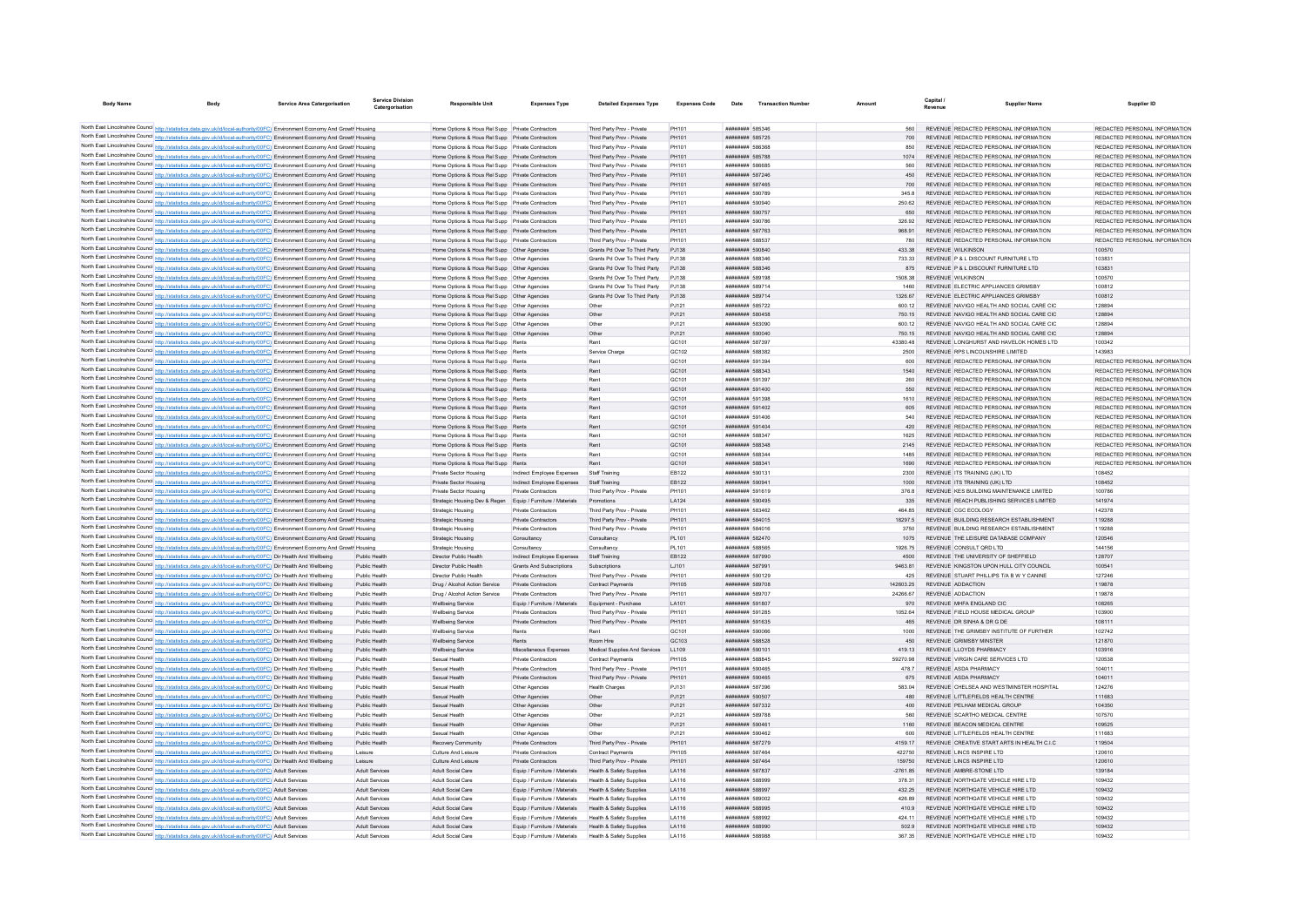| <b>Body Name</b>                     |                                                                                                                                                                                                                                                                | Service Area Catergorisation | Service Divisio<br>Catergorisation | <b>Responsible Unit</b>                                                                    | <b>Expenses Type</b>                              | <b>Detailed Expenses Type</b>                               | <b>Expenses Code</b> | Date                               | <b>Transaction Numbe</b> |               | Canital<br>Revenue | <b>Supplier Name</b>                                                      | Supplier ID                             |
|--------------------------------------|----------------------------------------------------------------------------------------------------------------------------------------------------------------------------------------------------------------------------------------------------------------|------------------------------|------------------------------------|--------------------------------------------------------------------------------------------|---------------------------------------------------|-------------------------------------------------------------|----------------------|------------------------------------|--------------------------|---------------|--------------------|---------------------------------------------------------------------------|-----------------------------------------|
|                                      |                                                                                                                                                                                                                                                                |                              |                                    |                                                                                            |                                                   |                                                             |                      |                                    |                          |               |                    |                                                                           |                                         |
| North East Lincolnshire Council http | s.data.gov.uk/id/local-authority/00FC) Environment Economy And Growt Housing                                                                                                                                                                                   |                              |                                    | Home Options & Hous Rel Supp Private Contractors                                           |                                                   | Third Party Prov - Private                                  | PH101                | ####### 585346                     |                          |               |                    | REVENUE REDACTED PERSONAL INFORMATION                                     | REDACTED PERSONAL INFORMATION           |
|                                      | North East Lincolnshire Council http://statistics.data.gov.uk/id/local-authority/00FC). Environment Economy And Growth Housing                                                                                                                                 |                              |                                    | Home Options & Hous Rel Supp Private Contractors                                           |                                                   | Third Party Prov - Private                                  | PH101                | ######## 585725                    |                          | 700           |                    | REVENUE REDACTED PERSONAL INFORMATION                                     | REDACTED PERSONAL INFORMATION           |
|                                      | North East Lincolnshire Council http://statistics.data.gov.uk/id/local-authority/00FC). Environment Economy And Growth Housing                                                                                                                                 |                              |                                    | Home Options & Hous Rel Supp Private Contractors                                           |                                                   | Third Party Prov - Private                                  | PH101                | ######## 586368                    |                          | 850           |                    | REVENUE REDACTED PERSONAL INFORMATION                                     | REDACTED PERSONAL INFORMATION           |
|                                      | North East Lincolnshire Council http://statistics.data.gov.uk/id/local-authority/00FC) Environment Economy And Growth Housing                                                                                                                                  |                              |                                    | Home Options & Hous Rel Supp Private Contractors                                           |                                                   | Third Party Prov - Private                                  | PH101                | ######## 585788                    |                          | 1074          |                    | REVENUE REDACTED PERSONAL INFORMATION                                     | REDACTED PERSONAL INFORMATION           |
|                                      | North East Lincolnshire Council http://statistics.data.gov.uk/id/local-authority/00FC) Environment Economy And Growth Housing                                                                                                                                  |                              |                                    | Home Options & Hous Rel Supp Private Contractors                                           |                                                   | Third Party Prov - Private                                  | PH101                | ######## 586685                    |                          | 560           |                    | REVENUE REDACTED PERSONAL INFORMATION                                     | REDACTED PERSONAL INFORMATION           |
|                                      | North East Lincolnshire Council http://statistics.data.gov.uk/id/local-authority/00FC) Environment Economy And Growth Housing                                                                                                                                  |                              |                                    | Home Options & Hous Rel Supp Private Contractors                                           |                                                   | Third Party Prov - Private                                  | PH101                | ######## 587246                    |                          | 450           |                    | REVENUE REDACTED PERSONAL INFORMATION                                     | REDACTED PERSONAL INFORMATION           |
|                                      | North East Lincolnshire Council http://statistics.data.gov.uk/id/local-authority/00FC) Environment Economy And Growth Housing                                                                                                                                  |                              |                                    | Home Options & Hous Rel Supp Private Contractors                                           |                                                   | Third Party Prov - Private                                  | PH101                | ######## 587465                    |                          | 700           |                    | REVENUE REDACTED PERSONAL INFORMATION                                     | REDACTED PERSONAL INFORMATION           |
|                                      | North East Lincolnshire Council http://statistics.data.gov.uk/id/local-authority/00FC) Environment Economy And Growth Housing                                                                                                                                  |                              |                                    | Home Options & Hous Rel Supp Private Contractors                                           |                                                   | Third Party Prov - Private                                  | PH101                | ######## 590789                    |                          | 345.8         |                    | REVENUE REDACTED PERSONAL INFORMATION                                     | REDACTED PERSONAL INFORMATION           |
|                                      | North East Lincolnshire Council http://statistics.data.gov.uk/id/local-authority/00FC) Environment Economy And Growth Housing                                                                                                                                  |                              |                                    | Home Options & Hous Rel Supp Private Contractors                                           |                                                   | Third Party Prov - Private                                  | PH101                | <b><i>BREEZER 590940</i></b>       |                          | 250.62        |                    | REVENUE REDACTED PERSONAL INFORMATION                                     | REDACTED PERSONAL INFORMATION           |
|                                      | North East Lincolnshire Council http://statistics.data.gov.uk/id/local-authority/00FC) Environment Economy And Growth Housing                                                                                                                                  |                              |                                    | Home Options & Hous Rel Supp Private Contractors                                           |                                                   | Third Party Prov - Private                                  | PH101                | ######## 590757                    |                          |               |                    | REVENUE REDACTED PERSONAL INFORMATION                                     | REDACTED PERSONAL INFORMATION           |
|                                      | North East Lincolnshire Council http://statistics.data.gov.uk/id/local-authority/00FC) Environment Economy And Growth Housing                                                                                                                                  |                              |                                    | Home Options & Hous Rel Supp Private Contractors                                           |                                                   | Third Party Prov - Private                                  | PH101                | ######## 590786                    |                          | 326.92        |                    | REVENUE REDACTED PERSONAL INFORMATION                                     | REDACTED PERSONAL INFORMATION           |
|                                      | North East Lincolnshire Council http://statistics.data.gov.uk/id/local-authority/00FC) Environment Economy And Growth Housing                                                                                                                                  |                              |                                    | Home Options & Hous Rel Supp Private Contractors                                           |                                                   | Third Party Prov - Private                                  | PH101                | <b>######## 587763</b>             |                          | 968.91        |                    | REVENUE REDACTED PERSONAL INFORMATION                                     | REDACTED PERSONAL INFORMATION           |
|                                      | North East Lincolnshire Council http://statistics.data.gov.uk/id/local-authority/00FC) Environment Economy And Growth Housing                                                                                                                                  |                              |                                    | Home Options & Hous Rel Supp Private Contractors                                           |                                                   | Third Party Prov - Private<br>Grants Pd Over To Third Party | PH101<br>PJ138       | ######## 588537<br>######## 590840 |                          | 780<br>433.38 |                    | REVENUE REDACTED PERSONAL INFORMATION<br><b>REVENUE WILKINSON</b>         | REDACTED PERSONAL INFORMATION<br>100570 |
|                                      | North East Lincolnshire Council http://statistics.data.gov.uk/id/local-authority/00FC) Environment Economy And Growth Housing<br>North East Lincolnshire Council http://statistics.data.gov.uk/id/local-authority/00FC) Environment Economy And Growth Housing |                              |                                    | Home Options & Hous Rel Supp Other Agencies<br>Home Options & Hous Rel Supp Other Agencies |                                                   | Grants Pd Over To Third Party                               | PJ138                | ######## 588346                    |                          | 733.33        |                    | REVENUE P & L DISCOUNT FURNITURE LTD                                      | 103831                                  |
|                                      | North East Lincolnshire Council http://statistics.data.gov.uk/id/local-authority/00FC) Environment Economy And Growth Housing                                                                                                                                  |                              |                                    | Home Options & Hous Rel Supp Other Agencies                                                |                                                   | Grants Pd Over To Third Party                               | PJ138                | ######## 588346                    |                          | 875           |                    | REVENUE P & L DISCOUNT FURNITURE LTD                                      | 103831                                  |
|                                      | North East Lincolnshire Council http://statistics.data.gov.uk/id/local-authority/00FC) Environment Economy And Growth Housing                                                                                                                                  |                              |                                    | Home Options & Hous Rel Supp Other Agencies                                                |                                                   | Grants Pd Over To Third Party                               | PJ138                | ######## 589198                    |                          | 1508.38       |                    | <b>REVENUE WILKINSON</b>                                                  | 100570                                  |
|                                      | North East Lincolnshire Council http://statistics.data.gov.uk/id/local-authority/00FC) Environment Economy And Growth Housing                                                                                                                                  |                              |                                    | Home Options & Hous Rel Supp   Other Agencies                                              |                                                   | Grants Pd Over To Third Party                               | PJ138                | ######## 589714                    |                          | 1460          |                    | REVENUE ELECTRIC APPLIANCES GRIMSBY                                       | 100812                                  |
|                                      | North East Lincolnshire Council http://statistics.data.gov.uk/id/local-authority/00FC) Environment Economy And Growth Housing                                                                                                                                  |                              |                                    | Home Options & Hous Rel Supp Other Agencies                                                |                                                   | Grants Pd Over To Third Party                               | PJ138                | ######## 589714                    |                          | 1326.67       |                    | REVENUE ELECTRIC APPLIANCES GRIMSBY                                       | 100812                                  |
|                                      | North East Lincolnshire Council http://statistics.data.gov.uk/id/local-authority/00FC) Environment Economy And Growth Housing                                                                                                                                  |                              |                                    | Home Options & Hous Rel Supp Other Agencies                                                |                                                   | Other                                                       | PJ121                | ######## 585722                    |                          | 600.12        |                    | REVENUE NAVIGO HEALTH AND SOCIAL CARE CIC                                 | 128894                                  |
|                                      | North East Lincolnshire Council http://statistics.data.gov.uk/id/local-authority/00FC) Environment Economy And Growth Housing                                                                                                                                  |                              |                                    | Home Options & Hous Rel Supp Other Agencies                                                |                                                   | Other                                                       | PJ121                | ######## 580458                    |                          | 750.15        |                    | REVENUE NAVIGO HEALTH AND SOCIAL CARE CIC                                 | 128894                                  |
|                                      | North East Lincolnshire Council http://statistics.data.gov.uk/id/local-authority/00FC) Environment Economy And Growth Housing                                                                                                                                  |                              |                                    | Home Options & Hous Rel Supp Other Agencies                                                |                                                   | Other                                                       | PJ121                | ######## 583090                    |                          | 600.12        |                    | REVENUE NAVIGO HEALTH AND SOCIAL CARE CIC                                 | 128894                                  |
|                                      | North East Lincolnshire Council http://statistics.data.gov.uk/id/local-authority/00FC) Environment Economy And Growth Housing                                                                                                                                  |                              |                                    | Home Options & Hous Rel Supp Other Agencies                                                |                                                   | Other                                                       | PJ121                | ######## 590040                    |                          | 750.15        |                    | REVENUE NAVIGO HEALTH AND SOCIAL CARE CIC                                 | 128894                                  |
|                                      | North East Lincolnshire Council http://statistics.data.gov.uk/id/local-authority/00FC) Environment Economy And Growth Housing                                                                                                                                  |                              |                                    | Home Options & Hous Rel Supp Rents                                                         |                                                   | Rent                                                        | GC101                | ######## 587397                    |                          | 43380.48      |                    | REVENUE LONGHURST AND HAVELOK HOMES LTD                                   | 100342                                  |
|                                      | North East Lincolnshire Council http://statistics.data.gov.uk/id/local-authority/00FC) Environment Economy And Growth Housing                                                                                                                                  |                              |                                    | Home Options & Hous Rel Supp Rents                                                         |                                                   | Service Charge                                              | GC102                | ######## 588382                    |                          | 2500          |                    | REVENUE RPS LINCOLNSHIRE LIMITED                                          | 143983                                  |
|                                      | North East Lincolnshire Council http://statistics.data.gov.uk/id/local-authority/00FC) Environment Economy And Growth Housing                                                                                                                                  |                              |                                    | Home Options & Hous Rel Supp Rents                                                         |                                                   | Rent                                                        | GC101                | ######## 591394                    |                          | 600           |                    | REVENUE REDACTED PERSONAL INFORMATION                                     | REDACTED PERSONAL INFORMATION           |
|                                      | North East Lincolnshire Council http://statistics.data.gov.uk/id/local-authority/00FC) Environment Economy And Growth Housing                                                                                                                                  |                              |                                    | Home Options & Hous Rel Supp Rents                                                         |                                                   | Rent                                                        | GC101                | ######## 588343                    |                          | 1540          |                    | REVENUE REDACTED PERSONAL INFORMATION                                     | REDACTED PERSONAL INFORMATION           |
|                                      | North East Lincolnshire Council http://statistics.data.gov.uk/id/local-authority/00FC) Environment Economy And Growth Housing                                                                                                                                  |                              |                                    | Home Options & Hous Rel Supp Rents                                                         |                                                   | Rent                                                        | GC101                | ######## 591397                    |                          | 260           |                    | REVENUE REDACTED PERSONAL INFORMATION                                     | REDACTED PERSONAL INFORMATION           |
|                                      | North East Lincolnshire Council http://statistics.data.gov.uk/id/local-authority/00FC) Environment Economy And Growth Housing                                                                                                                                  |                              |                                    | Home Options & Hous Rel Supp Rents                                                         |                                                   | Rent                                                        | GC101                | ######## 591400                    |                          | 550           |                    | REVENUE REDACTED PERSONAL INFORMATION                                     | REDACTED PERSONAL INFORMATION           |
|                                      | North East Lincolnshire Council http://statistics.data.gov.uk/id/local-authority/00FC) Environment Economy And Growth Housing                                                                                                                                  |                              |                                    | Home Options & Hous Rel Supp Rents                                                         |                                                   | Rent                                                        | GC101                | ######## 591398                    |                          | 1610          |                    | REVENUE REDACTED PERSONAL INFORMATION                                     | REDACTED PERSONAL INFORMATION           |
|                                      | North East Lincolnshire Council http://statistics.data.gov.uk/id/local-authority/00FC) Environment Economy And Growth Housing                                                                                                                                  |                              |                                    | Home Options & Hous Rel Supp Rents                                                         |                                                   | Rent                                                        | GC101                | ######## 591402                    |                          |               |                    | REVENUE REDACTED PERSONAL INFORMATION                                     | REDACTED PERSONAL INFORMATION           |
|                                      | North East Lincolnshire Council http://statistics.data.gov.uk/id/local-authority/00FC) Environment Economy And Growth Housing                                                                                                                                  |                              |                                    | Home Options & Hous Rel Supp Rents                                                         |                                                   | Rent                                                        | GC101                | ######## 591406                    |                          | 540           |                    | REVENUE REDACTED PERSONAL INFORMATION                                     | REDACTED PERSONAL INFORMATION           |
|                                      | North East Lincolnshire Council http://statistics.data.gov.uk/id/local-authority/00FC) Environment Economy And Growth Housing                                                                                                                                  |                              |                                    | Home Options & Hous Rel Supp Rents                                                         |                                                   | Rent                                                        | GC101                | ######## 591404                    |                          | 420           |                    | REVENUE REDACTED PERSONAL INFORMATION                                     | REDACTED PERSONAL INFORMATION           |
|                                      | North East Lincolnshire Council http://statistics.data.gov.uk/id/local-authority/00FC) Environment Economy And Growth Housing                                                                                                                                  |                              |                                    | Home Options & Hous Rel Supp Rents                                                         |                                                   | Rent                                                        | GC101                | ######## 588347                    |                          | 1625          |                    | REVENUE REDACTED PERSONAL INFORMATION                                     | REDACTED PERSONAL INFORMATION           |
|                                      | North East Lincolnshire Council http://statistics.data.gov.uk/id/local-authority/00FC) Environment Economy And Growth Housing                                                                                                                                  |                              |                                    | Home Options & Hous Rel Supp Rents                                                         |                                                   | Rent                                                        | GC101                | ######## 588348                    |                          | 2145          |                    | REVENUE REDACTED PERSONAL INFORMATION                                     | REDACTED PERSONAL INFORMATION           |
|                                      | North East Lincolnshire Council http://statistics.data.gov.uk/id/local-authority/00FC) Environment Economy And Growth Housing                                                                                                                                  |                              |                                    | Home Options & Hous Rel Supp Rents                                                         |                                                   | Rent                                                        | GC101                | ######## 588344                    |                          | 1485          |                    | REVENUE REDACTED PERSONAL INFORMATION                                     | REDACTED PERSONAL INFORMATION           |
|                                      | North East Lincolnshire Council http://statistics.data.gov.uk/id/local-authority/00FC) Environment Economy And Growth Housing                                                                                                                                  |                              |                                    | Home Options & Hous Rel Supp Rents                                                         |                                                   | Rent                                                        | GC101                | ######## 588341                    |                          | 1690          |                    | REVENUE REDACTED PERSONAL INFORMATION                                     | REDACTED PERSONAL INFORMATION           |
|                                      | North East Lincolnshire Council http://statistics.data.gov.uk/id/local-authority/00FC) Environment Economy And Growth Housing                                                                                                                                  |                              |                                    | Private Sector Housing                                                                     | Indirect Employee Expenses                        | Staff Training                                              | EB122                | ######## 590131                    |                          | 2300          |                    | REVENUE ITS TRAINING (UK) LTD                                             | 108452                                  |
|                                      | North East Lincolnshire Council http://statistics.data.gov.uk/id/local-authority/00FC) Environment Economy And Growth Housing<br>North East Lincolnshire Council http://statistics.data.gov.uk/id/local-authority/00FC) Environment Economy And Growth Housing |                              |                                    | Private Sector Housing<br>Private Sector Housing                                           | Indirect Employee Expenses<br>Private Contractors | Staff Training<br>Third Party Prov - Private                | EB122<br>PH101       | ####### 590941<br>######## 591619  |                          | 1000<br>376.8 |                    | REVENUE ITS TRAINING (UK) LTD<br>REVENUE KES BUILDING MAINTENANCE LIMITED | 108452<br>100786                        |
|                                      | North East Lincolnshire Council http://statistics.data.gov.uk/id/local-authority/00FC) Environment Economy And Growth Housing                                                                                                                                  |                              |                                    |                                                                                            |                                                   | Promotions                                                  | LA124                | ######## 590495                    |                          | 335           |                    | REVENUE REACH PUBLISHING SERVICES LIMITED                                 | 141974                                  |
|                                      | North East Lincolnshire Council http://statistics.data.gov.uk/id/local-authority/00FC) Environment Economy And Growth Housing                                                                                                                                  |                              |                                    | Strategic Housing Dev & Regen Equip / Furniture / Materials<br>Strategic Housing           | Private Contractors                               | Third Party Prov - Private                                  | PH101                | ######## 583462                    |                          | 464 85        |                    | REVENUE CGC ECOLOGY                                                       | 142378                                  |
|                                      | North East Lincolnshire Council http://statistics.data.gov.uk/id/local-authority/00FC) Environment Economy And Growth Housing                                                                                                                                  |                              |                                    | Strategic Housing                                                                          | Private Contractors                               | Third Party Prov - Private                                  | PH101                | ######## 584015                    |                          | 18297.5       |                    | REVENUE BUILDING RESEARCH ESTABLISHMENT                                   | 119288                                  |
|                                      | North East Lincolnshire Council http://statistics.data.gov.uk/id/local-authority/00FC) Environment Economy And Growth Housing                                                                                                                                  |                              |                                    | Strategic Housing                                                                          | Private Contractor                                | Third Party Prov - Private                                  | PH101                | ######## 58401                     |                          | 3750          |                    | REVENUE BUILDING RESEARCH ESTABLISHMENT                                   | 119288                                  |
|                                      | North East Lincolnshire Council http://statistics.data.gov.uk/id/local-authority/00FC) Environment Economy And Growth Housing                                                                                                                                  |                              |                                    | Strategic Housing                                                                          | Consultancy                                       | Consultancy                                                 | PL101                | ######## 582470                    |                          | 1075          |                    | REVENUE THE LEISURE DATABASE COMPANY                                      | 120546                                  |
|                                      | North East Lincolnshire Council http://statistics.data.gov.uk/id/local-authority/00FC) Environment Economy And Growth Housing                                                                                                                                  |                              |                                    | Strategic Housing                                                                          | Consultancy                                       | Consultancy                                                 | PI 101               | ######## 588565                    |                          | 1926 75       |                    | REVENUE CONSULT ORD LTD                                                   | 144156                                  |
|                                      | North East Lincolnshire Council http://statistics.data.gov.uk/id/local-authority/00FC) Dir Health And Wellbeing                                                                                                                                                |                              | Public Health                      | Director Public Health                                                                     | Indirect Employee Expenses                        | Staff Training                                              | EB122                | ######## 587990                    |                          | 4500          |                    | REVENUE THE UNIVERSITY OF SHEFFIELD                                       | 128707                                  |
|                                      | North East Lincolnshire Council http://statistics.data.gov.uk/id/local-authority/00FC) Dir Health And Wellbeing                                                                                                                                                |                              | Public Health                      | Director Public Health                                                                     | Grants And Subscriptions                          | Subscriptions                                               | LJ101                | ######## 587991                    |                          | 9463.81       |                    | REVENUE KINGSTON UPON HULL CITY COUNCIL                                   | 100541                                  |
|                                      | North East Lincolnshire Council http://statistics.data.gov.uk/id/local-authority/00FC) Dir Health And Wellbeing                                                                                                                                                |                              | Public Health                      | Director Public Health                                                                     | Private Contractors                               | Third Party Prov - Private                                  | PH101                | ######## 590129                    |                          | 425           |                    | REVENUE STUART PHILLIPS T/A B W Y CANINE                                  | 127246                                  |
|                                      | North East Lincolnshire Council http://statistics.data.gov.uk/id/local-authority/00FC) Dir Health And Wellbeing                                                                                                                                                |                              | Public Health                      | Drug / Alcohol Action Service Private Contractors                                          |                                                   | Contract Payments                                           | PH105                | ######## 589708                    |                          | 142603.25     |                    | REVENUE ADDACTION                                                         | 119878                                  |
|                                      | North East Lincolnshire Council http://statistics.data.gov.uk/id/local-authority/00FC) Dir Health And Wellbeing                                                                                                                                                |                              | Public Health                      | Drug / Alcohol Action Service                                                              | Private Contractors                               | Third Party Prov - Private                                  | PH101                | ######## 589707                    |                          | 24266.67      |                    | <b>REVENUE ADDACTION</b>                                                  | 119878                                  |
|                                      | North East Lincolnshire Council http://statistics.data.gov.uk/id/local-authority/00FC) Dir Health And Wellbeing                                                                                                                                                |                              | Public Health                      | <b>Wellbeing Service</b>                                                                   | Equip / Furniture / Materials                     | Equipment - Purchase                                        | LA101                | ######## 591807                    |                          | 970           |                    | REVENUE MHFA ENGLAND CIC                                                  | 108265                                  |
|                                      | North East Lincolnshire Council http://statistics.data.gov.uk/id/local-authority/00FC) Dir Health And Wellbeing                                                                                                                                                |                              | Public Health                      | <b>Wellbeing Service</b>                                                                   | Private Contractors                               | Third Party Prov - Private                                  | PH101                | ######## 591285                    |                          | 1052.64       |                    | REVENUE FIELD HOUSE MEDICAL GROUP                                         | 103900                                  |
|                                      | North East Lincolnshire Council http://statistics.data.gov.uk/id/local-authority/00FC) Dir Health And Wellbeing                                                                                                                                                |                              | Public Health                      | <b>Wellbeing Service</b>                                                                   | Private Contractors                               | Third Party Prov - Private                                  | PH101                | ######## 591635                    |                          | 465           |                    | REVENUE DR SINHA & DR G DE                                                | 108111                                  |
|                                      | North East Lincolnshire Council http://statistics.data.gov.uk/id/local-authority/00FC) Dir Health And Wellbeing                                                                                                                                                |                              | Public Health                      | Wellbeing Service                                                                          | Rents                                             | Rent                                                        | GC101                | ######## 590066                    |                          | 1000          |                    | REVENUE THE GRIMSBY INSTITUTE OF FURTHER                                  | 102742                                  |
|                                      | North East Lincolnshire Council http://statistics.data.gov.uk/id/local-authority/00FC) Dir Health And Wellbeing                                                                                                                                                |                              | Public Health                      | <b>Wellbeing Service</b>                                                                   | Rents                                             | Room Hire                                                   | GC103                | ######## 588528                    |                          | 450           |                    | <b>REVENUE GRIMSBY MINSTER</b>                                            | 121870                                  |
|                                      | North East Lincolnshire Council http://statistics.data.gov.uk/id/local-authority/00FC) Dir Health And Wellbeing                                                                                                                                                |                              | Public Health                      | Wellbeing Service                                                                          | Miscellaneous Expenses                            | Medical Supplies And Services                               | LL109                | ######## 590101                    |                          | 419.13        |                    | REVENUE LLOYDS PHARMACY                                                   | 103916                                  |
|                                      | North East Lincolnshire Council http://statistics.data.gov.uk/id/local-authority/00FC) Dir Health And Wellbeing                                                                                                                                                |                              | Public Health                      | Sexual Health                                                                              | Private Contractors                               | Contract Payments                                           | PH105                | ######## 588845                    |                          | 59270.98      |                    | REVENUE VIRGIN CARE SERVICES LTD                                          | 120538                                  |
|                                      | North East Lincolnshire Council http://statistics.data.gov.uk/id/local-authority/00FC) Dir Health And Wellbeing                                                                                                                                                |                              | Public Health                      | Sexual Health                                                                              | Private Contractors                               | Third Party Prov - Private                                  | PH101                | ######## 590465                    |                          | 478.7         |                    | REVENUE ASDA PHARMACY                                                     | 104011                                  |
|                                      | North East Lincolnshire Council http://statistics.data.gov.uk/id/local-authority/00FC) Dir Health And Wellbeing                                                                                                                                                |                              | Public Health                      | Sexual Health                                                                              | Private Contractors                               | Third Party Prov - Private                                  | PH101                | ######## 590465                    |                          | 675           |                    | REVENUE ASDA PHARMACY                                                     | 104011                                  |
|                                      | North East Lincolnshire Council http://statistics.data.gov.uk/id/local-authority/00FC) Dir Health And Wellbeing                                                                                                                                                |                              | <b>Public Health</b>               | Sexual Health                                                                              | Other Agencies                                    | Health Charge                                               | PJ131                | ######## 58739                     |                          | 583.04        |                    | REVENUE CHELSEA AND WESTMINSTER HOSPITAL                                  | 124276                                  |
|                                      | North East Lincolnshire Council http://statistics.data.gov.uk/id/local-authority/00FC) Dir Health And Wellbeing<br>North East Lincolnshire Council http://statistics.data.gov.uk/id/local-authority/00FC) Dir Health And Wellbeing                             |                              | Public Health<br>Public Health     | Sexual Health<br>Sexual Health                                                             | Other Agencies                                    | Other<br>Other                                              | PJ121                | ######## 590507<br>######## 587332 |                          | 480<br>400    |                    | REVENUE LITTLEFIELDS HEALTH CENTRE<br>REVENUE PELHAM MEDICAL GROUP        | 111683<br>104350                        |
|                                      | North East Lincolnshire Council http://statistics.data.gov.uk/id/local-authority/00FC) Dir Health And Wellbeing                                                                                                                                                |                              | Public Health                      | Sexual Health                                                                              | Other Agencies<br>Other Agencies                  | Other                                                       | PJ121<br>PJ121       | ######## 589788                    |                          | 560           |                    | REVENUE SCARTHO MEDICAL CENTRE                                            | 107570                                  |
|                                      | North East Lincolnshire Council http://statistics.data.gov.uk/id/local-authority/00FC) Dir Health And Wellbeing                                                                                                                                                |                              | Public Health                      | Sexual Health                                                                              | Other Agencies                                    | Other                                                       | PJ121                | ######## 590461                    |                          | 1160          |                    | REVENUE BEACON MEDICAL CENTRE                                             | 109525                                  |
|                                      | North East Lincolnshire Council http://statistics.data.gov.uk/id/local-authority/00FC) Dir Health And Wellbeing                                                                                                                                                |                              | Public Health                      | Sexual Health                                                                              | Other Agencies                                    | Other                                                       | PJ121                | ######## 590462                    |                          |               |                    | REVENUE LITTLEFIELDS HEALTH CENTRE                                        | 111683                                  |
|                                      | North East Lincolnshire Council http://statistics.data.gov.uk/id/local-authority/00FC) Dir Health And Wellbeing                                                                                                                                                |                              | Public Health                      | Recovery Community                                                                         | Private Contractors                               | Third Party Prov - Private                                  | PH101                | ######## 587279                    |                          | 4159.17       |                    | REVENUE CREATIVE START ARTS IN HEALTH C.I.C.                              | 119504                                  |
|                                      | North East Lincolnshire Council http://statistics.data.gov.uk/id/local-authority/00FC) Dir Health And Wellbeing                                                                                                                                                |                              | Leisure                            | Culture And Leisure                                                                        | Private Contractors                               | Contract Payments                                           | <b>PH105</b>         | ######## 587464                    |                          | 422750        |                    | REVENUE LINCS INSPIRE LTD                                                 | 120610                                  |
|                                      | North East Lincolnshire Council http://statistics.data.gov.uk/id/local-authority/00FC) Dir Health And Wellbeing                                                                                                                                                |                              | Leisure                            | Culture And Leisure                                                                        | Private Contractors                               | Third Party Prov - Private                                  | PH101                | ######## 587464                    |                          | 159750        |                    | REVENUE LINCS INSPIRE LTD                                                 | 120610                                  |
|                                      | North East Lincolnshire Council http://statistics.data.gov.uk/id/local-authority/00FC) Adult Services                                                                                                                                                          |                              | Adult Services                     | <b>Adult Social Care</b>                                                                   | Equip / Furniture / Materials                     | Health & Safety Supplies                                    | LA116                | ######## 587837                    |                          | $-2761.85$    |                    | REVENUE AMBRE-STONE LTD                                                   | 139184                                  |
|                                      | North East Lincolnshire Council http://statistics.data.gov.uk/id/local-authority/00FC) Adult Services                                                                                                                                                          |                              | <b>Adult Services</b>              | Adult Social Care                                                                          | Equip / Furniture / Materials                     | Health & Safety Supplies                                    | LA116                | ######## 588999                    |                          | 378.31        |                    | REVENUE NORTHGATE VEHICLE HIRE LTD                                        | 109432                                  |
|                                      | North East Lincolnshire Council http://statistics.data.gov.uk/id/local-authority/00FC) Adult Services                                                                                                                                                          |                              | Adult Services                     | Adult Social Care                                                                          | Equip / Furniture / Materials                     | Health & Safety Supplies                                    | LA116                | ######## 588997                    |                          | 432.25        |                    | REVENUE NORTHGATE VEHICLE HIRE LTD                                        | 109432                                  |
|                                      | North East Lincolnshire Council http://statistics.data.gov.uk/id/local-authority/00FC) Adult Services                                                                                                                                                          |                              | <b>Adult Services</b>              | Adult Social Care                                                                          | Equip / Furniture / Materials                     | Health & Safety Supplies                                    | LA116                | ######## 589002                    |                          | 426.89        |                    | REVENUE NORTHGATE VEHICLE HIRE LTD                                        | 109432                                  |
|                                      | North East Lincolnshire Council http://statistics.data.gov.uk/id/local-authority/00FC) Adult Services                                                                                                                                                          |                              | <b>Adult Services</b>              | Adult Social Care                                                                          | Equip / Furniture / Materials                     | Health & Safety Supplies                                    | LA116                | ######## 588995                    |                          | 410.9         |                    | REVENUE NORTHGATE VEHICLE HIRE LTD                                        | 109432                                  |
|                                      | North East Lincolnshire Council http://statistics.data.gov.uk/id/local-authority/00FC) Adult Services                                                                                                                                                          |                              | <b>Adult Services</b>              | Adult Social Care                                                                          | Equip / Furniture / Materials                     | Health & Safety Supplies                                    | LA116                | ######## 588992                    |                          | 424 11        |                    | REVENUE NORTHGATE VEHICLE HIRE LTD                                        | 109432                                  |
|                                      | North East Lincolnshire Council http://statistics.data.gov.uk/id/local-authority/00FC) Adult Services                                                                                                                                                          |                              | <b>Adult Services</b>              | Adult Social Care                                                                          | Equip / Furniture / Materials                     | Health & Safety Supplies                                    | LA116                | ######## 588990                    |                          | 502.9         |                    | REVENUE NORTHGATE VEHICLE HIRE LTD                                        | 109432                                  |
|                                      | North East Lincolnshire Council http://statistics.data.gov.uk/id/local-authority/00FC) Adult Services                                                                                                                                                          |                              | <b>Adult Services</b>              | <b>Adult Social Care</b>                                                                   | Equip / Furniture / Materials                     | Health & Safety Supplies                                    | LA116                | <b><i>BROSH SRRARS</i></b>         |                          | 367.35        |                    | REVENUE NORTHGATE VEHICLE HIRE LTD                                        | 109432                                  |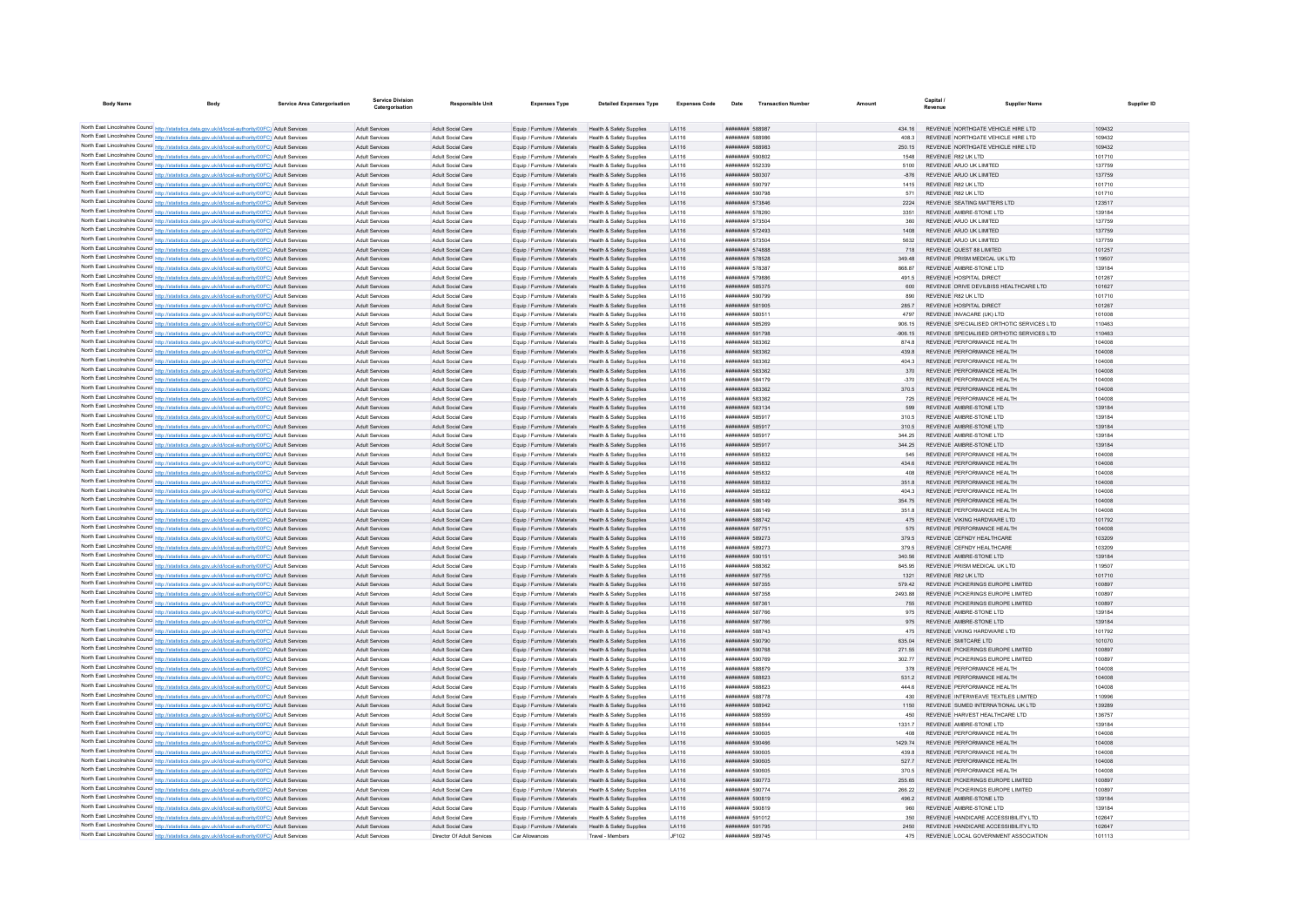| <b>Body Name</b> | Body                                                                                                                                                                                                           | <b>Service Area Catergorisation</b> | Service Divisio<br>Catergorisation      | <b>Responsible Unit</b>                       | <b>Expenses Type</b>                                           | <b>Detailed Expenses Type</b>                                   | <b>Expenses Code</b>  | Date                                            | <b>Transaction Number</b> | Amount         | Capital.<br>Revenue                      | <b>Supplier Name</b>                                                        | Supplier ID      |
|------------------|----------------------------------------------------------------------------------------------------------------------------------------------------------------------------------------------------------------|-------------------------------------|-----------------------------------------|-----------------------------------------------|----------------------------------------------------------------|-----------------------------------------------------------------|-----------------------|-------------------------------------------------|---------------------------|----------------|------------------------------------------|-----------------------------------------------------------------------------|------------------|
|                  |                                                                                                                                                                                                                |                                     |                                         |                                               |                                                                |                                                                 |                       |                                                 |                           |                |                                          |                                                                             |                  |
|                  | North East Lincolnshire Council http://statistics.data.gov.uk/id/local-authority/00FC) Adult Services                                                                                                          |                                     | Adult Services                          | Adult Social Care                             | Equip / Furniture / Materials                                  | Health & Safety Supplies                                        | LA116                 | ######## 588987                                 |                           |                |                                          | REVENUE NORTHGATE VEHICLE HIRE LTD                                          | 109432           |
|                  | North East Lincolnshire Council http://statistics.data.gov.uk/id/local-authority/00FC) Adult Services                                                                                                          |                                     | Adult Service                           | Adult Social Can                              | Equip / Furniture / Materials                                  | Health & Safety Supplies                                        | LA116                 | ######## 588986                                 |                           | 408.3          |                                          | REVENUE NORTHGATE VEHICLE HIRE LTD                                          | 109432           |
|                  | North East Lincolnshire Council http://statistics.data.gov.uk/id/local-authority/00FC) Adult Services                                                                                                          |                                     | Adult Services                          | Adult Social Care                             | Equip / Furniture / Materials                                  | Health & Safety Supplies                                        | LA116                 | <b><i>BREEZER SRR983</i></b>                    |                           | 250 15         |                                          | REVENUE NORTHGATE VEHICLE HIRE LTD                                          | 109432           |
|                  | North East Lincolnshire Council http://statistics.data.gov.uk/id/local-authority/00FC) Adult Services                                                                                                          |                                     | Adult Services                          | Adult Social Care                             | Equip / Furniture / Materials                                  | Health & Safety Supplies                                        | LA116                 | ######## 590802                                 |                           | 1548           | REVENUE R82 UK LTD                       |                                                                             | 101710           |
|                  | North East Lincolnshire Council http://statistics.data.gov.uk/id/local-authority/00FC) Adult Services                                                                                                          |                                     | Adult Services                          | Adult Social Care                             | Equip / Furniture / Materials                                  | Health & Safety Supplies                                        | LA116                 | ######## 552339                                 |                           | 5100           | REVENUE ARJO UK LIMITED                  |                                                                             | 137759           |
|                  | North East Lincolnshire Council http://statistics.data.gov.uk/id/local-authority/00FC) Adult Services                                                                                                          |                                     | Adult Services                          | Adult Social Care                             | Equip / Furniture / Materials                                  | Health & Safety Supplies                                        | LA116                 | ######## 580307                                 |                           | $-876$         | REVENUE ARJO UK LIMITED                  |                                                                             | 137759           |
|                  | North East Lincolnshire Council http://statistics.data.gov.uk/id/local-authority/00FC) Adult Services<br>North East Lincolnshire Council http://statistics.data.gov.uk/id/local-authority/00FC) Adult Services |                                     | Adult Services<br><b>Adult Services</b> | Adult Social Care<br>Adult Social Care        | Equip / Furniture / Materials<br>Equip / Furniture / Materials | Health & Safety Supplies<br>Health & Safety Supplies            | LA116<br>LA116        | ######## 590797<br>######## 590798              |                           | 1415<br>571    | REVENUE R82 UK LTD<br>REVENUE R82 UK LTD |                                                                             | 101710<br>101710 |
|                  | North East Lincolnshire Council http://statistics.data.gov.uk/id/local-authority/00FC) Adult Services                                                                                                          |                                     | Adult Services                          | Adult Social Care                             | Equip / Furniture / Materials                                  | Health & Safety Supplies                                        | LA116                 | ######## 573846                                 |                           | 2224           |                                          | REVENUE SEATING MATTERS LTD                                                 | 123517           |
|                  | North East Lincolnshire Council http://statistics.data.gov.uk/id/local-authority/00FC) Adult Services                                                                                                          |                                     | Adult Service                           | Adult Social Care                             | Equip / Furniture / Materials                                  | Health & Safety Supplies                                        | LA116                 | ######## 57826                                  |                           | 3351           |                                          | REVENUE AMBRE-STONE LTD                                                     | 139184           |
|                  | North East Lincolnshire Council http://statistics.data.gov.uk/id/local-authority/00FC) Adult Services                                                                                                          |                                     | Adult Services                          | Adult Social Care                             | Equip / Furniture / Materials                                  | Health & Safety Supplies                                        | I A116                | ######## 573504                                 |                           | 360            | REVENUE ARJO UK LIMITED                  |                                                                             | 137759           |
|                  | North East Lincolnshire Council http://statistics.data.gov.uk/id/local-authority/00FC) Adult Services                                                                                                          |                                     | Adult Services                          | Adult Social Care                             | Fouin / Furniture / Materials                                  | Health & Safety Supplies                                        | <b>LA116</b>          | ######## 572493                                 |                           | 1408           | REVENUE ARJO UK LIMITED                  |                                                                             | 137759           |
|                  | North East Lincolnshire Council http://statistics.data.gov.uk/id/local-authority/00FC) Adult Services                                                                                                          |                                     | Adult Services                          | Adult Social Care                             | Equip / Furniture / Materials                                  | Health & Safety Supplies                                        | LA116                 | ######## 573504                                 |                           | 5632           | REVENUE ARJO UK LIMITED                  |                                                                             | 137759           |
|                  | North East Lincolnshire Council http://statistics.data.gov.uk/id/local-authority/00FC) Adult Services                                                                                                          |                                     | Adult Services                          | Adult Social Care                             | Equip / Furniture / Materials                                  | Health & Safety Supplies                                        | LA116                 | ######## 574888                                 |                           | 718            |                                          | REVENUE QUEST 88 LIMITED                                                    | 101257           |
|                  | North East Lincolnshire Council http://statistics.data.gov.uk/id/local-authority/00FC) Adult Services                                                                                                          |                                     | <b>Adult Services</b>                   | Adult Social Care                             | Equip / Furniture / Materials                                  | Health & Safety Supplies                                        | LA116                 | ######## 578528                                 |                           | 349.48         |                                          | REVENUE PRISM MEDICAL UK LTD                                                | 119507           |
|                  | North East Lincolnshire Council http://statistics.data.gov.uk/id/local-authority/00FC) Adult Services                                                                                                          |                                     | Adult Services                          | Adult Social Care                             | Fouin / Furniture / Materials                                  | Health & Safety Sunnlies                                        | <b>LA116</b>          | <b><i>BREEZER 578387</i></b>                    |                           | 868.87         |                                          | REVENUE AMBRE-STONE LTD                                                     | 139184           |
|                  | North East Lincolnshire Council http://statistics.data.gov.uk/id/local-authority/00FC) Adult Services                                                                                                          |                                     | <b>Adult Services</b>                   | Adult Social Care                             | Equip / Furniture / Materials                                  | Health & Safety Supplies                                        | LA116                 | ######## 579886                                 |                           | 491.5          |                                          | REVENUE HOSPITAL DIRECT                                                     | 101267           |
|                  | North East Lincolnshire Council http://statistics.data.gov.uk/id/local-authority/00FC) Adult Services                                                                                                          |                                     | Adult Services                          | <b>Adult Social Care</b>                      | Equip / Furniture / Materials                                  | Health & Safety Supplies                                        | LA116                 | ######## 585375                                 |                           | 600            |                                          | REVENUE DRIVE DEVILBISS HEALTHCARE LTD                                      | 101627           |
|                  | North East Lincolnshire Council http://statistics.data.gov.uk/id/local-authority/00FC) Adult Services<br>North East Lincolnshire Council http://statistics.data.gov.uk/id/local-authority/00FC) Adult Services |                                     | Adult Service<br>Adult Services         | <b>Adult Social Care</b><br>Adult Social Care | Equip / Furniture / Materials<br>Fouin / Furniture / Materials | Health & Safety Supplies<br>Health & Safety Supplies            | LA116<br><b>LA116</b> | ######## 590799<br>######## 581905              |                           | 890<br>285.7   | REVENUE R82 UK LTD                       | REVENUE HOSPITAL DIRECT                                                     | 101710<br>101267 |
|                  | North East Lincolnshire Council http://statistics.data.gov.uk/id/local-authority/00FC) Adult Services                                                                                                          |                                     | Adult Services                          | Adult Social Care                             | Equip / Furniture / Materials                                  | Health & Safety Supplies                                        | LA116                 | ######## 580511                                 |                           | 4797           |                                          | REVENUE INVACARE (UK) LTD                                                   | 101008           |
|                  | North East Lincolnshire Council http://statistics.data.gov.uk/id/local-authority/00FC) Adult Services                                                                                                          |                                     | Adult Services                          | <b>Adult Social Care</b>                      | Equip / Furniture / Materials                                  | Health & Safety Supplies                                        | LA116                 | ######## 585269                                 |                           | 906.15         |                                          | REVENUE SPECIALISED ORTHOTIC SERVICES LTD                                   | 110463           |
|                  | North East Lincolnshire Council http://statistics.data.gov.uk/id/local-authority/00FC) Adult Services                                                                                                          |                                     | Adult Services                          | Adult Social Care                             | Equip / Furniture / Materials                                  | Health & Safety Supplies                                        | LA116                 | ####### 591798                                  |                           | $-906.15$      |                                          | REVENUE SPECIALISED ORTHOTIC SERVICES LTD                                   | 110463           |
|                  | North East Lincolnshire Council http://statistics.data.gov.uk/id/local-authority/00FC) Adult Services                                                                                                          |                                     | Adult Services                          | Adult Social Care                             | Equip / Furniture / Materials                                  | Health & Safety Supplies                                        | <b>LA116</b>          | ######## 583362                                 |                           | 8748           |                                          | REVENUE PERFORMANCE HEALTH                                                  | 104008           |
|                  | North East Lincolnshire Council http://statistics.data.gov.uk/id/local-authority/00FC) Adult Services                                                                                                          |                                     | Adult Services                          | Adult Social Care                             | Equip / Furniture / Materials                                  | Health & Safety Supplies                                        | LA116                 | ######## 583362                                 |                           | 439.8          |                                          | REVENUE PERFORMANCE HEALTH                                                  | 104008           |
|                  | North East Lincolnshire Council http://statistics.data.gov.uk/id/local-authority/00FC) Adult Services                                                                                                          |                                     | Adult Services                          | Adult Social Care                             | Equip / Furniture / Materials                                  | Health & Safety Supplies                                        | LA116                 | ######## 583362                                 |                           | 404.3          |                                          | REVENUE PERFORMANCE HEALTH                                                  | 104008           |
|                  | North East Lincolnshire Council http://statistics.data.gov.uk/id/local-authority/00FC) Adult Services                                                                                                          |                                     | Adult Services                          | Adult Social Care                             | Equip / Furniture / Materials                                  | Health & Safety Supplies                                        | LA116                 | ######## 583362                                 |                           | 370            |                                          | REVENUE PERFORMANCE HEALTH                                                  | 104008           |
|                  | North East Lincolnshire Council http://statistics.data.gov.uk/id/local-authority/00FC) Adult Services                                                                                                          |                                     | Adult Services                          | Adult Social Care                             | Equip / Furniture / Materials                                  | Health & Safety Supplies                                        | I A116                | ######## 584179                                 |                           | $-370$         |                                          | REVENUE PERFORMANCE HEALTH                                                  | 104008           |
|                  | North East Lincolnshire Council http://statistics.data.gov.uk/id/local-authority/00FC) Adult Services                                                                                                          |                                     | <b>Adult Services</b>                   | Adult Social Care                             | Equip / Furniture / Materials                                  | Health & Safety Supplies                                        | LA116                 | ######## 583362                                 |                           | 370.5          |                                          | REVENUE PERFORMANCE HEALTH                                                  | 104008           |
|                  | North East Lincolnshire Council http://statistics.data.gov.uk/id/local-authority/00FC) Adult Services                                                                                                          |                                     | Adult Services                          | Adult Social Care                             | Equip / Furniture / Materials                                  | Health & Safety Supplies                                        | LA116                 | ######## 583362                                 |                           | 725            |                                          | REVENUE PERFORMANCE HEALTH                                                  | 104008           |
|                  | North East Lincolnshire Council http://statistics.data.gov.uk/id/local-authority/00FC) Adult Services                                                                                                          |                                     | Adult Services                          | Adult Social Care                             | Equip / Furniture / Materials                                  | Health & Safety Supplies                                        | LA116                 | ######## 583134                                 |                           | 599            |                                          | REVENUE AMBRE-STONE LTD                                                     | 139184           |
|                  | North East Lincolnshire Council http://statistics.data.gov.uk/id/local-authority/00FC) Adult Services                                                                                                          |                                     | Adult Services                          | Adult Social Care                             | Equip / Furniture / Materials                                  | Health & Safety Supplies                                        | LA116                 | ######## 585917                                 |                           | 310.5          |                                          | REVENUE AMBRE-STONE LTD                                                     | 139184           |
|                  | North East Lincolnshire Council http://statistics.data.gov.uk/id/local-authority/00FC) Adult Services                                                                                                          |                                     | <b>Adult Services</b>                   | Adult Social Care                             | Equip / Furniture / Materials                                  | Health & Safety Supplies                                        | LA116                 | ######## 585917                                 |                           | 310.5          |                                          | REVENUE AMBRE-STONE LTD                                                     | 139184           |
|                  | North East Lincolnshire Council http://statistics.data.gov.uk/id/local-authority/00FC) Adult Services                                                                                                          |                                     | <b>Adult Services</b>                   | <b>Adult Social Care</b>                      | Equip / Furniture / Materials                                  | Health & Safety Supplies                                        | LA116                 | ####### 585917                                  |                           | 344.25         |                                          | REVENUE AMBRE-STONE LTD<br>REVENUE AMBRE-STONE LTD                          | 139184           |
|                  | North East Lincolnshire Council http://statistics.data.gov.uk/id/local-authority/00FC) Adult Services<br>North East Lincolnshire Council http://statistics.data.gov.uk/id/local-authority/00FC) Adult Services |                                     | Adult Services<br>Adult Services        | Adult Social Care<br>Adult Social Care        | Equip / Furniture / Materials<br>Equip / Furniture / Materials | <b>Health &amp; Safety Supplies</b><br>Health & Safety Supplies | LA116<br>I A116       | ######## 585917<br>######## 585832              |                           | 344.25<br>545  |                                          | REVENUE PERFORMANCE HEALTH                                                  | 139184<br>104008 |
|                  | North East Lincolnshire Council http://statistics.data.gov.uk/id/local-authority/00FC) Adult Services                                                                                                          |                                     | Adult Services                          | Adult Social Care                             | Equip / Furniture / Materials                                  | Health & Safety Supplies                                        | LA116                 | ######## 585832                                 |                           | 434.6          |                                          | REVENUE PERFORMANCE HEALTH                                                  | 104008           |
|                  | North East Lincolnshire Council http://statistics.data.gov.uk/id/local-authority/00FC) Adult Services                                                                                                          |                                     | Adult Services                          | Adult Social Care                             | Equip / Furniture / Materials                                  | Health & Safety Supplies                                        | LA116                 | ######## 585832                                 |                           | 408            |                                          | REVENUE PERFORMANCE HEALTH                                                  | 104008           |
|                  | North East Lincolnshire Council http://statistics.data.gov.uk/id/local-authority/00FC) Adult Services                                                                                                          |                                     | Adult Services                          | Adult Social Care                             | Equip / Furniture / Materials                                  | Health & Safety Supplies                                        | LA116                 | ######## 585832                                 |                           | 351.8          |                                          | REVENUE PERFORMANCE HEALTH                                                  | 104008           |
|                  | North East Lincolnshire Council http://statistics.data.gov.uk/id/local-authority/00FC) Adult Services                                                                                                          |                                     | Adult Services                          | Adult Social Care                             | Equip / Furniture / Materials                                  | Health & Safety Supplies                                        | LA116                 | ######## 585832                                 |                           | 4043           |                                          | REVENUE PERFORMANCE HEALTH                                                  | 104008           |
|                  | North East Lincolnshire Council http://statistics.data.gov.uk/id/local-authority/00FC) Adult Services                                                                                                          |                                     | Adult Services                          | Adult Social Care                             | Foujo / Furniture / Materials                                  | Health & Safety Supplies                                        | <b>LA116</b>          | ######## 586149                                 |                           | 354 75         |                                          | REVENUE PERFORMANCE HEALTH                                                  | 104008           |
|                  | North East Lincolnshire Council http://statistics.data.gov.uk/id/local-authority/00FC) Adult Services                                                                                                          |                                     | Adult Services                          | <b>Adult Social Care</b>                      | Equip / Furniture / Materials                                  | Health & Safety Supplies                                        | I A116                | ######## 586149                                 |                           | 3518           |                                          | REVENUE PERFORMANCE HEALTH                                                  | 104008           |
|                  | North East Lincolnshire Council http://statistics.data.gov.uk/id/local-authority/00FC) Adult Services                                                                                                          |                                     | Adult Services                          | <b>Adult Social Care</b>                      | Equip / Furniture / Materials                                  | Health & Safety Supplies                                        | LA116                 | ######## 588742                                 |                           | 475            |                                          | REVENUE VIKING HARDWARE LTD                                                 | 101792           |
|                  | North East Lincolnshire Council http://statistics.data.gov.uk/id/local-authority/00FC) Adult Services                                                                                                          |                                     | <b>Adult Services</b>                   | <b>Adult Social Care</b>                      | Equip / Furniture / Materials                                  | Health & Safety Supplies                                        | LA116                 | ######## 587751                                 |                           | 575            |                                          | REVENUE PERFORMANCE HEALTH                                                  | 104008           |
|                  | North East Lincolnshire Council http://statistics.data.gov.uk/id/local-authority/00FC) Adult Services                                                                                                          |                                     | Adult Services                          | Adult Social Care                             | Equip / Furniture / Materials                                  | Health & Safety Supplies                                        | <b>LA116</b>          | ######## 589273                                 |                           | 379.5          |                                          | REVENUE CEENDY HEALTHCARE                                                   | 103209           |
|                  | North East Lincolnshire Council http://statistics.data.gov.uk/id/local-authority/00FC) Adult Services                                                                                                          |                                     | Adult Services                          | Adult Social Care                             | Equip / Furniture / Materials                                  | Health & Safety Supplies                                        | LA116                 | ######## 589273                                 |                           | 379.5          |                                          | REVENUE CEENDY HEALTHCARE                                                   | 103209           |
|                  | North East Lincolnshire Council http://statistics.data.gov.uk/id/local-authority/00FC) Adult Services                                                                                                          |                                     | Adult Services                          | Adult Social Care                             | Equip / Furniture / Materials                                  | Health & Safety Supplies                                        | LA116                 | ######## 590151                                 |                           | 340.56         |                                          | REVENUE AMBRE-STONE LTD<br>REVENUE PRISM MEDICAL UK LTD                     | 139184           |
|                  | North East Lincolnshire Council http://statistics.data.gov.uk/id/local-authority/00FC) Adult Services<br>North East Lincolnshire Council http://statistics.data.gov.uk/id/local-authority/00FC) Adult Services |                                     | <b>Adult Services</b><br>Adult Services | Adult Social Care<br>Adult Social Care        | Equip / Furniture / Materials<br>Equip / Furniture / Materials | Health & Safety Supplies<br>Health & Safety Supplies            | LA116<br><b>LA116</b> | ######## 588362<br><b><i>BREEZER 587755</i></b> |                           | 845.95<br>1321 | REVENUE R82 UK LTD                       |                                                                             | 119507<br>101710 |
|                  | North East Lincolnshire Council http://statistics.data.gov.uk/id/local-authority/00FC) Adult Services                                                                                                          |                                     | <b>Adult Services</b>                   | Adult Social Care                             | Equip / Furniture / Materials                                  | Health & Safety Supplies                                        | LA116                 | ######## 587355                                 |                           | 579.42         |                                          | REVENUE PICKERINGS EUROPE LIMITED                                           | 100897           |
|                  | North East Lincolnshire Council http://statistics.data.gov.uk/id/local-authority/00FC) Adult Services                                                                                                          |                                     | <b>Adult Services</b>                   | <b>Adult Social Care</b>                      | Equip / Furniture / Materials                                  | Health & Safety Supplies                                        | LA116                 | ####### 58735                                   |                           | 2493.88        |                                          | REVENUE PICKERINGS EUROPE LIMITED                                           | 100897           |
|                  | North East Lincolnshire Council http://statistics.data.gov.uk/id/local-authority/00FC) Adult Services                                                                                                          |                                     | Adult Services                          | Adult Social Care                             | Equip / Furniture / Materials                                  | Health & Safety Supplies                                        | LA116                 | ######## 587361                                 |                           | 755            |                                          | REVENUE PICKERINGS EUROPE LIMITED                                           | 100897           |
|                  | North East Lincolnshire Council http://statistics.data.gov.uk/id/local-authority/00FC) Adult Services                                                                                                          |                                     | Adult Services                          | Adult Social Care                             | Equip / Furniture / Materials                                  | Health & Safety Sunnlies                                        | <b>LA116</b>          | <b><i>BRESHER 587766</i></b>                    |                           | 975            |                                          | REVENUE AMBRE-STONE LTD                                                     | 139184           |
|                  | North East Lincolnshire Council http://statistics.data.gov.uk/id/local-authority/00FC) Adult Services                                                                                                          |                                     | Adult Services                          | Adult Social Care                             | Equip / Furniture / Materials                                  | Health & Safety Supplies                                        | LA116                 | ######## 587766                                 |                           | 975            |                                          | REVENUE AMBRE-STONE LTD                                                     | 139184           |
|                  | North East Lincolnshire Council http://statistics.data.gov.uk/id/local-authority/00FC) Adult Services                                                                                                          |                                     | Adult Services                          | Adult Social Care                             | Equip / Furniture / Materials                                  | Health & Safety Supplies                                        | LA116                 | ######## 588743                                 |                           | 475            |                                          | REVENUE VIKING HARDWARE LTD                                                 | 101792           |
|                  | North East Lincolnshire Council http://statistics.data.gov.uk/id/local-authority/00FC) Adult Services                                                                                                          |                                     | Adult Services                          | Adult Social Care                             | Equip / Furniture / Materials                                  | Health & Safety Supplies                                        | LA116                 | ######## 590790                                 |                           | 635.04         | REVENUE SMITCARE LTD                     |                                                                             | 101070           |
|                  | North East Lincolnshire Council http://statistics.data.gov.uk/id/local-authority/00FC) Adult Services                                                                                                          |                                     | Adult Services                          | Adult Social Care                             | Equip / Furniture / Materials                                  | Health & Safety Supplies                                        | LA116                 | ######## 590768                                 |                           | 271.55         |                                          | REVENUE PICKERINGS EUROPE LIMITED                                           | 100897           |
|                  | North East Lincolnshire Council http://statistics.data.gov.uk/id/local-authority/00FC) Adult Services                                                                                                          |                                     | Adult Services                          | Adult Social Care                             | Equip / Furniture / Materials                                  | Health & Safety Supplies                                        | LA116                 | ######## 590769                                 |                           | 302.77         |                                          | REVENUE PICKERINGS EUROPE LIMITED                                           | 100897           |
|                  | North East Lincolnshire Council http://statistics.data.gov.uk/id/local-authority/00FC) Adult Services                                                                                                          |                                     | Adult Services                          | Adult Social Care                             | Equip / Furniture / Materials                                  | Health & Safety Supplies                                        | LA116                 | ####### 588879                                  |                           | 378            |                                          | REVENUE PERFORMANCE HEALTH                                                  | 104008           |
|                  | North East Lincolnshire Council http://statistics.data.gov.uk/id/local-authority/00FC) Adult Services                                                                                                          |                                     | Adult Service                           | Adult Social Care                             | Equip / Furniture / Materials                                  | <b>Health &amp; Safety Supplies</b>                             | LA116                 | ######## 588823                                 |                           | 531.2          |                                          | REVENUE PERFORMANCE HEALTH                                                  | 104008           |
|                  | North East Lincolnshire Council http://statistics.data.gov.uk/id/local-authority/00FC) Adult Services<br>North East Lincolnshire Council http://statistics.data.gov.uk/id/local-authority/00FC) Adult Services |                                     | Adult Services<br>Adult Services        | Adult Social Care<br>Adult Social Care        | Equip / Furniture / Materials<br>Equip / Furniture / Materials | Health & Safety Supplies<br>Health & Safety Supplies            | I A116<br>LA116       | <b><i>BREERER SRRR23</i></b><br>######## 588778 |                           | 444.6<br>430   |                                          | REVENUE PERFORMANCE HEALTH<br>REVENUE INTERWEAVE TEXTILES LIMITED           | 104008<br>110996 |
|                  | North East Lincolnshire Council http://statistics.data.gov.uk/id/local-authority/00FC) Adult Services                                                                                                          |                                     | Adult Services                          | Adult Social Care                             | Equip / Furniture / Materials                                  | Health & Safety Supplies                                        | LA116                 | ######## 588942                                 |                           | 1150           |                                          | REVENUE SUMED INTERNATIONAL UK LTD                                          | 139289           |
|                  | North East Lincolnshire Council http://statistics.data.gov.uk/id/local-authority/00FC) Adult Services                                                                                                          |                                     | Adult Services                          | Adult Social Care                             | Equip / Furniture / Materials                                  | Health & Safety Supplies                                        | LA116                 | ####### 588559                                  |                           | 450            |                                          | REVENUE HARVEST HEALTHCARE LTD                                              | 136757           |
|                  | North East Lincolnshire Council http://statistics.data.gov.uk/id/local-authority/00FC) Adult Services                                                                                                          |                                     | Adult Services                          | Adult Social Care                             | Equip / Furniture / Materials                                  | Health & Safety Supplies                                        | LA116                 | ####### 588844                                  |                           | 1331.7         |                                          | REVENUE AMBRE-STONE LTD                                                     | 139184           |
|                  | North East Lincolnshire Council http://statistics.data.gov.uk/id/local-authority/00FC) Adult Services                                                                                                          |                                     | <b>Adult Services</b>                   | Adult Social Care                             | Equip / Furniture / Materials                                  | Health & Safety Supplies                                        | LA116                 | ######## 590605                                 |                           | $A\cap R$      |                                          | REVENUE PERFORMANCE HEALTH                                                  | 104008           |
|                  | North East Lincolnshire Council http://statistics.data.gov.uk/id/local-authority/00FC) Adult Services                                                                                                          |                                     | Adult Services                          | Adult Social Care                             | Equip / Furniture / Materials                                  | Health & Safety Supplies                                        | I A116                | ######## 590466                                 |                           | 1429.74        |                                          | REVENUE PERFORMANCE HEALTH                                                  | 104008           |
|                  | North East Lincolnshire Council http://statistics.data.gov.uk/id/local-authority/00FC) Adult Services                                                                                                          |                                     | <b>Adult Services</b>                   | Adult Social Can                              | Equip / Furniture / Materials                                  | Health & Safety Supplies                                        | LA116                 | ######## 59060                                  |                           | 439.           |                                          | REVENUE PERFORMANCE HEALTH                                                  | 104008           |
|                  | North East Lincolnshire Council http://statistics.data.gov.uk/id/local-authority/00FC) Adult Services                                                                                                          |                                     | <b>Adult Services</b>                   | Adult Social Care                             | Equip / Furniture / Materials                                  | Health & Safety Supplies                                        | LA116                 | ######## 590605                                 |                           | 5277           |                                          | REVENUE PERFORMANCE HEALTH                                                  | 104008           |
|                  | North East Lincolnshire Council http://statistics.data.gov.uk/id/local-authority/00FC) Adult Services                                                                                                          |                                     | Adult Services                          | Adult Social Care                             | Fouin / Furniture / Materials                                  | Health & Safety Sunnlies                                        | <b>LA116</b>          | ######## 590605                                 |                           | 370.5          |                                          | REVENUE PERFORMANCE HEALTH                                                  | 104008           |
|                  | North East Lincolnshire Council http://statistics.data.gov.uk/id/local-authority/00FC) Adult Services                                                                                                          |                                     | Adult Services                          | Adult Social Care                             | Equip / Furniture / Materials                                  | Health & Safety Supplies                                        | LA116                 | ####### 590773                                  |                           | 255.65         |                                          | REVENUE PICKERINGS EUROPE LIMITED                                           | 100897           |
|                  | North East Lincolnshire Council http://statistics.data.gov.uk/id/local-authority/00FC) Adult Services                                                                                                          |                                     | Adult Services                          | <b>Adult Social Care</b>                      | Equip / Furniture / Materials                                  | Health & Safety Supplies                                        | LA116                 | ######## 590774                                 |                           | 266.22         |                                          | REVENUE PICKERINGS EUROPE LIMITED                                           | 100897           |
|                  | North East Lincolnshire Council http://statistics.data.gov.uk/id/local-authority/00FC) Adult Services                                                                                                          |                                     | <b>Adult Services</b>                   | Adult Social Care                             | Equip / Furniture / Materials                                  | Health & Safety Supplies                                        | LA116                 | ######## 590819                                 |                           | 496.2          |                                          | REVENUE AMBRE-STONE LTD                                                     | 139184           |
|                  | North East Lincolnshire Council http://statistics.data.gov.uk/id/local-authority/00FC) Adult Services                                                                                                          |                                     | Adult Services                          | Adult Social Care                             | Equip / Furniture / Materials                                  | Health & Safety Supplies                                        | <b>LA116</b>          | ######## 590819                                 |                           | 960            |                                          | REVENUE AMBRE-STONE LTD                                                     | 139184           |
|                  | North East Lincolnshire Council http://statistics.data.gov.uk/id/local-authority/00FC) Adult Services                                                                                                          |                                     | Adult Services                          | <b>Adult Social Care</b>                      | Equip / Furniture / Materials                                  | Health & Safety Supplies                                        | <b>LA116</b>          | ######## 591012                                 |                           | 350            |                                          | REVENUE HANDICARE ACCESSIBILITY LTD                                         | 102647           |
|                  | North East Lincolnshire Council http://statistics.data.gov.uk/id/local-authority/00FC) Adult Services                                                                                                          |                                     | <b>Adult Services</b>                   | Adult Social Care                             | Equip / Furniture / Materials                                  | Health & Safety Supplies                                        | LA116                 | ######## 591795<br>$HHHHHHHH$ 589745            |                           | 2450           |                                          | REVENUE HANDICARE ACCESSIBILITY LTD<br>REVENUE LOCAL GOVERNMENT ASSOCIATION | 102647<br>101113 |
|                  | North East Lincolnshire Council http://statistics.data.gov.uk/id/local-authority/00FC) Adult Services                                                                                                          |                                     | Adult Service                           | <b>Director Of Adult Services</b>             | Car Allowances                                                 | Travel - Members                                                | JF102                 |                                                 |                           | 475            |                                          |                                                                             |                  |